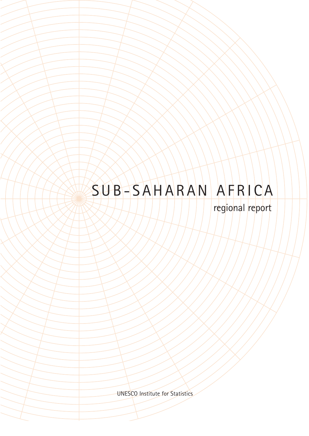### SUB-SAHARAN AFRICA

regional report

UNESCO Institute for Statistics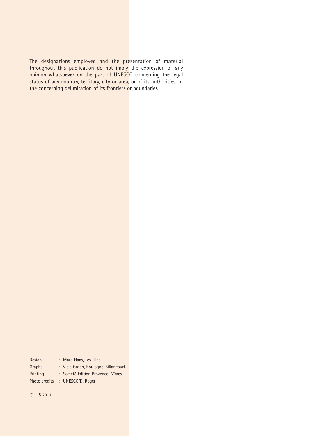The designations employed and the presentation of material throughout this publication do not imply the expression of any opinion whatsoever on the part of UNESCO concerning the legal status of any country, territory, city or area, or of its authorities, or the concerning delimitation of its frontiers or boundaries.

| Design        | : Maro Haas, Les Lilas              |
|---------------|-------------------------------------|
| Graphs        | : Visit-Graph, Boulogne-Billancourt |
| Printing      | : Société Edition Provence, Nîmes   |
| Photo credits | : UNESCO/D. Roger                   |

© UIS 2001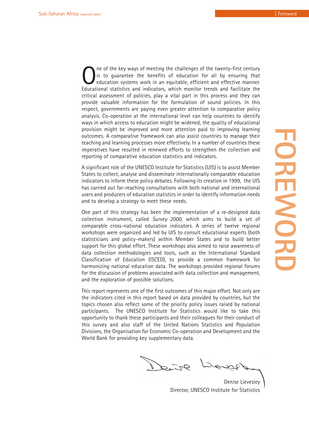One of the key ways of meeting the challenges of the twenty-first century<br>is to guarantee the benefits of education for all by ensuring that<br>education systems work in an equitable, efficient and effective manner.<br>Education is to guarantee the benefits of education for all by ensuring that education systems work in an equitable, efficient and effective manner. Educational statistics and indicators, which monitor trends and facilitate the critical assessment of policies, play a vital part in this process and they can provide valuable information for the formulation of sound policies. In this respect, governments are paying even greater attention to comparative policy analysis. Co-operation at the international level can help countries to identify ways in which access to education might be widened, the quality of educational provision might be improved and more attention paid to improving learning outcomes. A comparative framework can also assist countries to manage their teaching and learning processes more effectively. In a number of countries these imperatives have resulted in renewed efforts to strengthen the collection and reporting of comparative education statistics and indicators.

A significant role of the UNESCO Institute for Statistics (UIS) is to assist Member States to collect, analyse and disseminate internationally comparable education indicators to inform these policy debates. Following its creation in 1999, the UIS has carried out far-reaching consultations with both national and international users and producers of education statistics in order to identify information needs and to develop a strategy to meet these needs.

One part of this strategy has been the implementation of a re-designed data collection instrument, called *Survey 2000*, which aims to build a set of comparable cross-national education indicators. A series of twelve regional workshops were organized and led by UIS to consult educational experts (both statisticians and policy-makers) within Member States and to build better support for this global effort. These workshops also aimed to raise awareness of data collection methodologies and tools, such as the International Standard Classification of Education (ISCED), to provide a common framework for harmonizing national education data. The workshops provided regional forums for the discussion of problems associated with data collection and management, and the exploration of possible solutions.

This report represents one of the first outcomes of this major effort. Not only are the indicators cited in this report based on data provided by countries, but the topics chosen also reflect some of the priority policy issues raised by national participants. The UNESCO Institute for Statistics would like to take this opportunity to thank these participants and their colleagues for their conduct of this survey and also staff of the United Nations Statistics and Population Divisions, the Organisation for Economic Co-operation and Development and the World Bank for providing key supplementary data.

 $92 - 56$ 

Denise Lievesley Director, UNESCO Institute for Statistics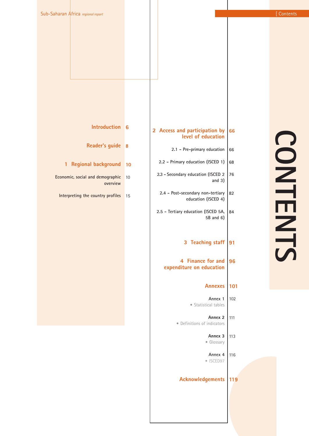|                          | i<br>Lihat |                |
|--------------------------|------------|----------------|
|                          |            |                |
|                          |            |                |
|                          |            |                |
| $\blacksquare$           |            | $\blacksquare$ |
|                          |            |                |
|                          |            |                |
| $\overline{\phantom{a}}$ |            |                |

| 66  | Access and participation by<br>2<br>level of education   |
|-----|----------------------------------------------------------|
| 66  | 2.1 - Pre-primary education                              |
| 68  | 2.2 - Primary education (ISCED 1)                        |
| 76  | 2.3 - Secondary education (ISCED 2<br>and $3)$           |
| 82  | 2.4 - Post-secondary non-tertiary<br>education (ISCED 4) |
| 84  | 2.5 - Tertiary education (ISCED 5A,<br>5B and 6)         |
| 91  | 3 Teaching staff                                         |
| 96  | 4 Finance for and<br>expenditure on education            |
| 101 | Annexes                                                  |
| 102 | Annex 1<br>· Statistical tables                          |
| 111 | Annex 2<br>• Definitions of indicators                   |
| 113 | Annex 3<br>· Glossary                                    |
| 116 | Annex 4<br>ISCED97                                       |
|     | Acknowledgements                                         |

| Introduction 6 |  |
|----------------|--|
| ader's quide 8 |  |

- **Reader's guide**
- **1 Regional background 10**
- **Economic, social and demographic** 10 **overview**
	- **Interpreting the country profiles** 15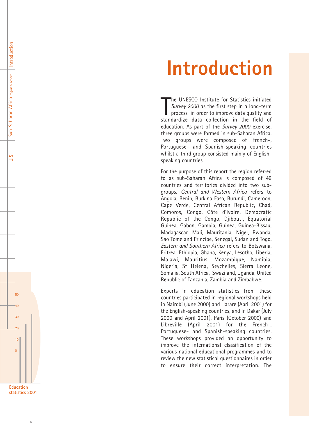### **Introduction**

The UNESCO Institute for Statistics initiated<br>Survey 2000 as the first step in a long-term<br>process in order to improve data quality and<br>standardize data collection in the field of he UNESCO Institute for Statistics initiated *Survey 2000* as the first step in a long-term process in order to improve data quality and education. As part of the *Survey 2000* exercise, three groups were formed in sub-Saharan Africa. Two groups were composed of French-, Portuguese- and Spanish-speaking countries whilst a third group consisted mainly of Englishspeaking countries.

For the purpose of this report the region referred to as sub-Saharan Africa is composed of 49 countries and territories divided into two subgroups. *Central and Western Africa* refers to Angola, Benin, Burkina Faso, Burundi, Cameroon, Cape Verde, Central African Republic, Chad, Comoros, Congo, Côte d'Ivoire, Democratic Republic of the Congo, Djibouti, Equatorial Guinea, Gabon, Gambia, Guinea, Guinea-Bissau, Madagascar, Mali, Mauritania, Niger, Rwanda, Sao Tome and Principe, Senegal, Sudan and Togo. *Eastern and Southern Africa* refers to Botswana, Eritrea, Ethiopia, Ghana, Kenya, Lesotho, Liberia, Malawi, Mauritius, Mozambique, Namibia, Nigeria, St Helena, Seychelles, Sierra Leone, Somalia, South Africa, Swaziland, Uganda, United Republic of Tanzania, Zambia and Zimbabwe.

Experts in education statistics from these countries participated in regional workshops held in Nairobi (June 2000) and Harare (April 2001) for the English-speaking countries, and in Dakar (July 2000 and April 2001), Paris (October 2000) and Libreville (April 2001) for the French-, Portuguese- and Spanish-speaking countries. These workshops provided an opportunity to improve the international classification of the various national educational programmes and to review the new statistical questionnaires in order to ensure their correct interpretation. The



 $50$ 

Introduction

Introduction

Sub-Saharan Africa *regional report*

Sub-Saharan Africa regional report

UIS

40

30

 $\overline{20}$ 

 $\begin{array}{c}\n10 \\
0\n\end{array}$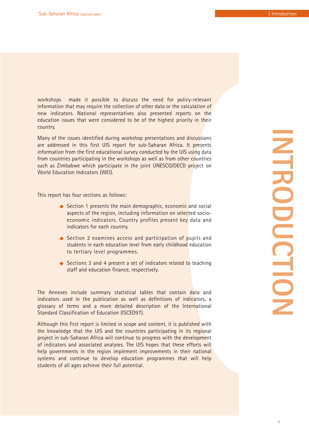workshops made it possible to discuss the need for policy-relevant information that may require the collection of other data or the calculation of new indicators. National representatives also presented reports on the education issues that were considered to be of the highest priority in their country.

Many of the issues identified during workshop presentations and discussions are addressed in this first UIS report for sub-Saharan Africa. It presents information from the first educational survey conducted by the UIS using data from countries participating in the workshops as well as from other countries such as Zimbabwe which participate in the joint UNESCO/OECD project on World Education Indicators (WEI).

This report has four sections as follows:

- $\triangle$  Section 1 presents the main demographic, economic and social aspects of the region, including information on selected socioeconomic indicators. Country profiles present key data and indicators for each country.
- $\triangle$  Section 2 examines access and participation of pupils and students in each education level from early childhood education to tertiary level programmes.
- $\triangle$  Sections 3 and 4 present a set of indicators related to teaching staff and education finance, respectively.

The Annexes include summary statistical tables that contain data and indicators used in the publication as well as definitions of indicators, a glossary of terms and a more detailed description of the International Standard Classification of Education (ISCED97).

Although this first report is limited in scope and content, it is published with the knowledge that the UIS and the countries participating in its regional project in sub-Saharan Africa will continue to progress with the development of indicators and associated analyses. The UIS hopes that these efforts will help governments in the region implement improvements in their national systems and continue to develop education programmes that will help students of all ages achieve their full potential.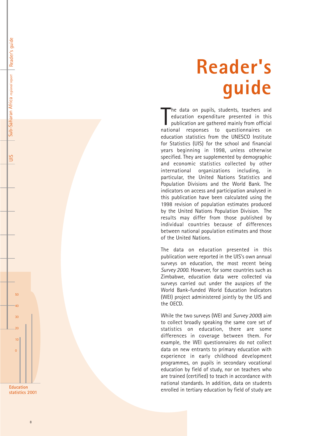# **Reader's guide**

The data on pupils, students, teachers and<br>education expenditure presented in this<br>publication are gathered mainly from official<br>national responses to questionnaires on he data on pupils, students, teachers and education expenditure presented in this publication are gathered mainly from official education statistics from the UNESCO Institute for Statistics (UIS) for the school and financial years beginning in 1998, unless otherwise specified. They are supplemented by demographic and economic statistics collected by other international organizations including, in particular, the United Nations Statistics and Population Divisions and the World Bank. The indicators on access and participation analysed in this publication have been calculated using the 1998 revision of population estimates produced by the United Nations Population Division. The results may differ from those published by individual countries because of differences between national population estimates and those of the United Nations.

The data on education presented in this publication were reported in the UIS's own annual surveys on education, the most recent being *Survey 2000*. However, for some countries such as Zimbabwe, education data were collected via surveys carried out under the auspices of the World Bank-funded World Education Indicators (WEI) project administered jointly by the UIS and the OECD.

While the two surveys (WEI and *Survey 2000*) aim to collect broadly speaking the same core set of statistics on education, there are some differences in coverage between them. For example, the WEI questionnaires do not collect data on new entrants to primary education with experience in early childhood development programmes, on pupils in secondary vocational education by field of study, nor on teachers who are trained (certified) to teach in accordance with national standards. In addition, data on students enrolled in tertiary education by field of study are

50

Reader's guide

Reader's quide

Sub-Saharan Africa *regional report*

Sub-Saharan Africa regional report

UIS

40

30

20

 $\begin{array}{c} 10 \\ 0 \end{array}$ 

**Education statistics 2001**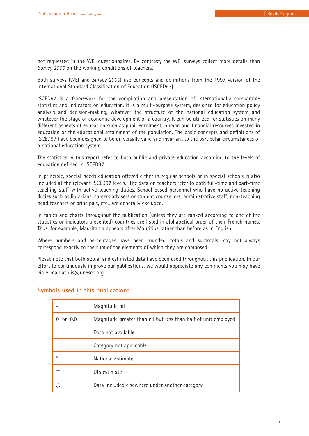not requested in the WEI questionnaires. By contrast, the WEI surveys collect more details than *Survey 2000* on the working conditions of teachers.

Both surveys (WEI and *Survey 2000*) use concepts and definitions from the 1997 version of the International Standard Classification of Education (ISCED97).

ISCED97 is a framework for the compilation and presentation of internationally comparable statistics and indicators on education. It is a multi-purpose system, designed for education policy analysis and decision-making, whatever the structure of the national education system and whatever the stage of economic development of a country. It can be utilized for statistics on many different aspects of education such as pupil enrolment, human and financial resources invested in education or the educational attainment of the population. The basic concepts and definitions of ISCED97 have been designed to be universally valid and invariant to the particular circumstances of a national education system.

The statistics in this report refer to both public and private education according to the levels of education defined in ISCED97.

In principle, special needs education offered either in regular schools or in special schools is also included at the relevant ISCED97 levels. The data on teachers refer to both full-time and part-time teaching staff with active teaching duties. School-based personnel who have no active teaching duties such as librarians, careers advisers or student counsellors, administrative staff, non-teaching head teachers or principals, etc., are generally excluded.

In tables and charts throughout the publication (unless they are ranked according to one of the statistics or indicators presented) countries are listed in alphabetical order of their French names. Thus, for example, Mauritania appears after Mauritius rather than before as in English.

Where numbers and percentages have been rounded, totals and subtotals may not always correspond exactly to the sum of the elements of which they are composed.

Please note that both actual and estimated data have been used throughout this publication. In our effort to continuously improve our publications, we would appreciate any comments you may have via e-mail at uis@unesco.org.

|                          | Magnitude nil                                                  |
|--------------------------|----------------------------------------------------------------|
| or $0.0$<br><sup>n</sup> | Magnitude greater than nil but less than half of unit employed |
|                          | Data not available                                             |
|                          | Category not applicable                                        |
| ⋇                        | National estimate                                              |
| $**$                     | UIS estimate                                                   |
|                          | Data included elsewhere under another category                 |

### **Symbols used in this publication:**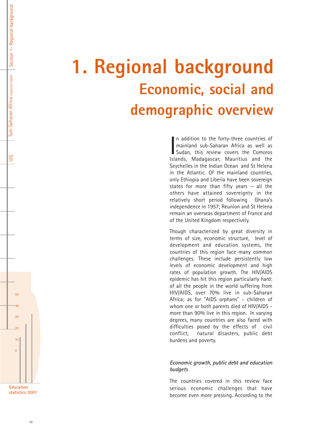## **1. Regional background Economic, social and demographic overview**

In addition to the forty-three countries of<br>mainland sub-Saharan Africa as well as<br>Sudan, this review covers the Comoros<br>Islands, Madagascar, Mauritius and the n addition to the forty-three countries of mainland sub-Saharan Africa as well as Sudan, this review covers the Comoros Seychelles in the Indian Ocean and St Helena in the Atlantic. Of the mainland countries, only Ethiopia and Liberia have been sovereign states for more than fifty years  $-$  all the others have attained sovereignty in the relatively short period following Ghana's independence in 1957; Reunion and St Helena remain an overseas department of France and of the United Kingdom respectively.

Though characterized by great diversity in terms of size, economic structure, level of development and education systems, the countries of this region face many common challenges. These include persistently low levels of economic development and high rates of population growth. The HIV/AIDS epidemic has hit this region particularly hard: of all the people in the world suffering from HIV/AIDS, over 70% live in sub-Saharan Africa; as for "AIDS orphans" - children of whom one or both parents died of HIV/AIDS more than 90% live in this region. In varying degrees, many countries are also faced with difficulties posed by the effects of civil conflict, natural disasters, public debt burdens and poverty.

### *Economic growth, public debt and education budgets*

The countries covered in this review face serious economic challenges that have become even more pressing. According to the



 $50$ 

Sub-Saharan Africa regional report | Section 1- Regional background

Sub-Saharan Africa regional report | Section 1- Regional background

UIS

40

30

 $\overline{20}$ 

10

 $\Omega$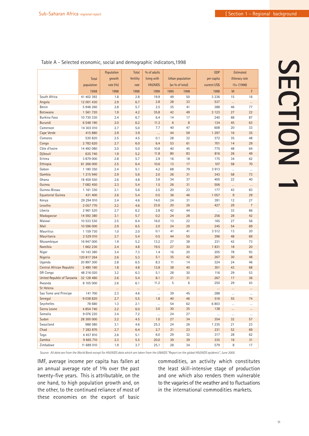|                             |               | Population | Total     | % of adults     |                 |                  | <b>GDP</b>   | <b>Estimated</b> |                |
|-----------------------------|---------------|------------|-----------|-----------------|-----------------|------------------|--------------|------------------|----------------|
|                             | <b>Total</b>  | growth     | fertility | living with     |                 | Urban population | per capita   | illiteracy rate  |                |
|                             | population    | rate (%)   | rate      | <b>HIV/AIDS</b> |                 | (as % of total)  | current US\$ | $15 + (1998)$    |                |
|                             | 1998          | 1998       | 1998      | 1999            | 1990            | 1998             | 1998         | M                | F              |
| South Africa                | 41 402 392    | 1.8        | 2.8       | 19.9            | 49              | 50               | 3 2 3 6      | 15               | 16             |
| Angola                      | 12 001 430    | 2.9        | 6.7       | 2.8             | 28              | 33               | 537          |                  |                |
| Benin                       | 5948260       | 2.8        | 5.7       | 2.5             | 35              | 41               | 388          | <br>46           | <br>77         |
| <b>Botswana</b>             | 1 561 720     | 1.9        | 4.2       | 35.8            | 42              | 49               | 3 1 2 3      | 27               | 22             |
| Burkina Faso                | 10 730 330    | 2.4        | 6.7       | 6.4             | 14              | 17               | 240          | 68               | 87             |
| Burundi                     | 6 548 190     | 2.0        | 6.2       | 11.3            | $6\phantom{1}6$ | 8                | 134          | 45               | 63             |
| Cameroon                    | 14 303 010    | 2.7        | 5.0       | 7.7             | 40              | 47               | 608          | 20               | 33             |
| Cape Verde                  | 415 880       | 2.9        | 3.9       |                 | 44              | 59               | 1 2 9 7      | 16               | 35             |
| Comoros                     | 530 820       | 2.5        | 4.5       | 0.1             | 28              | 32               | 372          | 35               | 48             |
| Congo                       | 2 782 620     | 2.7        | 6.0       | 6.4             | 53              | 61               | 701          | 14               | 29             |
| Côte d'Ivoire               | 14 492 080    | 2.0        | 5.0       | 10.8            | 40              | 45               | 775          | 48               | 64             |
| Djibouti                    | 635 740       | 1.9        | 5.2       | 11.8            | 80              | 83               | 816          | 26               | 49             |
| Eritrea                     | 3 879 000     | 2.8        | 5.7       | 2.9             | 16              | 18               | 175          | 34               | 62             |
| Ethiopia                    | 61 266 000    | 2.5        | 6.4       | 10.6            | 13              | 17               | 107          | 58               | 70             |
| Gabon                       | 1 180 350     | 2.4        | 5.1       | 4.2             | 68              | 79               | 3913         | $\cdots$         | $\cdots$       |
| Gambia                      | 1 215 940     | 2.9        | 5.6       | 2.0             | 26              | 31               | 343          | 58               | 73             |
| Ghana                       | 18 459 550    | 2.6        | 4.8       | 3.6             | 34              | 37               | 405          | 22               | 40             |
| Guinea                      | 7 082 450     | 2.3        | 5.4       | 1.5             | 26              | 31               | 506          |                  | $\cdots$       |
| Guinea-Bissau               | 1 161 330     | 2.1        | 5.6       | 2.5             | 20              | 23               | 177          | 43               | 83             |
| Equatorial Guinea           | 431 400       | 2.6        | 5.4       | 0.5             | 36              | 46               | 1 0 5 7      | 9                | 29             |
| Kenya                       | 29 294 910    | 2.4        | 4.6       | 14.0            | 24              | 31               | 391          | 12               | 27             |
| Lesotho                     | 2 057 770     | 2.2        | 4.6       | 23.6            | 20              | 26               | 427          | 29               | $\overline{7}$ |
| Liberia                     | 2 961 520     | 2.7        | 6.2       | 2.8             | 42              | 44               | $\cdots$     | 33               | 66             |
| Madagascar                  | 14 592 380    | 3.1        | 5.7       | 0.2             | 24              | 28               | 256          | 28               | 42             |
| Malawi                      | 10 533 530    | 2.5        | 6.4       | 16.0            | 13              | 22               | 165          | 27               | 56             |
| Mali                        | 10 596 000    | 2.9        | 6.5       | 2.0             | 24              | 29               | 245          | 54               | 69             |
| <b>Mauritius</b>            | 1 159 730     | 1.0        | 2.0       | 0.1             | 41              | 41               | 3 5 1 2      | 13               | 20             |
| Mauritania                  | 2 529 010     | 2.7        | 5.4       | 0.5             | 44              | 55               | 396          | 48               | 69             |
| Mozambique                  | 16 947 000    | 1.9        | 5.2       | 13.2            | 27              | 38               | 231          | 42               | 73             |
| Namibia                     | 1 662 230     | 2.4        | 4.8       | 19.5            | 27              | 30               | 1831         | 18               | 20             |
| Niger                       | 10 143 380    | 3.4        | 7.3       | 1.4             | 16              | 20               | 205          | 78               | 93             |
| Nigeria                     | 120 817 264   | 2.6        | 5.3       | 5.1             | 35              | 42               | 267          | 30               | 48             |
| Uganda                      | 20 897 300    | 2.8        | 6.5       | 8.3             | 11              | 14               | 324          | 24               | 46             |
| Central African Republic    | 3 480 160     | 1.8        | 4.8       | 13.8            | 38              | 40               | 301          | 43               | 68             |
| DR Congo                    | 48 216 020    | 3.2        | 6.3       | 5.1             | 28              | 30               | 116          | 29               | 53             |
| United Republic of Tanzania | 32 128 480    | 2.6        | 5.4       | 8.1             | 21              | 31               | 267          | 17               | 36             |
| Rwanda                      | 8 105 000     | 2.6        | 6.1       | 11.2            | 5               | 6                | 250          | 29               | 43             |
| St Helena                   |               | $\cdots$   | $\cdots$  |                 |                 |                  |              |                  |                |
| Sao Tome and Principe       | 141 700       | 2.3        | 4.6       |                 | 39              | 45               | 288          |                  | $\cdots$       |
| Senegal                     | 9 0 38 8 20   | 2.7        | 5.5       | 1.8             | 40              | 46               | 516          | 55               | 74             |
| Seychelles                  | 78 680        | 1.3        | 2.1       | $\ldots$        | 54              | 62               | 6 8 0 3      | $\cdots$         | $\cdots$       |
| Sierra Leone                | 4 8 5 4 7 4 0 | 2.2        | $6.0\,$   | 3.0             | 30              | 35               | 138          | $\cdots$         | $\cdots$       |
| Somalia                     | 9 076 220     | 3.4        | 7.2       | $\cdots$        | 24              | 27               | $\ldots$     | $\cdots$         | $\ldots$       |
| Sudan                       | 28 300 000    | 2.2        | 4.5       | 1.0             | 27              | 34               | 354          | 32               | 57             |
| Swaziland                   | 988 580       | 3.1        | 4.6       | 25.3            | 24              | 26               | 1 2 3 5      | 21               | 23             |
| Chad                        | 7 282 870     | 2.7        | 6.4       | 2.7             | 21              | 23               | 231          | 52               | 69             |
| Togo                        | 4 457 810     | 2.6        | 5.1       | 6.0             | 29              | 32               | 317          | 28               | 62             |
| Zambia                      | 9 665 710     | 2.3        | $5.5\,$   | 20.0            | 39              | 39               | 335          | $16\,$           | 31             |
| Zimbabwe                    | 11 689 010    | 1.9        | 3.7       | 25.1            | 28              | 34               | 579          | 8                | 17             |

### Table A - Selected economic, social and demographic indicators,1998

*Source: All data are from the World Bank except for HIV/AIDS data which are taken from the UNAIDS "Report on the global HIV/AIDS epidemic", June 2000.*

IMF, average income per capita has fallen at an annual average rate of 1% over the past twenty-five years. This is attributable, on the one hand, to high population growth and, on the other, to the continued reliance of most of these economies on the export of basic

commodities, an activity which constitutes the least skill-intensive stage of production and one which also renders them vulnerable to the vagaries of the weather and to fluctuations in the international commodities markets.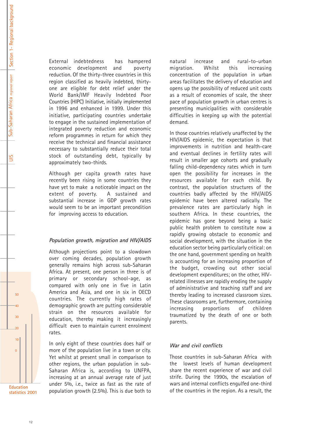UIS

External indebtedness has hampered economic development and poverty reduction. Of the thirty-three countries in this region classified as heavily indebted, thirtyone are eligible for debt relief under the World Bank/IMF Heavily Indebted Poor Countries (HIPC) Initiative, initially implemented in 1996 and enhanced in 1999. Under this initiative, participating countries undertake to engage in the sustained implementation of integrated poverty reduction and economic reform programmes in return for which they receive the technical and financial assistance necessary to substantially reduce their total stock of outstanding debt, typically by approximately two-thirds.

Although per capita growth rates have recently been rising in some countries they have yet to make a noticeable impact on the extent of poverty. A sustained and substantial increase in GDP growth rates would seem to be an important precondition for improving access to education.

### *Population growth, migration and HIV/AIDS*

Although projections point to a slowdown over coming decades, population growth generally remains high across sub-Saharan Africa. At present, one person in three is of primary or secondary school-age, as compared with only one in five in Latin America and Asia, and one in six in OECD countries. The currently high rates of demographic growth are putting considerable strain on the resources available for education, thereby making it increasingly difficult even to maintain current enrolment rates.

In only eight of these countries does half or more of the population live in a town or city. Yet whilst at present small in comparison to other regions, the urban population in sub-Saharan Africa is, according to UNFPA, increasing at an annual average rate of just under 5%, i.e., twice as fast as the rate of population growth (2.5%). This is due both to

natural increase and rural-to-urban migration. Whilst this increasing concentration of the population in urban areas facilitates the delivery of education and opens up the possibility of reduced unit costs as a result of economies of scale, the sheer pace of population growth in urban centres is presenting municipalities with considerable difficulties in keeping up with the potential demand.

In those countries relatively unaffected by the HIV/AIDS epidemic, the expectation is that improvements in nutrition and health-care and eventual declines in fertility rates will result in smaller age cohorts and gradually falling child-dependency rates which in turn open the possibility for increases in the resources available for each child. By contrast, the population structures of the countries badly affected by the HIV/AIDS epidemic have been altered radically. The prevalence rates are particularly high in southern Africa. In these countries, the epidemic has gone beyond being a basic public health problem to constitute now a rapidly growing obstacle to economic and social development, with the situation in the education sector being particularly critical: on the one hand, government spending on health is accounting for an increasing proportion of the budget, crowding out other social development expenditures; on the other, HIVrelated illnesses are rapidly eroding the supply of administrative and teaching staff and are thereby leading to increased classroom sizes. These classrooms are, furthermore, containing increasing proportions of children traumatized by the death of one or both parents.

### *War and civil conflicts*

Those countries in sub-Saharan Africa with the lowest levels of human development share the recent experience of war and civil strife. During the 1990s, the escalation of wars and internal conflicts engulfed one-third of the countries in the region. As a result, the

 $50$ 

40

30

 $\overline{20}$ 

10

 $\Omega$ 

**Education statistics 2001**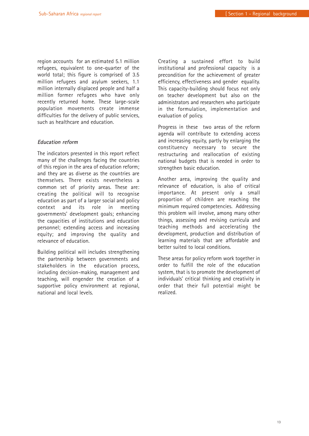region accounts for an estimated 5.1 million refugees, equivalent to one-quarter of the world total; this figure is comprised of 3.5 million refugees and asylum seekers, 1.1 million internally displaced people and half a million former refugees who have only recently returned home. These large-scale population movements create immense difficulties for the delivery of public services, such as healthcare and education.

### *Education reform*

The indicators presented in this report reflect many of the challenges facing the countries of this region in the area of education reform; and they are as diverse as the countries are themselves. There exists nevertheless a common set of priority areas. These are: creating the political will to recognise education as part of a larger social and policy context and its role in meeting governments' development goals; enhancing the capacities of institutions and education personnel; extending access and increasing equity; and improving the quality and relevance of education.

Building political will includes strengthening the partnership between governments and stakeholders in the education process, including decision-making, management and teaching, will engender the creation of a supportive policy environment at regional, national and local levels.

Creating a sustained effort to build institutional and professional capacity is a precondition for the achievement of greater efficiency, effectiveness and gender equality. This capacity-building should focus not only on teacher development but also on the administrators and researchers who participate in the formulation, implementation and evaluation of policy.

Progress in these two areas of the reform agenda will contribute to extending access and increasing equity, partly by enlarging the constituency necessary to secure the restructuring and reallocation of existing national budgets that is needed in order to strengthen basic education.

Another area, improving the quality and relevance of education, is also of critical importance. At present only a small proportion of children are reaching the minimum required competencies. Addressing this problem will involve, among many other things, assessing and revising curricula and teaching methods and accelerating the development, production and distribution of learning materials that are affordable and better suited to local conditions.

These areas for policy reform work together in order to fulfill the role of the education system, that is to promote the development of individuals' critical thinking and creativity in order that their full potential might be realized.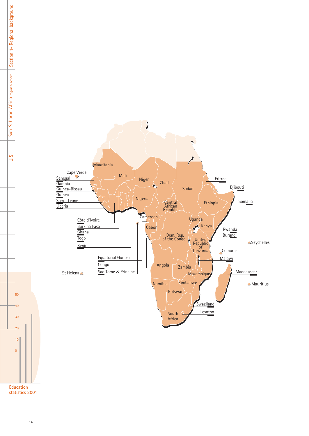

**Education statistics 2001**

Sub-Saharan Africa regional report | Section 1- Regional background

Sub-Saharan Africa regional report | Section 1- Regional background

UIS

40

30

20

10

 $\overline{0}$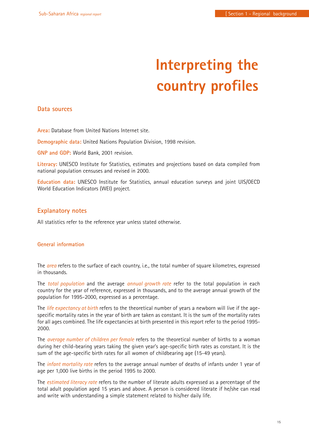### **Interpreting the country profiles**

### **Data sources**

**Area:** Database from United Nations Internet site.

**Demographic data:** United Nations Population Division, 1998 revision.

**GNP and GDP:** World Bank, 2001 revision.

**Literacy:** UNESCO Institute for Statistics, estimates and projections based on data compiled from national population censuses and revised in 2000.

**Education data:** UNESCO Institute for Statistics, annual education surveys and joint UIS/OECD World Education Indicators (WEI) project.

### **Explanatory notes**

All statistics refer to the reference year unless stated otherwise.

### **General information**

The *area* refers to the surface of each country, i.e., the total number of square kilometres, expressed in thousands.

The *total population* and the average *annual growth rate* refer to the total population in each country for the year of reference, expressed in thousands, and to the average annual growth of the population for 1995-2000, expressed as a percentage.

The *life expectancy at birth* refers to the theoretical number of years a newborn will live if the agespecific mortality rates in the year of birth are taken as constant. It is the sum of the mortality rates for all ages combined. The life expectancies at birth presented in this report refer to the period 1995- 2000.

The *average number of children per female* refers to the theoretical number of births to a woman during her child-bearing years taking the given year's age-specific birth rates as constant. It is the sum of the age-specific birth rates for all women of childbearing age (15-49 years).

The *infant mortality rate* refers to the average annual number of deaths of infants under 1 year of age per 1,000 live births in the period 1995 to 2000.

The *estimated literacy rate* refers to the number of literate adults expressed as a percentage of the total adult population aged 15 years and above. A person is considered literate if he/she can read and write with understanding a simple statement related to his/her daily life.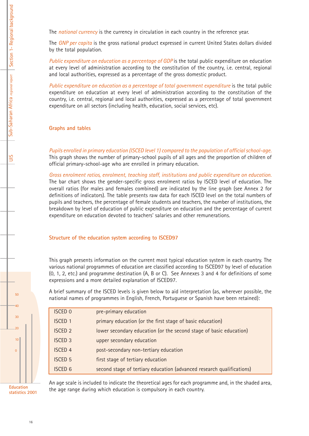The *national currency* is the currency in circulation in each country in the reference year.

The *GNP per capita* is the gross national product expressed in current United States dollars divided by the total population.

*Public expenditure on education as a percentage of GDP* is the total public expenditure on education at every level of administration according to the constitution of the country, i.e. central, regional and local authorities, expressed as a percentage of the gross domestic product.

*Public expenditure on education as a percentage of total government expenditure* is the total public expenditure on education at every level of administration according to the constitution of the country, i.e. central, regional and local authorities, expressed as a percentage of total government expenditure on all sectors (including health, education, social services, etc).

**Graphs and tables**

*Pupils enrolled in primary education (ISCED level 1) compared to the population of official school-age.* This graph shows the number of primary-school pupils of all ages and the proportion of children of official primary-school-age who are enrolled in primary education.

*Gross enrolment ratios, enrolment, teaching staff, institutions and public expenditure on education.* The bar chart shows the gender-specific gross enrolment ratios by ISCED level of education. The overall ratios (for males and females combined) are indicated by the line graph (see Annex 2 for definitions of indicators). The table presents raw data for each ISCED level on the total numbers of pupils and teachers, the percentage of female students and teachers, the number of institutions, the breakdown by level of education of public expenditure on education and the percentage of current expenditure on education devoted to teachers' salaries and other remunerations.

### **Structure of the education system according to ISCED97**

This graph presents information on the current most typical education system in each country. The various national programmes of education are classified according to ISCED97 by level of education (0, 1, 2, etc.) and programme destination (A, B or C). See Annexes 3 and 4 for definitions of some expressions and a more detailed explanation of ISCED97.

A brief summary of the ISCED levels is given below to aid interpretation (as, wherever possible, the national names of programmes in English, French, Portuguese or Spanish have been retained):

| <b>ISCED 0</b> | pre-primary education                                                 |
|----------------|-----------------------------------------------------------------------|
| <b>ISCED 1</b> | primary education (or the first stage of basic education)             |
| <b>ISCED 2</b> | lower secondary education (or the second stage of basic education)    |
| <b>ISCED 3</b> | upper secondary education                                             |
| <b>ISCED 4</b> | post-secondary non-tertiary education                                 |
| <b>ISCED 5</b> | first stage of tertiary education                                     |
| <b>ISCED 6</b> | second stage of tertiary education (advanced research qualifications) |
|                |                                                                       |

An age scale is included to indicate the theoretical ages for each programme and, in the shaded area, the age range during which education is compulsory in each country.

**Education statistics 2001**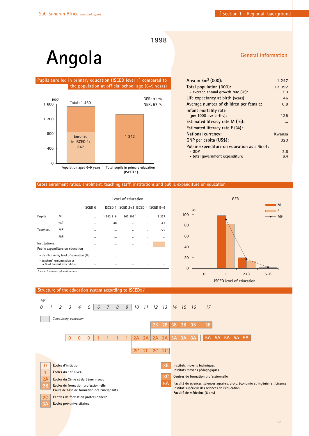**General information**

**1998**

### **Angola**

### **Pupils enrolled in primary education (ISCED level 1) compared to the population at official school age (6-9 years)**



| Area in km <sup>2</sup> (000):             | 1 247  |
|--------------------------------------------|--------|
| Total population (000):                    | 12 092 |
| - average annual growth rate $(\%):$       | 3.0    |
| Life expectancy at birth (years):          | 46     |
| Average number of children per female:     | 6.8    |
| Infant mortality rate                      |        |
| (per 1000 live births):                    | 125    |
| Estimated literacy rate M (%):             |        |
| Estimated literacy rate F (%):             |        |
| National currency:                         | Kwansa |
| GNP per capita (US\$):                     | 320    |
| Public expenditure on education as a % of: |        |
| – GDP                                      | 2.6    |
| - total government expenditure             | 6.4    |
|                                            |        |

#### **Gross enrolment ratios, enrolment, teaching staff, institutions and public expenditure on education**

|                                                                           |                                                           |                    |           | Level of education                      |   |         |
|---------------------------------------------------------------------------|-----------------------------------------------------------|--------------------|-----------|-----------------------------------------|---|---------|
|                                                                           |                                                           | ISCED <sub>0</sub> |           | ISCED 1 ISCED $2+3$ ISCED 4 ISCED $5+6$ |   |         |
| <b>Pupils</b>                                                             | MF                                                        |                    | 1 342 116 | $267399$ <sup>1</sup>                   |   | 8 3 3 7 |
|                                                                           | $9/0$ F                                                   |                    | 46        |                                         | ٠ | 41      |
| <b>Teachers</b>                                                           | MF                                                        |                    | $\cdots$  | $\cdots$                                | ٠ | 776     |
|                                                                           | 9/6F                                                      |                    | $\cdots$  | $\cdots$                                | ٠ |         |
| Institutions                                                              |                                                           |                    | $\cdots$  | $\cdots$                                | ٠ |         |
|                                                                           | Public expenditure on education                           |                    |           |                                         |   |         |
| - distribution by level of education (%)<br><br>$\cdots$<br>$\cdots$<br>٠ |                                                           |                    |           |                                         |   |         |
|                                                                           | - teachers' remuneration as<br>a % of current expenditure |                    | $\cdots$  | $\cdots$                                | ٠ |         |
|                                                                           | 1. Level 2 general education only.                        |                    |           |                                         |   |         |



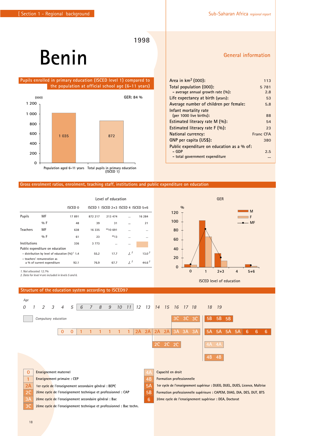## **Benin**

 **Pupils enrolled in primary education (ISCED level 1) compared to the population at official school age (6-11 years)**



### **Gross enrolment ratios, enrolment, teaching staff, institutions and public expenditure on education**

|                         |                                                           | Level of education |         |                                     |                |                   |  |
|-------------------------|-----------------------------------------------------------|--------------------|---------|-------------------------------------|----------------|-------------------|--|
|                         |                                                           | <b>ISCED 0</b>     |         | ISCED 1 ISCED 2+3 ISCED 4 ISCED 5+6 |                |                   |  |
| <b>Pupils</b>           | МF                                                        | 17891              | 872 217 | 213 474                             |                | 16 284            |  |
|                         | %F                                                        | 48                 | 39      | 31                                  |                | 21                |  |
| <b>Teachers</b>         | ΜF                                                        | 638                | 16 335  | **10 691                            | $\cdots$       | $\cdots$          |  |
|                         | $0/0$ F                                                   | 61                 | 23      | **13                                |                |                   |  |
| Institutions            |                                                           | 336                | 3 7 7 3 | $\cdots$                            | $\cdots$       |                   |  |
|                         | Public expenditure on education                           |                    |         |                                     |                |                   |  |
|                         | - distribution by level of education $(96)^7$ 1.4         |                    | 55.2    | 17.7                                | J <sup>2</sup> | 13.0 <sup>2</sup> |  |
|                         | - teachers' remuneration as<br>a % of current expenditure | 92.1               | 76.9    | 67.7                                | 1 <sup>2</sup> | $44.6^{2}$        |  |
| 1. Not allocated: 12.7% |                                                           |                    |         |                                     |                |                   |  |



**ISCED level of education** 

*2. Data for level 4 are included in levels 5 and 6.*



### **General information**

| Area in $km^2$ (000):                      | 113              |
|--------------------------------------------|------------------|
| Total population (000):                    | 5 7 8 1          |
| - average annual growth rate $(\%):$       | 2.8              |
| Life expectancy at birth (years):          | 53               |
| Average number of children per female:     | 5.8              |
| Infant mortality rate                      |                  |
| (per 1000 live births):                    | 88               |
| Estimated literacy rate $M(\%)$ :          | 54               |
| Estimated literacy rate $F(\%):$           | 23               |
| National currency:                         | <b>Franc CFA</b> |
| GNP per capita (US\$):                     | 380              |
| Public expenditure on education as a % of: |                  |
| – GDP                                      | 2.5              |
| - total government expenditure             |                  |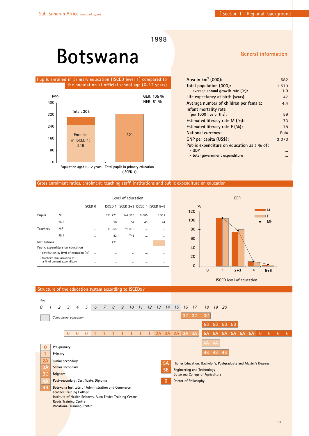### **Botswana**

 **Pupils enrolled in primary education (ISCED level 1) compared to the population at official school age (6-12 years)**



### **General information**

| Area in km <sup>2</sup> (000):             | 582     |
|--------------------------------------------|---------|
| Total population (000):                    | 1 570   |
| - average annual growth rate $(\%):$       | 1.9     |
| Life expectancy at birth (years):          | 47      |
| Average number of children per female:     | 4.4     |
| Infant mortality rate                      |         |
| (per 1000 live births):                    | 59      |
| Estimated literacy rate $M(\%)$ :          | 73      |
| Estimated literacy rate $F(\%)$ :          | 78      |
| National currency:                         | Pula    |
| GNP per capita (US\$):                     | 3 0 7 0 |
| Public expenditure on education as a % of: |         |
| – GDP                                      |         |
| - total government expenditure             |         |

### **Gross enrolment ratios, enrolment, teaching staff, institutions and public expenditure on education**

|                                                           |                                 | Level of education |          |                                         |          |          |
|-----------------------------------------------------------|---------------------------------|--------------------|----------|-----------------------------------------|----------|----------|
|                                                           |                                 | <b>ISCED 0</b>     |          | ISCED 1 ISCED $2+3$ ISCED 4 ISCED $5+6$ |          |          |
| Pupils                                                    | MF                              |                    | 321 271  | 147 525                                 | 9685     | 5 5 3 2  |
|                                                           | $9/6$ F                         | $\cdots$           | 50       | 52                                      | 43       | 44       |
| <b>Teachers</b>                                           | MF                              | $\cdots$           | 11 654   | **8 610                                 | $\cdots$ |          |
|                                                           | $9/6$ F                         | $\cdots$           | 82       | **46                                    | $\cdots$ |          |
| Institutions                                              |                                 | $\cdots$           | 721      | $\cdots$                                | $\cdots$ |          |
|                                                           | Public expenditure on education |                    |          |                                         |          |          |
| - distribution by level of education (%)                  |                                 | $\cdots$           | $\cdots$ |                                         | $\cdots$ |          |
| - teachers' remuneration as<br>a % of current expenditure |                                 | $\cdots$           | $\cdots$ |                                         | $\cdots$ | $\cdots$ |



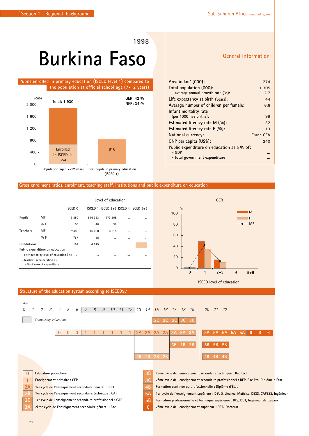# **Burkina Faso**

### **Pupils enrolled in primary education (ISCED level 1) compared to the population at official school age (7-12 years)**



### **Gross enrolment ratios, enrolment, teaching staff, institutions and public expenditure on education**

|                                              |                                 |         |          | Level of education                      |          |          |
|----------------------------------------------|---------------------------------|---------|----------|-----------------------------------------|----------|----------|
|                                              |                                 | ISCED 0 |          | ISCED 1 ISCED $2+3$ ISCED 4 ISCED $5+6$ |          |          |
| <b>Pupils</b>                                | MF                              | 19850   | 816 393  | 173 205                                 |          |          |
|                                              | $0/0$ F                         | 50      | 40       | 38                                      | $\cdots$ | $\cdots$ |
| <b>Teachers</b>                              | MF                              | **485   | 16 660   | 6 2 1 5                                 |          | $\cdots$ |
|                                              | $0/0$ F                         | **87    | 25       |                                         |          |          |
| Institutions                                 |                                 | 154     | 4519     | $\cdots$                                |          |          |
|                                              | Public expenditure on education |         |          |                                         |          |          |
| - distribution by level of education (%)<br> |                                 |         | $\cdots$ |                                         |          |          |
|                                              | - teachers' remuneration as     |         |          |                                         |          |          |
|                                              | a % of current expenditure      |         | $\cdots$ |                                         |          | $\cdots$ |
|                                              |                                 |         |          |                                         |          |          |

**General information**

| Area in $km^2$ (000):                      | 274       |
|--------------------------------------------|-----------|
| Total population (000):                    | 11 305    |
| - average annual growth rate (%):          | 2.7       |
| Life expectancy at birth (years):          | 44        |
| Average number of children per female:     | 6.6       |
| Infant mortality rate                      |           |
| (per 1000 live births):                    | 99        |
| Estimated literacy rate $M(\%)$ :          | 32        |
| Estimated literacy rate $F(\%):$           | 13        |
| National currency:                         | Franc CFA |
| GNP per capita (US\$):                     | 240       |
| Public expenditure on education as a % of: |           |
| – GDP                                      |           |
| - total government expenditure             |           |



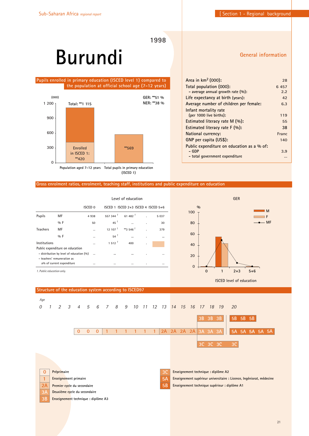# **Burundi**

### **Pupils enrolled in primary education (ISCED level 1) compared to the population at official school age (7-12 years)**



**(ISCED 1)**

### **General information**

| Area in km <sup>2</sup> (000):             | 28    |
|--------------------------------------------|-------|
| Total population (000):                    | 6457  |
| - average annual growth rate $(\%):$       | 2.2   |
| Life expectancy at birth (years):          | 42    |
| Average number of children per female:     | 6.3   |
| Infant mortality rate                      |       |
| (per 1000 live births):                    | 119   |
| Estimated literacy rate M (%):             | 55    |
| Estimated literacy rate $F(\%)$ :          | 38    |
| National currency:                         | Franc |
| GNP per capita (US\$):                     | 140   |
| Public expenditure on education as a % of: |       |
| – GDP                                      | 3.9   |
| - total government expenditure             |       |

#### **Gross enrolment ratios, enrolment, teaching staff, institutions and public expenditure on education**

|                 |                                          | Level of education |                                 |                                     |    |         |
|-----------------|------------------------------------------|--------------------|---------------------------------|-------------------------------------|----|---------|
|                 |                                          | ISCED <sub>0</sub> |                                 | ISCED 1 ISCED 2+3 ISCED 4 ISCED 5+6 |    |         |
| <b>Pupils</b>   | MF                                       | 4 9 3 8            | 557 344 $^{\frac{1}{\sqrt{2}}}$ | $61,482$ <sup>1</sup>               |    | 5 0 3 7 |
|                 | $0/0$ F                                  | 50                 | $45^{\frac{1}{2}}$              |                                     | ٠  | 30      |
| <b>Teachers</b> | MF                                       |                    | $12, 107$ <sup>1</sup>          | **3 546 <sup>1</sup>                | Ĭ. | 379     |
|                 | $0/0$ F                                  |                    | $54^{\frac{1}{2}}$              |                                     | ٠  |         |
| Institutions    |                                          |                    | 1512 <sup>1</sup>               | 400                                 | ٠  |         |
|                 | Public expenditure on education          |                    |                                 |                                     |    |         |
|                 | - distribution by level of education (%) | $\cdots$           | $\cdots$                        |                                     | ٠  |         |
|                 | - teachers' remuneration as              |                    |                                 |                                     |    |         |
|                 | a% of current expenditure                |                    | $\cdots$                        |                                     | ٠  |         |
|                 |                                          |                    |                                 |                                     |    |         |

*1. Public education only.*



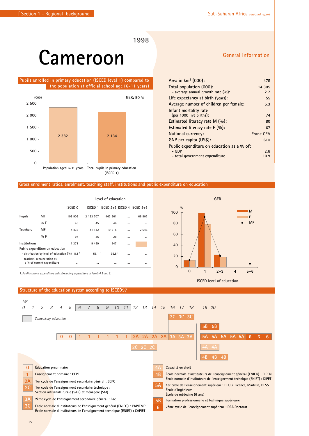### **Cameroon**

 **Pupils enrolled in primary education (ISCED level 1) compared to the population at official school age (6-11 years)**



#### **Gross enrolment ratios, enrolment, teaching staff, institutions and public expenditure on education**

|               |                                                           |                     |                   | Level of education                  |           |          |
|---------------|-----------------------------------------------------------|---------------------|-------------------|-------------------------------------|-----------|----------|
|               |                                                           | ISCED <sub>0</sub>  |                   | ISCED 1 ISCED 2+3 ISCED 4 ISCED 5+6 |           |          |
| <b>Pupils</b> | MF                                                        | 103 906             | 2 133 707         | 463 561                             |           | 66 902   |
|               | $9/6$ F                                                   | 48                  | 45                | 44                                  |           | $\cdots$ |
| Teachers      | MF                                                        | 4 4 3 8             | 41 142            | 19 515                              | $\ddotsc$ | 2645     |
|               | $0/0$ F                                                   | 97                  | 36                | 28                                  |           | $\cdots$ |
| Institutions  |                                                           | 1 371               | 9459              | 947                                 |           |          |
|               | Public expenditure on education                           |                     |                   |                                     |           |          |
|               | - distribution by level of education (%)                  | $8.1^{\frac{1}{2}}$ | 56.1 <sup>1</sup> | 35.8 <sup>1</sup>                   |           | $\cdots$ |
|               | - teachers' remuneration as<br>a % of current expenditure |                     |                   |                                     |           |          |

**Structure of the education system according to ISCED97**

*1. Public current expenditure only. Excluding expenditure at levels 4,5 and 6.* **0 1 2+3 4 5+6 M F MF % 100 80 60 40 20 0 GER**

**ISCED level of education**



### **General information**

| Area in $km^2$ (000):                      | 475              |
|--------------------------------------------|------------------|
| Total population (000):                    | 14 305           |
| - average annual growth rate $(\%):$       | 2.7              |
| Life expectancy at birth (years):          | 55               |
| Average number of children per female:     | 5.3              |
| Infant mortality rate                      |                  |
| (per 1000 live births):                    | 74               |
| Estimated literacy rate M (%):             | 80               |
| Estimated literacy rate $F(\%):$           | 67               |
| National currency:                         | <b>Franc CFA</b> |
| GNP per capita (US\$):                     | 610              |
| Public expenditure on education as a % of: |                  |
| – GDP                                      | 2.6              |
| - total government expenditure             | 10.9             |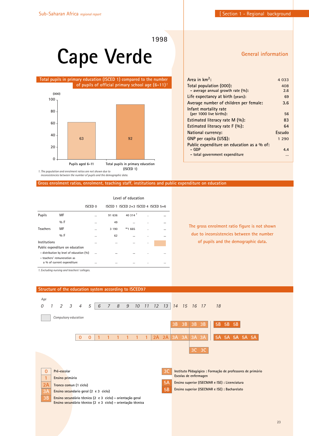**General information**

**1998**

### **Cape Verde**

### **Total pupils in primary education (ISCED 1) compared to the number of pupils of official primary school age (6-11)***1*



**Area in km2: 4 033 Total population (000): 408 - average annual growth rate (%): 2.6 Life expectancy at birth (years): 69 Average number of children per female: 3.6 Infant mortality rate (per 1000 live births): 56 Estimated literacy rate M (%): 83 Estimated literacy rate F (%): 64 National currency: Escudo**

**Public expenditure on education as a % of: - GDP 4.4 - total government expenditure …**

**GNP per capita (US\$): 1 290**

**Gross enrolment ratios, enrolment, teaching staff, institutions and public expenditure on education**

|                 |                                            |          |          | Level of education                      |   |  |
|-----------------|--------------------------------------------|----------|----------|-----------------------------------------|---|--|
|                 |                                            | ISCED 0  |          | ISCED 1 ISCED $2+3$ ISCED 4 ISCED $5+6$ |   |  |
| <b>Pupils</b>   | MF                                         | $\cdots$ | 91 636   | 40 314 $1$                              |   |  |
|                 | $0/0$ F                                    | $\cdots$ | 49       |                                         | ٠ |  |
| <b>Teachers</b> | MF                                         | $\cdots$ | 3 1 9 0  | **1 665                                 | ٠ |  |
|                 | $0/0$ F                                    | $\cdots$ | 62       |                                         | ٠ |  |
| Institutions    |                                            | $\cdots$ | $\cdots$ |                                         | ٠ |  |
|                 | Public expenditure on education            |          |          |                                         |   |  |
|                 | - distribution by level of education (%)   |          | $\cdots$ |                                         | ٠ |  |
|                 | - teachers' remuneration as                |          |          |                                         |   |  |
|                 | a % of current expenditure                 | $\cdots$ |          |                                         |   |  |
|                 | 1 Evaluding nurring and tegahers' colleges |          |          |                                         |   |  |

**The gross enrolment ratio figure is not shown due to inconsistencies between the number of pupils and the demographic data.**

*1. Excluding nursing and teachers' colleges.*

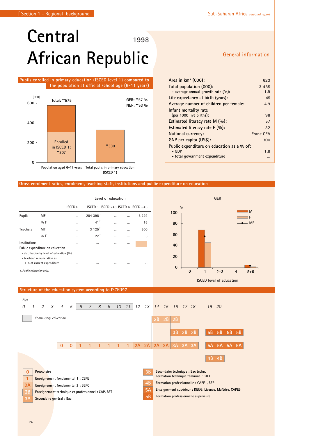### **Central African Republic 1998**

### **Pupils enrolled in primary education (ISCED level 1) compared to the population at official school age (6-11 years)**



#### **Gross enrolment ratios, enrolment, teaching staff, institutions and public expenditure on education**

|                                                                         |                            | Level of education |                                     |          |          |          |
|-------------------------------------------------------------------------|----------------------------|--------------------|-------------------------------------|----------|----------|----------|
|                                                                         | ISCED <sub>0</sub>         |                    | ISCED 1 ISCED 2+3 ISCED 4 ISCED 5+6 |          |          |          |
| <b>Pupils</b>                                                           | MF                         |                    | 284 398 <sup>1</sup>                | $\cdots$ |          | 6 2 2 9  |
|                                                                         | $0/0$ F                    |                    | 41 <sup>1</sup>                     | $\cdots$ | $\cdots$ | 16       |
| <b>Teachers</b>                                                         | MF                         |                    | $3125$ <sup>1</sup>                 | $\cdots$ | $\cdots$ | 300      |
|                                                                         | $0/0$ F                    | $\cdots$           | 22 <sup>1</sup>                     | $\cdots$ | $\cdots$ | 5        |
| Institutions<br>Public expenditure on education                         |                            | $\cdots$           | $\ddotsc$                           | $\cdots$ | $\cdots$ |          |
| - distribution by level of education (%)<br>- teachers' remuneration as |                            | $\cdots$           | $\cdots$                            | $\cdots$ |          |          |
|                                                                         | a % of current expenditure | $\cdots$           | $\cdots$                            | $\cdots$ | $\cdots$ | $\cdots$ |
| 1. Public education only.                                               |                            |                    |                                     |          |          |          |



### **Structure of the education system according to ISCED97**



### **General information**

| Area in $km^2$ (000):                      | 623              |
|--------------------------------------------|------------------|
| Total population (000):                    | 3 4 8 5          |
| - average annual growth rate $(\%):$       | 1.9              |
| Life expectancy at birth (years):          | 45               |
| Average number of children per female:     | 4.9              |
| Infant mortality rate                      |                  |
| (per 1000 live births):                    | 98               |
| Estimated literacy rate $M(\%)$ :          | 57               |
| Estimated literacy rate $F(\%)$ :          | 32               |
| National currency:                         | <b>Franc CFA</b> |
| GNP per capita (US\$):                     | 300              |
| Public expenditure on education as a % of: |                  |
| – GDP                                      | 1.8              |
| - total government expenditure             | $\cdots$         |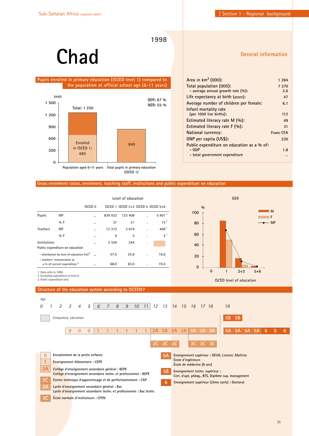### **Chad**

### **Pupils enrolled in primary education (ISCED level 1) compared to the population at official school age (6-11 years)**



**General information**

| Area in km <sup>2</sup> (000):             | 1 2 8 4          |
|--------------------------------------------|------------------|
| Total population (000):                    | 7 270            |
| - average annual growth rate $(\%):$       | 2.6              |
| Life expectancy at birth (years):          | 47               |
| Average number of children per female:     | 6.1              |
| Infant mortality rate                      |                  |
| (per 1000 live births):                    | 112              |
| Estimated literacy rate M (%):             | 49               |
| Estimated literacy rate F (%):             | 31               |
| National currency:                         | <b>Franc CFA</b> |
| GNP per capita (US\$):                     | 230              |
| Public expenditure on education as a % of: |                  |
| - GDP                                      | 1.8              |
| - total government expenditure             |                  |
|                                            |                  |

### **Gross enrolment ratios, enrolment, teaching staff, institutions and public expenditure on education**

|                                                                        |                                 | Level of education |         |                                         |   |                    |
|------------------------------------------------------------------------|---------------------------------|--------------------|---------|-----------------------------------------|---|--------------------|
|                                                                        |                                 | <b>ISCED 0</b>     |         | ISCED 1 ISCED $2+3$ ISCED 4 ISCED $5+6$ |   |                    |
| Pupils                                                                 | MF                              |                    | 839 932 | 123 408                                 |   | 5.901 <sup>1</sup> |
|                                                                        | $0/0$ F                         |                    | 37      | 21                                      |   | 15 <sup>1</sup>    |
| <b>Teachers</b>                                                        | MF                              |                    | 12 373  | 3619                                    |   | 409 <sup>1</sup>   |
|                                                                        | $0/0$ F                         |                    | 9       | 5                                       | ٠ | $5^{\frac{1}{2}}$  |
| Institutions                                                           |                                 |                    | 3 3 2 6 | 244                                     | ٠ |                    |
|                                                                        | Public expenditure on education |                    |         |                                         |   |                    |
| - distribution by level of education $(%)^2$                           |                                 |                    | 57.5    | 25.9                                    |   | 16.6               |
| - teachers' remuneration as<br>a % of current expenditure <sup>3</sup> |                                 |                    | 68.0    | 63.0                                    |   | 19.4               |



*1. Data refer to 1999.*

*2. Excluding expenditure at level 0. 3. Public expenditure only.*

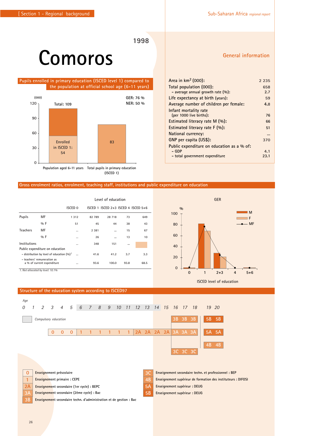### **Comoros**

 **Pupils enrolled in primary education (ISCED level 1) compared to the population at official school age (6-11 years)**



### **Gross enrolment ratios, enrolment, teaching staff, institutions and public expenditure on education**

|                 |                                                           |          | Level of education |                                         |      |      |  |  |  |  |
|-----------------|-----------------------------------------------------------|----------|--------------------|-----------------------------------------|------|------|--|--|--|--|
|                 |                                                           | ISCED 0  |                    | ISCED 1 ISCED $2+3$ ISCED 4 ISCED $5+6$ |      |      |  |  |  |  |
| <b>Pupils</b>   | MF                                                        | 1 3 1 2  | 82 789             | 28 718                                  | 73   | 649  |  |  |  |  |
|                 | $9/6$ F                                                   | 51       | 45                 | 44                                      | 38   | 43   |  |  |  |  |
| <b>Teachers</b> | MF                                                        |          | 2 3 8 1            |                                         | 15   | 67   |  |  |  |  |
|                 | $0/0$ F                                                   |          | 26                 |                                         | 13   | 10   |  |  |  |  |
| Institutions    |                                                           | $\cdots$ | 348                | 151                                     |      |      |  |  |  |  |
|                 | Public expenditure on education                           |          |                    |                                         |      |      |  |  |  |  |
|                 | - distribution by level of education $(90)^7$             | $\cdots$ | 41.6               | 41.2                                    | 3.7  | 3.3  |  |  |  |  |
|                 | - teachers' remuneration as<br>a % of current expenditure |          | 93.6               | 100.0                                   | 93.8 | 68.5 |  |  |  |  |
|                 | 1. Not allocated by level: 10.1%                          |          |                    |                                         |      |      |  |  |  |  |



### **General information**

**M**

**MF**

| Area in $km^2$ (000):                      | 2 2 3 5 |
|--------------------------------------------|---------|
| Total population (000):                    | 658     |
| - average annual growth rate $(\%):$       | 2.7     |
| Life expectancy at birth (years):          | 59      |
| Average number of children per female:     | 4.8     |
| Infant mortality rate                      |         |
| (per 1000 live births):                    | 76      |
| Estimated literacy rate $M(\%)$ :          | 66      |
| Estimated literacy rate $F(\%)$ :          | 51      |
| National currency:                         |         |
| GNP per capita (US\$):                     | 370     |
| Public expenditure on education as a % of: |         |
| – GDP                                      | 4.1     |
| - total government expenditure             | 23.1    |

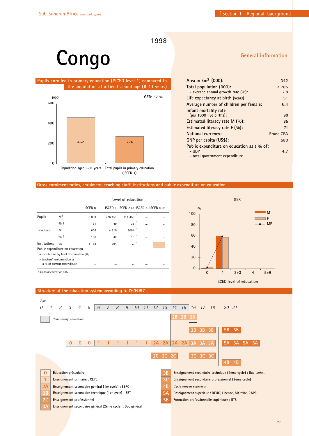**General information**

**1998**

# **Congo**

 **Pupils enrolled in primary education (ISCED level 1) compared to the population at official school age (6-11 years)**



| Area in $km^2$ (000):                      | 342              |
|--------------------------------------------|------------------|
| Total population (000):                    | 2 7 8 5          |
| - average annual growth rate $(\%):$       | 2.8              |
| Life expectancy at birth (years):          | 51               |
| Average number of children per female:     | 6.4              |
| Infant mortality rate                      |                  |
| (per 1000 live births):                    | 90               |
| Estimated literacy rate M (%):             | 85               |
| Estimated literacy rate $F(\%)$ :          | 71               |
| National currency:                         | <b>Franc CFA</b> |
| GNP per capita (US\$):                     | 580              |
| Public expenditure on education as a % of: |                  |
| $-$ GDP                                    | 4.7              |
| - total government expenditure             |                  |

### **Gross enrolment ratios, enrolment, teaching staff, institutions and public expenditure on education**

|                                 |                                          | Level of education |          |                                         |          |  |  |  |  |
|---------------------------------|------------------------------------------|--------------------|----------|-----------------------------------------|----------|--|--|--|--|
|                                 |                                          | ISCED <sub>0</sub> |          | ISCED 1 ISCED $2+3$ ISCED 4 ISCED $5+6$ |          |  |  |  |  |
| <b>Pupils</b>                   | MF                                       | 6033               | 276 451  | $114450$ <sup>1</sup>                   | $\cdots$ |  |  |  |  |
|                                 | $0/0$ F                                  | 61                 | 49       | 38 <sup>7</sup>                         | $\cdots$ |  |  |  |  |
| <b>Teachers</b>                 | MF                                       | 606                | 4515     | 5094 $^{-1}$                            | $\cdots$ |  |  |  |  |
|                                 | $0/0$ F                                  | 100                | 42       | $10^{-7}$                               | $\cdots$ |  |  |  |  |
| Institutions                    | 95                                       | 1 1 6 8            | 294      | $\cdots$                                |          |  |  |  |  |
| Public expenditure on education |                                          |                    |          |                                         |          |  |  |  |  |
|                                 | - distribution by level of education (%) |                    | $\cdots$ | $\cdots$                                |          |  |  |  |  |
|                                 | - teachers' remuneration as              |                    |          |                                         |          |  |  |  |  |
|                                 | a % of current expenditure               |                    | $\cdots$ | $\cdots$                                | $\cdots$ |  |  |  |  |
|                                 |                                          |                    |          |                                         |          |  |  |  |  |



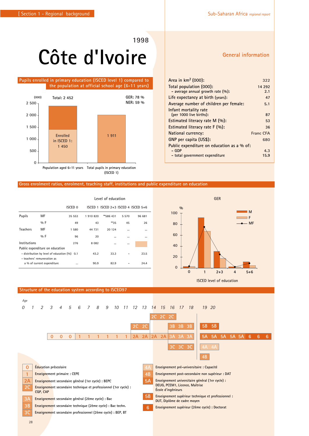# **Côte d'Ivoire**

### **Pupils enrolled in primary education (ISCED level 1) compared to the population at official school age (6-11 years)**



### **Gross enrolment ratios, enrolment, teaching staff, institutions and public expenditure on education**

|                 |                                                           | Level of education |         |                                         |          |          |  |  |  |
|-----------------|-----------------------------------------------------------|--------------------|---------|-----------------------------------------|----------|----------|--|--|--|
|                 |                                                           | ISCED <sub>0</sub> |         | ISCED 1 ISCED $2+3$ ISCED 4 ISCED $5+6$ |          |          |  |  |  |
| Pupils          | MF                                                        | 35 553             | 1910820 | **586 431                               | 5 5 7 0  | 96 681   |  |  |  |
|                 | $9/6$ F                                                   | 49                 | 43      | **35                                    | 45       | 26       |  |  |  |
| <b>Teachers</b> | MF                                                        | 1 580              | 44 731  | 20 124                                  | $\cdots$ | $\cdots$ |  |  |  |
|                 | $9/6$ F                                                   | 96                 | 20      |                                         | $\cdots$ |          |  |  |  |
| Institutions    |                                                           | 276                | 8 0 8 2 | $\cdots$                                | $\cdots$ |          |  |  |  |
|                 | Public expenditure on education                           |                    |         |                                         |          |          |  |  |  |
|                 | $-$ distribution by level of education $(% )$ 0.1         |                    | 43.2    | 33.3                                    |          | 23.5     |  |  |  |
|                 | - teachers' remuneration as<br>a % of current expenditure |                    | 90.9    | 82.9                                    |          | 24.4     |  |  |  |



**ISCED level of education**

### **Structure of the education system according to ISCED97**

| Age            |                |                                    |                |          |                                                                  |                |   |   |    |    |       |           |    |                    |    |          |                                                                                    |           |           |    |              |   |   |   |
|----------------|----------------|------------------------------------|----------------|----------|------------------------------------------------------------------|----------------|---|---|----|----|-------|-----------|----|--------------------|----|----------|------------------------------------------------------------------------------------|-----------|-----------|----|--------------|---|---|---|
|                | $\mathfrak{D}$ | 3                                  | $\overline{4}$ | 5        | 6                                                                | $\overline{7}$ | 8 | 9 | 10 | 11 | 12 13 |           | 14 | 15                 | 16 | 17       | 18                                                                                 | 19 20     |           |    |              |   |   |   |
|                |                |                                    |                |          |                                                                  |                |   |   |    |    |       |           |    | 2C 2C 2C           |    |          |                                                                                    |           |           |    |              |   |   |   |
|                |                |                                    |                |          |                                                                  |                |   |   |    |    | 2C    | 2C        |    |                    | 3B | 3B       | 3B                                                                                 | <b>5B</b> | <b>5B</b> |    |              |   |   |   |
|                |                |                                    |                |          |                                                                  |                |   |   |    |    |       |           |    |                    |    |          |                                                                                    |           |           |    |              |   |   |   |
|                |                | $\mathbf{0}$                       | $\mathbf{0}$   | $\Omega$ |                                                                  |                |   |   |    |    | 2A    | 2A        | 2A | 2A                 |    | 3A 3A    | 3A                                                                                 | <b>5A</b> | -5A       | 5A | <b>5A 5A</b> | 6 | 6 | 6 |
|                |                |                                    |                |          |                                                                  |                |   |   |    |    |       |           |    |                    |    | 3C 3C 3C |                                                                                    |           | 4A 4A     |    |              |   |   |   |
|                |                |                                    |                |          |                                                                  |                |   |   |    |    |       |           |    |                    |    |          |                                                                                    |           |           |    |              |   |   |   |
|                |                |                                    |                |          |                                                                  |                |   |   |    |    |       |           |    |                    |    |          |                                                                                    | 4B        |           |    |              |   |   |   |
| $\overline{0}$ |                | <b>Éducation</b> préscolaire       |                |          |                                                                  |                |   |   |    |    |       | $4\rho$   |    |                    |    |          | Enseignement pré-universitaire : Capacité                                          |           |           |    |              |   |   |   |
| $\mathbf{1}$   |                | <b>Enseignement primaire: CEPE</b> |                |          |                                                                  |                |   |   |    |    |       | 4B        |    |                    |    |          | Enseignement post-secondaire non supérieur : DAT                                   |           |           |    |              |   |   |   |
| 2A             |                |                                    |                |          | Enseignement secondaire général (1er cycle) : BEPC               |                |   |   |    |    |       | <b>5A</b> |    |                    |    |          | Enseignement universitaire général (1er cycle) :                                   |           |           |    |              |   |   |   |
| 2C             | CQP, CAP       |                                    |                |          | Enseignement secondaire technique et professionnel (1er cycle) : |                |   |   |    |    |       |           |    | École d'ingénieurs |    |          | DEUG, PCEM1, Licence, Maîtrise                                                     |           |           |    |              |   |   |   |
| 3A             |                |                                    |                |          | Enseignement secondaire général (2ème cycle) : Bac               |                |   |   |    |    |       | <b>5B</b> |    |                    |    |          | Enseignement supérieur technique et professionnel :<br>DUT, Diplôme de cadre moyen |           |           |    |              |   |   |   |
| 3B             |                |                                    |                |          | Enseignement secondaire technique (2ème cycle) : Bac techn.      |                |   |   |    |    |       | 6         |    |                    |    |          | Enseignement supérieur (2ème cycle) : Doctorat                                     |           |           |    |              |   |   |   |
| 3 <sup>C</sup> |                |                                    |                |          | Enseignement secondaire professionnel (2ème cycle) : BEP, BT     |                |   |   |    |    |       |           |    |                    |    |          |                                                                                    |           |           |    |              |   |   |   |
|                |                |                                    |                |          |                                                                  |                |   |   |    |    |       |           |    |                    |    |          |                                                                                    |           |           |    |              |   |   |   |

### **General information**

| Area in $km^2$ (000):                      | 322       |
|--------------------------------------------|-----------|
| Total population (000):                    | 14 292    |
| - average annual growth rate $(\%):$       | 2.1       |
| Life expectancy at birth (years):          | 47        |
| Average number of children per female:     | 5.1       |
| Infant mortality rate                      |           |
| (per 1000 live births):                    | 87        |
| Estimated literacy rate M (%):             | 53        |
| Estimated literacy rate $F(\%)$ :          | 36        |
| National currency:                         | Franc CFA |
| GNP per capita (US\$):                     | 680       |
| Public expenditure on education as a % of: |           |
| – GDP                                      | 4.3       |
| - total government expenditure             | 15.9      |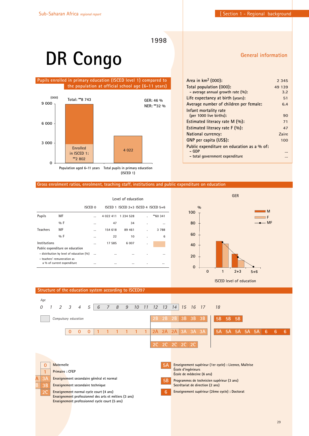# **DR Congo**

### **Pupils enrolled in primary education (ISCED level 1) compared to the population at official school age (6-11 years)**



**(ISCED 1)**

### **General information**

| Area in $km^2$ (000):                      | 2 3 4 5 |
|--------------------------------------------|---------|
| Total population (000):                    | 49 139  |
| - average annual growth rate $(\%):$       | 3.2     |
| Life expectancy at birth (years):          | 51      |
| Average number of children per female:     | 6.4     |
| Infant mortality rate                      |         |
| (per 1000 live births):                    | 90      |
| Estimated literacy rate $M(\%)$ :          | 71      |
| Estimated literacy rate $F(\%)$ :          | 47      |
| <b>National currency:</b>                  | Zaire   |
| GNP per capita (US\$):                     | 100     |
| Public expenditure on education as a % of: |         |
| – GDP                                      |         |
| - total government expenditure             |         |

#### **Gross enrolment ratios, enrolment, teaching staff, institutions and public expenditure on education**

|                                                           |                                          |                    | Level of education |                                         |   |          |  |  |  |  |
|-----------------------------------------------------------|------------------------------------------|--------------------|--------------------|-----------------------------------------|---|----------|--|--|--|--|
|                                                           |                                          | ISCED <sub>0</sub> |                    | ISCED 1 ISCED $2+3$ ISCED 4 ISCED $5+6$ |   |          |  |  |  |  |
| Pupils                                                    | MF                                       |                    | 4 0 2 2 4 1 1      | 1 234 528                               |   | **60 341 |  |  |  |  |
|                                                           | $0/0$ F                                  | $\cdots$           | 47                 | 34                                      | ٠ | $\cdots$ |  |  |  |  |
| <b>Teachers</b>                                           | MF                                       | $\cdots$           | 154 618            | 89 461                                  |   | 3 7 8 8  |  |  |  |  |
|                                                           | $0/0$ F                                  | $\cdots$           | 22                 | 10                                      |   | 6        |  |  |  |  |
| Institutions                                              |                                          |                    | 17 585             | 6 0 0 7                                 | ٠ |          |  |  |  |  |
|                                                           | Public expenditure on education          |                    |                    |                                         |   |          |  |  |  |  |
|                                                           | - distribution by level of education (%) | $\cdots$           | $\cdots$           | $\cdots$                                |   | $\cdots$ |  |  |  |  |
| - teachers' remuneration as<br>a % of current expenditure |                                          |                    | $\cdots$           | $\cdots$                                |   |          |  |  |  |  |



#### **5A Enseignement supérieur (1er cycle) : Licence, Maîtrise École d'ingénieurs École de médecine (6 ans) 5B Programmes de technicien supérieur (3 ans) Secrétariat de direction (2 ans) 6 Enseignement supérieur (2ème cycle) : Doctorat 0 Maternelle 1 Primaire : CFEP A 111 1 1 1** *Age 0 5 6 7 8 9 10 11 12 13 14 15 16 17 18 1 2 3 4* **0 0 0 2A 2A 2A 3A 3A 3A 2B 2B 2B 3B 3B 3B 2C 2C 2C 2C 2C 5A 5A 5A 5A 5A 6 6 6 5B 5B 5B 2B 2C Enseignement normal cycle court (4 ans) Enseignement professionnel des arts et métiers (3 ans) Enseignement professionnel cycle court (5 ans) 3B Enseignement secondaire technique 3A Enseignement secondaire général et normal**  *Compulsory education* **Structure of the education system according to ISCED97**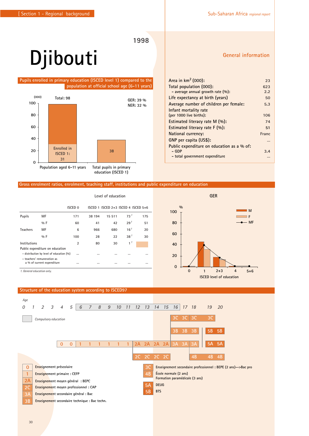# **Djibouti**

### **Pupils enrolled in primary education (ISCED level 1) compared to the population at official school age (6-11 years)**



#### **Gross enrolment ratios, enrolment, teaching staff, institutions and public expenditure on education**

|                            |                                                           | Level of education |          |                                         |                 |          |  |  |  |
|----------------------------|-----------------------------------------------------------|--------------------|----------|-----------------------------------------|-----------------|----------|--|--|--|
|                            |                                                           | ISCED <sub>0</sub> |          | ISCED 1 ISCED $2+3$ ISCED 4 ISCED $5+6$ |                 |          |  |  |  |
| <b>Pupils</b>              | МF                                                        | 171                | 38 194   | 15 511                                  | 73 <sup>1</sup> | 175      |  |  |  |
|                            | $9/6$ F                                                   | 60                 | 41       | 42                                      | 29 <sup>1</sup> | 51       |  |  |  |
| <b>Teachers</b>            | MF                                                        | 6                  | 966      | 680                                     | 16 <sup>1</sup> | 20       |  |  |  |
|                            | $0/0$ F                                                   | 100                | 28       | 22                                      | 38 <sup>1</sup> | 30       |  |  |  |
| Institutions               |                                                           | $\overline{2}$     | 80       | 30                                      | 1 <sup>1</sup>  |          |  |  |  |
|                            | Public expenditure on education                           |                    |          |                                         |                 |          |  |  |  |
|                            | - distribution by level of education (%)                  | $\cdots$           | $\cdots$ |                                         |                 | $\cdots$ |  |  |  |
|                            | - teachers' remuneration as<br>a % of current expenditure | $\cdots$           | $\cdots$ |                                         |                 | $\cdots$ |  |  |  |
| 1. General education only. |                                                           |                    |          |                                         |                 |          |  |  |  |



### **Structure of the education system according to ISCED97**



### **General information**

| Total population (000):                    | 623   |
|--------------------------------------------|-------|
| - average annual growth rate (%):          | 2.2   |
| Life expectancy at birth (years)           | 50    |
| Average number of children per female:     | 5.3   |
| Infant mortality rate                      |       |
| (per 1000 live births):                    | 106   |
| Estimated literacy rate M (%):             | 74    |
| Estimated literacy rate $F(\%):$           | 51    |
| National currency:                         | Franc |
| GNP per capita (US\$):                     |       |
| Public expenditure on education as a % of: |       |
| – GDP                                      | 3.4   |
| - total government expenditure             |       |

**Area in km2 (000): 23**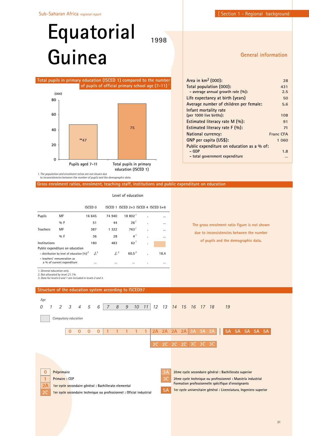# **Equatorial Guinea**

**1998**

### **General information**



| Area in km <sup>2</sup> (000):             | 28        |
|--------------------------------------------|-----------|
| Total population (000):                    | 431       |
| - average annual growth rate $(\%):$       | 2.5       |
| Life expectancy at birth (years)           | 50        |
| Average number of children per female:     | 5.6       |
| Infant mortality rate                      |           |
| (per 1000 live births):                    | 108       |
| Estimated literacy rate M (%):             | 91        |
| Estimated literacy rate $F(\%)$ :          | 71        |
| National currency:                         | Franc CFA |
| GNP per capita (US\$):                     | 1 0 6 0   |
| Public expenditure on education as a % of: |           |
| – GDP                                      | 1.8       |
| - total government expenditure             |           |
|                                            |           |

**Gross enrolment ratios, enrolment, teaching staff, institutions and public expenditure on education**

**Level of education**

|                                                                                                |                            |          |                | <b>ISCED 0</b> |                |                |               | ISCED 1 ISCED 2+3 ISCED 4 ISCED 5+6 |                  |              |    |                 |                 |    |           |    |                        |    |
|------------------------------------------------------------------------------------------------|----------------------------|----------|----------------|----------------|----------------|----------------|---------------|-------------------------------------|------------------|--------------|----|-----------------|-----------------|----|-----------|----|------------------------|----|
| Pupils                                                                                         | MF                         |          |                | 16 645         |                | 74 940         |               | 18802 <sup>1</sup>                  |                  |              |    | $\ddotsc$       |                 |    |           |    |                        |    |
|                                                                                                | %F                         |          |                |                | 51             |                | 44            |                                     | 26 <sup>1</sup>  |              |    | $\cdots$        |                 |    |           |    | The gross enrolment ra |    |
| <b>Teachers</b>                                                                                | MF                         |          |                |                | 387            |                | 1 3 2 2       |                                     | 763 <sup>1</sup> |              |    | $\cdots$        |                 |    |           |    |                        |    |
|                                                                                                | $0/0$ F                    |          |                |                | 36             |                | 28            |                                     | 4 <sup>1</sup>   |              |    |                 |                 |    |           |    | due to inconsistencie  |    |
| Institutions                                                                                   |                            |          |                |                | 180            |                | 483           |                                     | $62^1$           |              |    |                 |                 |    |           |    | of pupils and the      |    |
| Public expenditure on education                                                                |                            |          |                |                |                |                |               |                                     |                  |              |    |                 |                 |    |           |    |                        |    |
| - distribution by level of education $(%)^2$                                                   |                            |          |                |                | J <sup>3</sup> |                | $\frac{1}{3}$ |                                     | $60.5^3$         |              |    | 18.4            |                 |    |           |    |                        |    |
| - teachers' remuneration as                                                                    |                            |          |                |                |                |                |               |                                     |                  |              |    |                 |                 |    |           |    |                        |    |
|                                                                                                | a % of current expenditure |          |                |                |                |                |               |                                     |                  |              |    |                 |                 |    |           |    |                        |    |
| 1. General education only.                                                                     |                            |          |                |                |                |                |               |                                     |                  |              |    |                 |                 |    |           |    |                        |    |
| 2. Not allocated by level: 21.1%<br>3. Data for levels 0 and 1 are included in levels 2 and 3. |                            |          |                |                |                |                |               |                                     |                  |              |    |                 |                 |    |           |    |                        |    |
|                                                                                                |                            |          |                |                |                |                |               |                                     |                  |              |    |                 |                 |    |           |    |                        |    |
| Structure of the education system according to ISCED97                                         |                            |          |                |                |                |                |               |                                     |                  |              |    |                 |                 |    |           |    |                        |    |
| Age                                                                                            |                            |          |                |                |                |                |               |                                     |                  |              |    |                 |                 |    |           |    |                        |    |
|                                                                                                |                            |          |                |                |                |                |               |                                     |                  |              |    |                 |                 |    |           |    |                        |    |
| 1<br>0                                                                                         | $\mathfrak{D}$             | 3        | $\overline{4}$ | 5              | 6              | $\overline{7}$ | 8             | 9                                   | 10               | 11           | 12 | 13              | 14              | 15 | <b>16</b> | 17 | - 18                   | 19 |
|                                                                                                |                            |          |                |                |                |                |               |                                     |                  |              |    |                 |                 |    |           |    |                        |    |
|                                                                                                | Compulsory education       |          |                |                |                |                |               |                                     |                  |              |    |                 |                 |    |           |    |                        |    |
|                                                                                                |                            |          |                |                |                |                |               |                                     |                  |              |    |                 |                 |    |           |    |                        |    |
|                                                                                                |                            | $\Omega$ | $\Omega$       | $\Omega$       | $\overline{0}$ | $\mathbf{1}$   | $\mathbf{1}$  | 1                                   | $\mathbf{1}$     | $\mathbf{1}$ | 2A | 2A              | 2A              | 2A | 3A        | 3A | 3A                     |    |
|                                                                                                |                            |          |                |                |                |                |               |                                     |                  |              |    |                 |                 |    |           |    |                        |    |
|                                                                                                |                            |          |                |                |                |                |               |                                     |                  |              | 2C | $\overline{2C}$ | $\overline{2}C$ | 2C | 3C        | 3C | 3C                     |    |

**The gross enrolment ratio figure is not shown due to inconsistencies between the number of pupils and the demographic data.**

|                          | Compulsory education                                                          |   |   |   |          |    |                                                                    |                                                                                                                   |                                                            |  |                      |  |  |  |  |                        |  |  |             |  |
|--------------------------|-------------------------------------------------------------------------------|---|---|---|----------|----|--------------------------------------------------------------------|-------------------------------------------------------------------------------------------------------------------|------------------------------------------------------------|--|----------------------|--|--|--|--|------------------------|--|--|-------------|--|
|                          |                                                                               | O | n | U | $\Omega$ |    |                                                                    |                                                                                                                   | $\begin{array}{ccc} \textbf{-1} & \textbf{-1} \end{array}$ |  |                      |  |  |  |  | 2A 2A 2A 2A 3A 3A 3A 1 |  |  | 5A 5A 5A 5A |  |
|                          |                                                                               |   |   |   |          |    |                                                                    |                                                                                                                   |                                                            |  | 2C 2C 2C 2C 3C 3C 3C |  |  |  |  |                        |  |  |             |  |
|                          |                                                                               |   |   |   |          |    |                                                                    |                                                                                                                   |                                                            |  |                      |  |  |  |  |                        |  |  |             |  |
|                          |                                                                               |   |   |   |          |    |                                                                    |                                                                                                                   |                                                            |  |                      |  |  |  |  |                        |  |  |             |  |
| $\Omega$<br>$\mathbf{1}$ | 3А<br>Préprimaire                                                             |   |   |   |          |    | 2ème cycle secondaire général : Bachillerato superior              |                                                                                                                   |                                                            |  |                      |  |  |  |  |                        |  |  |             |  |
| 2A                       | '3C<br>Primaire: CEP<br>1er cycle secondaire général : Bachillerato elemental |   |   |   |          |    |                                                                    | 2ème cycle technique ou professionnel : Maestría industrial<br>Formation professionnelle spécifique d'enseignants |                                                            |  |                      |  |  |  |  |                        |  |  |             |  |
| 20                       | 1er cycle secondaire technique ou professionnel : Oficial industrial          |   |   |   |          | 5A | 1er cycle universitaire général : Licenciatura, Ingeniero superior |                                                                                                                   |                                                            |  |                      |  |  |  |  |                        |  |  |             |  |
|                          |                                                                               |   |   |   |          |    |                                                                    |                                                                                                                   |                                                            |  |                      |  |  |  |  |                        |  |  |             |  |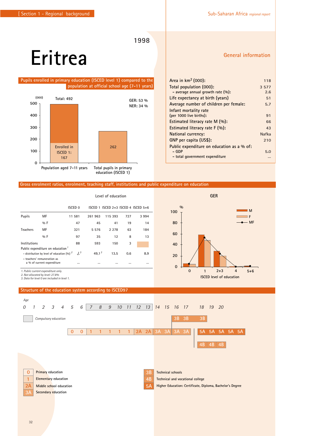### **Eritrea**

### **Pupils enrolled in primary education (ISCED level 1) compared to the population at official school age (7-11 years)**



#### **Gross enrolment ratios, enrolment, teaching staff, institutions and public expenditure on education**

|                 |                                                                         |                | Level of education |         |     |                                         |  |  |  |  |  |
|-----------------|-------------------------------------------------------------------------|----------------|--------------------|---------|-----|-----------------------------------------|--|--|--|--|--|
|                 |                                                                         | <b>ISCED 0</b> |                    |         |     | ISCED 1 ISCED $2+3$ ISCED 4 ISCED $5+6$ |  |  |  |  |  |
| Pupils          | MF                                                                      | 11 581         | 261 963            | 115 393 | 727 | 3 9 9 4                                 |  |  |  |  |  |
|                 | %F                                                                      | 47             | 45                 | 41      | 19  | 14                                      |  |  |  |  |  |
| <b>Teachers</b> | MF                                                                      | 321            | 5 5 7 6            | 2 2 7 8 | 63  | 184                                     |  |  |  |  |  |
|                 | $0/0$ F                                                                 | 97             | 35                 | 12      | 8   | 13                                      |  |  |  |  |  |
| Institutions    |                                                                         | 88             | 593                | 150     | 3   |                                         |  |  |  |  |  |
|                 | Public expenditure on education <sup>7</sup>                            |                |                    |         |     |                                         |  |  |  |  |  |
|                 | - distribution by level of education $(96)$ <sup>2</sup>                | J <sup>3</sup> | 49.1 $3$           | 13.5    | 0.6 | 8.9                                     |  |  |  |  |  |
|                 | - teachers' remuneration as<br>a % of current expenditure               |                | $\cdots$           |         |     |                                         |  |  |  |  |  |
|                 | 1. Public current expenditure only.<br>2. Not allocated by level: 27.8% |                |                    |         |     |                                         |  |  |  |  |  |



### **Structure of the education system according to ISCED97**

*3. Data for level 0 are included in level 1.*



### **General information**

| Area in $km^2$ (000):                      | 118          |
|--------------------------------------------|--------------|
| Total population (000):                    | 3 5 7 7      |
| - average annual growth rate $(\%):$       | 2.6          |
| Life expectancy at birth (years)           | 51           |
| Average number of children per female:     | 5.7          |
| Infant mortality rate                      |              |
| (per 1000 live births):                    | 91           |
| Estimated literacy rate $M(\%)$ :          | 66           |
| Estimated literacy rate $F(\%):$           | 43           |
| <b>National currency:</b>                  | <b>Nafka</b> |
| GNP per capita (US\$):                     | 210          |
| Public expenditure on education as a % of: |              |
| – GDP                                      | 5.0          |
| - total government expenditure             | $\cdots$     |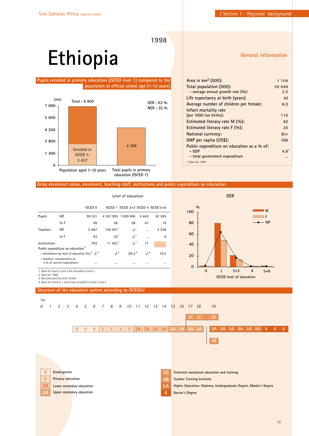# **Ethiopia**

### **Pupils enrolled in primary education (ISCED level 1) compared to the population at official school age (7-10 years)**



### **General information**

| Area in $km^2$ (000):                      | 1 104            |
|--------------------------------------------|------------------|
| Total population (000):                    | 59 649           |
| - average annual growth rate $(\%):$       | 2.5              |
| Life expectancy at birth (years)           | 43               |
| Average number of children per female:     | 6.3              |
| Infant mortality rate                      |                  |
| (per 1000 live births):                    | 116              |
| Estimated literacy rate M (%):             | 42               |
| Estimated literacy rate F (%):             | 30               |
| National currency:                         | <b>Birr</b>      |
| GNP per capita (US\$):                     | 100              |
| Public expenditure on education as a % of: |                  |
| – GDP                                      | 4.8 <sup>1</sup> |
| - total government expenditure             |                  |
| 1. Data for 1999                           |                  |

### **Gross enrolment ratios, enrolment, teaching staff, institutions and public expenditure on education**

| Level of education          |                                                                                                           |                                                                                                                    |                              |                                     |                                             | <b>GER</b>       |                                                                                                                  |  |  |  |
|-----------------------------|-----------------------------------------------------------------------------------------------------------|--------------------------------------------------------------------------------------------------------------------|------------------------------|-------------------------------------|---------------------------------------------|------------------|------------------------------------------------------------------------------------------------------------------|--|--|--|
|                             |                                                                                                           | ISCED <sub>0</sub>                                                                                                 |                              | ISCED 1 ISCED 2+3 ISCED 4 ISCED 5+6 |                                             |                  | $\frac{0}{0}$<br>$\blacksquare$ M<br>100                                                                         |  |  |  |
| Pupils                      | MF                                                                                                        | 90 321                                                                                                             |                              | 4 367 929 1 859 406                 | 5 4 4 3                                     | 52 305           | ∃ F                                                                                                              |  |  |  |
|                             | $9/0$ F                                                                                                   | 49                                                                                                                 | 38                           | 38                                  | 47                                          | 19               | $-MF$<br>80                                                                                                      |  |  |  |
| Teachers                    | MF                                                                                                        | 2 4 8 7                                                                                                            | 126031 <sup>1</sup>          | $\cdot$ / $\cdot$ <sup>1</sup>      | $\cdots$                                    | 2 2 2 8          |                                                                                                                  |  |  |  |
|                             | %F                                                                                                        | 93                                                                                                                 | 26 <sup>1</sup>              | 4.1                                 | $\cdots$                                    | 6                | 60                                                                                                               |  |  |  |
| Institutions                |                                                                                                           | 793                                                                                                                | 11 453 $7$                   | J <sup>1</sup>                      | 11                                          |                  | 40                                                                                                               |  |  |  |
| 2. Data for 1999.           | Public expenditure on education <sup>2</sup><br>- teachers' remuneration as<br>a % of current expenditure | - distribution by level of education $(96)^3$ .<br>$\cdots$<br>1. Data for levels 2 and 3 are included in level 1. | $J^{4}$<br>$\cdots$          | 65.24<br>                           | $\cdot$ / $\cdot$ <sup>4</sup><br>$\ddotsc$ | 10.2<br>$\cdots$ | 20<br>$\mathbf 0$<br>$\mathbf 0$<br>$2 + 3$<br>$\mathbf{1}$<br>$\overline{4}$<br>$5+6$                           |  |  |  |
|                             | 3. Not allocated by level: 24.6%                                                                          | 4. Data for levels 0, 1 and 4 are included in levels 2 and 3.                                                      |                              |                                     |                                             |                  | <b>ISCED</b> level of education                                                                                  |  |  |  |
|                             |                                                                                                           | Structure of the education system according to ISCED97                                                             |                              |                                     |                                             |                  |                                                                                                                  |  |  |  |
| Age                         |                                                                                                           |                                                                                                                    |                              |                                     |                                             |                  |                                                                                                                  |  |  |  |
| 0<br>$\mathcal{I}$          | 2<br>3                                                                                                    | $\overline{4}$<br>5<br>6                                                                                           | 8<br>7                       | 9<br>10                             |                                             | 11 12 13 14      | 19<br>15 16 17 18                                                                                                |  |  |  |
|                             |                                                                                                           |                                                                                                                    |                              |                                     |                                             |                  | 3C                                                                                                               |  |  |  |
|                             |                                                                                                           |                                                                                                                    |                              |                                     |                                             |                  | 3C<br>3C                                                                                                         |  |  |  |
|                             |                                                                                                           | $\overline{0}$<br>$\mathbf{0}$<br>$\overline{0}$                                                                   | $\mathbf{1}$<br>$\mathbf{1}$ | $\mathbf{1}$<br>$\mathbf{1}$        | 2A<br>2A 2A                                 | 2A               | 3A<br>3A<br>3A<br>3A<br><b>5A</b><br><b>5A</b><br>5A<br>5A<br><b>5A</b><br><b>5A</b><br>6<br>6 <sup>1</sup><br>6 |  |  |  |
|                             |                                                                                                           |                                                                                                                    |                              |                                     |                                             |                  |                                                                                                                  |  |  |  |
|                             |                                                                                                           |                                                                                                                    |                              |                                     |                                             |                  | 4B                                                                                                               |  |  |  |
|                             |                                                                                                           |                                                                                                                    |                              |                                     |                                             |                  |                                                                                                                  |  |  |  |
|                             |                                                                                                           |                                                                                                                    |                              |                                     |                                             |                  |                                                                                                                  |  |  |  |
|                             |                                                                                                           |                                                                                                                    |                              |                                     |                                             |                  |                                                                                                                  |  |  |  |
| $\mathbf 0$<br>$\mathbf{1}$ | Kindergarten<br><b>Primary education</b>                                                                  |                                                                                                                    |                              |                                     |                                             | 3C<br>4B         | Technical vocational education and training<br><b>Teacher Training Institute</b>                                 |  |  |  |
| 2Α                          |                                                                                                           | Lower secondary education                                                                                          |                              |                                     |                                             | 5A               | Higher Education: Diploma, Undergraduate Degree, Master's Degree                                                 |  |  |  |
| 3A                          |                                                                                                           | <b>Upper secondary education</b>                                                                                   |                              |                                     |                                             | 6                | <b>Doctor's Degree</b>                                                                                           |  |  |  |
|                             |                                                                                                           |                                                                                                                    |                              |                                     |                                             |                  |                                                                                                                  |  |  |  |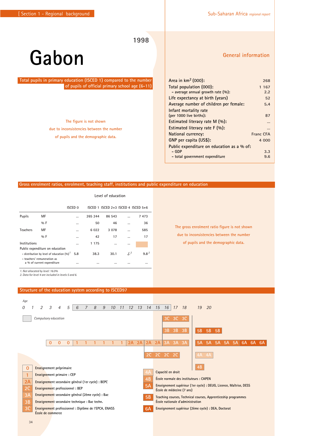### **Gabon**

**Total pupils in primary education (ISCED 1) compared to the number of pupils of official primary school age (6-11)**

> **The figure is not shown due to inconsistencies between the number of pupils and the demographic data.**

### **General information**

| Area in $km^2$ (000):                      | 268       |
|--------------------------------------------|-----------|
| Total population (000):                    | 1 1 6 7   |
| - average annual growth rate $(\%):$       | 2.2       |
| Life expectancy at birth (years)           | 52        |
| Average number of children per female:     | 5.4       |
| Infant mortality rate                      |           |
| (per 1000 live births):                    | 87        |
| Estimated literacy rate $M(\%)$ :          |           |
| Estimated literacy rate $F(\%)$ :          |           |
| National currency:                         | Franc CFA |
| GNP per capita (US\$):                     | 4 000     |
| Public expenditure on education as a % of: |           |
| – GDP                                      | 3.3       |
| - total government expenditure             | 9.6       |
|                                            |           |

**The gross enrolment ratio figure is not shown due to inconsistencies between the number of pupils and the demographic data.**

#### **Gross enrolment ratios, enrolment, teaching staff, institutions and public expenditure on education**

|                                               |                                                           |           | Level of education |                                     |                  |      |  |  |  |  |  |
|-----------------------------------------------|-----------------------------------------------------------|-----------|--------------------|-------------------------------------|------------------|------|--|--|--|--|--|
|                                               |                                                           | ISCED 0   |                    | ISCED 1 ISCED 2+3 ISCED 4 ISCED 5+6 |                  |      |  |  |  |  |  |
| Pupils                                        | MF                                                        | $\ddotsc$ | 265 244            | 86 543                              |                  | 7473 |  |  |  |  |  |
|                                               | $0/0$ F                                                   |           | 50                 | 46                                  |                  | 36   |  |  |  |  |  |
| <b>Teachers</b>                               | MF                                                        |           | 6 0 2 2            | 3 0 7 8                             |                  | 585  |  |  |  |  |  |
|                                               | $0/0$ F                                                   |           | 42                 | 17                                  | $\cdots$         | 17   |  |  |  |  |  |
| Institutions                                  |                                                           | $\ddotsc$ | 1 1 7 5            |                                     | $\cdots$         |      |  |  |  |  |  |
|                                               | Public expenditure on education                           |           |                    |                                     |                  |      |  |  |  |  |  |
| - distribution by level of education $(96)^T$ | 5.8                                                       | 38.3      | 30.1               | J <sup>2</sup>                      | 9.8 <sup>2</sup> |      |  |  |  |  |  |
|                                               | - teachers' remuneration as<br>a % of current expenditure |           | $\cdots$           |                                     |                  |      |  |  |  |  |  |

*1. Not allocated by level: 16.0% 2. Data for level 4 are included in levels 5 and 6.*

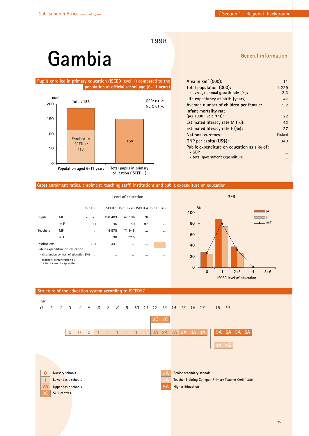**General information**

**1998**

# **Gambia**

### **Pupils enrolled in primary education (ISCED level 1) compared to the population at official school age (6-11 years)**



| Area in km <sup>2</sup> (000):             | 11      |
|--------------------------------------------|---------|
| Total population (000):                    | 1 2 2 9 |
| - average annual growth rate $(\%):$       | 2.3     |
| Life expectancy at birth (years)           | 47      |
| Average number of children per female:     | 5.2     |
| Infant mortality rate                      |         |
| (per 1000 live births):                    | 122     |
| Estimated literacy rate M (%):             | 42      |
| Estimated literacy rate $F(\%)$ :          | 27      |
| <b>National currency:</b>                  | Dalasi  |
| GNP per capita (US\$):                     | 340     |
| Public expenditure on education as a % of: |         |
| - GDP                                      |         |
| - total government expenditure             |         |
|                                            |         |

### **Gross enrolment ratios, enrolment, teaching staff, institutions and public expenditure on education**

|                 |                                                           |          | Level of education |                                         |    |  |  |  |  |  |
|-----------------|-----------------------------------------------------------|----------|--------------------|-----------------------------------------|----|--|--|--|--|--|
|                 |                                                           | ISCED 0  |                    | ISCED 1 ISCED $2+3$ ISCED 4 ISCED $5+6$ |    |  |  |  |  |  |
| <b>Pupils</b>   | МF                                                        | 28 823   | 150 403            | 47 106                                  | 76 |  |  |  |  |  |
|                 | $0/0$ F                                                   | 47       | 46                 | 40                                      | 97 |  |  |  |  |  |
| <b>Teachers</b> | MF                                                        |          | 4 5 7 8            | **1 948                                 |    |  |  |  |  |  |
|                 | $0/0$ F                                                   |          | 30                 | **15                                    |    |  |  |  |  |  |
| Institutions    |                                                           | 264      | 331                |                                         |    |  |  |  |  |  |
|                 | Public expenditure on education                           |          |                    |                                         |    |  |  |  |  |  |
|                 | - distribution by level of education (%)                  | $\cdots$ |                    | $\cdots$                                |    |  |  |  |  |  |
|                 | - teachers' remuneration as<br>a % of current expenditure |          |                    |                                         |    |  |  |  |  |  |



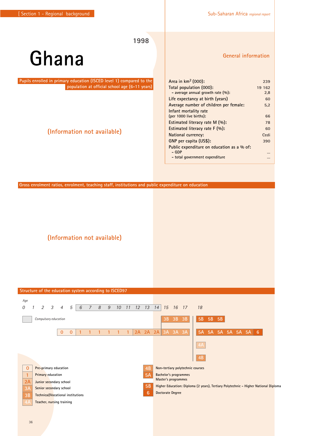### **Ghana**

**Pupils enrolled in primary education (ISCED level 1) compared to the population at official school age (6-11 years)**

### **(Information not available)**

**General information**

| Area in $km^2$ (000):                      | 239    |
|--------------------------------------------|--------|
| Total population (000):                    | 19 162 |
| - average annual growth rate $(\%):$       | 2.8    |
| Life expectancy at birth (years)           | 60     |
| Average number of children per female:     | 5.2    |
| Infant mortality rate                      |        |
| (per 1000 live births):                    | 66     |
| Estimated literacy rate $M(\%)$ :          | 78     |
| Estimated literacy rate $F(\%)$ :          | 60     |
| National currency:                         | Cedi   |
| GNP per capita (US\$):                     | 390    |
| Public expenditure on education as a % of: |        |
| – GDP                                      |        |
| - total government expenditure             |        |

**Gross enrolment ratios, enrolment, teaching staff, institutions and public expenditure on education**

**(Information not available)**

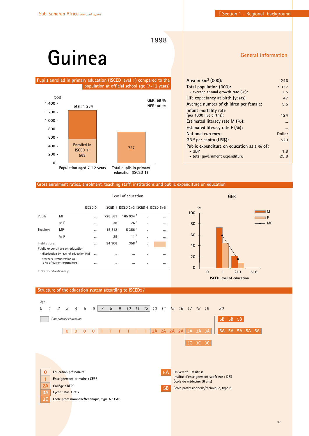**General information**

**1998**

### **Guinea**

### **Pupils enrolled in primary education (ISCED level 1) compared to the population at official school age (7-12 years)**



| Area in $km^2$ (000):                      | 246      |
|--------------------------------------------|----------|
| Total population (000):                    | 7 3 3 7  |
| - average annual growth rate $(\%):$       | 2.5      |
| Life expectancy at birth (years)           | 47       |
| Average number of children per female:     | 5.5      |
| Infant mortality rate                      |          |
| (per 1000 live births):                    | 124      |
| Estimated literacy rate M (%):             |          |
| Estimated literacy rate $F(96)$ :          | $\cdots$ |
| National currency:                         | Dollar   |
| GNP per capita (US\$):                     | 520      |
| Public expenditure on education as a % of: |          |
| – GDP                                      | 1.8      |
| - total government expenditure             | 25.8     |
|                                            |          |

### **Gross enrolment ratios, enrolment, teaching staff, institutions and public expenditure on education**

|                                                                             |                    | Level of education |         |                                     |    |              |
|-----------------------------------------------------------------------------|--------------------|--------------------|---------|-------------------------------------|----|--------------|
|                                                                             | ISCED <sub>0</sub> |                    |         | ISCED 1 ISCED 2+3 ISCED 4 ISCED 5+6 |    |              |
| <b>Pupils</b>                                                               | МF                 |                    | 726 561 | 165934 <sup>1</sup>                 |    |              |
|                                                                             | $9/6$ F            |                    | 38      | 26 <sup>1</sup>                     | ٠  |              |
| <b>Teachers</b>                                                             | MF                 |                    | 15 5 12 | 5356 <sup>1</sup>                   | ä, |              |
|                                                                             | $9/6$ F            |                    | 25      | 11 <sup>1</sup>                     | ٠  |              |
| Institutions                                                                |                    |                    | 34 906  | 358 <sup>1</sup>                    | ٠  |              |
| Public expenditure on education<br>- distribution by level of education (%) |                    |                    |         |                                     |    |              |
| - teachers' remuneration as<br>a % of current expenditure                   |                    | <br>               | <br>    | $\cdots$<br>$\cdots$                | ٠  | <br>$\cdots$ |
| 1. General education only.                                                  |                    |                    |         |                                     |    |              |



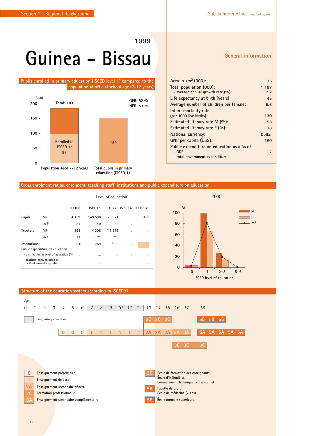# **Guinea - Bissau**

#### **Pupils enrolled in primary education (ISCED level 1) compared to the population at official school age (7-12 years)**



#### **Gross enrolment ratios, enrolment, teaching staff, institutions and public expenditure on education**

|                 |                                                           |         |         | Level of education                      |   |     |
|-----------------|-----------------------------------------------------------|---------|---------|-----------------------------------------|---|-----|
|                 |                                                           | ISCED 0 |         | ISCED 1 ISCED $2+3$ ISCED 4 ISCED $5+6$ |   |     |
| <b>Pupils</b>   | MF                                                        | 4 1 5 9 | 149 530 | 25 3 24                                 |   | 463 |
|                 | $0/0$ F                                                   | 51      | 40      | 36                                      | ٠ |     |
| <b>Teachers</b> | MF                                                        | 194     | 4 3 0 6 | **1913                                  | ٠ |     |
|                 | $0/0$ F                                                   | 73      | 21      | **8                                     | ٠ |     |
| Institutions    |                                                           | 54      | 759     | **85                                    | ٠ |     |
|                 | Public expenditure on education                           |         |         |                                         |   |     |
|                 | - distribution by level of education (%)                  |         |         |                                         | ٠ |     |
|                 | - teachers' remuneration as<br>a % of current expenditure |         |         |                                         | ٠ |     |



### **Structure of the education system according to ISCED97**

| Age<br>0     | $\mathfrak{D}$       | $\mathcal{S}_{\mathcal{S}}$ | $\overline{4}$                                               | 5            | 6        | $\overline{7}$                         | 8 | 9 | 10 <sup>°</sup> | 11 | 12           | 13        |           | 14 15 16 17         |    |                           | 18                                   |           |    |       |  |
|--------------|----------------------|-----------------------------|--------------------------------------------------------------|--------------|----------|----------------------------------------|---|---|-----------------|----|--------------|-----------|-----------|---------------------|----|---------------------------|--------------------------------------|-----------|----|-------|--|
|              | Compulsory education |                             |                                                              |              |          |                                        |   |   |                 |    |              | 2C        | 2C        | 2C                  |    |                           | <b>5B</b>                            | <b>5B</b> | 5B |       |  |
|              |                      |                             | $\mathbf{0}$                                                 | $\mathbf{0}$ | $\Omega$ |                                        |   |   |                 |    | $\mathbf{1}$ | 2A        | $2A$ $2A$ |                     | 3A | 3A                        | 5A                                   | 5A        | 5A | 5A 5A |  |
|              |                      |                             |                                                              |              |          |                                        |   |   |                 |    |              |           |           |                     | 3C | 3C                        | 3 <sup>C</sup>                       |           |    |       |  |
|              |                      |                             |                                                              |              |          |                                        |   |   |                 |    |              |           |           |                     |    |                           |                                      |           |    |       |  |
| $\mathbf{0}$ |                      |                             | Enseignement préprimaire                                     |              |          |                                        |   |   |                 |    |              | 3C        |           |                     |    |                           | École de formation des enseignants   |           |    |       |  |
| 1            |                      |                             | Enseignement de base                                         |              |          |                                        |   |   |                 |    |              |           |           | École d'infirmières |    |                           | Enseignement technique professionnel |           |    |       |  |
| 2A<br>2C     |                      |                             | Enseignement secondaire général<br>Formation professionnelle |              |          |                                        |   |   |                 |    |              | 5A        |           | Faculté de droit    |    | École de médecine (7 ans) |                                      |           |    |       |  |
| 3A           |                      |                             |                                                              |              |          | Enseignement secondaire complémentaire |   |   |                 |    |              | <b>5B</b> |           |                     |    | École normale supérieure  |                                      |           |    |       |  |
|              |                      |                             |                                                              |              |          |                                        |   |   |                 |    |              |           |           |                     |    |                           |                                      |           |    |       |  |

### **General information**

| Area in $km^2$ (000):                      | 36     |
|--------------------------------------------|--------|
| Total population (000):                    | 1 187  |
| - average annual growth rate (%):          | 2.2    |
| Life expectancy at birth (years)           | 45     |
| Average number of children per female:     | 5.8    |
| Infant mortality rate                      |        |
| (per 1000 live births):                    | 130    |
| Estimated literacy rate $M(\%)$ :          | 58     |
| Estimated literacy rate $F(\%)$ :          | 18     |
| National currency:                         | Dollar |
| GNP per capita (US\$):                     | 160    |
| Public expenditure on education as a % of: |        |
| – GDP                                      | 1.7    |
| - total government expenditure             |        |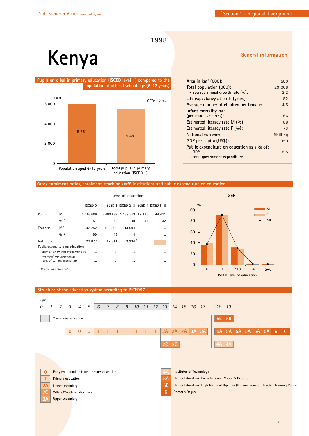**1998**

# **Kenya**

#### **Pupils enrolled in primary education (ISCED level 1) compared to the population at official school age (6-12 years)**



| Area in $km^2$ (000):                      | 580      |
|--------------------------------------------|----------|
| Total population (000):                    | 29 008   |
| - average annual growth rate $(\%):$       | 2.2      |
| Life expectancy at birth (years)           | 52       |
| Average number of children per female:     | 4.5      |
| Infant mortality rate                      |          |
| (per 1000 live births):                    | 66       |
| Estimated literacy rate M (%):             | 88       |
| Estimated literacy rate F (%):             | 73       |
| National currency:                         | Shilling |
| GNP per capita (US\$):                     | 350      |
| Public expenditure on education as a % of: |          |
| – GDP                                      | 6.5      |
| - total government expenditure             |          |
|                                            |          |

#### **Gross enrolment ratios, enrolment, teaching staff, institutions and public expenditure on education**

|                                                               |                                          |                | Level of education |                                         |    |        |  |  |  |
|---------------------------------------------------------------|------------------------------------------|----------------|--------------------|-----------------------------------------|----|--------|--|--|--|
|                                                               |                                          | <b>ISCED 0</b> |                    | ISCED 1 ISCED $2+3$ ISCED 4 ISCED $5+6$ |    |        |  |  |  |
| <b>Pupils</b>                                                 | МF                                       | 1 016 606      |                    | 5 480 689 1 139 569 17 115              |    | 44 411 |  |  |  |
|                                                               | $0/0$ F                                  | 51             | 49                 | 48 <sup>7</sup>                         | 34 | 32     |  |  |  |
| <b>Teachers</b>                                               | MF                                       | 37 752         | 192 306            | 43 694 <sup>1</sup>                     |    |        |  |  |  |
|                                                               | $0/0$ F                                  | 99             | 42                 | $4^{\frac{1}{2}}$                       |    |        |  |  |  |
| Institutions                                                  |                                          | 23 977         | 17 611             | 3234 <sup>1</sup>                       |    |        |  |  |  |
|                                                               | Public expenditure on education          |                |                    |                                         |    |        |  |  |  |
|                                                               | - distribution by level of education (%) |                |                    |                                         |    |        |  |  |  |
| - teachers' remuneration as<br>a % of current expenditure<br> |                                          |                | $\cdots$           |                                         |    |        |  |  |  |
| 1. General education only.                                    |                                          |                |                    |                                         |    |        |  |  |  |



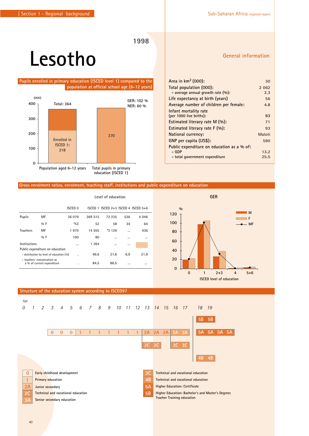### **1998**

# **Lesotho**

**Pupils enrolled in primary education (ISCED level 1) compared to the population at official school age (6-12 years)**



#### **Gross enrolment ratios, enrolment, teaching staff, institutions and public expenditure on education**

|                 |                                                           |                    | Level of education |                                     |     |         |  |  |
|-----------------|-----------------------------------------------------------|--------------------|--------------------|-------------------------------------|-----|---------|--|--|
|                 |                                                           | ISCED <sub>0</sub> |                    | ISCED 1 ISCED 2+3 ISCED 4 ISCED 5+6 |     |         |  |  |
| Pupils          | МF                                                        | 36 079             | 369 515            | 72 235                              | 536 | 4 0 4 6 |  |  |
|                 | $9/6$ F                                                   | *53                | 52                 | 58                                  | 34  | 64      |  |  |
| <b>Teachers</b> | МF                                                        | 1970               | 14 555             | $*3126$                             |     | 436     |  |  |
|                 | $9/6$ F                                                   | 100                | 80                 |                                     |     |         |  |  |
| Institutions    |                                                           |                    | 1 2 6 4            |                                     |     |         |  |  |
|                 | Public expenditure on education                           |                    |                    |                                     |     |         |  |  |
|                 | - distribution by level of education (%)                  | ٠                  | 49.6               | 21.6                                | 6.9 | 21.9    |  |  |
|                 | - teachers' remuneration as<br>a % of current expenditure | ٠                  | 84.5               | 86.5                                |     |         |  |  |

#### **Area in km2 (000): 30 Total population (000): 2 062 - average annual growth rate (%): 2.3 Life expectancy at birth (years) 56 Average number of children per female: 4.8 Infant mortality rate (per 1000 live births): 93 Estimated literacy rate M (%): 71 Estimated literacy rate F (%): 93 National currency: Maloti GNP per capita (US\$): 590 Public expenditure on education as a % of: - GDP 13.2 - total government expenditure 25.5**



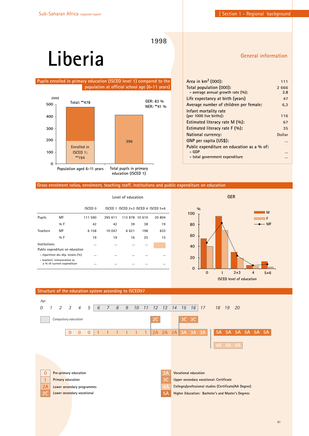**1998**

# **Liberia**

#### **Pupils enrolled in primary education (ISCED level 1) compared to the population at official school age (6-11 years)**



| Area in km <sup>2</sup> (000):             | 111    |
|--------------------------------------------|--------|
| Total population (000):                    | 2666   |
| - average annual growth rate $(\%):$       | 2.8    |
| Life expectancy at birth (years)           | 47     |
| Average number of children per female:     | 6.3    |
| Infant mortality rate                      |        |
| (per 1000 live births):                    | 116    |
| Estimated literacy rate M (%):             | 67     |
| Estimated literacy rate $F(\%)$ :          | 35     |
| National currency:                         | Dollar |
| GNP per capita (US\$):                     |        |
| Public expenditure on education as a % of: |        |
| – GDP                                      |        |
| - total government expenditure             |        |

### **Gross enrolment ratios, enrolment, teaching staff, institutions and public expenditure on education**

|                 |                                                           | Level of education |          |                                         |          |        |  |  |  |
|-----------------|-----------------------------------------------------------|--------------------|----------|-----------------------------------------|----------|--------|--|--|--|
|                 |                                                           | ISCED 0            |          | ISCED 1 ISCED $2+3$ ISCED 4 ISCED $5+6$ |          |        |  |  |  |
| Pupils          | MF                                                        | 111 590            | 395 611  | 113878                                  | 10 610   | 20 804 |  |  |  |
|                 | $9/6$ F                                                   | 42                 | 42       | 39                                      | 38       | 19     |  |  |  |
| <b>Teachers</b> | MF                                                        | 6 1 5 8            | 10 047   | 6621                                    | 198      | 633    |  |  |  |
|                 | $0/0$ F                                                   | 19                 | 19       | 16                                      | 25       | 15     |  |  |  |
| Institutions    |                                                           | $\cdots$           | $\cdots$ |                                         |          |        |  |  |  |
|                 | Public expenditure on education                           |                    |          |                                         |          |        |  |  |  |
|                 | - répartition des dép. totales (%)                        | $\cdots$           | $\cdots$ |                                         | $\cdots$ |        |  |  |  |
|                 | - teachers' remuneration as<br>a % of current expenditure | $\cdots$           | $\cdots$ | $\cdots$                                | $\cdots$ |        |  |  |  |



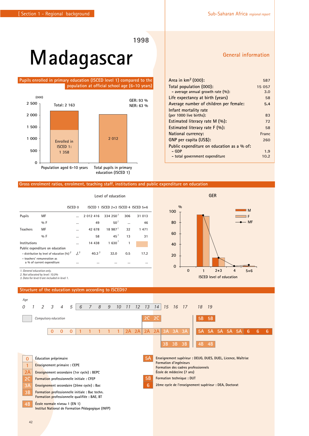# **Madagascar**

**Pupils enrolled in primary education (ISCED level 1) compared to the population at official school age (6-10 years)**



#### **Gross enrolment ratios, enrolment, teaching staff, institutions and public expenditure on education**

|                                                                                                                                               |                                                                                  |                |                       | Level of education                      |     |          |
|-----------------------------------------------------------------------------------------------------------------------------------------------|----------------------------------------------------------------------------------|----------------|-----------------------|-----------------------------------------|-----|----------|
|                                                                                                                                               |                                                                                  | <b>ISCED 0</b> |                       | ISCED 1 ISCED $2+3$ ISCED 4 ISCED $5+6$ |     |          |
| <b>Pupils</b>                                                                                                                                 | MF                                                                               |                | 2 012 416             | 334250 <sup>1</sup>                     | 306 | 31 013   |
|                                                                                                                                               | $9/6$ F                                                                          |                | 49                    | 50 <sup>1</sup>                         |     | 46       |
| <b>Teachers</b>                                                                                                                               | MF                                                                               |                | 42 678                | 18 987 <sup>1</sup>                     | 32  | 1 471    |
|                                                                                                                                               | $9/6$ F                                                                          |                | 58                    | 45'                                     | 13  | 31       |
| Institutions                                                                                                                                  |                                                                                  |                | 14 438                | 1,630'                                  | 1   |          |
| Public expenditure on education<br>- distribution by level of education $(\%)^2$<br>- teachers' remuneration as<br>a % of current expenditure |                                                                                  | $J^{3}$<br>    | 40.3 <sup>3</sup><br> | 32.0                                    | 0.5 | 17.2<br> |
| 1. General education only.                                                                                                                    | 2. Not allocated by level: 10.0%<br>3. Data for level 0 are included in level 1. |                |                       |                                         |     |          |

#### **Structure of the education system according to ISCED97**



**0**

**20**

**40 60**

**80**

**100**

**%**

#### **General information**

**M F** - MF

| Area in $km^2$ (000):                      | 587    |
|--------------------------------------------|--------|
| Total population (000):                    | 15 057 |
| - average annual growth rate $(\%):$       | 3.0    |
| Life expectancy at birth (years)           | 58     |
| Average number of children per female:     | 5.4    |
| Infant mortality rate                      |        |
| (per 1000 live births):                    | 83     |
| Estimated literacy rate $M(\%)$ :          | 72     |
| Estimated literacy rate $F(\%)$ :          | 58     |
| National currency:                         | Franc  |
| GNP per capita (US\$):                     | 260    |
| Public expenditure on education as a % of: |        |
| – GDP                                      | 1.9    |
| - total government expenditure             | 10.2   |

**GER**

**0 1 2+3 4 5+6 ISCED level of education**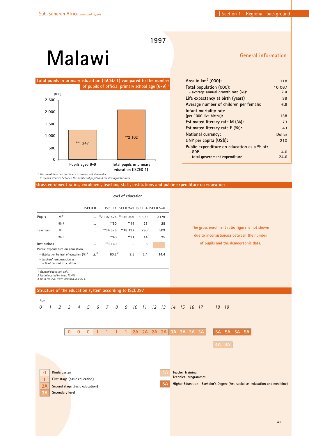# **Malawi**



#### **General information**

| Area in $km^2$ (000):                      | 118    |
|--------------------------------------------|--------|
| Total population (000):                    | 10 067 |
| - average annual growth rate $(\%):$       | 2.4    |
| Life expectancy at birth (years)           | 39     |
| Average number of children per female:     | 6.8    |
| Infant mortality rate                      |        |
| (per 1000 live births):                    | 138    |
| Estimated literacy rate M (%):             | 73     |
| Estimated literacy rate $F(\%)$ :          | 43     |
| National currency:                         | Dollar |
| GNP per capita (US\$):                     | 210    |
| Public expenditure on education as a % of: |        |
| - GDP                                      | 4.6    |
| - total government expenditure             | 24.6   |
|                                            |        |

 *to inconsistencies between the number of pupils and the demographic data.*

**Gross enrolment ratios, enrolment, teaching staff, institutions and public expenditure on education**

|                 |                                                                                 | ISCED 0       |                         |          | ISCED 1 ISCED $2+3$ ISCED 4 ISCED $5+6$ |      |
|-----------------|---------------------------------------------------------------------------------|---------------|-------------------------|----------|-----------------------------------------|------|
| <b>Pupils</b>   | MF                                                                              |               | ** 2 102 424 ** 946 309 |          | 8,300 <sup>1</sup>                      | 3179 |
|                 | $9/6$ F                                                                         |               | **50                    | **44     | 28 <sup>1</sup>                         | 28   |
| <b>Teachers</b> | MF                                                                              | $\ddotsc$     | **34 375                | **18 197 | 290 <sup>1</sup>                        | 509  |
|                 | $0/0$ F                                                                         |               | $**40$                  | **31     | $14^1$                                  | 25   |
| Institutions    |                                                                                 | $\cdots$      | **3 160                 |          | $6^{\frac{1}{2}}$                       |      |
|                 | Public expenditure on education<br>- distribution by level of education $(%)^2$ | $\frac{1}{3}$ | 60.2 <sup>3</sup>       | 9.5      | 2.4                                     | 14.4 |
|                 | - teachers' remuneration as<br>a % of current expenditure                       | $\cdots$      | $\cdots$                |          |                                         |      |
| $\cdots$        |                                                                                 |               |                         |          |                                         |      |

**Level of education**

**The gross enrolment ratio figure is not shown due to inconsistencies between the number of pupils and the demographic data.**

*1. General education only. 2. Not allocated by level: 13.4%*

*3. Data for level 0 are included in level 1.*

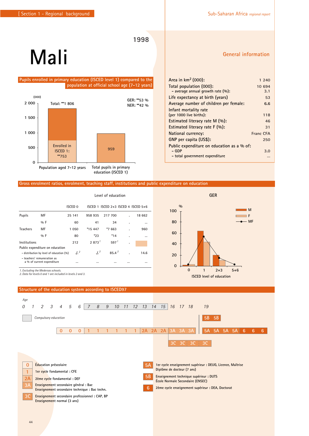# **Mali**

#### **Pupils enrolled in primary education (ISCED level 1) compared to the population at official school age (7-12 years)**



#### **Gross enrolment ratios, enrolment, teaching staff, institutions and public expenditure on education**

|                 |                                                                                                                                          | Level of education        |                    |                                         |   |          |
|-----------------|------------------------------------------------------------------------------------------------------------------------------------------|---------------------------|--------------------|-----------------------------------------|---|----------|
|                 |                                                                                                                                          | ISCED <sub>0</sub>        |                    | ISCED 1 ISCED $2+3$ ISCED 4 ISCED $5+6$ |   |          |
| Pupils          | MF                                                                                                                                       | 25 141                    | 958 935            | 217 700                                 |   | 18 662   |
|                 | 96F                                                                                                                                      | 60                        | 41                 | 34                                      | ٠ | $\cdots$ |
| <b>Teachers</b> | MF                                                                                                                                       | 1 0 5 0                   | *15 447            | *7 663                                  | ٠ | 960      |
|                 | $9/6$ F                                                                                                                                  | 80                        | $*23$              | $*14$                                   | ٠ |          |
| Institutions    |                                                                                                                                          | 212                       | 2873 <sup>1</sup>  | 597 <sup>1</sup>                        | ٠ |          |
|                 | Public expenditure on education<br>- distribution by level of education (%)<br>- teachers' remuneration as<br>a % of current expenditure | $\frac{1}{2}$<br>$\cdots$ | J <sup>2</sup><br> | $85.4^{2}$<br>                          |   | 14.6<br> |
|                 | 1. Excluding the Medersas schools.                                                                                                       |                           |                    |                                         |   |          |

*2. Data for levels 0 and 1 are included in levels 2 and 3.*

#### **Structure of the education system according to ISCED97**



**0**

**20**

**40**

**60**

**80**

**100**

**%**

#### **Area in km2 (000): 1 240 Total population (000): 10 694 - average annual growth rate (%): 3.1 Life expectancy at birth (years) 53 Average number of children per female: 6.6 Infant mortality rate (per 1000 live births): 118 Estimated literacy rate M (%): 46 Estimated literacy rate F (%): 31 National currency:** Franc CFA **GNP per capita (US\$): 250 Public expenditure on education as a % of: - GDP 3.0 - total government expenditure …**

**GER**

**0 1 2+3 5+6 ISCED level of education**

#### **General information**

**M F** - MF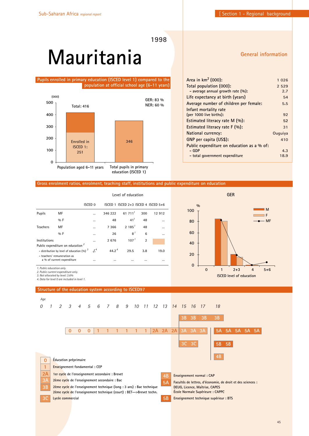# **Mauritania**

**Pupils enrolled in primary education (ISCED level 1) compared to the population at official school age (6-11 years)**



#### **General information**

| Area in $km^2$ (000):                      | 1026    |
|--------------------------------------------|---------|
| Total population (000):                    | 2 5 2 9 |
| - average annual growth rate $(\%):$       | 2.7     |
| Life expectancy at birth (years)           | 54      |
| Average number of children per female:     | 5.5     |
| Infant mortality rate                      |         |
| (per 1000 live births):                    | 92      |
| Estimated literacy rate M (%):             | 52      |
| Estimated literacy rate $F(\%)$ :          | 31      |
| National currency:                         | Ouguiya |
| GNP per capita (US\$):                     | 410     |
| Public expenditure on education as a % of: |         |
| – GDP                                      | 4.3     |
| - total government expenditure             | 18.9    |
|                                            |         |

#### **Gross enrolment ratios, enrolment, teaching staff, institutions and public expenditure on education**

|                                                                                                                              |                            | Level of education |                   |                                         |                |          |
|------------------------------------------------------------------------------------------------------------------------------|----------------------------|--------------------|-------------------|-----------------------------------------|----------------|----------|
|                                                                                                                              | ISCED <sub>0</sub>         |                    |                   | ISCED 1 ISCED $2+3$ ISCED 4 ISCED $5+6$ |                |          |
| <b>Pupils</b>                                                                                                                | МF                         |                    | 346 222           | 61711                                   | 300            | 12912    |
|                                                                                                                              | $9/6$ F                    |                    | 48                | 41 <sup>1</sup>                         | 48             |          |
| <b>Teachers</b>                                                                                                              | МF                         |                    | 7 3 6 6           | 2.185 <sup>1</sup>                      | 48             | $\cdots$ |
|                                                                                                                              | $0/0$ F                    |                    | 26                | 8 <sup>1</sup>                          | 6              |          |
| Institutions                                                                                                                 |                            |                    | 2676              | 107 <sup>1</sup>                        | $\overline{2}$ |          |
| Public expenditure on education <sup>2</sup><br>- distribution by level of education $(96)^3$<br>- teachers' remuneration as |                            | $J^4$              | 44.2 <sup>4</sup> | 29.5                                    | 3.8            | 19.0     |
| 1 Public education only                                                                                                      | a % of current expenditure |                    |                   |                                         |                | $\cdots$ |



*1. Public education only. 2. Public current expenditure only.*

*3. Not allocated by level: 3.6% 4. Data for level 0 are included in level 1.* 

#### **Structure of the education system according to ISCED97**

**5A Facultés de lettres, d'économie, de droit et des sciences : DEUG, Licence, Maîtrise, CAPES École Normale Supérieure : CAPPC 4B Enseignement normal : CAP 5B Enseignement technique supérieur : BTS 0 Éducation préprimaire 1 Enseignement fondamental : CEP 3C Lycée commercial 2A 1er cycle de l'enseignement secondaire : Brevet** 2ème cycle de l'enseignement secondaire : Bac **111 1 1 1** *Age 0 5 6 7 8 9 10 11 12 13 14 15 16 17 18 1 2 3 4* **0 0 0 2A 2A 2A 3A 3A 3A 3B 3B 3B 3B 5A 5A 5A 5A 5A 5B 5B** 2ème cycle de l'enseignement technique (long : 3 ans) : Bac technique **2ème cycle de l'enseignement technique (court) : BET-->Brevet techn.**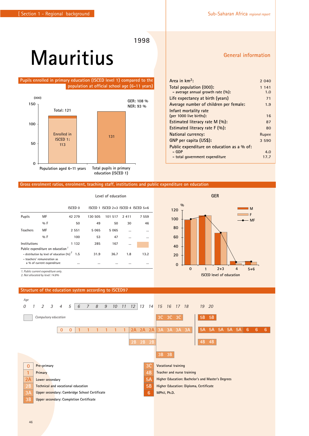# **Mauritius**

**Pupils enrolled in primary education (ISCED level 1) compared to the population at official school age (6-11 years)**



#### **Gross enrolment ratios, enrolment, teaching staff, institutions and public expenditure on education**

|                 |                                                           | Level of education                               |          |                                         |          |          |
|-----------------|-----------------------------------------------------------|--------------------------------------------------|----------|-----------------------------------------|----------|----------|
|                 |                                                           | <b>ISCED 0</b>                                   |          | ISCED 1 ISCED $2+3$ ISCED 4 ISCED $5+6$ |          |          |
| Pupils          | MF                                                        | 42 279                                           | 130 505  | 101 517                                 | 2411     | 7 559    |
|                 | $0/0$ F                                                   | 50                                               | 49       | 50                                      | 30       | 46       |
| <b>Teachers</b> | MF                                                        | 2 5 5 1                                          | 5 0 6 5  | 5065                                    |          |          |
|                 | $0/0$ F                                                   | 100                                              | 53       | 47                                      |          | $\cdots$ |
| Institutions    |                                                           | 1 1 3 2                                          | 285      | 167                                     | $\cdots$ |          |
|                 | Public expenditure on education <sup>7</sup>              |                                                  |          |                                         |          |          |
|                 |                                                           | - distribution by level of education $(%)^2$ 1.5 | 31.9     | 36.7                                    | 1.8      | 13.2     |
|                 | - teachers' remuneration as<br>a % of current expenditure |                                                  | $\cdots$ |                                         |          |          |

*1. Public current expenditure only.*

*2. Not allocated by level: 14.8%*



**%**

#### **General information**

**M F MF**

| Area in $km^2$ :                           | 2 0 4 0 |
|--------------------------------------------|---------|
| Total population (000):                    | 1 141   |
| - average annual growth rate $(\%):$       | 1.0     |
| Life expectancy at birth (years)           | 71      |
| Average number of children per female:     | 1.9     |
| Infant mortality rate                      |         |
| (per 1000 live births):                    | 16      |
| Estimated literacy rate $M(\%)$ :          | 87      |
| Estimated literacy rate $F(\%)$ :          | 80      |
| National currency:                         | Rupee   |
| GNP per capita (US\$):                     | 3 5 9 0 |
| Public expenditure on education as a % of: |         |
| – GDP                                      | 4.0     |
| - total government expenditure             | 17.7    |

**GER**

**0 1 2+3 4 5+6 ISCED level of education**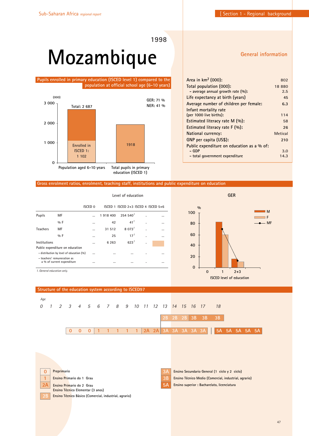# **Mozambique**

**Pupils enrolled in primary education (ISCED level 1) compared to the population at official school age (6-10 years)**



#### **General information**

| Area in $km^2$ (000):                      | 802            |
|--------------------------------------------|----------------|
| Total population (000):                    | 18880          |
| - average annual growth rate $(\%):$       | 2.5            |
| Life expectancy at birth (years)           | 45             |
| Average number of children per female:     | 6.3            |
| Infant mortality rate                      |                |
| (per 1000 live births):                    | 114            |
| Estimated literacy rate $M(\%)$ :          | 58             |
| Estimated literacy rate $F(\%)$ :          | 26             |
| National currency:                         | <b>Metical</b> |
| GNP per capita (US\$):                     | 210            |
| Public expenditure on education as a % of: |                |
| – GDP                                      | 3.0            |
| - total government expenditure             | 14.3           |
|                                            |                |

#### **Gross enrolment ratios, enrolment, teaching staff, institutions and public expenditure on education**

|                                          |                                                           |          | Level of education |                                         |   |  |  |
|------------------------------------------|-----------------------------------------------------------|----------|--------------------|-----------------------------------------|---|--|--|
|                                          |                                                           | ISCED 0  |                    | ISCED 1 ISCED $2+3$ ISCED 4 ISCED $5+6$ |   |  |  |
| Pupils                                   | MF                                                        | $\cdots$ | 1918 400           | 254540'                                 |   |  |  |
|                                          | %F                                                        |          | 42                 | 41 <sup>1</sup>                         |   |  |  |
| <b>Teachers</b>                          | MF                                                        |          | 31 512             | 8.073 <sup>1</sup>                      | ٠ |  |  |
|                                          | $0/0$ F                                                   |          | 25                 | $17^{1}$                                | × |  |  |
| Institutions                             |                                                           |          | 6 2 6 3            | 623 <sup>1</sup>                        | ٠ |  |  |
|                                          | Public expenditure on education                           |          |                    |                                         |   |  |  |
| - distribution by level of education (%) |                                                           |          |                    |                                         | ٠ |  |  |
|                                          | - teachers' remuneration as<br>a % of current expenditure |          |                    | $\cdots$                                | ٠ |  |  |
|                                          | 1. General education only.                                |          |                    |                                         |   |  |  |



#### **Structure of the education system according to ISCED97**



|  | Preprimario        |
|--|--------------------|
|  | <b>Ensino Prim</b> |

**1 Ensino Primario do 1 Grau**

**2A Ensino Primario do 2 Grau**

**Ensino Técnico Elementar (3 anos)**

**2B Ensino Técnico Básico (Comercial, industrial, agrario)**

**3B Ensino Técnico Medio (Comercial, industrial, agrario) 3A Ensino Secundario General (1 ciclo y 2 ciclo)**

**5A Ensino superior : Bacharelato, licenciatura**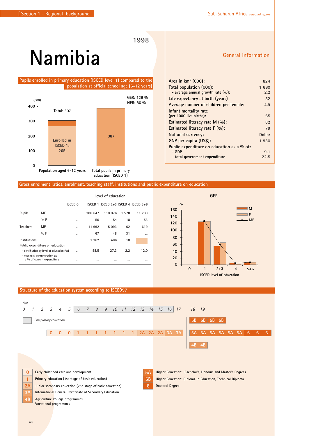# **Namibia**

**Pupils enrolled in primary education (ISCED level 1) compared to the population at official school age (6-12 years)**



#### **Gross enrolment ratios, enrolment, teaching staff, institutions and public expenditure on education**

|                 |                                                           | Level of education |          |                                     |       |          |
|-----------------|-----------------------------------------------------------|--------------------|----------|-------------------------------------|-------|----------|
|                 |                                                           | ISCED 0            |          | ISCED 1 ISCED 2+3 ISCED 4 ISCED 5+6 |       |          |
| Pupils          | MF                                                        |                    | 386 647  | 110 076                             | 1 578 | 11 209   |
|                 | $0/0$ F                                                   |                    | 50       | 54                                  | 18    | 53       |
| <b>Teachers</b> | MF                                                        |                    | 11 992   | 5 0 9 3                             | 62    | 619      |
|                 | $0/0$ F                                                   |                    | 67       | 48                                  | 31    | $\cdots$ |
| Institutions    |                                                           |                    | 1 3 6 2  | 486                                 | 10    |          |
|                 | Public expenditure on education                           |                    |          |                                     |       |          |
|                 | - distribution by level of education (%)                  | $\cdots$           | 58.5     | 27.3                                | 2.2   | 12.0     |
|                 | - teachers' remuneration as<br>a % of current expenditure |                    | $\cdots$ |                                     |       | $\cdots$ |

### **General information**

| Area in $km^2$ (000):                      | 824    |
|--------------------------------------------|--------|
| Total population (000):                    | 1 660  |
| - average annual growth rate (%):          | 2,2    |
| Life expectancy at birth (years)           | 52     |
| Average number of children per female:     | 4.9    |
| Infant mortality rate                      |        |
| (per 1000 live births):                    | 65     |
| Estimated literacy rate $M(\%)$ :          | 82     |
| Estimated literacy rate $F(\%)$ :          | 79     |
| National currency:                         | Dollar |
| GNP per capita (US\$):                     | 1930   |
| Public expenditure on education as a % of: |        |
| – GDP                                      | 9.1    |
| - total government expenditure             | 22.5   |



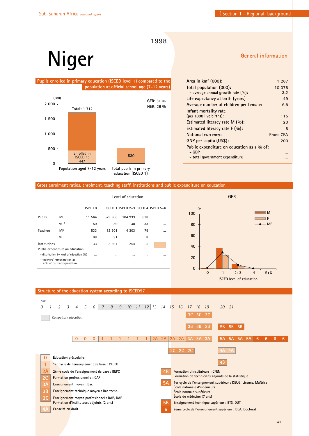**1998**

# **Niger**

#### **Pupils enrolled in primary education (ISCED level 1) compared to the population at official school age (7-12 years)**



| Area in $km^2$ (000):                      | 1 2 6 7   |
|--------------------------------------------|-----------|
| Total population (000):                    | 10 078    |
| - average annual growth rate $(\%):$       | 3.2       |
| Life expectancy at birth (years)           | 49        |
| Average number of children per female:     | 6.8       |
| Infant mortality rate                      |           |
| (per 1000 live births):                    | 115       |
| Estimated literacy rate M (%):             | 23        |
| Estimated literacy rate $F(\%)$ :          | 8         |
| National currency:                         | Franc CFA |
| GNP per capita (US\$):                     | 200       |
| Public expenditure on education as a % of: |           |
| – GDP                                      |           |
| - total government expenditure             |           |
|                                            |           |

#### **Gross enrolment ratios, enrolment, teaching staff, institutions and public expenditure on education**

|                 |                                                           | Level of education |         |                                         |          |          |  |
|-----------------|-----------------------------------------------------------|--------------------|---------|-----------------------------------------|----------|----------|--|
|                 |                                                           | <b>ISCED 0</b>     |         | ISCED 1 ISCED $2+3$ ISCED 4 ISCED $5+6$ |          |          |  |
| <b>Pupils</b>   | MF                                                        | 11 564             | 529 806 | 104 933                                 | 638      |          |  |
|                 | $9/6$ F                                                   | 50                 | 39      | 38                                      | 33       |          |  |
| <b>Teachers</b> | MF                                                        | 533                | 12 901  | 4 303                                   | 79       |          |  |
|                 | $9/6$ F                                                   | 98                 | 31      | $\cdots$                                | 8        |          |  |
| Institutions    |                                                           | 133                | 3 5 9 7 | 254                                     | 5        |          |  |
|                 | Public expenditure on education                           |                    |         |                                         |          |          |  |
|                 | - distribution by level of education (%)                  |                    |         |                                         |          |          |  |
|                 | - teachers' remuneration as<br>a % of current expenditure |                    |         |                                         | $\cdots$ | $\cdots$ |  |



#### **5A 1er cycle de l'enseignement supérieur : DEUG, Licence, Maîtrise École nationale d'ingénieurs École normale supérieure École de médecine (7 ans) 4B Formation d'instituteurs : CFEN Formation de techniciens adjoints de la statistique 5B Enseignement technique supérieur : BTS, DUT 6 2ème cycle de l'enseignement supérieur : DEA, Doctorat 0 Éducation préscolaire 1 1er cycle de l'enseignement de base : CFEPD 3C Enseignement moyen professionnel : BAP, DAP Formation d'instituteurs adjoints (2 ans) 2A 2ème cycle de l'enseignement de base : BEPC 3A Enseignement moyen : Bac 2C Formation professionnelle : CAP 3B Enseignement technique moyen : Bac techn. 4A Capacité en droit 111 1 1 1** *Age Compulsory education 0 5 6 7 8 9 10 11 12 13 14 15 16 17 18 19 20 21 1 2 3 4* **0 0 0 2A 2A 2A 2A 3A 3A 3A 4B 2C 2C 2C 3C 3C 3C**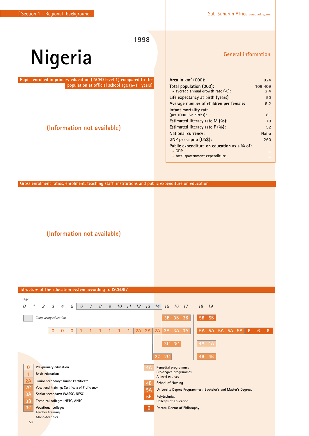# **Nigeria**

**Pupils enrolled in primary education (ISCED level 1) compared to the population at official school age (6-11 years)**

## **(Information not available)**

**General information**

| Area in $km^2$ (000):<br>Total population (000): | 924<br>106 409<br>2.4 |
|--------------------------------------------------|-----------------------|
|                                                  |                       |
|                                                  |                       |
| - average annual growth rate $(\%):$             |                       |
| Life expectancy at birth (years)                 | 50                    |
| Average number of children per female:           | 5.2                   |
| Infant mortality rate                            |                       |
| (per 1000 live births):                          | 81                    |
| Estimated literacy rate M (%):                   | 70                    |
| Estimated literacy rate $F(96)$ :                | 52                    |
| <b>National currency:</b>                        | <b>Naira</b>          |
| GNP per capita (US\$):                           | 260                   |
| Public expenditure on education as a % of:       |                       |
| – GDP                                            |                       |
| - total government expenditure                   |                       |

**Gross enrolment ratios, enrolment, teaching staff, institutions and public expenditure on education**

**(Information not available)**

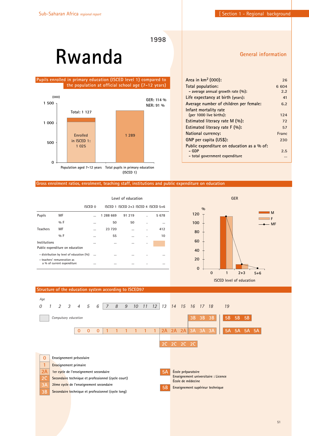# **Rwanda**

 **Pupils enrolled in primary education (ISCED level 1) compared to the population at official school age (7-12 years)**



**General information**

| 26    |
|-------|
| 6 604 |
| 2.2   |
| 41    |
| 6.2   |
|       |
| 124   |
| 72    |
| 57    |
| Franc |
| 230   |
|       |
| 2.5   |
|       |
|       |

#### **Gross enrolment ratios, enrolment, teaching staff, institutions and public expenditure on education**

|                                                           |                                 | Level of education |           |                                         |   |          |  |
|-----------------------------------------------------------|---------------------------------|--------------------|-----------|-----------------------------------------|---|----------|--|
|                                                           |                                 | ISCED 0            |           | ISCED 1 ISCED $2+3$ ISCED 4 ISCED $5+6$ |   |          |  |
| Pupils                                                    | MF                              |                    | 1 288 669 | 91 219                                  |   | 5678     |  |
|                                                           | $0/0$ F                         |                    | 50        | 50                                      |   | $\cdots$ |  |
| <b>Teachers</b>                                           | MF                              |                    | 23 720    |                                         |   | 412      |  |
|                                                           | $0/0$ F                         |                    | 55        |                                         | ٠ | 10       |  |
| Institutions                                              |                                 |                    | $\cdots$  |                                         | ٠ |          |  |
|                                                           | Public expenditure on education |                    |           |                                         |   |          |  |
| - distribution by level of education (%)                  |                                 | $\cdots$           | $\cdots$  |                                         |   | $\cdots$ |  |
| - teachers' remuneration as<br>a % of current expenditure |                                 |                    | $\cdots$  |                                         | ٠ | $\cdots$ |  |



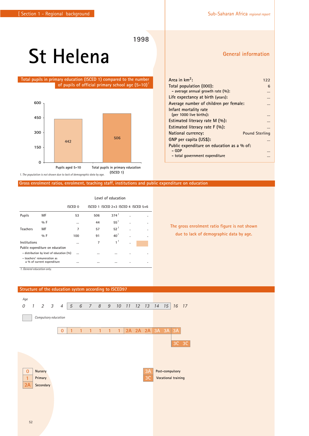# **St Helena**

 **Total pupils in primary education (ISCED 1) compared to the number of pupils of official primary school age (5-10)***<sup>1</sup>*



*1. The population is not shown due to lack of demographic data by age.* 

#### **Gross enrolment ratios, enrolment, teaching staff, institutions and public expenditure on education**

|                                            |                                                           | Level of education |          |                                     |   |   |
|--------------------------------------------|-----------------------------------------------------------|--------------------|----------|-------------------------------------|---|---|
|                                            |                                                           | <b>ISCED 0</b>     |          | ISCED 1 ISCED 2+3 ISCED 4 ISCED 5+6 |   |   |
| Pupils                                     | MF                                                        | 53                 | 506      | 374 <sup>1</sup>                    |   |   |
|                                            | %F                                                        |                    | 44       | $55^{\frac{1}{2}}$                  | ٠ |   |
| <b>Teachers</b>                            | MF                                                        | 7                  | 57       | $52^1$                              | ٠ | ٠ |
|                                            | $0/0$ F                                                   | 100                | 91       | 40 <sup>1</sup>                     | ٠ |   |
| Institutions                               |                                                           | $\cdots$           | 7        | $1^{\frac{1}{2}}$                   | ٠ |   |
|                                            | Public expenditure on education                           |                    |          |                                     |   |   |
| - distribution by level of education (%)   |                                                           |                    | $\cdots$ |                                     |   |   |
|                                            | - teachers' remuneration as<br>a % of current expenditure | $\cdots$           | $\cdots$ |                                     | ٠ |   |
| $1$ $O$ consumed and considered and $\sim$ |                                                           |                    |          |                                     |   |   |

*1. General education only.* 

#### **Structure of the education system according to ISCED97**



#### **General information**

| Area in $km^2$ :                           | 122                   |
|--------------------------------------------|-----------------------|
| Total population (000):                    | 6                     |
| - average annual growth rate $(\%):$       |                       |
| Life expectancy at birth (years):          |                       |
| Average number of children per female:     |                       |
| Infant mortality rate                      |                       |
| (per 1000 live births):                    |                       |
| Estimated literacy rate $M(\%)$ :          |                       |
| Estimated literacy rate $F(\%)$ :          |                       |
| National currency:                         | <b>Pound Sterling</b> |
| GNP per capita (US\$):                     |                       |
| Public expenditure on education as a % of: |                       |
| – GDP                                      |                       |
| - total government expenditure             |                       |

**The gross enrolment ratio figure is not shown due to lack of demographic data by age.**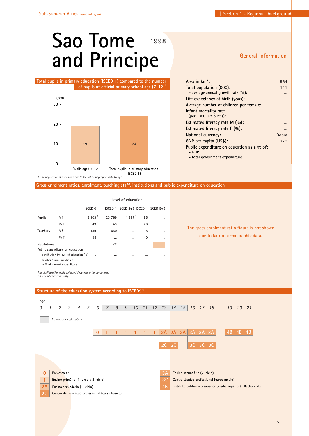# **Sao Tome and Principe 1998**

 **Total pupils in primary education (ISCED 1) compared to the number of pupils of official primary school age (7-12)***<sup>1</sup>*



*1. The population is not shown due to lack of demographic data by age.* 

**Gross enrolment ratios, enrolment, teaching staff, institutions and public expenditure on education**

|                 |                                                                         | ISCED 0         |          | ISCED 1 ISCED $2+3$ ISCED 4 ISCED $5+6$ |          |  |
|-----------------|-------------------------------------------------------------------------|-----------------|----------|-----------------------------------------|----------|--|
| <b>Pupils</b>   | MF                                                                      | 5 103 $7$       | 23 769   | 4 9 9 7 $^2$                            | 95       |  |
|                 | $0/0$ F                                                                 | 49 <sup>1</sup> | 49       |                                         | 26       |  |
| <b>Teachers</b> | MF                                                                      | 139             | 660      |                                         | 15       |  |
|                 | $0/0$ F                                                                 | 95              |          |                                         | 40       |  |
| Institutions    |                                                                         | $\ddotsc$       | 72       |                                         | $\cdots$ |  |
|                 | Public expenditure on education                                         |                 |          |                                         |          |  |
|                 | - distribution by level of education (%)<br>- teachers' remuneration as |                 |          |                                         |          |  |
|                 | a % of current expenditure                                              | $\cdots$        | $\cdots$ |                                         |          |  |

*1. Including other early chilhood development programmes. 2. General education only.* 



#### **Level of education**

#### **General information**

| Area in km <sup>2</sup> :                  | 964   |
|--------------------------------------------|-------|
| Total population (000):                    | 141   |
| - average annual growth rate $(\%):$       |       |
| Life expectancy at birth (years):          |       |
| Average number of children per female:     |       |
| Infant mortality rate                      |       |
| (per 1000 live births):                    |       |
| Estimated literacy rate M (%):             |       |
| Estimated literacy rate F (%):             |       |
| National currency:                         | Dobra |
| GNP per capita (US\$):                     | 270   |
| Public expenditure on education as a % of: |       |
| $-$ GDP                                    |       |
| - total government expenditure             |       |

**The gross enrolment ratio figure is not shown due to lack of demographic data.**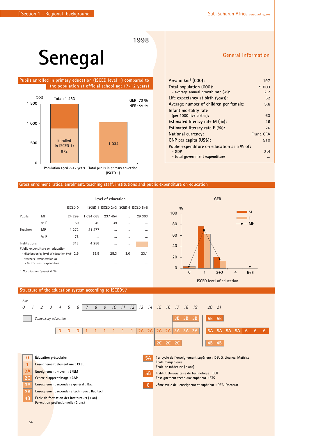# **Senegal**

 **Pupils enrolled in primary education (ISCED level 1) compared to the population at official school age (7-12 years)**



#### **Gross enrolment ratios, enrolment, teaching staff, institutions and public expenditure on education**

|                                                    |                                                                                   | Level of education |           |                                         |     |        |  |
|----------------------------------------------------|-----------------------------------------------------------------------------------|--------------------|-----------|-----------------------------------------|-----|--------|--|
|                                                    |                                                                                   | ISCED 0            |           | ISCED 1 ISCED $2+3$ ISCED 4 ISCED $5+6$ |     |        |  |
| Pupils                                             | МF                                                                                | 24 299             | 1 034 065 | 237 454                                 |     | 29 303 |  |
|                                                    | $9/6$ F                                                                           | 50                 | 45        | 39                                      |     |        |  |
| <b>Teachers</b>                                    | МF                                                                                | 1 2 7 2            | 21 277    |                                         |     |        |  |
|                                                    | $0/0$ F                                                                           | 78                 |           | $\cdots$                                |     |        |  |
| Institutions                                       |                                                                                   | 313                | 4 2 5 6   |                                         |     |        |  |
|                                                    | Public expenditure on education                                                   |                    |           |                                         |     |        |  |
| - distribution by level of education $(%)^{7}$ 2.6 |                                                                                   |                    | 39.9      | 25.3                                    | 3.0 | 23.1   |  |
| - teachers' remuneration as                        |                                                                                   |                    |           |                                         |     |        |  |
|                                                    | a % of current expenditure                                                        |                    |           |                                         |     |        |  |
|                                                    | $\overline{a}$ at $\overline{b}$ . The state of $\overline{a}$ and $\overline{b}$ |                    |           |                                         |     |        |  |

*1. Not allocated by level: 6.1%*

#### **Structure of the education system according to ISCED97**



**0**

**20**

**40 60**

**80**

**100**

**%**

### **General information**

**M F MF**

| Area in km <sup>2</sup> (000):             | 197              |
|--------------------------------------------|------------------|
| Total population (000):                    | 9 0 0 3          |
| - average annual growth rate $(\%):$       | 2.7              |
| Life expectancy at birth (years):          | 52               |
| Average number of children per female:     | 5.6              |
| Infant mortality rate                      |                  |
| (per 1000 live births):                    | 63               |
| Estimated literacy rate $M(\%)$ :          | 46               |
| Estimated literacy rate $F(\%)$ :          | 26               |
| National currency:                         | <b>Franc CFA</b> |
| GNP per capita (US\$):                     | 510              |
| Public expenditure on education as a % of: |                  |
| – GDP                                      | 3.4              |
| - total government expenditure             |                  |

**0 1 2+3 4 5+6**

**ISCED level of education**

**GER**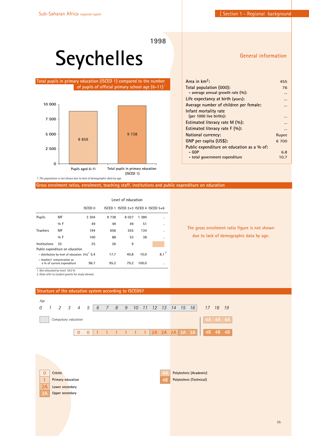# **Seychelles**

**Total pupils in primary education (ISCED 1) compared to the number of pupils of official primary school age (6-11)**  *1*



*1. The population is not shown due to lack of demographic data by age.* 

**Gross enrolment ratios, enrolment, teaching staff, institutions and public expenditure on education**

|                                                     |                                                           | Level of education |         |                                         |       |          |  |
|-----------------------------------------------------|-----------------------------------------------------------|--------------------|---------|-----------------------------------------|-------|----------|--|
|                                                     |                                                           | <b>ISCED 0</b>     |         | ISCED 1 ISCED $2+3$ ISCED 4 ISCED $5+6$ |       |          |  |
| Pupils                                              | МF                                                        | 3 3 0 4            | 9 7 3 8 | 8 0 2 7                                 | 1 380 |          |  |
|                                                     | %F                                                        | 49                 | 49      | 49                                      | 51    |          |  |
| <b>Teachers</b>                                     | MF                                                        | 194                | 656     | 555                                     | 134   |          |  |
|                                                     | $9/6$ F                                                   | 100                | 88      | 53                                      | 38    |          |  |
| Institutions                                        | 35                                                        | 25                 | 26      | 9                                       |       |          |  |
|                                                     | Public expenditure on education                           |                    |         |                                         |       |          |  |
| - distribution by level of education $(96)^{7}$ 5.4 |                                                           |                    | 17.7    | 40.8                                    | 10.0  | 2<br>8.1 |  |
|                                                     | - teachers' remuneration as<br>a % of current expenditure | 96.7               | 95.2    | 79.2                                    | 100.0 |          |  |
|                                                     | 1. Not allocated by level: 18.0 %                         |                    |         |                                         |       |          |  |

*2. Data refer to student grants for study abroad.*

**4B Polytechnic (Technical) 0 Crèche 1 Primary education 2A Lower secondary 3A Upper secondary 111 1 1 1** *Age 0 5 6 7 8 9 10 11 12 13 14 15 16 17 18 19 1 2 3 4* **0 0 2A 2A 2A 3A 3A 4B 4B 4B Polytechnic (Academic)** *Compulsory education*

#### **Structure of the education system according to ISCED97**

### **General information**

| 455   |
|-------|
| 76    |
|       |
|       |
|       |
|       |
|       |
|       |
|       |
| Rupee |
| 6 700 |
|       |
| 6.8   |
| 10.7  |
|       |

**The gross enrolment ratio figure is not shown due to lack of demographic data by age.**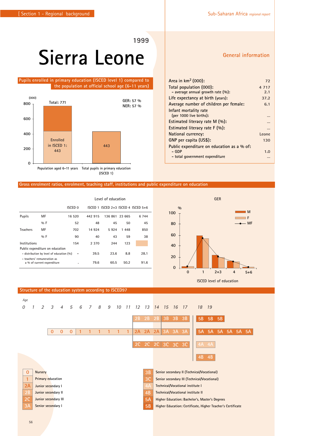# **Sierra Leone**

#### **Pupils enrolled in primary education (ISCED level 1) compared to the population at official school age (6-11 years)**



#### **Gross enrolment ratios, enrolment, teaching staff, institutions and public expenditure on education**

|                                                           |                                 | Level of education |         |                                         |        |         |  |
|-----------------------------------------------------------|---------------------------------|--------------------|---------|-----------------------------------------|--------|---------|--|
|                                                           |                                 | ISCED 0            |         | ISCED 1 ISCED $2+3$ ISCED 4 ISCED $5+6$ |        |         |  |
| Pupils                                                    | MF                              | 16 520             | 442 915 | 136 861                                 | 23 665 | 6 7 4 4 |  |
|                                                           | $0/0$ F                         | 52                 | 48      | 45                                      | 50     | 45      |  |
| <b>Teachers</b>                                           | MF                              | 702                | 14 924  | 5924                                    | 1448   | 850     |  |
|                                                           | $0/0$ F                         | 90                 | 40      | 43                                      | 59     | 38      |  |
| Institutions                                              |                                 | 154                | 2 3 7 0 | 244                                     | 123    |         |  |
|                                                           | Public expenditure on education |                    |         |                                         |        |         |  |
| - distribution by level of education (%)                  |                                 |                    | 39.5    | 23.6                                    | 8.8    | 28.1    |  |
| - teachers' remuneration as<br>a % of current expenditure |                                 |                    | 79.6    | 60.5                                    | 50.2   | 91.6    |  |

**Structure of the education system according to ISCED97**



**ISCED level of education**

#### **0 Nursery 1 Primary education 2A Junior secondary I 2B Junior secondary II 2C Junior secondary III Senior secondary I 3B Senior secondary II (Technical/Vocational) 3C 3C 3C 3C Senior secondary III (Technical/Vocational) 4A Technical/Vocational institute I 4B Technical/Vocational institute II 5A Higher Education: Bachelor's, Master's Degrees 5B Higher Education: Certificate, Higher Teacher's Certificate 111 1 1 1** *0 5 6 7 8 9 10 11 12 13 14 15 16 17 18 19 1 2 3 4* **2A 3A 3A 3A 2A 2A 0 0 0 3B 3B 3B 2C 2C 2C 5A 5A 5A 5A 5A 5A 5B 5B 5B**

### **General information**

| Total population (000):                    | 4 7 1 7 |  |
|--------------------------------------------|---------|--|
| - average annual growth rate $(\%):$       | 2.1     |  |
| Life expectancy at birth (years):          | 37.2    |  |
| Average number of children per female:     | 6.1     |  |
| Infant mortality rate                      |         |  |
| (per 1000 live births):                    |         |  |
| Estimated literacy rate $M(\%)$ :          |         |  |
| Estimated literacy rate $F(\%)$ :          |         |  |
| National currency:                         | Leone   |  |
| GNP per capita (US\$):                     | 130     |  |
| Public expenditure on education as a % of: |         |  |
| – GDP                                      | 1.0     |  |
| - total government expenditure             |         |  |

**Area in km2 (000): 72**

#### 56

*Age*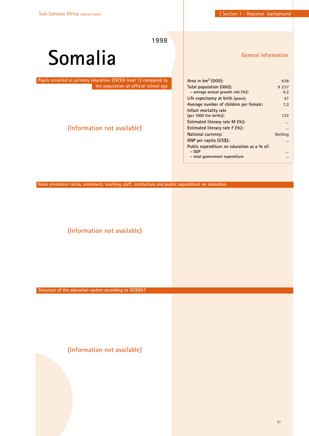# **Somalia**

 **Pupils enrolled in primary education (ISCED level 1) compared to the population at official school age**

# **(Information not available)**

**General information**

| Area in $km^2$ (000):                      | 638      |
|--------------------------------------------|----------|
| Total population (000):                    | 9 2 3 7  |
| - average annual growth rate $(\%):$       | 4.2      |
| Life expectancy at birth (years):          | 47       |
| Average number of children per female:     | 7.3      |
| Infant mortality rate                      |          |
| (per 1000 live births):                    | 122      |
| Estimated literacy rate M (%):             |          |
| Estimated literacy rate $F(\%)$ :          |          |
| <b>National currency:</b>                  | Shilling |
| GNP per capita (US\$):                     |          |
| Public expenditure on education as a % of: |          |
| – GDP                                      |          |
| - total government expenditure             |          |
|                                            |          |

**Gross enrolment ratios, enrolment, teaching staff, institutions and public expenditure on education**

**(Information not available)**

**Structure of the education system according to ISCED97**

**(Information not available)**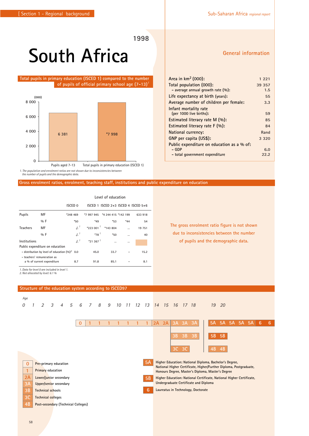# **South Africa**

#### **Total pupils in primary education (ISCED 1) compared to the number of pupils of official primary school age (7-13)***<sup>1</sup>*



*1. The population and enrolment ratios are not shown due to inconsistencies between the number of pupils and the demographic data.* 

#### **Gross enrolment ratios, enrolment, teaching staff, institutions and public expenditure on education**

|                             | Level of education                                |                   |                        |                     |       |                                         |  |  |  |
|-----------------------------|---------------------------------------------------|-------------------|------------------------|---------------------|-------|-----------------------------------------|--|--|--|
|                             |                                                   | ISCED 0           |                        |                     |       | ISCED 1 ISCED $2+3$ ISCED 4 ISCED $5+6$ |  |  |  |
| Pupils                      | MF                                                | *248 469          | *7 997 945             | *4 244 415 *142 199 |       | 633 918                                 |  |  |  |
|                             | $0/0$ F                                           | *50               | $*49$                  | *53                 | $*44$ | 54                                      |  |  |  |
| <b>Teachers</b>             | MF                                                | $\cdot$ . $\cdot$ |                        | $*223001$ $*143804$ |       | 19 751                                  |  |  |  |
|                             | $0/0$ F                                           | $\cdot$ . $\cdot$ | $*78$ <sup>1</sup>     | $*50$               |       | 40                                      |  |  |  |
| Institutions                |                                                   | J <sup>1</sup>    | $*21.367$ <sup>1</sup> | $\cdots$            |       |                                         |  |  |  |
|                             | Public expenditure on education                   |                   |                        |                     |       |                                         |  |  |  |
|                             | - distribution by level of education $(96)^2$ 0.0 |                   | 45.0                   | 33.7                |       | 15.2                                    |  |  |  |
| - teachers' remuneration as |                                                   |                   |                        |                     |       |                                         |  |  |  |
|                             | a % of current expenditure                        | 8.7               | 91.8                   | 85.1                |       | 8.1                                     |  |  |  |
|                             |                                                   |                   |                        |                     |       |                                         |  |  |  |

*1. Data for level 0 are included in level 1. 2. Not allocated by level: 6.1 %*

### **Structure of the education system according to ISCED97**

| Age |              |                |                           |                        |   |                                     |                 |   |   |    |       |           |    |    |    |          |                                                                                                                              |           |           |           |    |     |   |   |
|-----|--------------|----------------|---------------------------|------------------------|---|-------------------------------------|-----------------|---|---|----|-------|-----------|----|----|----|----------|------------------------------------------------------------------------------------------------------------------------------|-----------|-----------|-----------|----|-----|---|---|
| 0   |              | $\mathfrak{D}$ | 3                         | $\overline{4}$         | 5 | 6                                   | $7\overline{ }$ | 8 | 9 | 10 | 11 12 | 13        | 14 | 15 |    | 16 17 18 |                                                                                                                              | 19        | -20       |           |    |     |   |   |
|     |              |                |                           |                        |   |                                     |                 |   |   |    |       |           |    |    |    |          |                                                                                                                              |           |           |           |    |     |   |   |
|     |              |                |                           |                        |   |                                     |                 |   |   |    |       |           |    |    |    |          |                                                                                                                              |           |           |           |    |     |   |   |
|     |              |                |                           |                        |   | $\mathbf{0}$                        |                 |   |   |    |       |           | 2A | 2A |    | 3A 3A 3A |                                                                                                                              | 5A        | <b>5A</b> | <b>5A</b> | 5A | -5A | 6 | 6 |
|     |              |                |                           |                        |   |                                     |                 |   |   |    |       |           |    |    |    |          |                                                                                                                              |           |           |           |    |     |   |   |
|     |              |                |                           |                        |   |                                     |                 |   |   |    |       |           |    |    | 3B | 3B       | 3B                                                                                                                           | <b>5B</b> | $-5B$     |           |    |     |   |   |
|     |              |                |                           |                        |   |                                     |                 |   |   |    |       |           |    |    |    |          |                                                                                                                              |           |           |           |    |     |   |   |
|     |              |                |                           |                        |   |                                     |                 |   |   |    |       |           |    |    | 3C | 3C       |                                                                                                                              | 4B        | 4B        |           |    |     |   |   |
|     |              |                |                           |                        |   |                                     |                 |   |   |    |       |           |    |    |    |          |                                                                                                                              |           |           |           |    |     |   |   |
|     | $\mathbf{0}$ |                |                           | Pre-primary education  |   |                                     |                 |   |   |    |       | <b>5A</b> |    |    |    |          | Higher Education: National Diploma, Bachelor's Degree,<br>National Higher Certificate, Higher/Further Diploma, Postgraduate, |           |           |           |    |     |   |   |
|     | $\mathbf{1}$ |                | Primary education         |                        |   |                                     |                 |   |   |    |       |           |    |    |    |          | Honours Degree, Master's Diploma, Master's Degree                                                                            |           |           |           |    |     |   |   |
|     | 2A           |                |                           | Lower/junior secondary |   |                                     |                 |   |   |    |       | <b>5B</b> |    |    |    |          | Higher Education: National Certificate, National Higher Certificate,                                                         |           |           |           |    |     |   |   |
|     | 3A           |                |                           | Upper/senior secondary |   |                                     |                 |   |   |    |       |           |    |    |    |          | <b>Undergraduate Certificate and Diploma</b>                                                                                 |           |           |           |    |     |   |   |
|     | 3B           |                | <b>Technical schools</b>  |                        |   |                                     |                 |   |   |    |       | 6         |    |    |    |          | Laureatus in Technology, Doctorate                                                                                           |           |           |           |    |     |   |   |
|     | 3C           |                | <b>Technical colleges</b> |                        |   |                                     |                 |   |   |    |       |           |    |    |    |          |                                                                                                                              |           |           |           |    |     |   |   |
|     | 4B           |                |                           |                        |   | Post-secondary (Technical Colleges) |                 |   |   |    |       |           |    |    |    |          |                                                                                                                              |           |           |           |    |     |   |   |
|     |              |                |                           |                        |   |                                     |                 |   |   |    |       |           |    |    |    |          |                                                                                                                              |           |           |           |    |     |   |   |

### **General information**

| Area in $km^2$ (000):                      | 1 221   |
|--------------------------------------------|---------|
| Total population (000):                    | 39 357  |
| - average annual growth rate $(\%):$       | 1.5     |
| Life expectancy at birth (years):          | 55      |
| Average number of children per female:     | 3.3     |
| Infant mortality rate                      |         |
| (per 1000 live births):                    | 59      |
| Estimated literacy rate $M(\%)$ :          | 85      |
| Estimated literacy rate $F(\%):$           | 84      |
| National currency:                         | Rand    |
| GNP per capita (US\$):                     | 3 3 2 0 |
| Public expenditure on education as a % of: |         |
| – GDP                                      | 6.0     |
| - total government expenditure             | 22.2    |

**The gross enrolment ratio figure is not shown due to inconsistencies between the number of pupils and the demographic data.**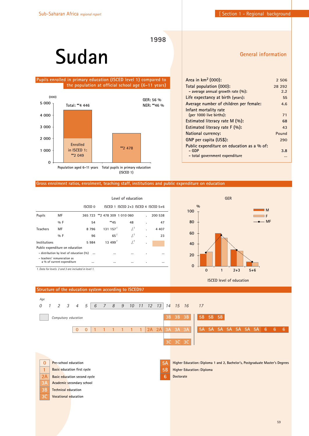# **Sudan**

#### **Pupils enrolled in primary education (ISCED level 1) compared to the population at official school age (6-11 years)**



# **General information**

| Area in $km^2$ (000):                      | 2 506   |
|--------------------------------------------|---------|
| Total population (000):                    | 28 29 2 |
| - average annual growth rate $(\%):$       | 2.2     |
| Life expectancy at birth (years):          | 55      |
| Average number of children per female:     | 4.6     |
| Infant mortality rate                      |         |
| (per 1000 live births):                    | 71      |
| Estimated literacy rate M (%):             | 68      |
| Estimated literacy rate $F(96)$ :          | 43      |
| National currency:                         | Pound   |
| GNP per capita (US\$):                     | 290     |
| Public expenditure on education as a % of: |         |
| - GDP                                      | 3.8     |
| - total government expenditure             |         |

#### **Gross enrolment ratios, enrolment, teaching staff, institutions and public expenditure on education**

|                 |                                                           | Level of education |                                |                                         |    |         |  |  |  |  |
|-----------------|-----------------------------------------------------------|--------------------|--------------------------------|-----------------------------------------|----|---------|--|--|--|--|
|                 |                                                           | ISCED 0            |                                | ISCED 1 ISCED $2+3$ ISCED 4 ISCED $5+6$ |    |         |  |  |  |  |
| Pupils          | MF                                                        |                    | 365 723 ** 2 478 309 1 010 060 |                                         |    | 200 538 |  |  |  |  |
|                 | $9/6$ F                                                   | 54                 | **45                           | 48                                      |    | 47      |  |  |  |  |
| <b>Teachers</b> | MF                                                        | 8796               | 131157 <sup>1</sup>            | $^{1.7}$                                | ä, | 4 4 0 7 |  |  |  |  |
|                 | $9/6$ F                                                   | 96                 | $65^{\frac{1}{2}}$             | $^{1.1}$                                | ٠  | 23      |  |  |  |  |
| Institutions    |                                                           | 5984               | 13,499'                        | .1.'                                    | ٠  |         |  |  |  |  |
|                 | Public expenditure on education                           |                    |                                |                                         |    |         |  |  |  |  |
|                 | - distribution by level of education $(%)$                |                    |                                |                                         | ٠  |         |  |  |  |  |
|                 | - teachers' remuneration as<br>a % of current expenditure |                    |                                |                                         | ٠  |         |  |  |  |  |
|                 | 1. Data for levels 2 and 3 are included in level 1.       |                    |                                |                                         |    |         |  |  |  |  |



**ISCED level of education**

#### **5A Higher Education: Diploma 1 and 2, Bachelor's, Postgraduate Master's Degrees 5B Higher Education: Diploma 6 Doctorate 0 Pre-school education 1 Basic education first cycle 2A Basic education second cycle 3A Academic secondary school 3B Technical education 3C Vocational education 111 1 1 1** *Age 0 5 6 7 8 9 10 11 12 13 14 15 16 17 1 2 3 4* **0 0 2A 2A 3A 3A 3A 3B 3B 3B 5A 5A 5A 5A 5A 5A 5A 6 6 6 5B 5B 5B 3C 3C 3C** *Compulsory education*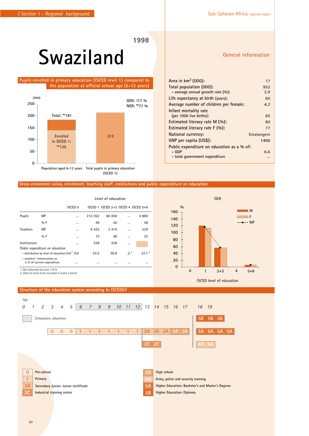# **Swaziland**

 **Pupils enrolled in primary education (ISCED level 1) compared to the population at official school age (6-12 years)**



**Gross enrolment ratios, enrolment, teaching staff, institutions and public expenditure on education**

|                                                                                        | Level of education                                        |         |         |                |                                         |  |  |  |  |  |
|----------------------------------------------------------------------------------------|-----------------------------------------------------------|---------|---------|----------------|-----------------------------------------|--|--|--|--|--|
|                                                                                        |                                                           |         |         |                |                                         |  |  |  |  |  |
| МF                                                                                     |                                                           | 212 052 | 60 830  |                | 4880                                    |  |  |  |  |  |
| $9/6$ F                                                                                | $\cdots$                                                  | 49      | 50      |                | 48                                      |  |  |  |  |  |
| MF                                                                                     | $\cdots$                                                  | 6425    | 3 4 1 6 |                | 229                                     |  |  |  |  |  |
| $9/6$ F                                                                                | $\cdots$                                                  | 75      | 46      |                | 32                                      |  |  |  |  |  |
|                                                                                        | $\cdots$                                                  | 539     | 228     | $\cdots$       |                                         |  |  |  |  |  |
| Public expenditure on education<br>- distribution by level of education $(\%)^{7}$ 0.0 |                                                           |         | 26.9    | J <sup>2</sup> | $32.1^2$                                |  |  |  |  |  |
|                                                                                        |                                                           |         |         |                | $\cdots$                                |  |  |  |  |  |
|                                                                                        | - teachers' remuneration as<br>a % of current expenditure | ISCED 0 | 33.2    |                | ISCED 1 ISCED $2+3$ ISCED 4 ISCED $5+6$ |  |  |  |  |  |

*2. Data for level 4 are included in levels 5 and 6.*



**Structure of the education system according to ISCED97**



### **General information**

| Area in $km^2$ (000):                      | 17         |
|--------------------------------------------|------------|
| Total population (000):                    | 952        |
| - average annual growth rate $(\%):$       | 2.9        |
| Life expectancy at birth (years):          | 60         |
| Average number of children per female:     | 4.7        |
| Infant mortality rate                      |            |
| (per 1000 live births):                    | 65         |
| Estimated literacy rate $M(\%)$ :          | 80         |
| Estimated literacy rate $F(\%)$ :          | 77         |
| National currency:                         | Emalangeni |
| GNP per capita (US\$):                     | 1400       |
| Public expenditure on education as a % of: |            |
| – GDP                                      | 6.6        |
| - total government expenditure             |            |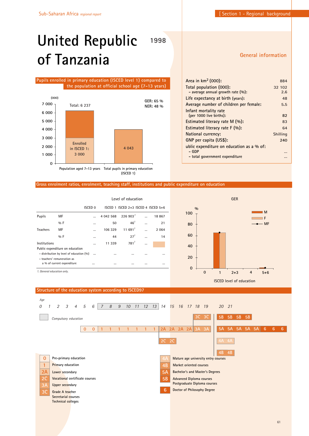# **United Republic of Tanzania**

#### **Pupils enrolled in primary education (ISCED level 1) compared to the population at official school age (7-13 years)**



**(ISCED 1)**

#### **General information**

| Area in $km^2$ (000):                     | 884      |
|-------------------------------------------|----------|
| Total population (000):                   | 32 102   |
| - average annual growth rate $(\%):$      | 2.6      |
| Life expectancy at birth (years):         | 48       |
| Average number of children per female:    | 5.5      |
| Infant mortality rate                     |          |
| (per 1000 live births):                   | 82       |
| Estimated literacy rate M (%):            | 83       |
| Estimated literacy rate $F(\%)$ :         | 64       |
| National currency:                        | Shilling |
| GNP per capita (US\$):                    | 240      |
| ublic expenditure on education as a % of: |          |
| – GDP                                     |          |
| - total government expenditure            |          |

#### **Gross enrolment ratios, enrolment, teaching staff, institutions and public expenditure on education**

**1998**

|                            |                                          | Level of education |           |                                     |  |       |  |  |  |
|----------------------------|------------------------------------------|--------------------|-----------|-------------------------------------|--|-------|--|--|--|
|                            |                                          | <b>ISCED 0</b>     |           | ISCED 1 ISCED 2+3 ISCED 4 ISCED 5+6 |  |       |  |  |  |
| Pupils                     | МF                                       |                    | 4 042 568 | 226903 <sup>1</sup>                 |  | 18867 |  |  |  |
|                            | %F                                       |                    | 50        | 46 <sup>1</sup>                     |  | 21    |  |  |  |
| <b>Teachers</b>            | MF                                       |                    | 106 329   | 11691                               |  | 2064  |  |  |  |
|                            | $0/0$ F                                  |                    | 44        | $27^{1}$                            |  | 14    |  |  |  |
| Institutions               |                                          |                    | 11 339    | 781                                 |  |       |  |  |  |
|                            | Public expenditure on education          |                    |           |                                     |  |       |  |  |  |
|                            | - distribution by level of education (%) | $\cdots$           | $\cdots$  | $\cdots$                            |  |       |  |  |  |
|                            | - teachers' remuneration as              |                    |           |                                     |  |       |  |  |  |
|                            | a % of current expenditure               |                    |           |                                     |  |       |  |  |  |
| 1. General education only. |                                          |                    |           |                                     |  |       |  |  |  |



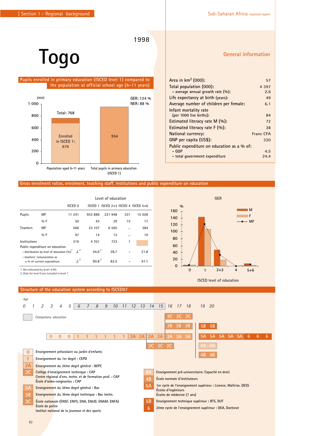# **Togo**

 **Pupils enrolled in primary education (ISCED level 1) compared to the population at official school age (6-11 years)**



**Gross enrolment ratios, enrolment, teaching staff, institutions and public expenditure on education**

| Level of education |                                                                                    |                |            |                                     |           |        |  |  |  |
|--------------------|------------------------------------------------------------------------------------|----------------|------------|-------------------------------------|-----------|--------|--|--|--|
|                    |                                                                                    | <b>ISCED 0</b> |            | ISCED 1 ISCED 2+3 ISCED 4 ISCED 5+6 |           |        |  |  |  |
| Pupils             | MF                                                                                 | 11 241         | 953 886    | 231 948                             | 331       | 15 028 |  |  |  |
|                    | $9/6$ F                                                                            | 50             | 43         | 29                                  | 15        | 17     |  |  |  |
| <b>Teachers</b>    | MF                                                                                 | 566            | 23 107     | 6 5 9 5                             | $\ddotsc$ | 384    |  |  |  |
|                    | $9/6$ F                                                                            | 97             | 14         | 13                                  |           | 10     |  |  |  |
| Institutions       |                                                                                    | 319            | 4 7 0 1    | 723                                 | 1         |        |  |  |  |
|                    | Public expenditure on education<br>- distribution by level of education $(\%)^{1}$ | $\int_1^2$     | $44.6^{2}$ | 28.7                                |           | 21.8   |  |  |  |
|                    | - teachers' remuneration as<br>a % of current expenditure                          | $\int_1^2$     | $90.8^{2}$ | 82.5                                |           | 47.1   |  |  |  |

**Structure of the education system according to ISCED97**

*1. Not allocated by level: 4.9% 2. Data for level 0 are included in level 1.*



**%**

#### **General information**

**M F MF**

| Area in $km^2$ (000):                      | 57               |
|--------------------------------------------|------------------|
| Total population (000):                    | 4 3 9 7          |
| - average annual growth rate $(\%):$       | 2.6              |
| Life expectancy at birth (years):          | 49               |
| Average number of children per female:     | 6.1              |
| Infant mortality rate                      |                  |
| (per 1000 live births):                    | 84               |
| Estimated literacy rate M (%):             | 72               |
| Estimated literacy rate $F(\%)$ :          | 38               |
| National currency:                         | <b>Franc CFA</b> |
| GNP per capita (US\$):                     | 320              |
| Public expenditure on education as a % of: |                  |
| – GDP                                      | 4.5              |
| - total government expenditure             | 24.4             |

**0 1 2+3 4 5+6**

**ISCED level of education**

**GER**

# 62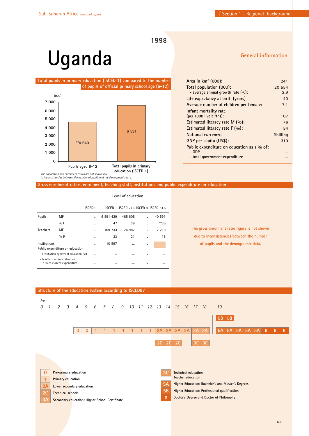**Area in km2 (000): 241 Total population (000): 20 554 - average annual growth rate (%): 2.9 Life expectancy at birth (years) 40 Average number of children per female: 7.1**

**(per 1000 live births): 107 Estimated literacy rate M (%): 76 Estimated literacy rate F (%): 54 National currency:** Shilling **GNP per capita (US\$): 310**

**- GDP … - total government expenditure …**

**Public expenditure on education as a % of:**

**Infant mortality rate**

**General information**

**1998**

# **Uganda**

**Total pupils in primary education (ISCED 1) compared to the number of pupils of official primary school age (6-12)**  *1*



*1. The population and enrolment ratios are not shown due to inconsistencies between the number of pupils and the demographic data.*

**Gross enrolment ratios, enrolment, teaching staff, institutions and public expenditure on education**

|                 |                                                           | ISCED 0   |           | ISCED 1 ISCED 2+3 ISCED 4 ISCED 5+6 |   |          |
|-----------------|-----------------------------------------------------------|-----------|-----------|-------------------------------------|---|----------|
| Pupils          | MF                                                        | $\ddotsc$ | 6 591 429 | 465 605                             |   | 40 591   |
|                 | $0/0$ F                                                   | $\cdots$  | 47        | 39                                  | ٠ | **35     |
| <b>Teachers</b> | MF                                                        |           | 109 733   | 24 982                              |   | 2 2 1 8  |
|                 | $0/0$ F                                                   | $\cdots$  | 33        | 21                                  | ٠ | 18       |
| Institutions    |                                                           | $\cdots$  | 10 597    |                                     | ٠ |          |
|                 | Public expenditure on education                           |           |           |                                     |   |          |
|                 | - distribution by level of education (%)                  | $\cdots$  | $\cdots$  |                                     | ٠ | $\cdots$ |
|                 | - teachers' remuneration as<br>a % of current expenditure | $\cdots$  | $\cdots$  |                                     | ٠ |          |

**Level of education**

**The gross enrolment ratio figure is not shown due to inconsistencies between the number of pupils and the demographic data.**

63

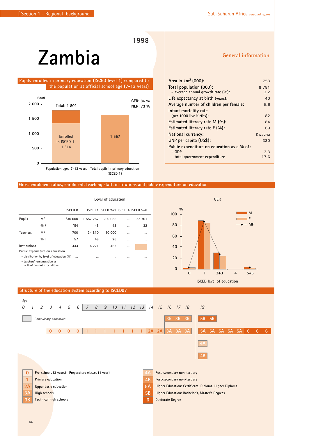### **1998**

# **Zambia**

 **Pupils enrolled in primary education (ISCED level 1) compared to the population at official school age (7-13 years)**



#### **Gross enrolment ratios, enrolment, teaching staff, institutions and public expenditure on education**

|                                                      |                                                           |          | Level of education |                                         |           |        |  |  |
|------------------------------------------------------|-----------------------------------------------------------|----------|--------------------|-----------------------------------------|-----------|--------|--|--|
|                                                      |                                                           | ISCED 0  |                    | ISCED 1 ISCED $2+3$ ISCED 4 ISCED $5+6$ |           |        |  |  |
| Pupils                                               | MF                                                        | *30 000  | 1 557 257          | 290 085                                 |           | 22 701 |  |  |
|                                                      | $9/6$ F                                                   | $*54$    | 48                 | 43                                      | $\ddotsc$ | 32     |  |  |
| <b>Teachers</b>                                      | MF                                                        | 700      | 34 810             | 10 000                                  | $\ddotsc$ |        |  |  |
|                                                      | $9/6$ F                                                   | 57       | 48                 | 26                                      | $\ddotsc$ |        |  |  |
| Institutions                                         |                                                           | 443      | 4 2 2 1            | 482                                     | $\cdots$  |        |  |  |
| Public expenditure on education                      |                                                           |          |                    |                                         |           |        |  |  |
| - distribution by level of education (%)<br><br><br> |                                                           |          |                    |                                         |           |        |  |  |
|                                                      | - teachers' remuneration as<br>a % of current expenditure | $\cdots$ |                    |                                         | $\ddotsc$ |        |  |  |

| Area in $km^2$ (000):                      | 753     |
|--------------------------------------------|---------|
| Total population (000):                    | 8 7 8 1 |
| - average annual growth rate $(\%):$       | 2.2     |
| Life expectancy at birth (years):          | 40      |
| Average number of children per female:     | 5.6     |
| Infant mortality rate                      |         |
| (per 1000 live births):                    | 82      |
| Estimated literacy rate M (%):             | 84      |
| Estimated literacy rate $F(\%)$ :          | 69      |
| <b>National currency:</b>                  | Kwacha  |
| GNP per capita (US\$):                     | 330     |
| Public expenditure on education as a % of: |         |
| – GDP                                      | 2.3     |
| - total government expenditure             | 17.6    |



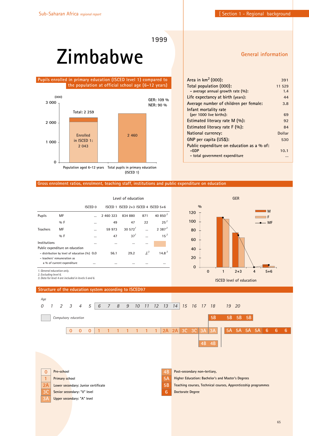# **Zimbabwe**

 **Pupils enrolled in primary education (ISCED level 1) compared to the population at official school age (6-12 years)**



**(ISCED 1)**

#### **General information**

| Area in km <sup>2</sup> (000):             | 391    |
|--------------------------------------------|--------|
| Total population (000):                    | 11 529 |
| - average annual growth rate $(\%):$       | 1.4    |
| Life expectancy at birth (years):          | 44     |
| Average number of children per female:     | 3.8    |
| Infant mortality rate                      |        |
| (per 1000 live births):                    | 69     |
| Estimated literacy rate M (%):             | 92     |
| Estimated literacy rate $F(\%)$ :          | 84     |
| National currency:                         | Dollar |
| GNP per capita (US\$):                     | 530    |
| Public expenditure on education as a % of: |        |
| $-GDP$                                     | 10.1   |
| - total government expenditure             |        |

#### **Gross enrolment ratios, enrolment, teaching staff, institutions and public expenditure on education**

|                          |                                                | Level of education |           |                                     |       |                   |  |
|--------------------------|------------------------------------------------|--------------------|-----------|-------------------------------------|-------|-------------------|--|
|                          |                                                | <b>ISCED 0</b>     |           | ISCED 1 ISCED 2+3 ISCED 4 ISCED 5+6 |       |                   |  |
| Pupils                   | MF                                             |                    | 2 460 323 | 834 880                             | 871   | 40 850 $^{2}$     |  |
|                          | $0/0$ F                                        |                    | 49        | 47                                  | 22    | $25^{2}$          |  |
| <b>Teachers</b>          | MF                                             |                    | 59 973    | $30.572$ <sup>1</sup>               |       | 2387 <sup>2</sup> |  |
|                          | $0/0$ F                                        |                    | 47        | 37 <sup>1</sup>                     |       | $15^2$            |  |
| Institutions             |                                                |                    | $\cdots$  | $\cdots$                            |       |                   |  |
|                          | Public expenditure on education                |                    |           |                                     |       |                   |  |
|                          | - distribution by level of education $(%)$ 0.0 |                    | 56.1      | 29.2                                | $J^3$ | 14.8 <sup>3</sup> |  |
|                          | - teachers' remuneration as                    |                    |           |                                     |       |                   |  |
|                          | a % of current expenditure                     |                    | $\cdots$  |                                     |       |                   |  |
| 1 General education only |                                                |                    |           |                                     |       |                   |  |

*1. General education only. 2. Excluding level 6.*

*3. Data for level 4 are included in levels 5 and 6.* 



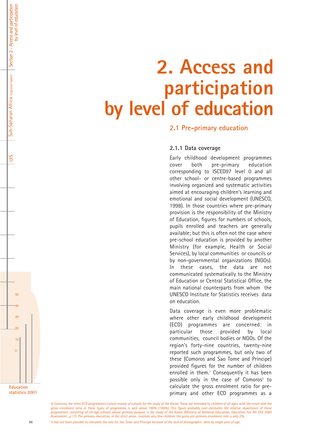# **2. Access and participation by level of education**

**2.1 Pre-primary education**

### **2.1.1 Data coverage**

Early childhood development programmes cover both pre-primary education corresponding to ISCED97 level 0 and all other school- or centre-based programmes involving organized and systematic activities aimed at encouraging children's learning and emotional and social development (UNESCO, 1998). In those countries where pre-primary provision is the responsibility of the Ministry of Education, figures for numbers of schools, pupils enrolled and teachers are generally available; but this is often not the case where pre-school education is provided by another Ministry (for example, Health or Social Services), by local communities or councils or by non-governmental organizations (NGOs). In these cases, the data are not communicated systematically to the Ministry of Education or Central Statistical Office, the main national counterparts from whom the UNESCO Institute for Statistics receives data on education.

Data coverage is even more problematic where other early childhood development (ECD) programmes are concerned: in particular those provided by local communities, council bodies or NGOs. Of the region's forty-nine countries, twenty-nine reported such programmes, but only two of these (Comoros and Sao Tome and Principe) provided figures for the number of children enrolled in them.<sup>1</sup> Consequently it has been possible only in the case of Comoros<sup>2</sup> to calculate the gross enrolment ratio for preprimary and other ECD programmes as a

*<sup>1</sup> In Comoros, the other ECD programmes consist mainly of schools for the study of the Koran. These are attended by children of all ages, with the result that the gross enrolment ratio in these types of programme is well above 100% (166%). This figure probably over-estimates the relative importance of these programmes consisting of all-age schools whose primary purpose is the study of the Koran (Ministry of National Education, Education For All: EFA 2000 Assessment , p.17). Pre-primary education, in the strict sense, involves very few children: the gross pre-primary enrolment rate is only 2%. 2 It has not been possible to calculate the rate for Sao Tome and Principe because of the lack of demographic data by single year of age.*



 $50$ 

Section 2 - Access and participation

Section 2 - Access and participation<br>by level of education

Sub-Saharan Africa *regional report*

 $Sub-Saharan$  Africa regional report  $\|$  :

UIS

by level of education

40

30

 $\overline{20}$ 

10

 $\Omega$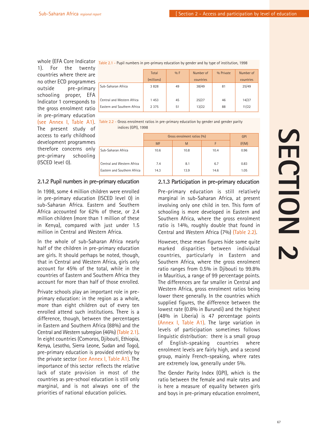whole (EFA Core Indicat 1). For the twenty countries where there are no other ECD programmes outside pre-primary schooling proper, EFA Indicator 1 corresponds to the gross enrolment ratio in pre-primary education (see Annex I, Table A1) . The present study of access to early childhood development programmes therefore concerns only pre-primary schooling (ISCED level 0).

|  | <sup>.Or</sup> Table 2.1 - Pupil numbers in pre-primary education by gender and by type of institution, 1998 |  |
|--|--------------------------------------------------------------------------------------------------------------|--|
|--|--------------------------------------------------------------------------------------------------------------|--|

|                             | Total<br>(millions) | $\%$ F | Number of<br>countries | % Private | Number of<br>countries |
|-----------------------------|---------------------|--------|------------------------|-----------|------------------------|
| Sub-Saharan Africa          | 3828                | 49     | 38/49                  | 81        | 25/49                  |
| Central and Western Africa  | 1453                | 45     | 25/27                  | 46        | 14/27                  |
| Eastern and Southern Africa | 2 3 7 5             | 51     | 13/22                  | 88        | 11/22                  |

| Table 2.2 - Gross enrolment ratios in pre-primary education by gender and gender parity |  |
|-----------------------------------------------------------------------------------------|--|
| indices (GPI), 1998                                                                     |  |

|                             | Gross enrolment ratios (%) | GPI  |      |       |
|-----------------------------|----------------------------|------|------|-------|
|                             | <b>MF</b>                  | M    | F    | (F/M) |
| Sub-Saharan Africa          | 10.6                       | 10.8 | 10.4 | 0.96  |
| Central and Western Africa  | 7.4                        | 8.1  | 6.7  | 0.83  |
| Eastern and Southern Africa | 14.3                       | 13.9 | 14.6 | 1.05  |

### **2.1.2 Pupil numbers in pre-primary education**

In 1998, some 4 million children were enrolled in pre-primary education (ISCED level 0) in sub-Saharan Africa. Eastern and Southern Africa accounted for 62% of these, or 2.4 million children (more than 1 million of these in Kenya), compared with just under 1.5 million in Central and Western Africa.

In the whole of sub-Saharan Africa nearly half of the children in pre-primary education are girls. It should perhaps be noted, though, that in Central and Western Africa, girls only account for 45% of the total, while in the countries of Eastern and Southern Africa they account for more than half of those enrolled.

Private schools play an important role in preprimary education: in the region as a whole, more than eight children out of every ten enrolled attend such institutions. There is a difference, though, between the percentages in Eastern and Southern Africa (88%) and the Central and Western subregion (46%) (Table 2.1) . In eight countries (Comoros, Djibouti, Ethiopia, Kenya, Lesotho, Sierra Leone, Sudan and Togo), pre-primary education is provided entirely by the private sector (see Annex I, Table A1). The importance of this sector reflects the relative lack of state provision in most of the countries as pre-school education is still only marginal, and is not always one of the priorities of national education policies.

### **2.1.3 Participation in pre-primary education**

Pre-primary education is still relatively marginal in sub-Saharan Africa, at present involving only one child in ten. This form of schooling is more developed in Eastern and Southern Africa, where the gross enrolment ratio is 14%, roughly double that found in Central and Western Africa (7%) (Table 2.2) .

However, these mean figures hide some quite marked disparities between individual countries, particularly in Eastern and Southern Africa, where the gross enrolment ratio ranges from 0.5% in Djibouti to 99.8% in Mauritius, a range of 99 percentage points. The differences are far smaller in Central and Western Africa, gross enrolment ratios being lower there generally. In the countries which supplied figures, the difference between the lowest rate (0.8% in Burundi) and the highest (48% in Liberia) is 47 percentage points (Annex I, Table A1). The large variation in levels of participation sometimes follows linguistic distribution: there is a small group of English-speaking countries where enrolment levels are fairly high, and a second group, mainly French-speaking, where rates are extremely low, generally under 5%.

The Gender Parity Index (GPI), which is the ratio between the female and male rates and is here a measure of equality between girls and boys in pre-primary education enrolment,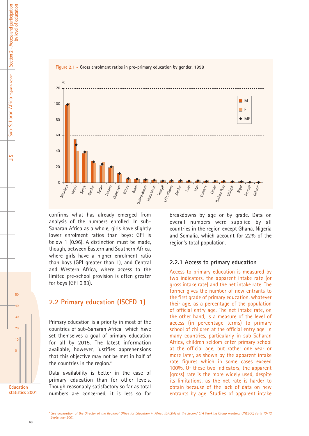



confirms what has already emerged from analysis of the numbers enrolled. In sub-Saharan Africa as a whole, girls have slightly lower enrolment ratios than boys: GPI is below 1 (0.96). A distinction must be made, though, between Eastern and Southern Africa, where girls have a higher enrolment ratio than boys (GPI greater than 1), and Central and Western Africa, where access to the limited pre-school provision is often greater for boys (GPI 0.83).

# **2.2 Primary education (ISCED 1)**

Primary education is a priority in most of the countries of sub-Saharan Africa which have set themselves a goal of primary education for all by 2015. The latest information available, however, justifies apprehensions that this objective may not be met in half of the countries in the region.<sup>4</sup>

Data availability is better in the case of primary education than for other levels. Though reasonably satisfactory so far as total numbers are concerned, it is less so for

breakdowns by age or by grade. Data on overall numbers were supplied by all countries in the region except Ghana, Nigeria and Somalia, which account for 22% of the region's total population.

### **2.2.1 Access to primary education**

Access to primary education is measured by two indicators, the apparent intake rate (or gross intake rate) and the net intake rate. The former gives the number of new entrants to the first grade of primary education, whatever their age, as a percentage of the population of official entry age. The net intake rate, on the other hand, is a measure of the level of access (in percentage terms) to primary school of children at the official entry age. In many countries, particularly in sub-Saharan Africa, children seldom enter primary school at the official age, but rather one year or more later, as shown by the apparent intake rate figures which in some cases exceed 100%. Of these two indicators, the apparent (gross) rate is the more widely used, despite its limitations, as the net rate is harder to obtain because of the lack of data on new entrants by age. Studies of apparent intake

 $50$ 

40

30

20

10

 $\Omega$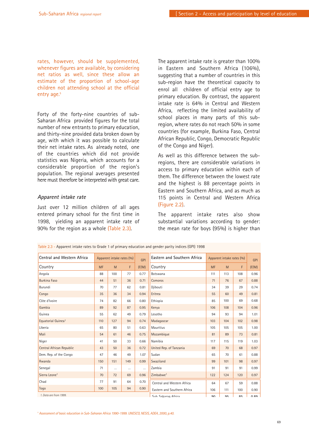rates, however, should be supplemented, whenever figures are available, by considering net ratios as well, since these allow an estimate of the proportion of school-age children not attending school at the official entry age.<sup>5</sup>

Forty of the forty-nine countries of sub-Saharan Africa provided figures for the total number of new entrants to primary education, and thirty-nine provided data broken down by age, with which it was possible to calculate their net intake rates. As already noted, one of the countries which did not provide statistics was Nigeria, which accounts for a considerable proportion of the region's population. The regional averages presented here must therefore be interpreted with great care.

### *Apparent intake rate*

Just over 12 million children of all ages entered primary school for the first time in 1998, yielding an apparent intake rate of 90% for the region as a whole (Table 2.3).

The apparent intake rate is greater than 100% in Eastern and Southern Africa (106%), suggesting that a number of countries in this sub-region have the theoretical capacity to enrol all children of official entry age to primary education. By contrast, the apparent intake rate is 64% in Central and Western Africa, reflecting the limited availability of school places in many parts of this subregion, where rates do not reach 50% in some countries (for example, Burkina Faso, Central African Republic, Congo, Democratic Republic of the Congo and Niger).

As well as this difference between the subregions, there are considerable variations in access to primary education within each of them. The difference between the lowest rate and the highest is 88 percentage points in Eastern and Southern Africa, and as much as 115 points in Central and Western Africa (Figure 2.2).

The apparent intake rates also show substantial variations according to gender: the mean rate for boys (95%) is higher than

| <b>Central and Western Africa</b> | Apparent intake rates (%) |          | <b>GPI</b> | Eastern and Southern Africa |                             | Apparent intake rates (%) |     |     |             |
|-----------------------------------|---------------------------|----------|------------|-----------------------------|-----------------------------|---------------------------|-----|-----|-------------|
| Country                           | <b>MF</b>                 | M        | F.         | (F/M)                       | Country                     | <b>MF</b>                 | M   | F   | (F/M)       |
| Angola                            | 88                        | 100      | 77         | 0.77                        | Botswana                    | 111                       | 113 | 108 | 0.96        |
| <b>Burkina Faso</b>               | 44                        | 51       | 36         | 0.71                        | Comoros                     | 71                        | 76  | 67  | 0.88        |
| Burundi                           | 70                        | 77       | 62         | 0.81                        | Djibouti                    | 34                        | 39  | 29  | 0.74        |
| Congo                             | 35                        | 36       | 34         | 0.94                        | Eritrea                     | 55                        | 60  | 49  | 0.81        |
| Côte d'Ivoire                     | 74                        | 82       | 66         | 0.80                        | Ethiopia                    | 85                        | 100 | 69  | 0.68        |
| Gambia                            | 89                        | 92       | 87         | 0.95                        | Kenya                       | 106                       | 108 | 104 | 0.96        |
| Guinea                            | 55                        | 62       | 49         | 0.79                        | Lesotho                     | 94                        | 93  | 94  | 1.01        |
| Equatorial Guinea <sup>1</sup>    | 110                       | 127      | 94         | 0.74                        | Madagascar                  | 103                       | 104 | 102 | 0.98        |
| Liberia                           | 65                        | 80       | 51         | 0.63                        | Mauritius                   | 105                       | 105 | 105 | 1.00        |
| Mali                              | 54                        | 61       | 46         | 0.75                        | Mozambique                  | 81                        | 89  | 73  | 0.81        |
| Niger                             | 41                        | 50       | 33         | 0.66                        | Namibia                     | 117                       | 115 | 119 | 1.03        |
| Central African Republic          | 43                        | 50       | 36         | 0.72                        | United Rep. of Tanzania     | 69                        | 70  | 68  | 0.97        |
| Dem. Rep. of the Congo            | 47                        | 46       | 49         | 1.07                        | Sudan                       | 65                        | 70  | 61  | 0.88        |
| Rwanda                            | 150                       | 151      | 149        | 0.99                        | Swaziland                   | 99                        | 101 | 98  | 0.97        |
| Senegal                           | 71                        | $\cdots$ |            | $\cdots$                    | Zambia                      | 91                        | 91  | 91  | 0.99        |
| Sierra Leone <sup>1</sup>         | 70                        | 72       | 69         | 0.96                        | Zimbabwe <sup>1</sup>       | 122                       | 124 | 120 | 0.97        |
| Chad                              | 77                        | 91       | 64         | 0.70                        | Central and Western Africa  | 64                        | 67  | 59  | 0.88        |
| Togo                              | 100                       | 105      | 94         | 0.90                        | Eastern and Southern Africa | 106                       | 111 | 100 | 0.90        |
| 1. Data are from 1999.            |                           |          |            |                             | Suh Saharan Africa          | ۵n                        | QF  | 95  | <b>U 80</b> |

Table 2.3 - Apparent intake rates to Grade 1 of primary education and gender parity indices (GPI) 1998

*<sup>5</sup> Assessment of basic education in Sub-Saharan Africa 1990-1999. UNESCO, NESIS, ADEA, 2000, p.40.*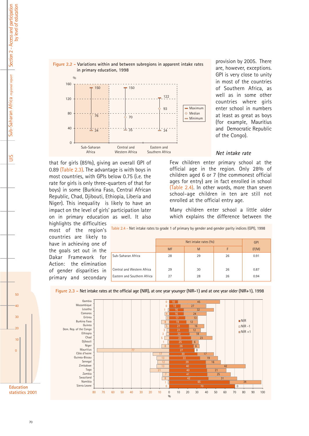

provision by 2005. There are, however, exceptions. GPI is very close to unity in most of the countries of Southern Africa, as well as in some other countries where girls enter school in numbers at least as great as boys (for example, Mauritius and Democratic Republic of the Congo).

#### *Net intake rate*

that for girls (85%), giving an overall GPI of 0.89 (Table 2.3). The advantage is with boys in most countries, with GPIs below 0.75 (i.e. the rate for girls is only three-quarters of that for boys) in some (Burkina Faso, Central African Republic, Chad, Djibouti, Ethiopia, Liberia and Niger). This inequality is likely to have an impact on the level of girls' participation later on in primary education as well. It also

highlights the difficulties most of the region's countries are likely to have in achieving one of the goals set out in the Dakar Framework for Action: the elimination of gender disparities in primary and secondary

Few children enter primary school at the official age in the region. Only 28% of children aged 6 or 7 (the commonest official ages for entry) are in fact enrolled in school (Table 2.4). In other words, more than seven school-age children in ten are still not enrolled at the official entry age.

Many children enter school a little older which explains the difference between the

Table 2.4 - Net intake rates to grade 1 of primary by gender and gender parity indices (GPI), 1998

|                             |           | <b>GPI</b> |    |       |
|-----------------------------|-----------|------------|----|-------|
|                             | <b>MF</b> | M          | F  | (F/M) |
| Sub-Saharan Africa          | 28        | 29         | 26 | 0.91  |
| Central and Western Africa  | 29        | 30         | 26 | 0.87  |
| Eastern and Southern Africa | 27        | 28         | 26 | 0.94  |



**Figure 2.3 - Net intake rates at the official age (NIR), at one year younger (NIR-1) and at one year older (NIR+1), 1998**

Section 2 - Access and participation by level of education Section 2 - Access and participation by level of education Sub-Saharan Africa regional report Sub-Saharan Africa *regional report*

UIS

**statistics 2001**

**Education**

 $50$ 

40

30

20

10

 $\Omega$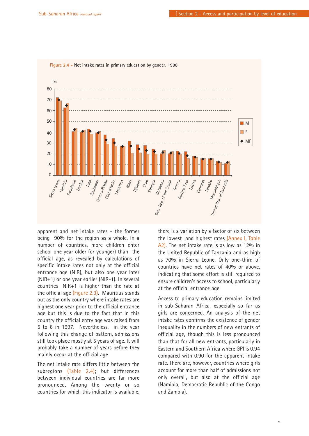

**Figure 2.4 - Net intake rates in primary education by gender, 1998**

apparent and net intake rates - the former being 90% for the region as a whole. In a number of countries, more children enter school one year older (or younger) than the official age, as revealed by calculations of specific intake rates not only at the official entrance age (NIR), but also one year later (NIR+1) or one year earlier (NIR-1). In several countries NIR+1 is higher than the rate at the official age (Figure 2.3). Mauritius stands out as the only country where intake rates are highest one year prior to the official entrance age but this is due to the fact that in this country the official entry age was raised from 5 to 6 in 1997. Nevertheless, in the year following this change of pattern, admissions still took place mostly at 5 years of age. It will probably take a number of years before they mainly occur at the official age.

The net intake rate differs little between the subregions (Table 2.4); but differences between individual countries are far more pronounced. Among the twenty or so countries for which this indicator is available, there is a variation by a factor of six between the lowest and highest rates (Annex I, Table A2). The net intake rate is as low as 12% in the United Republic of Tanzania and as high as 70% in Sierra Leone. Only one-third of countries have net rates of 40% or above, indicating that some effort is still required to ensure children's access to school, particularly at the official entrance age.

Access to primary education remains limited in sub-Saharan Africa, especially so far as girls are concerned. An analysis of the net intake rates confirms the existence of gender inequality in the numbers of new entrants of official age, though this is less pronounced than that for all new entrants, particularly in Eastern and Southern Africa where GPI is 0.94 compared with 0.90 for the apparent intake rate. There are, however, countries where girls account for more than half of admissions not only overall, but also at the official age (Namibia, Democratic Republic of the Congo and Zambia).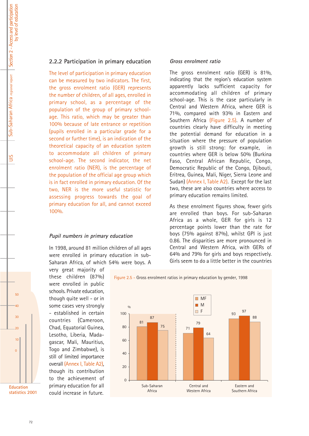### **2.2.2 Participation in primary education**

The level of participation in primary education can be measured by two indicators. The first, the gross enrolment ratio (GER) represents the number of children, of all ages, enrolled in primary school, as a percentage of the population of the group of primary schoolage. This ratio, which may be greater than 100% because of late entrance or repetition (pupils enrolled in a particular grade for a second or further time), is an indication of the theoretical capacity of an education system to accommodate all children of primary school-age. The second indicator, the net enrolment ratio (NER), is the percentage of the population of the official age group which is in fact enrolled in primary education. Of the two, NER is the more useful statistic for assessing progress towards the goal of primary education for all, and cannot exceed 100%.

#### *Pupil numbers in primary education*

In 1998, around 81 million children of all ages were enrolled in primary education in sub-Saharan Africa, of which 54% were boys. A

very great majority of these children (87%) were enrolled in public schools. Private education, though quite well - or in some cases very strongly - established in certain countries (Cameroon, Chad, Equatorial Guinea, Lesotho, Liberia, Madagascar, Mali, Mauritius, Togo and Zimbabwe), is still of limited importance overall (Annex I, Table A2), though its contribution to the achievement of primary education for all could increase in future.

**Education statistics 2001**

 $50$ 

40

30

 $\overline{20}$ 

10

 $\Omega$ 

#### *Gross enrolment ratio*

The gross enrolment ratio (GER) is 81%, indicating that the region's education system apparently lacks sufficient capacity for accommodating all children of primary school-age. This is the case particularly in Central and Western Africa, where GER is 71%, compared with 93% in Eastern and Southern Africa (Figure 2.5). A number of countries clearly have difficulty in meeting the potential demand for education in a situation where the pressure of population growth is still strong: for example, in countries where GER is below 50% (Burkina Faso, Central African Republic, Congo, Democratic Republic of the Congo, Djibouti, Eritrea, Guinea, Mali, Niger, Sierra Leone and Sudan) (Annex I, Table A2). Except for the last two, these are also countries where access to primary education remains limited.

As these enrolment figures show, fewer girls are enrolled than boys. For sub-Saharan Africa as a whole, GER for girls is 12 percentage points lower than the rate for boys (75% against 87%), whilst GPI is just 0.86. The disparities are more pronounced in Central and Western Africa, with GERs of 64% and 79% for girls and boys respectively. Girls seem to do a little better in the countries



Figure 2.5 - Gross enrolment ratios in primary education by gender, 1998

UIS

by level of education

by level of education

72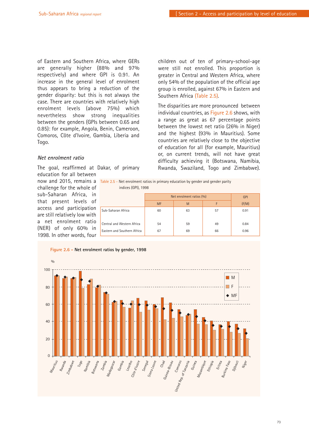of Eastern and Southern Africa, where GERs are generally higher (88% and 97% respectively) and where GPI is 0.91. An increase in the general level of enrolment thus appears to bring a reduction of the gender disparity: but this is not always the case. There are countries with relatively high enrolment levels (above 75%) which nevertheless show strong inequalities between the genders (GPIs between 0.65 and 0.85): for example, Angola, Benin, Cameroon, Comoros, Côte d'Ivoire, Gambia, Liberia and Togo.

### *Net enrolment ratio*

The goal, reaffirmed at Dakar, of primary

education for all between now and 2015, remains a challenge for the whole of sub-Saharan Africa, in that present levels of access and participation are still relatively low with a net enrolment ratio (NER) of only 60% in 1998. In other words, four

children out of ten of primary-school-age were still not enrolled. This proportion is greater in Central and Western Africa, where only 54% of the population of the official age group is enrolled, against 67% in Eastern and Southern Africa (Table 2.5).

The disparities are more pronounced between individual countries, as Figure 2.6 shows, with a range as great as 67 percentage points between the lowest net ratio (26% in Niger) and the highest (93% in Mauritius). Some countries are relatively close to the objective of education for all (for example, Mauritius) or, on current trends, will not have great difficulty achieving it (Botswana, Namibia, Rwanda, Swaziland, Togo and Zimbabwe).

| Table 2.5 – Net enrolment ratios in primary education by gender and gender parity |  |  |
|-----------------------------------------------------------------------------------|--|--|
| indices (GPI), 1998                                                               |  |  |

|                             | Net enrolment ratios (%) |    |    | <b>GPI</b> |
|-----------------------------|--------------------------|----|----|------------|
|                             | <b>MF</b>                | M  | F  | (F/M)      |
| Sub-Saharan Africa          | 60                       | 63 | 57 | 0.91       |
| Central and Western Africa  | 54                       | 59 | 49 | 0.84       |
| Eastern and Southern Africa | 67                       | 69 | 66 | 0.96       |

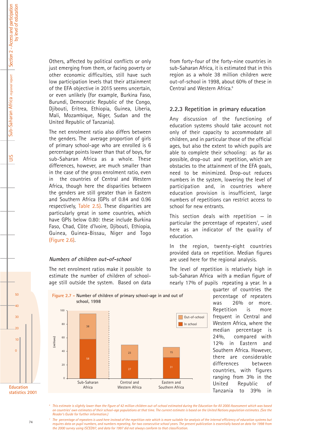UIS

Others, affected by political conflicts or only just emerging from them, or facing poverty or other economic difficulties, still have such low participation levels that their attainment of the EFA objective in 2015 seems uncertain, or even unlikely (for example, Burkina Faso, Burundi, Democratic Republic of the Congo, Djibouti, Eritrea, Ethiopia, Guinea, Liberia, Mali, Mozambique, Niger, Sudan and the United Republic of Tanzania).

The net enrolment ratio also differs between the genders. The average proportion of girls of primary school-age who are enrolled is 6 percentage points lower than that of boys, for sub-Saharan Africa as a whole. These differences, however, are much smaller than in the case of the gross enrolment ratio, even in the countries of Central and Western Africa, though here the disparities between the genders are still greater than in Eastern and Southern Africa (GPIs of 0.84 and 0.96 respectively, Table 2.5). These disparities are particularly great in some countries, which have GPIs below 0.80: these include Burkina Faso, Chad, Côte d'Ivoire, Djibouti, Ethiopia, Guinea, Guinea-Bissau, Niger and Togo (Figure 2.6).

### *Numbers of children out-of-school*

Sub-Saharan

 $\overline{0}$ 

The net enrolment ratios make it possible to estimate the number of children of schoolage still outside the system. Based on data from forty-four of the forty-nine countries in sub-Saharan Africa, it is estimated that in this region as a whole 38 million children were out-of-school in 1998, about 60% of these in Central and Western Africa.<sup>6</sup>

### **2.2.3 Repetition in primary education**

Any discussion of the functioning of education systems should take account not only of their capacity to accommodate all children, and in particular those of the official ages, but also the extent to which pupils are able to complete their schooling: as far as possible, drop-out and repetition, which are obstacles to the attainment of the EFA goals, need to be minimized. Drop-out reduces numbers in the system, lowering the level of participation and, in countries where education provision is insufficient, large numbers of repetitions can restrict access to school for new entrants.

This section deals with repetition  $-$  in particular the percentage of repeaters<sup>7</sup>, used here as an indicator of the quality of education.

In the region, twenty-eight countries provided data on repetition. Median figures are used here for the regional analysis.

The level of repetition is relatively high in sub-Saharan Africa with a median figure of nearly 17% of pupils repeating a year. In a

> quarter of countries the percentage of repeaters was 26% or more. Repetition is more frequent in Central and Western Africa, where the median percentage is 24%, compared with 12% in Eastern and Southern Africa. However, there are considerable differences between countries, with figures ranging from 3% in the United Republic of Tanzania to 39% in

Africa Western Africa Southern Africa *<sup>6</sup> This estimate is slightly lower than the figure of 42 million children out-of-school estimated during the Education for All 2000 Assessment which was based*

*on countries' own estimates of their school-age populations at that time. The current estimate is based on the United Nations population estimates. (See the Reader's Guide for further information.)*

Eastern and

*<sup>7</sup> The percentage of repeaters is used here instead of the repetition rate which is more suitable for analysis of the internal efficiency of education systems but requires data on pupil numbers, and numbers repeating, for two consecutive school years. The present publication is essentially based on data for 1998 from the 2000 survey using ISCED97, and data for 1997 did not always conform to that classification.*



Central and

**Figure 2.7 - Number of children of primary school-age in and out of**

 $50$ 

40

30

 $\overline{20}$ 

10

 $\Omega$ 

**Education statistics 2001**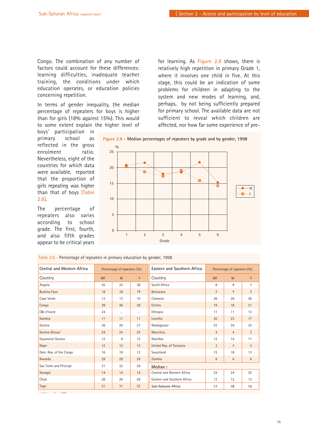Congo. The combination of any number of factors could account for these differences: learning difficulties, inadequate teacher training, the conditions under which education operates, or education policies concerning repetition.

In terms of gender inequality, the median percentage of repeaters for boys is higher than for girls (18% against 15%). This would to some extent explain the higher level of for learning. As Figure 2.8 shows, there is relatively high repetition in primary Grade 1, where it involves one child in five. At this stage, this could be an indication of some problems for children in adapting to the system and new modes of learning, and, perhaps, by not being sufficiently prepared for primary school. The available data are not sufficient to reveal which children are affected, nor how far some experience of pre-

boys' participation in primary school as reflected in the gross enrolment ratio. Nevertheless, eight of the countries for which data were available, reported that the proportion of girls repeating was higher than that of boys (Table 2.6).

The percentage of repeaters also varies according to school grade. The first, fourth, and also fifth grades appear to be critical years



Table 2.6 - Percentage of repeaters in primary education by gender, 1998

| <b>Central and Western Africa</b> |           | Percentage of repeaters (%) |          | Eastern and Southern Africa |                | Percentage of repeaters (%) |  |
|-----------------------------------|-----------|-----------------------------|----------|-----------------------------|----------------|-----------------------------|--|
| Country                           | <b>MF</b> | M                           | F        | Country                     | <b>MF</b>      | M                           |  |
| Angola                            | 35        | 33                          | 38       | South Africa                | 8              | 9                           |  |
| <b>Burkina Faso</b>               | 18        | 18                          | 18       | Botswana                    | 3              | $\overline{4}$              |  |
| Cape Verde                        | 12        | 13                          | 10       | Comoros                     | 26             | 26                          |  |
| Congo                             | 39        | 40                          | 38       | Eritrea                     | 19             | 18                          |  |
| Côe d'Ivoire                      | 24        | $\cdots$                    | $\cdots$ | Ethiopia                    | 11             | 11                          |  |
| Gambia                            | 11        | 11                          | 11       | Lesotho                     | 20             | 23                          |  |
| Guinea                            | 26        | 26                          | 27       | Madagascar                  | 33             | 34                          |  |
| Guinea-Bissau <sup>1</sup>        | 24        | 24                          | 25       | <b>Mauritius</b>            | $\overline{4}$ | $\overline{4}$              |  |
| Equatorial Guinea                 | 12        | 9                           | 15       | Namibia                     | 12             | 14                          |  |
| Niger                             | 12        | 12                          | 12       | United Rep. of Tanzania     | 3              | 3                           |  |
| Dem. Rep. of the Congo            | 16        | 19                          | 12       | Swaziland                   | 15             | 18                          |  |
| Rwanda                            | 29        | 29                          | 29       | Zambia                      | 6              | 6                           |  |
| Sao Tome and Principe             | 31        | 33                          | 29       | Median:                     |                |                             |  |
| Senegal                           | 14        | 14                          | 14       | Central and Western Africa  | 24             | 24                          |  |
| Chad                              | 26        | 26                          | 26       | Eastern and Southern Africa | 12             | 12                          |  |
| Togo                              | 31        | 31                          | 32       | Sub-Saharan Africa          | 17             | 18                          |  |

*1 D t f 1999*

75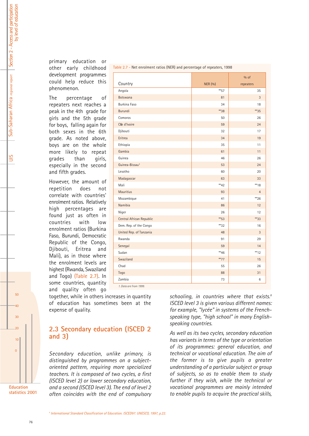UIS

primary education or other early childhood development programmes could help reduce this phenomenon.

The percentage of repeaters next reaches a peak in the 4th grade for girls and the 5th grade for boys, falling again for both sexes in the 6th grade. As noted above, boys are on the whole more likely to repeat grades than girls, especially in the second and fifth grades.

However, the amount of repetition does not correlate with countries' enrolment ratios. Relatively high percentages are found just as often in countries with low enrolment ratios (Burkina Faso, Burundi, Democratic Republic of the Congo, Djibouti, Eritrea and Mali), as in those where the enrolment levels are highest (Rwanda, Swaziland and Togo) (Table 2.7). In some countries, quantity and quality often go

|                     | together, while in others increases in quantity |  |  |
|---------------------|-------------------------------------------------|--|--|
|                     | of education has sometimes been at the          |  |  |
| expense of quality. |                                                 |  |  |

# **2.3 Secondary education (ISCED 2 and 3)**

*Secondary education, unlike primary, is distinguished by programmes on a subjectoriented pattern, requiring more specialized teachers. It is composed of two cycles, a first (ISCED level 2) or lower secondary education, and a second (ISCED level 3). The end of level 2 often coincides with the end of compulsory*

| Table 2.7 - Net enrolment ratios (NER) and percentage of repeaters, 1998 |                   |                |  |  |  |  |
|--------------------------------------------------------------------------|-------------------|----------------|--|--|--|--|
|                                                                          |                   | $%$ of         |  |  |  |  |
| Country                                                                  | <b>NER (%)</b>    | repeaters      |  |  |  |  |
| Angola                                                                   | $**$ 57           | 35             |  |  |  |  |
| <b>Botswana</b>                                                          | 81                | 3              |  |  |  |  |
| <b>Burkina Faso</b>                                                      | 34                | 18             |  |  |  |  |
| <b>Burundi</b>                                                           | **38              | $*35$          |  |  |  |  |
| Comoros                                                                  | 50                | 26             |  |  |  |  |
| Côe d'Ivoire                                                             | 59                | 24             |  |  |  |  |
| Djibouti                                                                 | 32                | 17             |  |  |  |  |
| Eritrea                                                                  | 34                | 19             |  |  |  |  |
| Ethiopia                                                                 | 35                | 11             |  |  |  |  |
| Gambia                                                                   | 61                | 11             |  |  |  |  |
| Guinea                                                                   | 46                | 26             |  |  |  |  |
| Guinea-Bissau <sup>1</sup>                                               | 53                | 24             |  |  |  |  |
| Lesotho                                                                  | 60                | 20             |  |  |  |  |
| Madagascar                                                               | 63                | 33             |  |  |  |  |
| Mali                                                                     | $*$ <sup>42</sup> | $*$ 18         |  |  |  |  |
| <b>Mauritius</b>                                                         | 93                | $\overline{4}$ |  |  |  |  |
| Mozambique                                                               | 41                | $*26$          |  |  |  |  |
| Namibia                                                                  | 86                | 12             |  |  |  |  |
| Niger                                                                    | 26                | 12             |  |  |  |  |
| Central African Republic                                                 | $*$ 53            | $*33$          |  |  |  |  |
| Dem. Rep. of the Congo                                                   | $*32$             | 16             |  |  |  |  |
| United Rep. of Tanzania                                                  | 48                | 3              |  |  |  |  |
| Rwanda                                                                   | 91                | 29             |  |  |  |  |
| Senegal                                                                  | 59                | 14             |  |  |  |  |
| Sudan                                                                    | $**46$            | $**12$         |  |  |  |  |
| Swaziland                                                                | $**77$            | 15             |  |  |  |  |
| Chad                                                                     | 55                | 26             |  |  |  |  |
| Togo                                                                     | 88                | 31             |  |  |  |  |
| Zambia                                                                   | 73                | 6              |  |  |  |  |

*1. Data are from 1999.* 

*schooling, in countries where that exists.8 ISCED level 3 is given various different names: for example, "lycée" in systems of the Frenchspeaking type, "high school" in many Englishspeaking countries.* 

*As well as its two cycles, secondary education has variants in terms of the type or orientation of its programmes: general education, and technical or vocational education. The aim of the former is to give pupils a greater understanding of a particular subject or group of subjects, so as to enable them to study further if they wish, while the technical or vocational programmes are mainly intended to enable pupils to acquire the practical skills,*

*<sup>8</sup> International Standard Classification of Education. ISCED97. UNESCO, 1997, p.22.*

 $50$ 

40

30

 $\overline{20}$ 

10

 $\Omega$ 

**Education statistics 2001**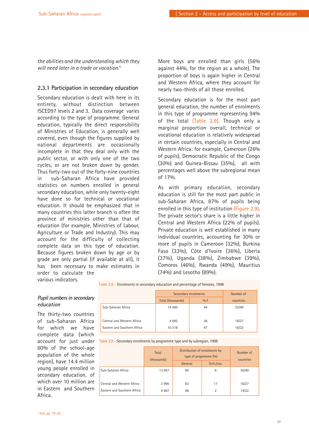*the abilities and the understanding which they will need later in a trade or vocation.9*

### **2.3.1 Participation in secondary education**

Secondary education is dealt with here in its entirety, without distinction between ISCED97 levels 2 and 3. Data coverage varies according to the type of programme. General education, typically the direct responsibility of Ministries of Education, is generally well covered, even though the figures supplied by national departments are occasionally incomplete in that they deal only with the public sector, or with only one of the two cycles, or are not broken down by gender. Thus forty-two out of the forty-nine countries in sub-Saharan Africa have provided statistics on numbers enrolled in general secondary education, while only twenty-eight have done so for technical or vocational education. It should be emphasized that in many countries this latter branch is often the province of ministries other than that of education (for example, Ministries of Labour, Agriculture or Trade and Industry). This may account for the difficulty of collecting complete data on this type of education. Because figures broken down by age or by grade are only partial (if available at all), it has been necessary to make estimates in order to calculate the

More boys are enrolled than girls (56% against 44%, for the region as a whole). The proportion of boys is again higher in Central and Western Africa, where they account for nearly two-thirds of all those enrolled.

Secondary education is for the most part general education, the number of enrolments in this type of programme representing 94% of the total (Table 2.9). Though only a marginal proportion overall, technical or vocational education is relatively widespread in certain countries, especially in Central and Western Africa: for example, Cameroon (26% of pupils), Democratic Republic of the Congo (30%) and Guinea-Bissau (35%), all with percentages well above the subregional mean of 17%.

As with primary education, secondary education is still for the most part public in sub-Saharan Africa, 87% of pupils being enrolled in this type of institution (Figure 2.9). The private sector's share is a little higher in Central and Western Africa (22% of pupils). Private education is well established in many individual countries, accounting for 30% or more of pupils in Cameroon (32%), Burkina Faso (33%), Côte d'Ivoire (36%), Liberia (37%), Uganda (38%), Zimbabwe (39%), Comoros (46%), Rwanda (49%), Mauritius (74%) and Lesotho (89%).

various indicators.

Table 2.8 - Enrolments in secondary education and percentage of females, 1998

### *Pupil numbers in secondary education*

The thirty-two countries of sub-Saharan Africa for which we have complete data (which account for just under 60% of the school-age population of the whole region), have 14.4 million young people enrolled in secondary education, of which over 10 million are in Eastern and Southern Africa.

|                             | Secondary enrolments | Number of |           |
|-----------------------------|----------------------|-----------|-----------|
|                             | Total (thousands)    | $0/0$ F   | countries |
| Sub-Saharan Africa          | 14 400               | 44        | 32/49     |
| Central and Western Africa  | 4 0 8 2              | 36        | 16/27     |
| Eastern and Southern Africa | 10 318               | 47        | 16/22     |

Table 2.9 - Secondary enrolments by programme type and by subregion, 1998

|                             | Total<br>(thousands) | Distribution of enrolments by<br>type of programme (%) |            | Number of<br>countries |
|-----------------------------|----------------------|--------------------------------------------------------|------------|------------------------|
|                             |                      | General                                                | Tech./voc. |                        |
| Sub-Saharan Africa          | 13 957               | 94                                                     | 6          | 30/49                  |
| Central and Western Africa  | 3 9 9 0              | 83                                                     | 17         | 16/27                  |
| Eastern and Southern Africa | 9967                 | 98                                                     | 2          | 14/22                  |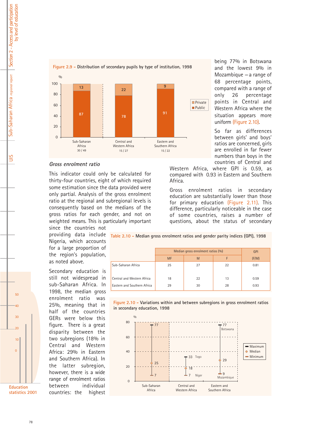

### *Gross enrolment ratio*

This indicator could only be calculated for thirty-four countries, eight of which required some estimation since the data provided were only partial. Analysis of the gross enrolment ratio at the regional and subregional levels is consequently based on the medians of the gross ratios for each gender, and not on weighted means. This is particularly important since the countries not

Nigeria, which accounts for a large proportion of the region's population, as noted above.

Secondary education is still not widespread in sub-Saharan Africa. In 1998, the median gross enrolment ratio was 25%, meaning that in half of the countries GERs were below this figure. There is a great disparity between the two subregions (18% in Central and Western Africa: 29% in Eastern and Southern Africa). In the latter subregion, however, there is a wide range of enrolment ratios between individual countries: the highest

providing data include **Table 2.10 - Median gross enrolment ratios and gender parity indices (GPI), 1998**

|                             | Median gross enrolment ratios (%)<br><b>MF</b> | <b>GPI</b><br>(F/M) |    |      |
|-----------------------------|------------------------------------------------|---------------------|----|------|
| Sub-Saharan Africa          | 25                                             | 27                  | 22 | 0.81 |
| Central and Western Africa  | 18                                             | 22                  | 13 | 0.59 |
| Eastern and Southern Africa | 29                                             | 30                  | 28 | 0.93 |





being 77% in Botswana and the lowest 9% in Mozambique  $-a$  range of 68 percentage points, compared with a range of only 26 percentage points in Central and Western Africa where the situation appears more uniform (Figure 2.10).

So far as differences between girls' and boys' ratios are concerned, girls are enrolled in far fewer numbers than boys in the countries of Central and

Western Africa, where GPI is 0.59, as compared with 0.93 in Eastern and Southern Africa.

Gross enrolment ratios in secondary education are substantially lower than those for primary education (Figure 2.11). This difference, particularly noticeable in the case of some countries, raises a number of questions, about the status of secondary

by level of education Section 2 - Access and participation Section 2 - Access and participation by level of education Sub-Saharan Africa regional report Sub-Saharan Africa *regional report*

 $\frac{5}{10}$ 



**statistics 2001**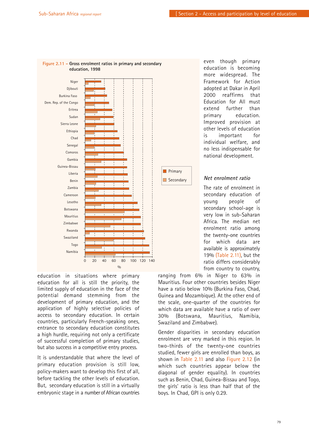

education in situations where primary education for all is still the priority, the limited supply of education in the face of the potential demand stemming from the development of primary education, and the application of highly selective policies of access to secondary education. In certain countries, particularly French-speaking ones, entrance to secondary education constitutes a high hurdle, requiring not only a certificate of successful completion of primary studies, but also success in a competitive entry process.

It is understandable that where the level of primary education provision is still low, policy-makers want to develop this first of all, before tackling the other levels of education. But, secondary education is still in a virtually embryonic stage in a number of African countries

even though primary education is becoming more widespread. The Framework for Action adopted at Dakar in April 2000 reaffirms that Education for All must extend further than primary education. Improved provision at other levels of education is important for individual welfare, and no less indispensable for national development.

### *Net enrolment ratio*

The rate of enrolment in secondary education of young people of secondary school-age is very low in sub-Saharan Africa. The median net enrolment ratio among the twenty-one countries for which data are available is approximately 19% (Table 2.11), but the ratio differs considerably from country to country,

ranging from 6% in Niger to 63% in Mauritius. Four other countries besides Niger have a ratio below 10% (Burkina Faso, Chad, Guinea and Mozambique). At the other end of the scale, one-quarter of the countries for which data are available have a ratio of over 30% (Botswana, Mauritius, Namibia, Swaziland and Zimbabwe).

Gender disparities in secondary education enrolment are very marked in this region. In two-thirds of the twenty-one countries studied, fewer girls are enrolled than boys, as shown in Table 2.11 and also Figure 2.12 (in which such countries appear below the diagonal of gender equality). In countries such as Benin, Chad, Guinea-Bissau and Togo, the girls' ratio is less than half that of the boys. In Chad, GPI is only 0.29.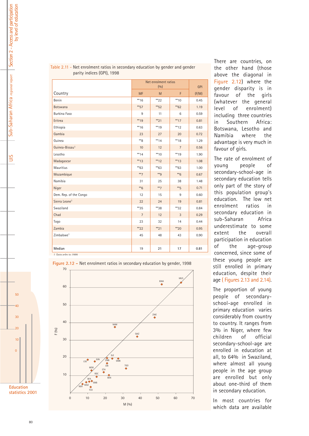|                            |                | Net enrolment ratios<br>(0/0) |                |       |
|----------------------------|----------------|-------------------------------|----------------|-------|
| Country                    | <b>MF</b>      | M                             | F              | (F/M) |
| Benin                      | $** 16$        | $**22$                        | $** 10$        | 0.45  |
| <b>Botswana</b>            | $*$ 57         | $**$ 52                       | $*62$          | 1.19  |
| Burkina Faso               | 9              | 11                            | 6              | 0.59  |
| Eritrea                    | ** 19          | $*21$                         | $**17$         | 0.81  |
| Ethiopia                   | $*$ 16         | $** 19$                       | $*12$          | 0.63  |
| Gambia                     | 23             | 27                            | 20             | 0.72  |
| Guinea                     | $*$ 8          | $** 14$                       | $**18$         | 1.29  |
| Guinea-Bissau <sup>1</sup> | 10             | 12                            | $\overline{7}$ | 0.56  |
| Lesotho                    | $** 14$        | $**10$                        | **19           | 1.90  |
| Madagascar                 | $*$ 13         | $*$ 12                        | $*$ 13         | 1.08  |
| Mauritius                  | $*$ 63         | $*$ 63                        | $*$ 63         | 1.00  |
| Mozambique                 | $**7$          | $*$ 9                         | $*6$           | 0.67  |
| Namibia                    | 31             | 25                            | 38             | 1.48  |
| Niger                      | $*6$           | $**7$                         | $*$ 5          | 0.71  |
| Dem. Rep. of the Congo     | 12             | 15                            | 9              | 0.60  |
| Sierra Leone <sup>1</sup>  | 22             | 24                            | 19             | 0.81  |
| Swaziland                  | $*35$          | $*38$                         | $*32$          | 0.84  |
| Chad                       | $\overline{7}$ | 12                            | 3              | 0.29  |
| Togo                       | 23             | 32                            | 14             | 0.44  |
| Zambia                     | $*22$          | $*21$                         | $*20$          | 0.95  |
| Zimbabwe <sup>1</sup>      | 45             | 48                            | 43             | 0.90  |
|                            |                |                               |                |       |
| Median                     | 19             | 21                            | 17             | 0.81  |

Table 2.11 - Net enrolment ratios in secondary education by gender and gender parity indices (GPI), 1998

**Figure 2.12 -** Net enrolment ratios in secondary education by gender, 1998



There are countries, on the other hand (those above the diagonal in Figure 2.12) where the gender disparity is in favour of the girls (whatever the general level of enrolment) including three countries in Southern Africa: Botswana, Lesotho and Namibia where the advantage is very much in favour of girls.

The rate of enrolment of young people of secondary-school-age in secondary education tells only part of the story of this population group's education. The low net enrolment ratios in secondary education in sub-Saharan Africa underestimate to some extent the overall participation in education of the age-group concerned, since some of these young people are still enrolled in primary education, despite their age ( Figures 2.13 and 2.14).

The proportion of young people of secondaryschool-age enrolled in primary education varies considerably from country to country. It ranges from 3% in Niger, where few children of official secondary-school-age are enrolled in education at all, to 64% in Swaziland, where almost all young people in the age group are enrolled but only about one-third of them in secondary education.

In most countries for which data are available



*1 Data refer to 1999*



 $\overline{20}$ 

10

0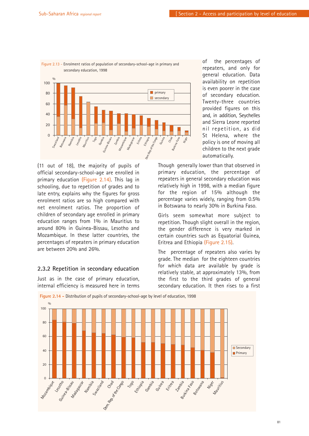

Figure 2.13 - Enrolment ratios of population of secondary-school-age in primary and

(11 out of 18), the majority of pupils of official secondary-school-age are enrolled in primary education (Figure 2.14). This lag in schooling, due to repetition of grades and to late entry, explains why the figures for gross enrolment ratios are so high compared with net enrolment ratios. The proportion of children of secondary age enrolled in primary education ranges from 1% in Mauritius to around 80% in Guinea-Bissau, Lesotho and Mozambique. In these latter countries, the percentages of repeaters in primary education are between 20% and 26%.

### **2.3.2 Repetition in secondary education**

Just as in the case of primary education, internal efficiency is measured here in terms of the percentages of repeaters, and only for general education. Data availability on repetition is even poorer in the case of secondary education. Twenty-three countries provided figures on this and, in addition, Seychelles and Sierra Leone reported nil repetition, as did St Helena, where the policy is one of moving all children to the next grade automatically.

Though generally lower than that observed in primary education, the percentage of repeaters in general secondary education was relatively high in 1998, with a median figure for the region of 15% although the percentage varies widely, ranging from 0.5% in Botswana to nearly 30% in Burkina Faso.

Girls seem somewhat more subject to repetition. Though slight overall in the region, the gender difference is very marked in certain countries such as Equatorial Guinea, Eritrea and Ethiopia (Figure 2.15).

The percentage of repeaters also varies by grade. The median for the eighteen countries for which data are available by grade is relatively stable, at approximately 13%, from the first to the third grades of general secondary education. It then rises to a first



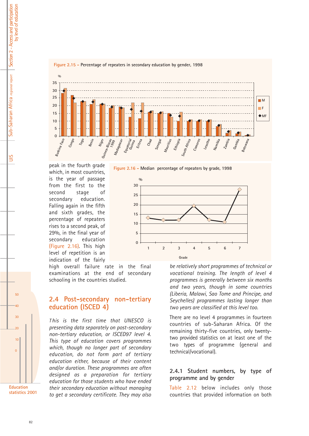

**Figure 2.15 - Percentage of repeaters in secondary education by gender, 1998**



peak in the fourth grade which, in most countries, is the year of passage from the first to the second stage of secondary education. Falling again in the fifth and sixth grades, the percentage of repeaters rises to a second peak, of 29%, in the final year of secondary education (Figure 2.16). This high level of repetition is an indication of the fairly

high overall failure rate in the final examinations at the end of secondary schooling in the countries studied.

**%**

# **2.4 Post-secondary non-tertiary education (ISCED 4)**

*T his is the first time that UNESCO is presenting data separately on post-secondary non-tertiary education, or ISCED97 level 4. This type of education covers programmes which, though no longer part of secondary education, do not form part of tertiary education either, because of their content and/or duration. These programmes are often designed as a preparation for tertiary education for those students who have ended their secondary education without managing to get a secondary certificate. They may also*

*be relatively short programmes of technical or vocational training. The length of level 4 programmes is generally between six months and two years, though in some countries (Liberia, Malawi, Sao Tome and Principe, and* **Grade 12 345 67**

> There are no level 4 programmes in fourteen countries of sub-Saharan Africa. Of the remaining thirty-five countries, only twentytwo provided statistics on at least one of the two types of programme (general and technical/vocational).

> *Seychelles) programmes lasting longer than two years are classified at this level too.*

### **2.4.1 Student numbers, by type of programme and by gender**

Table 2.12 below includes only those countries that provided information on both

Section 2 - Access and participation by level of education Section 2 - Access and participation by level of education Sub-Saharan Africa regional report Sub-Saharan Africa *regional report*

 $50$ 

40

30

20

10

 $\Omega$ 

**Education statistics 2001**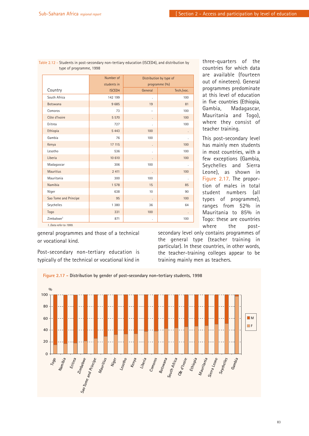|                       | Number of<br>students in |         | Distribution by type of<br>programme (%) |
|-----------------------|--------------------------|---------|------------------------------------------|
| Country               | <b>ISCED4</b>            | General | Tech./voc.                               |
| South Africa          | 142 199                  |         | 100                                      |
| <b>Botswana</b>       | 9685                     | 19      | 81                                       |
| Comoros               | 73                       |         | 100                                      |
| Côte d'Ivoire         | 5 5 7 0                  |         | 100                                      |
| Eritrea               | 727                      |         | 100                                      |
| Ethiopia              | 5 4 4 3                  | 100     |                                          |
| Gambia                | 76                       | 100     |                                          |
| Kenya                 | 17 11 5                  |         | 100                                      |
| Lesotho               | 536                      |         | 100                                      |
| Liberia               | 10 610                   |         | 100                                      |
| Madagascar            | 306                      | 100     |                                          |
| <b>Mauritius</b>      | 2 4 1 1                  |         | 100                                      |
| Mauritania            | 300                      | 100     |                                          |
| Namibia               | 1578                     | 15      | 85                                       |
| Niger                 | 638                      | 10      | 90                                       |
| Sao Tome and Principe | 95                       |         | 100                                      |
| Seychelles            | 1 3 8 0                  | 36      | 64                                       |
| Togo                  | 331                      | 100     |                                          |
| Zimbabwe <sup>1</sup> | 871                      |         | 100                                      |

Table 2.12 - Students in post-secondary non-tertiary education (ISCED4), and distribution by type of programme, 1998

general programmes and those of a technical or vocational kind.

Post-secondary non-tertiary education is typically of the technical or vocational kind in three-quarters of the countries for which data are available (fourteen out of nineteen). General programmes predominate at this level of education in five countries (Ethiopia, Gambia, Madagascar, Mauritania and Togo), where they consist of teacher training.

This post-secondary level has mainly men students in most countries, with a few exceptions (Gambia, Seychelles and Sierra Leone), as shown in Figure 2.17. The proportion of males in total student numbers (all types of programme), ranges from 52% in Mauritania to 85% in Togo: these are countries where the post-

secondary level only contains programmes of the general type (teacher training in particular). In these countries, in other words, the teacher-training colleges appear to be training mainly men as teachers.



83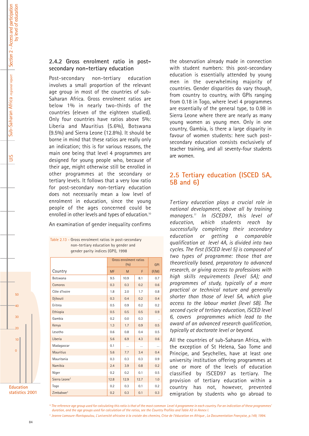UIS

### **2.4.2 Gross enrolment ratio in postsecondary non-tertiary education**

Post-secondary non-tertiary education involves a small proportion of the relevant age group in most of the countries of sub-Saharan Africa. Gross enrolment ratios are below 1% in nearly two-thirds of the countries (eleven of the eighteen studied). Only four countries have ratios above 5%: Liberia and Mauritius (5.6%), Botswana (9.5%) and Sierra Leone (12.8%). It should be borne in mind that these ratios are really only an indication; this is for various reasons, the main one being that level 4 programmes are designed for young people who, because of their age, might otherwise still be enrolled in other programmes at the secondary or tertiary levels. It follows that a very low ratio for post-secondary non-tertiary education does not necessarily mean a low level of enrolment in education, since the young people of the ages concerned could be enrolled in other levels and types of education.<sup>10</sup>

An examination of gender inequality confirms

Table 2.13 - Gross enrolment ratios in post-secondary non-tertiary education by gender and gender parity indices (GPI), 1998

|                           | Gross enrolment ratios | <b>GPI</b> |      |       |
|---------------------------|------------------------|------------|------|-------|
| Country                   | <b>MF</b>              | M          | F    | (F/M) |
| <b>Botswana</b>           | 9.5                    | 10.9       | 8.1  | 0.7   |
| Comoros                   | 0.3                    | 0.3        | 0.2  | 0.6   |
| Côte d'Ivoire             | 1.8                    | 2.0        | 1.7  | 0.8   |
| Djibouti                  | 0.3                    | 0.4        | 0.2  | 0.4   |
| Eritrea                   | 0.5                    | 0.9        | 0.2  | 0.2   |
| Ethiopia                  | 0.5                    | 0.5        | 0.5  | 0.9   |
| Gambia                    | 0.2                    | 0.0        | 0.3  |       |
| Kenya                     | 1.3                    | 1.7        | 0.9  | 0.5   |
| Lesotho                   | 0.6                    | 0.8        | 0.4  | 0.5   |
| Liberia                   | 5.6                    | 6.9        | 4.3  | 0.6   |
| Madagascar                | 0.1                    | $\ddotsc$  |      |       |
| <b>Mauritius</b>          | 5.6                    | 7.7        | 3.4  | 0.4   |
| Mauritania                | 0.3                    | 0.3        | 0.3  | 0.9   |
| Namibia                   | 2.4                    | 3.9        | 0.8  | 0.2   |
| Niger                     | 0.2                    | 0.2        | 0.1  | 0.5   |
| Sierra Leone <sup>1</sup> | 12.8                   | 12.9       | 12.7 | 1.0   |
| Togo                      | 0.2                    | 0.3        | 0.1  | 0.2   |
| Zimbabwe <sup>1</sup>     | 0.2                    | 0.3        | 0.1  | 0.3   |

**Education statistics 2001**

 $50$ 

40

30

 $\overline{20}$ 

10

 $\Omega$ 

the observation already made in connection with student numbers: this post-secondary education is essentially attended by young men in the overwhelming majority of countries. Gender disparities do vary though, from country to country, with GPIs ranging from 0.18 in Togo, where level 4 programmes are essentially of the general type, to 0.98 in Sierra Leone where there are nearly as many young women as young men. Only in one country, Gambia, is there a large disparity in favour of women students: here such postsecondary education consists exclusively of teacher training, and all seventy-four students are women.

# **2.5 Tertiary education (ISCED 5A, 5B and 6)**

*T ertiary education plays a crucial role in national development, above all by training managers.11 In ISCED97, this level of education, which students reach by successfully completing their secondary education or getting a comparable qualification at level 4A, is divided into two cycles. The first (ISCED level 5) is composed of two types of programme: those that are theoretically based, preparatory to advanced research, or giving access to professions with high skills requirements (level 5A); and programmes of study, typically of a more practical or technical nature and generally shorter than those of level 5A, which give access to the labour market (level 5B). The second cycle of tertiary education, ISCED level 6, covers programmes which lead to the award of an advanced research qualification, typically at doctorate level or beyond.* 

All the countries of sub-Saharan Africa, with the exception of St Helena, Sao Tome and Principe, and Seychelles, have at least one university institution offering programmes at one or more of the levels of education classified by ISCED97 as tertiary. The provision of tertiary education within a country has not, however, prevented emigration by students who go abroad to

*<sup>10</sup> The reference age group used for calculating this ratio is that of the most common Level 4 programme in each country. For an indication of these programmes' duration, and the age groups used for calculation of the ratios, see the Country Profiles and Table A3 in Annex I.*

*<sup>11</sup> Jeanne Lamoure-Rontopoulou, L'université africaine à la croisée des chemins, Crise de l'éducation en Afrique , La Documentation Française, p.149, 1994.*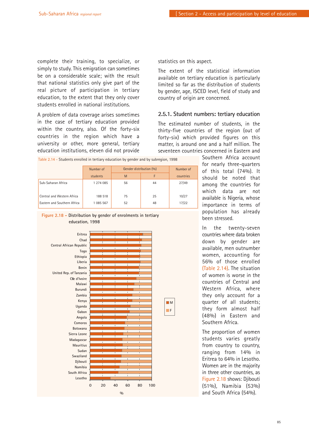complete their training, to specialize, or simply to study. This emigration can sometimes be on a considerable scale; with the result that national statistics only give part of the real picture of participation in tertiary education, to the extent that they only cover students enrolled in national institutions.

A problem of data coverage arises sometimes in the case of tertiary education provided within the country, also. Of the forty-six countries in the region which have a university or other, more general, tertiary education institutions, eleven did not provide

|                             | Number of | Gender distribution (%) |    | Number of |
|-----------------------------|-----------|-------------------------|----|-----------|
|                             | students  | M                       | F  | countries |
| Sub-Saharan Africa          | 1 274 085 | 56                      | 44 | 27/49     |
| Central and Western Africa  | 188 518   | 75                      | 25 | 10/27     |
| Eastern and Southern Africa | 1 085 567 | 52                      | 48 | 17/22     |

Table 2.14 - Students enrolled in tertiary education by gender and by subregion, 1998



statistics on this aspect.

The extent of the statistical information available on tertiary education is particularly limited so far as the distribution of students by gender, age, ISCED level, field of study and country of origin are concerned.

### **2.5.1. Student numbers: tertiary education**

The estimated number of students, in the thirty-five countries of the region (out of forty-six) which provided figures on this matter, is around one and a half million. The seventeen countries concerned in Eastern and

> Southern Africa account for nearly three-quarters of this total (74%). It should be noted that among the countries for which data are not available is Nigeria, whose importance in terms of population has already been stressed.

> In the twenty-seven countries where data broken down by gender are available, men outnumber women, accounting for 56% of those enrolled (Table 2.14). The situation of women is worse in the countries of Central and Western Africa, where they only account for a quarter of all students; they form almost half (48%) in Eastern and Southern Africa.

The proportion of women students varies greatly from country to country, ranging from 14% in Eritrea to 64% in Lesotho. Women are in the majority in three other countries, as Figure 2.18 shows: Djibouti (51%), Namibia (53%) and South Africa (54%).

### **Figure 2.18 - Distribution by gender of enrolments in tertiary education, 1998**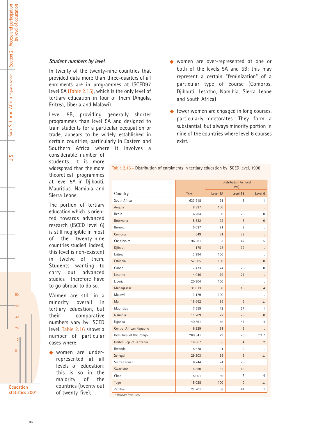### *Student numbers by level*

In twenty of the twenty-nine countries that provided data more than three-quarters of all enrolments are in programmes at ISCED97 level 5A (Table 2.15), which is the only level of tertiary education in four of them (Angola, Eritrea, Liberia and Malawi).

Level 5B, providing generally shorter programmes than level 5A and designed to train students for a particular occupation or trade, appears to be widely established in certain countries, particularly in Eastern and Southern Africa where it involves a

considerable number of students. It is more widespread than the more theoretical programmes at level 5A in Djibouti, Mauritius, Namibia and Sierra Leone.

The portion of tertiary education which is oriented towards advanced research (ISCED level 6) is still negligible in most of the twenty-nine countries studied: indeed, this level is non-existent in twelve of them. Students wanting to carry out advanced studies therefore have to go abroad to do so.

Women are still in a minority overall in tertiary education, but their comparative numbers vary by ISCED level. Table 2.16 shows a number of particular cases where:

women are underrepresented at all levels of education: this is so in the majority of the countries (twenty out of twenty-five);

- ◆ women are over-represented at one or both of the levels 5A and 5B; this may represent a certain "feminization" of a particular type of course (Comoros, Djibouti, Lesotho, Namibia, Sierra Leone and South Africa);
- $\triangle$  fewer women are engaged in long courses, particularly doctorates. They form a substantial, but always minority portion in nine of the countries where level 6 courses exist.

Table 2.15 - Distribution of enrolments in tertiary education by ISCED level, 1998

|                                  |          | Distribution by level |                   |                  |
|----------------------------------|----------|-----------------------|-------------------|------------------|
| Country                          | Total    | Level 5A              | (0/0)<br>Level 5B | Level 6          |
| South Africa                     | 633 918  | 91                    | 8                 | 1                |
| Angola                           | 8 3 3 7  | 100                   |                   |                  |
| Benin                            | 16 284   | 80                    | 20                | $\mathbf 0$      |
| <b>Botswana</b>                  | 5 5 3 2  | 92                    | 8                 | $\overline{0}$   |
| Burundi                          | 5037     | 91                    | 9                 |                  |
| Comoros                          | 649      | 61                    | 39                |                  |
| Cfe d'Ivoire                     | 96 681   | 53                    | 42                | 5                |
| Djibouti                         | 175      | 28                    | 72                |                  |
| Eritrea                          | 3 9 9 4  | 100                   |                   |                  |
| Ethiopia                         | 52 305   | 100                   | $\cdot$           | $\mathbf 0$      |
| Gabon                            | 7473     | 74                    | 26                | $\boldsymbol{0}$ |
| Lesotho                          | 4 0 4 6  | 79                    | 21                |                  |
| Liberia                          | 20 804   | 100                   |                   |                  |
| Madagascar                       | 31 013   | 80                    | 16                | $\overline{4}$   |
| Malawi                           | 3 1 7 9  | 100                   |                   |                  |
| Mali                             | 18 662   | 95                    | 5                 | $\cdot$ .        |
| <b>Mauritius</b>                 | 7 5 5 9  | 42                    | 57                | 1                |
| Namibia                          | 11 209   | 22                    | 78                | $\boldsymbol{0}$ |
| Uganda                           | 40 591   | 49                    | 47                | 4                |
| Central African Republic         | 6 2 2 9  | 91                    | 9                 |                  |
| Dem. Rep. of the Congo           | **60 341 | 79                    | 20                | $**1.7$          |
| United Rep. of Tanzania          | 18 867   | 65                    | 34                | $\overline{2}$   |
| Rwanda                           | 5678     | 91                    | 9                 |                  |
| Senegal                          | 29 30 3  | 95                    | 5                 | ./.              |
| Sierra Leone <sup>1</sup>        | 6744     | 24                    | 76                |                  |
| Swaziland                        | 4880     | 82                    | 19                |                  |
| Chad <sup>1</sup>                | 5901     | 89                    | $\overline{7}$    | $\overline{4}$   |
| Togo                             | 15 0 28  | 100                   | $\boldsymbol{0}$  | ./.              |
| Zambia<br>1. Data are from 1999. | 22 701   | 58                    | 41                | 1                |

**Education statistics 2001**

 $50$ 

40

30

20

10

 $\Omega$ 

UIS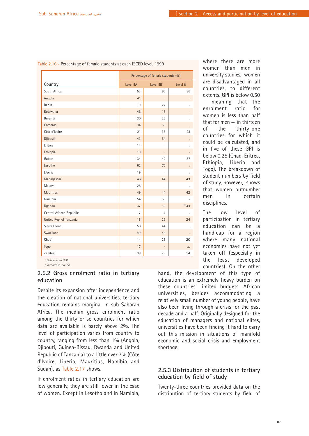|                           | Percentage of female students (%) |                      |           |  |
|---------------------------|-----------------------------------|----------------------|-----------|--|
| Country                   | Level 5A                          | Level 5B             | Level 6   |  |
| South Africa              | 53                                | 66                   | 36        |  |
| Angola                    | 41                                | $\ddot{\phantom{a}}$ |           |  |
| Benin                     | 19                                | 27                   |           |  |
| <b>Botswana</b>           | 46                                | 18                   |           |  |
| Burundi                   | 30                                | 26                   |           |  |
| Comoros                   | 34                                | 56                   |           |  |
| Côte d'Ivoire             | 21                                | 33                   | 23        |  |
| Djibouti                  | 43                                | 54                   |           |  |
| Eritrea                   | 14                                |                      |           |  |
| Ethiopia                  | 19                                | $\cdot$              |           |  |
| Gabon                     | 34                                | 42                   | 37        |  |
| Lesotho                   | 62                                | 70                   |           |  |
| Liberia                   | 19                                |                      |           |  |
| Madagascar                | 46                                | 44                   | 43        |  |
| Malawi                    | 28                                |                      |           |  |
| <b>Mauritius</b>          | 49                                | 44                   | 42        |  |
| Namibia                   | 54                                | 53                   |           |  |
| Uganda                    | 37                                | 32                   | $*34$     |  |
| Central African Republic  | 17                                | $\overline{7}$       |           |  |
| United Rep. of Tanzania   | 18                                | 26                   | 24        |  |
| Sierra Leone <sup>1</sup> | 50                                | 44                   |           |  |
| Swaziland                 | 49                                | 43                   |           |  |
| Chad <sup>1</sup>         | 14                                | 28                   | 20        |  |
| Togo                      | 17                                |                      | $\cdot$ . |  |
| Zambia                    | 38                                | 23                   | 14        |  |

Table 2.16 - Percentage of female students at each ISCED level, 1998

*1. Data refer to 1999. ./. Included in level 5A.*

### **2.5.2 Gross enrolment ratio in tertiary education**

Despite its expansion after independence and the creation of national universities, tertiary education remains marginal in sub-Saharan Africa. The median gross enrolment ratio among the thirty or so countries for which data are available is barely above 2%. The level of participation varies from country to country, ranging from less than 1% (Angola, Djibouti, Guinea-Bissau, Rwanda and United Republic of Tanzania) to a little over 7% (Côte d'Ivoire, Liberia, Mauritius, Namibia and Sudan), as Table 2.17 shows.

If enrolment ratios in tertiary education are low generally, they are still lower in the case of women. Except in Lesotho and in Namibia, where there are more women than men in university studies, women are disadvantaged in all countries, to different extents. GPI is below 0.50 meaning that the enrolment ratio for women is less than half that for men  $-$  in thirteen of the thirty-one countries for which it could be calculated, and in five of these GPI is below 0.25 (Chad, Eritrea, Ethiopia, Liberia and Togo). The breakdown of student numbers by field of study, however, shows that women outnumber men in certain disciplines.

The low level of participation in tertiary education can be a handicap for a region where many national economies have not yet taken off (especially in the least developed countries). On the other

hand, the development of this type of education is an extremely heavy burden on these countries' limited budgets. African universities, besides accommodating a relatively small number of young people, have also been living through a crisis for the past decade and a half. Originally designed for the education of managers and national elites, universities have been finding it hard to carry out this mission in situations of manifold economic and social crisis and employment shortage.

### **2.5.3 Distribution of students in tertiary education by field of study**

Twenty-three countries provided data on the distribution of tertiary students by field of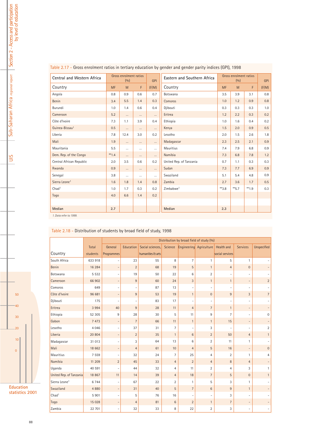| Central and Western Africa |           | Gross enrolment ratios<br>(0/0) |          | <b>GPI</b> | Eastern and Southern Africa |           | Gross enrolment ratios<br>(0/0) |        | <b>GPI</b> |
|----------------------------|-----------|---------------------------------|----------|------------|-----------------------------|-----------|---------------------------------|--------|------------|
| Country                    | <b>MF</b> | M                               | F.       | (F/M)      | Country                     | <b>MF</b> | M                               | F      | (F/M)      |
| Angola                     | 0.8       | 0.9                             | 0.6      | 0.7        | Botswana                    | 3.5       | 3.9                             | 3.1    | 0.8        |
| <b>Benin</b>               | 3.4       | 5.5                             | 1.4      | 0.3        | Comoros                     | 1.0       | 1.2                             | 0.9    | 0.8        |
| Burundi                    | 1.0       | 1.4                             | 0.6      | 0.4        | Djibouti                    | 0.3       | 0.3                             | 0.3    | 1.0        |
| Cameroon                   | 5.2       | $\cdots$<br>$\cdots$            |          | $\cdots$   | Eritrea                     | 1.2       | 2.2                             | 0.3    | 0.2        |
| Côte d'Ivoire              | 7.3       | 1.1                             | 3.9      | 0.4        | Ethiopia                    | 1.0       | 1.6                             | 0.4    | 0.2        |
| Guinea-Bissau <sup>1</sup> | 0.5       | $\cdots$                        | $\cdots$ | $\cdots$   | Kenya                       | 1.5       | 2.0                             | 0.9    | 0.5        |
| Liberia                    | 7.8       | 12.4                            | 3.0      | 0.2        | Lesotho                     | 2.0       | 1.5                             | 2.6    | 1.8        |
| Mali                       | 1.9       | $\cdots$                        | $\cdots$ | $\cdots$   | Madagascar                  | 2.3       | 2.5                             | 2.1    | 0.9        |
| Mauritania                 | 5.5       | $\cdots$                        | $\cdots$ | $\cdots$   | Mauritius                   | 7.4       | 7.9                             | 6.8    | 0.9        |
| Dem. Rep. of the Congo     | $*1.4$    | $\cdots$                        | $\cdots$ | $\cdots$   | Namibia                     | 7.3       | 6.8                             | 7.8    | 1.2        |
| Central African Republic   | 2.0       | 3.5                             | 0.6      | 0.2        | United Rep. of Tanzania     | 0.7       | 1.1                             | 0.3    | 0.3        |
| Rwanda                     | 0.9       | $\cdots$                        | $\cdots$ | $\cdots$   | Sudan                       | 7.3       | 7.7                             | 6.9    | 0.9        |
| Senegal                    | 3.8       | $\cdots$                        | $\cdots$ | $\cdots$   | Swaziland                   | 5.1       | 5.4                             | 4.8    | 0.9        |
| Sierra Leone <sup>1</sup>  | 1.6       | 1.8                             | 1.4      | 0.8        | Zambia                      | 2.7       | 3.6                             | 1.7    | 0.5        |
| Chad <sup>1</sup>          | 1.0       | 1.7                             | 0.3      | 0.2        | Zimbabwe <sup>1</sup>       | $*3.8$    | $**$ 5.7                        | $*1.9$ | 0.3        |
| Togo                       | 4.0       | 6.6                             | 1.4      | 0.2        |                             |           |                                 |        |            |
|                            |           |                                 |          |            |                             |           |                                 |        |            |
| Median                     | 2.7       |                                 |          |            | Median                      | 2.3       |                                 |        |            |

### Table 2.17 - Gross enrolment ratios in tertiary education by gender and gender parity indices (GPI), 1998

*1. Data refer to 1999.*

Table 2.18 - Distribution of students by broad field of study, 1998

|                           |          |                          |                |                   |                |                | Distribution by broad field of study (%) |                 |                          |                |
|---------------------------|----------|--------------------------|----------------|-------------------|----------------|----------------|------------------------------------------|-----------------|--------------------------|----------------|
|                           | Total    | General                  | Education      | Social sciences,  | Science        |                | Engineering Agriculture                  | Health and      | <b>Services</b>          | Unspecified    |
| Country                   | students | Programmes               |                | humanities & arts |                |                |                                          | social services |                          |                |
| South Africa              | 633 918  |                          | 23             | 55                | 8              | $\overline{7}$ | 1                                        | 5               | $\mathbf{1}$             |                |
| Benin                     | 16 284   | $\overline{\phantom{0}}$ | $\overline{2}$ | 68                | 19             | 5              | $\mathbf{1}$                             | $\overline{4}$  | $\bf 0$                  |                |
| Botswana                  | 5 5 3 2  |                          | 19             | 50                | 22             | 6              | $\overline{2}$                           |                 |                          |                |
| Cameroon                  | 66 902   |                          | 9              | 60                | 24             | 3              | $\mathbf{1}$                             | $\mathbf{1}$    | $\overline{a}$           | $\sqrt{2}$     |
| Comoros                   | 649      |                          |                | 87                | 13             |                |                                          |                 |                          |                |
| Côte d'Ivoire             | 96 681   | $\overline{\phantom{0}}$ | 9              | 53                | 19             | $\mathbf{1}$   | $\mathbf{0}$                             | 9               | 3                        | $\overline{7}$ |
| Djibouti                  | 175      |                          |                | 83                | 17             | ۰              |                                          |                 | $\overline{\phantom{a}}$ |                |
| Eritrea                   | 3 9 9 4  | 40                       | 9              | 28                | 11             | $\overline{4}$ | $\overline{7}$                           | $\mathbf{1}$    | $\overline{\phantom{a}}$ |                |
| Ethiopia                  | 52 305   | 9                        | 28             | 30                | 5              | 11             | 9                                        | $\overline{7}$  | $\overline{\phantom{a}}$ | $\mathbf 0$    |
| Gabon                     | 7 4 7 3  | $\qquad \qquad -$        | $\overline{7}$ | 66                | 11             | $\mathbf{1}$   | $\mathbf{1}$                             | 15              | $\overline{\phantom{a}}$ |                |
| Lesotho                   | 4 0 4 6  | $\overline{a}$           | 37             | 31                | 7              | ۰              | 3                                        |                 |                          | $\overline{2}$ |
| Liberia                   | 20 804   | $\overline{a}$           | $\overline{2}$ | 35                | $\mathbf{1}$   | $6\phantom{1}$ | $\overline{2}$                           | 50              | $\overline{4}$           | $\mathbf{1}$   |
| Madagascar                | 31 013   |                          | 3              | 64                | 13             | 6              | $\overline{2}$                           | 11              | $\mathbf{1}$             |                |
| Mali                      | 18 662   | $\qquad \qquad -$        | $\overline{4}$ | 61                | 10             | $\overline{4}$ | 5                                        | 16              | $\overline{\phantom{a}}$ | $\mathbf 0$    |
| <b>Mauritius</b>          | 7 5 5 9  |                          | 32             | 24                | 7              | 25             | 4                                        | $\overline{2}$  | $\mathbf{1}$             | $\overline{4}$ |
| Namibia                   | 11 209   | $\overline{2}$           | 45             | 33                | $\overline{4}$ | $\overline{2}$ | $\overline{4}$                           | 8               | $\overline{4}$           |                |
| Uganda                    | 40 591   |                          | 44             | 32                | $\overline{4}$ | 11             | $\overline{2}$                           | 4               | 3                        | $\mathbf{1}$   |
| United Rep. of Tanzania   | 18 867   | 11                       | 14             | 39                | $\overline{4}$ | 18             | $\overline{7}$                           | 5               | $\mathbf{0}$             | $\mathbf{1}$   |
| Sierra Leone <sup>1</sup> | 6744     |                          | 67             | 22                | $\overline{2}$ | $\mathbf{1}$   | 5                                        | 3               | $\mathbf{1}$             |                |
| Swaziland                 | 4 8 8 0  | $\overline{a}$           | 31             | 40                | 5              | $\overline{7}$ | 6                                        | 9               | $\mathbf{1}$             |                |
| Chad <sup>1</sup>         | 5 9 0 1  | $\overline{a}$           | 5              | 76                | 16             | ٠              | $\overline{a}$                           | 3               | $\overline{\phantom{a}}$ |                |
| Togo                      | 15 0 28  | $\overline{\phantom{0}}$ | $\overline{4}$ | 81                | $\,6\,$        | $\overline{2}$ | $\mathbf{1}$                             | $\overline{7}$  | $\overline{\phantom{a}}$ |                |
| Zambia                    | 22 701   | $\overline{a}$           | 32             | 33                | 8              | 22             | $\overline{2}$                           | 3               | $\overline{a}$           |                |



10

0

**Education statistics 2001**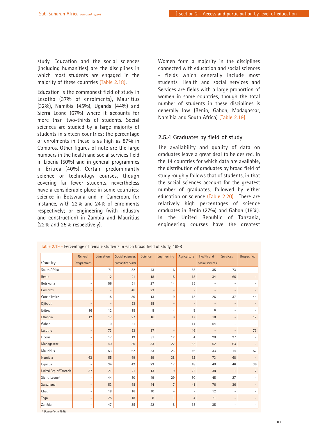study. Education and the social sciences (including humanities) are the disciplines in which most students are engaged in the majority of these countries (Table 2.18).

Education is the commonest field of study in Lesotho (37% of enrolments), Mauritius (32%), Namibia (45%), Uganda (44%) and Sierra Leone (67%) where it accounts for more than two-thirds of students. Social sciences are studied by a large majority of students in sixteen countries: the percentage of enrolments in these is as high as 87% in Comoros. Other figures of note are the large numbers in the health and social services field in Liberia (50%) and in general programmes in Eritrea (40%). Certain predominantly science or technology courses, though covering far fewer students, nevertheless have a considerable place in some countries: science in Botswana and in Cameroon, for instance, with 22% and 24% of enrolments respectively; or engineering (with industry and construction) in Zambia and Mauritius (22% and 25% respectively).

Women form a majority in the disciplines connected with education and social sciences - fields which generally include most students. Health and social services and Services are fields with a large proportion of women in some countries, though the total number of students in these disciplines is generally low (Benin, Gabon, Madagascar, Namibia and South Africa) (Table 2.19).

### **2.5.4 Graduates by field of study**

The availability and quality of data on graduates leave a great deal to be desired. In the 14 countries for which data are available, the distribution of graduates by broad field of study roughly follows that of students, in that the social sciences account for the greatest number of graduates, followed by either education or science (Table 2.20). There are relatively high percentages of science graduates in Benin (27%) and Gabon (19%). In the United Republic of Tanzania, engineering courses have the greatest

|                           | General                  | Education         | Social sciences,  | <b>Science</b>           | Engineering              | Agriculture              | <b>Health and</b>        | <b>Services</b>              | <b>Unspecified</b>           |
|---------------------------|--------------------------|-------------------|-------------------|--------------------------|--------------------------|--------------------------|--------------------------|------------------------------|------------------------------|
| Country                   | Programmes               |                   | humanities & arts |                          |                          |                          | social services          |                              |                              |
| South Africa              | $\overline{a}$           | 71                | 52                | 43                       | 16                       | 38                       | 35                       | 73                           | $\overline{\phantom{0}}$     |
| Benin                     | $\overline{\phantom{a}}$ | 12                | 21                | 18                       | 15                       | 18                       | 34                       | 66                           | $\overline{\phantom{0}}$     |
| Botswana                  | $\overline{\phantom{a}}$ | 56                | 51                | 27                       | 14                       | 35                       |                          | $\overline{\phantom{a}}$     | $\overline{\phantom{a}}$     |
| Comoros                   | $\overline{\phantom{a}}$ | $\qquad \qquad -$ | 46                | 23                       | $\overline{\phantom{a}}$ | $\overline{\phantom{a}}$ | $\overline{\phantom{a}}$ | $\overline{\phantom{a}}$     | $\overline{\phantom{a}}$     |
| Côte d'Ivoire             | $\overline{a}$           | 15                | 30                | 13                       | 9                        | 15                       | 26                       | 37                           | 44                           |
| Djibouti                  | $\overline{\phantom{a}}$ | $\qquad \qquad -$ | 53                | 38                       | $\overline{\phantom{a}}$ | $\qquad \qquad -$        |                          | $\overline{\phantom{a}}$     | $\overline{\phantom{a}}$     |
| Eritrea                   | 16                       | 12                | 15                | 8                        | $\overline{4}$           | 9                        | 6                        | $\overline{\phantom{a}}$     | $\overline{\phantom{a}}$     |
| Ethiopia                  | 12                       | 17                | 27                | 16                       | $9\,$                    | 17                       | 18                       | $\qquad \qquad \blacksquare$ | 17                           |
| Gabon                     | $\overline{\phantom{a}}$ | 9                 | 41                | $\overline{\phantom{a}}$ | $\overline{\phantom{a}}$ | 14                       | 54                       | $\overline{\phantom{a}}$     | $\overline{\phantom{a}}$     |
| Lesotho                   | $\overline{\phantom{a}}$ | 73                | 53                | 37                       | $\overline{\phantom{a}}$ | 46                       | $\overline{\phantom{a}}$ | $\overline{\phantom{a}}$     | 73                           |
| Liberia                   | $\overline{a}$           | 17                | 19                | 31                       | 12                       | $\overline{4}$           | 20                       | 27                           | $\overline{\phantom{a}}$     |
| Madagascar                | $\overline{\phantom{a}}$ | 40                | 50                | 33                       | 22                       | 35                       | 52                       | 63                           | $\overline{\phantom{a}}$     |
| Mauritius                 |                          | 53                | 62                | 53                       | 23                       | 46                       | 33                       | 14                           | 52                           |
| Namibia                   | 63                       | 55                | 49                | 39                       | 38                       | 32                       | 73                       | 68                           | $\qquad \qquad -$            |
| Uganda                    |                          | 34                | 42                | 23                       | 17                       | 18                       | 40                       | 46                           | 36                           |
| United Rep. of Tanzania   | 37                       | 21                | 21                | 13                       | 9                        | 22                       | 38                       | $\mathbf{1}$                 | $\overline{7}$               |
| Sierra Leone <sup>1</sup> | $\overline{\phantom{0}}$ | 44                | 50                | 49                       | 29                       | 50                       | 45                       | 27                           | $\overline{\phantom{a}}$     |
| Swaziland                 | $\overline{\phantom{a}}$ | 53                | 48                | 44                       | 7                        | 41                       | 76                       | 36                           | $\qquad \qquad =$            |
| Chad <sup>1</sup>         | ٠                        | 18                | 16                | 10                       | $\overline{\phantom{a}}$ | $\overline{a}$           | 12                       | $\overline{\phantom{a}}$     | $\overline{\phantom{0}}$     |
| Togo                      | $\overline{\phantom{a}}$ | 25                | 18                | 8                        | $\mathbf{1}$             | $\overline{4}$           | 21                       | $\overline{\phantom{a}}$     | $\qquad \qquad -$            |
| Zambia                    | $\overline{a}$           | 47                | 35                | 22                       | 8                        | 15                       | 35                       | $\overline{\phantom{a}}$     | $\qquad \qquad \blacksquare$ |

Table 2.19 - Percentage of female students in each broad field of study, 1998

*1. Data refer to 1999.*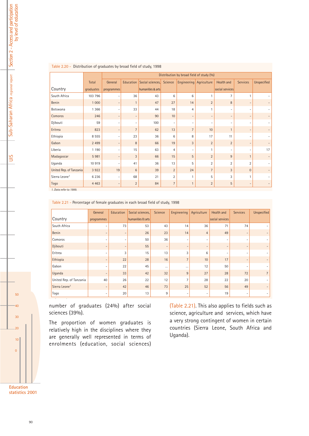| $1001$ $2.20$ $3.5010$ and $0101$ and $0100$ and $0100$ and $0100$ and $0100$ |              |            |                          |                          |                |                                          |                          |                          |                          |                          |
|-------------------------------------------------------------------------------|--------------|------------|--------------------------|--------------------------|----------------|------------------------------------------|--------------------------|--------------------------|--------------------------|--------------------------|
|                                                                               |              |            |                          |                          |                | Distribution by broad field of study (%) |                          |                          |                          |                          |
|                                                                               | <b>Total</b> | General    | Education                | Social sciences, Science |                | Engineering Agriculture                  |                          | <b>Health and</b>        | <b>Services</b>          | <b>Unspecified</b>       |
| Country                                                                       | graduates    | programmes |                          | humanities & arts        |                |                                          |                          | social services          |                          |                          |
| South Africa                                                                  | 103 796      |            | 36                       | 43                       | 6              | 6                                        | $\mathbf{1}$             | $\overline{7}$           | 1                        |                          |
| <b>Benin</b>                                                                  | 1 0 0 0      |            | $\mathbf{1}$             | 47                       | 27             | 14                                       | $\overline{2}$           | 8                        | $\overline{a}$           |                          |
| Botswana                                                                      | 1 3 6 6      |            | 33                       | 44                       | 18             | $\overline{4}$                           | 1                        | $\overline{\phantom{a}}$ | $\overline{a}$           |                          |
| Comoros                                                                       | 246          |            | $\overline{\phantom{a}}$ | 90                       | 10             | $\overline{\phantom{a}}$                 | $\overline{\phantom{a}}$ | $\qquad \qquad -$        | $\overline{a}$           |                          |
| Djibouti                                                                      | 59           |            | $\overline{\phantom{a}}$ | 100                      | $\overline{a}$ | $\overline{a}$                           | $\overline{\phantom{a}}$ | $\overline{\phantom{a}}$ | $\overline{a}$           |                          |
| Eritrea                                                                       | 823          |            | $\overline{7}$           | 62                       | 13             | $\overline{7}$                           | 10                       | $\mathbf{1}$             | $\overline{\phantom{a}}$ |                          |
| Ethiopia                                                                      | 8 5 5 5      |            | 23                       | 36                       | 6              | 8                                        | 17                       | 11                       | $\overline{a}$           |                          |
| Gabon                                                                         | 2 4 9 9      |            | 8                        | 66                       | 19             | $\mathbf{3}$                             | $\overline{2}$           | $\overline{2}$           | $\overline{a}$           |                          |
| Liberia                                                                       | 1 1 9 0      |            | 15                       | 63                       | 4              | $\overline{a}$                           | 1                        | $\overline{\phantom{a}}$ |                          | 17                       |
| Madagascar                                                                    | 5981         |            | 3                        | 66                       | 15             | 5                                        | $\overline{2}$           | 9                        | $\mathbf{1}$             |                          |
| Uganda                                                                        | 10 919       |            | 41                       | 36                       | 13             | 5                                        | $\overline{2}$           | $\overline{2}$           | $\overline{2}$           |                          |
| United Rep. of Tanzania                                                       | 3922         | 19         | 6                        | 39                       | $\overline{2}$ | 24                                       | $\overline{7}$           | 3                        | $\Omega$                 |                          |
| Sierra Leone <sup>1</sup>                                                     | 6 2 3 6      |            | 68                       | 21                       | $\overline{2}$ | 1                                        | 5                        | 3                        | 1                        |                          |
| Togo                                                                          | 4 4 6 3      |            | $\overline{2}$           | 84                       | $\overline{7}$ | $\mathbf{1}$                             | $\overline{2}$           | 5                        | $\overline{\phantom{a}}$ | $\overline{\phantom{m}}$ |

#### Table 2.20 - Distribution of graduates by broad field of study, 1998

*1. Data refer to 1999.*

Table 2.21 - Percentage of female graduates in each broad field of study, 1998

|                           | General                  | Education                | Social sciences,  | <b>Science</b>           | Engineering              | Agriculture              | Health and      | <b>Services</b>          | Unspecified    |
|---------------------------|--------------------------|--------------------------|-------------------|--------------------------|--------------------------|--------------------------|-----------------|--------------------------|----------------|
| Country                   | programmes               |                          | humanities & arts |                          |                          |                          | social services |                          |                |
| South Africa              | -                        | 73                       | 53                | 43                       | 14                       | 36                       | 71              | 74                       |                |
| <b>Benin</b>              | $\overline{\phantom{0}}$ | $\overline{\phantom{0}}$ | 26                | 23                       | 14                       | $\overline{4}$           | 49              | $\overline{\phantom{0}}$ |                |
| Comoros                   | $\overline{a}$           | $\overline{\phantom{0}}$ | 50                | 36                       | -                        | $\overline{\phantom{0}}$ |                 | $\overline{\phantom{0}}$ |                |
| Djibouti                  | $\overline{\phantom{0}}$ | $\overline{\phantom{0}}$ | 55                | $\overline{\phantom{a}}$ | ۰                        | $\overline{\phantom{a}}$ |                 | $\overline{\phantom{0}}$ |                |
| Eritrea                   | $\overline{\phantom{0}}$ | 3                        | 15                | 13                       | 3                        | 6                        |                 | $\overline{\phantom{0}}$ |                |
| Ethiopia                  | $\overline{a}$           | 22                       | 28                | 16                       | $\overline{7}$           | 10                       | 17              | $\overline{\phantom{0}}$ |                |
| Gabon                     | $\overline{\phantom{0}}$ | 22                       | 45                | $\cdots$                 | $\cdots$                 | 12                       | 50              | $\overline{\phantom{0}}$ |                |
| Uganda                    | $\overline{\phantom{0}}$ | 33                       | 42                | 32                       | 9                        | 27                       | 28              | 72                       | $\overline{7}$ |
| United Rep. of Tanzania   | 40                       | 26                       | 22                | 12                       | $\overline{7}$           | 28                       | 22              | 20                       |                |
| Sierra Leone <sup>1</sup> | $\qquad \qquad$          | 42                       | 46                | 73                       | 25                       | 52                       | 56              | 49                       |                |
| Togo                      | $\overline{\phantom{0}}$ | 20                       | 13                | 9                        | $\overline{\phantom{a}}$ | $\overline{\phantom{0}}$ | 19              | $\equiv$                 |                |
|                           |                          |                          |                   |                          |                          |                          |                 |                          |                |

number of graduates (24%) after social sciences (39%).

The proportion of women graduates is relatively high in the disciplines where they are generally well represented in terms of enrolments (education, social sciences) (Table 2.21). This also applies to fields such as science, agriculture and services, which have a very strong contingent of women in certain countries (Sierra Leone, South Africa and Uganda).

Sub-Saharan Africa  $_{regional\ report}$  Section 2 - Access and participation Section 2 - Access and participation by level of education

UIS

**Education statistics 2001**

50

40

30

20

10

 $\overline{0}$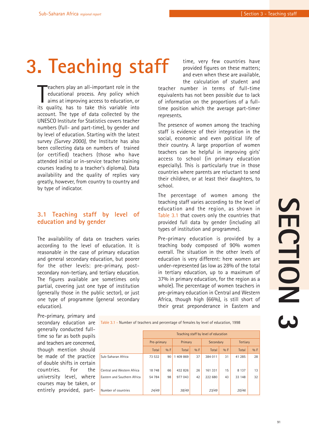# **3. Teaching staff**

**The authority of the set of the set of the set of the set of the set of the set of the set of the set of the set of the set of the set of the set of the set of the set of the set of the set of the set of the set of the se** eachers play an all-important role in the educational process. Any policy which aims at improving access to education, or account. The type of data collected by the UNESCO Institute for Statistics covers teacher numbers (full- and part-time), by gender and by level of education. Starting with the latest survey *(Survey 2000)*, the Institute has also been collecting data on numbers of trained (or certified) teachers (those who have attended initial or in-service teacher training courses leading to a teacher's diploma). Data availability and the quality of replies vary greatly, however, from country to country and by type of indicator.

### **3.1 Teaching staff by level of education and by gender**

The availability of data on teachers varies according to the level of education. It is reasonable in the case of primary education and general secondary education, but poorer for the other levels: pre-primary, postsecondary non-tertiary, and tertiary education. The figures available are sometimes only partial, covering just one type of institution (generally those in the public sector), or just one type of programme (general secondary education).

**Eastern and Southern Africa** 

Number of countries

time, very few countries have provided figures on these matters; and even when these are available, the calculation of student and

teacher number in terms of full-time equivalents has not been possible due to lack of information on the proportions of a fulltime position which the average part-timer represents.

The presence of women among the teaching staff is evidence of their integration in the social, economic and even political life of their country. A large proportion of women teachers can be helpful in improving girls' access to school (in primary education especially). This is particularly true in those countries where parents are reluctant to send their children, or at least their daughters, to school.

The percentage of women among the teaching staff varies according to the level of education and the region, as shown in Table 3.1 that covers only the countries that provided full data by gender (including all types of institution and programme).

Pre-primary education is provided by a teaching body composed of 90% women overall. The situation in the other levels of education is very different: here women are under-represented (as low as 28% of the total in tertiary education, up to a maximum of 37% in primary education, for the region as a whole). The percentage of women teachers in pre-primary education in Central and Western Africa, though high (66%), is still short of their great preponderance in Eastern and

**SECTION 3 SECTION** 

Pre-primary, primary and secondary education are generally conducted fulltime so far as both pupils and teachers are concerned, though mention should be made of the practice of double shifts in certain countries. For the university level, where courses may be taken, or entirely provided, part-

|                            |             | Teaching staff by level of education |         |         |           |         |          |         |  |  |  |  |
|----------------------------|-------------|--------------------------------------|---------|---------|-----------|---------|----------|---------|--|--|--|--|
|                            | Pre-primary |                                      | Primary |         | Secondary |         | Tertiary |         |  |  |  |  |
|                            | Total       | $0/0$ F                              | Total   | $0/0$ F | Total     | $9/0$ F | Total    | $0/0$ F |  |  |  |  |
| Sub-Saharan Africa         | 73 532      | 90                                   | 409 869 | 37      | 384 011   | 31      | 41 285   | 28      |  |  |  |  |
| Central and Western Africa | 18 748      | 66                                   | 432 826 | 26      | 161 331   | 15      | 8 1 3 7  | 13      |  |  |  |  |

Table 3.1 - Number of teachers and percentage of females by level of education, 1998

977 043

42

222 680

43

33 148

32

*20/46*

*23/49*

*38/49*

98

54 784

*24/49*

91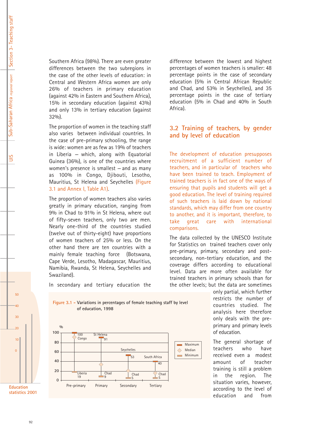UIS

Southern Africa (98%). There are even greater differences between the two subregions in the case of the other levels of education: in Central and Western Africa women are only 26% of teachers in primary education (against 42% in Eastern and Southern Africa), 15% in secondary education (against 43%) and only 13% in tertiary education (against 32%).

The proportion of women in the teaching staff also varies between individual countries. In the case of pre-primary schooling, the range is wide: women are as few as 19% of teachers in Liberia  $-$  which, along with Equatorial Guinea (36%), is one of the countries where women's presence is smallest  $-$  and as many as 100% in Congo, Djibouti, Lesotho, Mauritius, St Helena and Seychelles (Figure 3.1 and Annex I, Table A1).

The proportion of women teachers also varies greatly in primary education, ranging from 9% in Chad to 91% in St Helena, where out of fifty-seven teachers, only two are men. Nearly one-third of the countries studied (twelve out of thirty-eight) have proportions of women teachers of 25% or less. On the other hand there are ten countries with a mainly female teaching force (Botswana, Cape Verde, Lesotho, Madagascar, Mauritius, Namibia, Rwanda, St Helena, Seychelles and Swaziland).

In secondary and tertiary education the

difference between the lowest and highest percentages of women teachers is smaller: 48 percentage points in the case of secondary education (5% in Central African Republic and Chad, and 53% in Seychelles), and 35 percentage points in the case of tertiary education (5% in Chad and 40% in South Africa).

### **3.2 Training of teachers, by gender and by level of education**

The development of education presupposes recruitment of a sufficient number of teachers, and in particular of teachers who have been trained to teach. Employment of trained teachers is in fact one of the ways of ensuring that pupils and students will get a good education. The level of training required of such teachers is laid down by national standards, which may differ from one country to another, and it is important, therefore, to take great care with international comparisons.

The data collected by the UNESCO Institute for Statistics on trained teachers cover only pre-primary, primary, secondary and postsecondary, non-tertiary education, and the coverage differs according to educational level. Data are more often available for trained teachers in primary schools than for the other levels; but the data are sometimes

> only partial, which further restricts the number of countries studied. The analysis here therefore only deals with the preprimary and primary levels of education.

> The general shortage of teachers who have received even a modest amount of teacher training is still a problem in the region. The situation varies, however, according to the level of education and from





 $50$ 

40

30

 $\overline{20}$ 

10

 $\Omega$ 

**Education statistics 2001**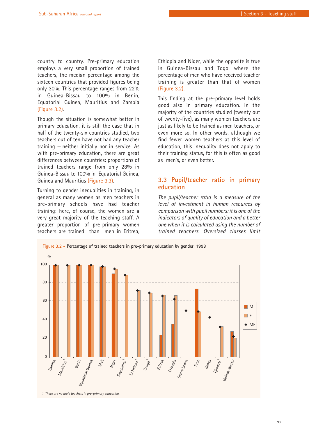country to country. Pre-primary education employs a very small proportion of trained teachers, the median percentage among the sixteen countries that provided figures being only 30%. This percentage ranges from 22% in Guinea-Bissau to 100% in Benin, Equatorial Guinea, Mauritius and Zambia (Figure 3.2).

Though the situation is somewhat better in primary education, it is still the case that in half of the twenty-six countries studied, two teachers out of ten have not had any teacher training  $-$  neither initially nor in service. As with pre-primary education, there are great differences between countries: proportions of trained teachers range from only 28% in Guinea-Bissau to 100% in Equatorial Guinea, Guinea and Mauritius (Figure 3.3).

Turning to gender inequalities in training, in general as many women as men teachers in pre-primary schools have had teacher training: here, of course, the women are a very great majority of the teaching staff. A greater proportion of pre-primary women teachers are trained than men in Eritrea, Ethiopia and Niger, while the opposite is true in Guinea-Bissau and Togo, where the percentage of men who have received teacher training is greater than that of women (Figure 3.2).

This finding at the pre-primary level holds good also in primary education. In the majority of the countries studied (twenty out of twenty-five), as many women teachers are just as likely to be trained as men teachers, or even more so. In other words, although we find fewer women teachers at this level of education, this inequality does not apply to their training status, for this is often as good as men's, or even better.

### **3.3 Pupil/teacher ratio in primary education**

*The pupil/teacher ratio is a measure of the level of investment in human resources by comparison with pupil numbers: it is one of the indicators of quality of education and a better one when it is calculated using the number of trained teachers. Oversized classes limit*

**Figure 3.2 - Percentage of trained teachers in pre-primary education by gender, 1998** 

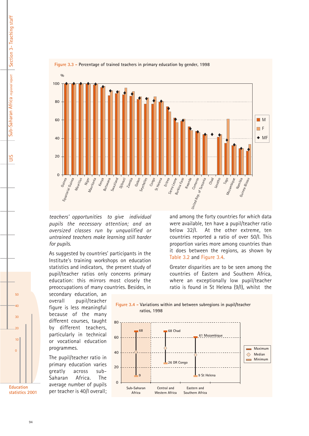

#### **Figure 3.3 - Percentage of trained teachers in primary education by gender, 1998**

*teachers' opportunities to give individual pupils the necessary attention; and an oversized classes run by unqualified or untrained teachers make learning still harder for pupils.*

As suggested by countries' participants in the Institute's training workshops on education statistics and indicators, the present study of pupil/teacher ratios only concerns primary education: this mirrors most closely the preoccupations of many countries. Besides, in

secondary education, an overall pupil/teacher figure is less meaningful because of the many different courses, taught by different teachers, particularly in technical or vocational education programmes.

The pupil/teacher ratio in primary education varies greatly across sub-Saharan Africa. The average number of pupils per teacher is 40/I overall;

and among the forty countries for which data were available, ten have a pupil/teacher ratio below 32/I. At the other extreme, ten countries reported a ratio of over 50/I. This proportion varies more among countries than it does between the regions, as shown by Table 3.2 and Figure 3.4.

Greater disparities are to be seen among the countries of Eastern and Southern Africa, where an exceptionally low pupil/teacher ratio is found in St Helena (9/I), whilst the



**Education statistics 2001**

 $50$ 

40

30

 $\overline{20}$ 

10

 $\Omega$ 

UIS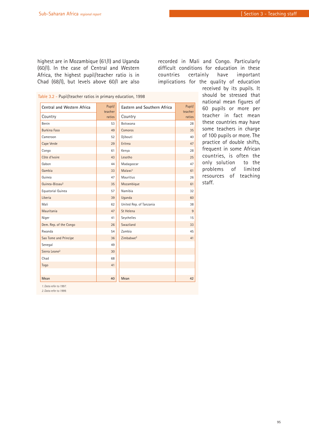highest are in Mozambique (61/I) and Uganda (60/I). In the case of Central and Western Africa, the highest pupil/teacher ratio is in Chad (68/I), but levels above 60/I are also recorded in Mali and Congo. Particularly difficult conditions for education in these countries certainly have important implications for the quality of education

| Table 3.2 - Pupil/teacher ratios in primary education, 1998 |                   |                             |                   |
|-------------------------------------------------------------|-------------------|-----------------------------|-------------------|
| Central and Western Africa                                  | Pupil/<br>teacher | Eastern and Southern Africa | Pupil/<br>teacher |
| Country                                                     | ratios            | Country                     | ratios            |
| Benin                                                       | 53                | Botswana                    | 28                |
| <b>Burkina Faso</b>                                         | 49                | Comoros                     | 35                |
| Cameroon                                                    | 52                | Djibouti                    | 40                |
| Cape Verde                                                  | 29                | Eritrea                     | 47                |
| Congo                                                       | 61                | Kenya                       | 28                |
| Côte d'Ivoire                                               | 43                | Lesotho                     | 25                |
| Gabon                                                       | 44                | Madagascar                  | 47                |
| Gambia                                                      | 33                | Malawi <sup>1</sup>         | 61                |
| Guinea                                                      | 47                | <b>Mauritius</b>            | 26                |
| Guinea-Bissau <sup>2</sup>                                  | 35                | Mozambique                  | 61                |
| Equatorial Guinea                                           | 57                | Namibia                     | 32                |
| Liberia                                                     | 39                | Uganda                      | 60                |
| Mali                                                        | 62                | United Rep. of Tanzania     | 38                |
| Mauritania                                                  | 47                | St Helena                   | $\overline{9}$    |
| Niger                                                       | 41                | Seychelles                  | 15                |
| Dem. Rep. of the Congo                                      | 26                | Swaziland                   | 33                |
| Rwanda                                                      | 54                | Zambia                      | 45                |
| Sao Tome and Principe                                       | 36                | Zimbabwe <sup>2</sup>       | 41                |
| Senegal                                                     | 49                |                             |                   |
| Sierra Leone <sup>2</sup>                                   | 30                |                             |                   |
| Chad                                                        | 68                |                             |                   |
| Togo                                                        | 41                |                             |                   |
|                                                             |                   |                             |                   |
| Mean                                                        | 40                | Mean                        | 42                |

received by its pupils. It should be stressed that national mean figures of 60 pupils or more per teacher in fact mean these countries may have some teachers in charge of 100 pupils or more. The practice of double shifts, frequent in some African countries, is often the only solution to the problems of limited resources of teaching staff.

*1. Data refer to 1997.*

*2. Data refer to 1999.*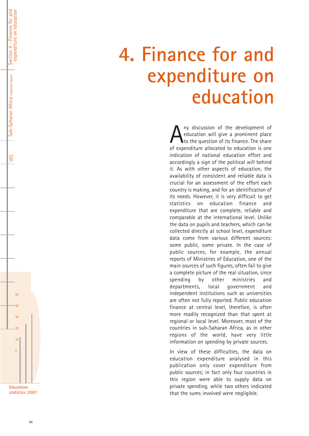# **4. Finance for and expenditure on education**

Any discussion of the development of<br>education will give a prominent place<br>of expenditure allocated to education is one education will give a prominent place  $\blacksquare$  to the question of its finance. The share of expenditure allocated to education is one indication of national education effort and accordingly a sign of the political will behind it. As with other aspects of education, the availability of consistent and reliable data is crucial for an assessment of the effort each country is making, and for an identification of its needs. However, it is very difficult to get statistics on education finance and expenditure that are complete, reliable and comparable at the international level. Unlike the data on pupils and teachers, which can be collected directly at school level, expenditure data come from various different sources: some public, some private. In the case of public sources, for example, the annual reports of Ministries of Education, one of the main sources of such figures, often fail to give a complete picture of the real situation, since spending by other ministries and departments, local government and independent institutions such as universities are often not fully reported. Public education finance at central level, therefore, is often more readily recognized than that spent at regional or local level. Moreover, most of the countries in sub-Saharan Africa, as in other regions of the world, have very little information on spending by private sources.

In view of these difficulties, the data on education expenditure analysed in this publication only cover expenditure from public sources; in fact only four countries in this region were able to supply data on private spending, while two others indicated that the sums involved were negligible.



 $50$ 

Section 4 - Finance for and expenditure on education

Section 4 - Finance for and<br>expenditure on education

Sub-Saharan Africa *regional report*

Sub-Saharan Africa regional report

UIS

40

30

 $\overline{20}$ 

 $\begin{array}{c}\n10 \\
0\n\end{array}$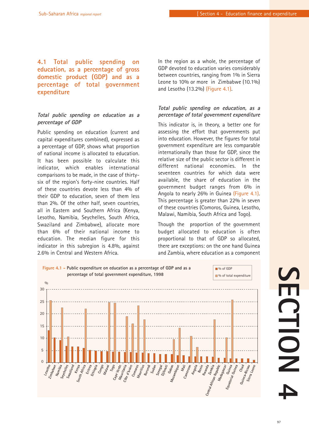### **4.1 Total public spending on education, as a percentage of gross domestic product (GDP) and as a percentage of total government expenditure**

### *Total public spending on education as a percentage of GDP*

Public spending on education (current and capital expenditures combined), expressed as a percentage of GDP, shows what proportion of national income is allocated to education. It has been possible to calculate this indicator, which enables international comparisons to be made, in the case of thirtysix of the region's forty-nine countries. Half of these countries devote less than 4% of their GDP to education, seven of them less than 2%. Of the other half, seven countries, all in Eastern and Southern Africa (Kenya, Lesotho, Namibia, Seychelles, South Africa, Swaziland and Zimbabwe), allocate more than 6% of their national income to education. The median figure for this indicator in this subregion is 4.8%, against 2.6% in Central and Western Africa.

In the region as a whole, the percentage of GDP devoted to education varies considerably between countries, ranging from 1% in Sierra Leone to 10% or more in Zimbabwe (10.1%) and Lesotho (13.2%) (Figure 4.1) .

### *Total public spending on education, as a percentage of total government expenditure*

This indicator is, in theory, a better one for assessing the effort that governments put into education. However, the figures for total government expenditure are less comparable internationally than those for GDP, since the relative size of the public sector is different in different national economies. In the seventeen countries for which data were available, the share of education in the government budget ranges from 6% in Angola to nearly 26% in Guinea (Figure 4.1) . This percentage is greater than 22% in seven of these countries (Comoros, Guinea, Lesotho, Malawi, Namibia, South Africa and Togo).

Though the proportion of the government budget allocated to education is often proportional to that of GDP so allocated, there are exceptions: on the one hand Guinea and Zambia, where education as a component

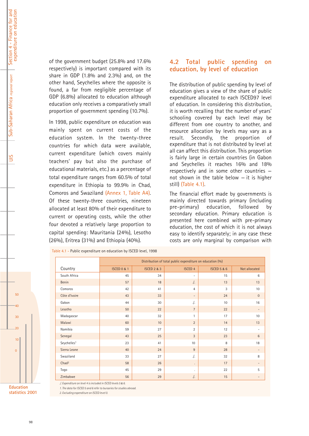Sub-Saharan Africa *regional report*

Sub-Saharan Africa regional report

UIS

of the government budget (25.8% and 17.6% respectively) is important compared with its share in GDP (1.8% and 2.3%) and, on the other hand, Seychelles where the opposite is found, a far from negligible percentage of GDP (6.8%) allocated to education although education only receives a comparatively small proportion of government spending (10.7%).

In 1998, public expenditure on education was mainly spent on current costs of the education system. In the twenty-three countries for which data were available, current expenditure (which covers mainly teachers' pay but also the purchase of educational materials, etc.) as a percentage of total expenditure ranges from 60.5% of total expenditure in Ethiopia to 99.9% in Chad, Comoros and Swaziland (Annex 1, Table A4). Of these twenty-three countries, nineteen allocated at least 80% of their expenditure to current or operating costs, while the other four devoted a relatively large proportion to capital spending: Mauritania (24%), Lesotho (26%), Eritrea (31%) and Ethiopia (40%).

### **4.2 Total public spending on education, by level of education**

The distribution of public spending by level of education gives a view of the share of public expenditure allocated to each ISCED97 level of education. In considering this distribution, it is worth recalling that the number of years' schooling covered by each level may be different from one country to another, and resource allocation by levels may vary as a result. Secondly, the proportion of expenditure that is not distributed by level at all can affect this distribution. This proportion is fairly large in certain countries (in Gabon and Seychelles it reaches 16% and 18% respectively and in some other countries  $$ not shown in the table below  $-$  it is higher still) (Table 4.1).

The financial effort made by governments is mainly directed towards primary (including pre-primary) education, followed by secondary education. Primary education is presented here combined with pre-primary education, the cost of which it is not always easy to identify separately; in any case these costs are only marginal by comparison with

|                         |                        |                        | Distribution of total public expenditure on education (%) |                        |                          |
|-------------------------|------------------------|------------------------|-----------------------------------------------------------|------------------------|--------------------------|
| Country                 | <b>ISCED 0 &amp; 1</b> | <b>ISCED 2 &amp; 3</b> | <b>ISCED 4</b>                                            | <b>ISCED 5 &amp; 6</b> | Not allocated            |
| South Africa            | 45                     | 34                     | $\overline{\phantom{a}}$                                  | 15                     | 6                        |
| <b>Benin</b>            | 57                     | 18                     | $.$ /                                                     | 13                     | 13                       |
| Comoros                 | 42                     | 41                     | $\overline{4}$                                            | 3                      | 10                       |
| Côte d'Ivoire           | 43                     | 33                     | $\overline{\phantom{a}}$                                  | 24                     | $\mathbf 0$              |
| Gabon                   | 44                     | 30                     | $\cdot$ /.                                                | 10                     | 16                       |
| Lesotho                 | 50                     | 22                     | $\overline{7}$                                            | 22                     | $\overline{\phantom{a}}$ |
| Madagascar              | 40                     | 32                     | $\mathbf{1}$                                              | 17                     | 10                       |
| Malawi                  | 60                     | 10                     | $\overline{2}$                                            | 14                     | 13                       |
| Namibia                 | 59                     | 27                     | $\overline{2}$                                            | 12                     | $\overline{\phantom{a}}$ |
| Senegal                 | 43                     | 25                     | 3                                                         | 23                     | $6\,$                    |
| Seychelles <sup>1</sup> | 23                     | 41                     | 10                                                        | 8                      | 18                       |
| Sierra Leone            | 40                     | 24                     | 9                                                         | 28                     | $\overline{\phantom{a}}$ |
| Swaziland               | 33                     | 27                     | $\cdot$ /.                                                | 32                     | 8                        |
| Chad <sup>2</sup>       | 58                     | 26                     | $\bullet$                                                 | 17                     | $\overline{\phantom{0}}$ |
| Togo                    | 45                     | 29                     | $\mathbf{r}$                                              | 22                     | 5                        |
| Zimbabwe                | 56                     | 29                     | $.$ /                                                     | 15                     | $\overline{\phantom{a}}$ |

*./. Expenditure on level 4 is included in ISCED levels 5 & 6.* 

*1. The data for ISCED 5 and 6 refer to bursaries for studies abroad.* 

*2. Excluding expenditure on ISCED level 0.* 

Table 4.1 - Public expenditure on education by ISCED level, 1998

 $50$ 

40

30

 $\overline{20}$ 

10

 $\Omega$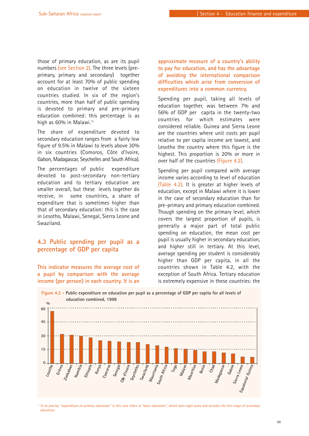those of primary education, as are its pupil numbers (see Section 2). The three levels (preprimary, primary and secondary) together account for at least 70% of public spending on education in twelve of the sixteen countries studied. In six of the region's countries, more than half of public spending is devoted to primary and pre-primary education combined: this percentage is as high as 60% in Malawi.<sup>12</sup>

The share of expenditure devoted to secondary education ranges from a fairly low figure of 9.5% in Malawi to levels above 30% in six countries (Comoros, Côte d'Ivoire, Gabon, Madagascar, Seychelles and South Africa).

The percentages of public expenditure devoted to post-secondary non-tertiary education and to tertiary education are smaller overall, but these levels together do receive, in some countries, a share of expenditure that is sometimes higher than that of secondary education: this is the case in Lesotho, Malawi, Senegal, Sierra Leone and Swaziland.

### **4.3 Public spending per pupil as a percentage of GDP per capita**

**This indicator measures the average cost of a pupil by comparison with the average income (per person) in each country. It is an**

**approximate measure of a country's ability to pay for education, and has the advantage of avoiding the international comparison difficulties which arise from conversion of expenditures into a common currency.** 

Spending per pupil, taking all levels of education together, was between 7% and 56% of GDP per capita in the twenty-two countries for which estimates were considered reliable. Guinea and Sierra Leone are the countries where unit costs per pupil relative to per capita income are lowest, and Lesotho the country where this figure is the highest. This proportion is 20% or more in over half of the countries (Figure 4.2).

Spending per pupil compared with average income varies according to level of education (Table 4.2). It is greater at higher levels of education, except in Malawi where it is lower in the case of secondary education than for pre-primary and primary education combined. Though spending on the primary level, which covers the largest proportion of pupils, is generally a major part of total public spending on education, the mean cost per pupil is usually higher in secondary education, and higher still in tertiary. At this level, average spending per student is considerably higher than GDP per capita, in all the countries shown in Table 4.2, with the exception of South Africa. Tertiary education is extremely expensive in these countries: the



<sup>12</sup> To be precise, "expenditure on primary education" in this case refers to "basic education", which lasts eight years and includes the first stage of secondary *education.*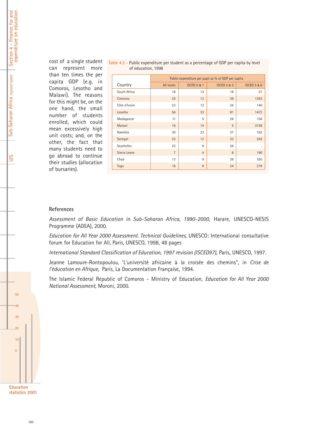Section 4 - Finance for and<br>expenditure on education Section 4 - Finance for and expenditure on education

Sub-Saharan Africa regional report Sub-Saharan Africa *regional report*

UIS

50

40

30

20

10

0

cost of a single student can represent more than ten times the per capita GDP (e.g. in Comoros, Lesotho and Malawi). The reasons for this might be, on the one hand, the small number of students enrolled, which could mean excessively high unit costs; and, on the other, the fact that many students need to go abroad to continue their studies (allocation of bursaries).

| Table 4.2 - Public expenditure per student as a percentage of GDP per capita by level |  |  |
|---------------------------------------------------------------------------------------|--|--|
| of education, 1998                                                                    |  |  |

|               |                |                        | Public expenditure per pupil as % of GDP per capita |                        |
|---------------|----------------|------------------------|-----------------------------------------------------|------------------------|
| Country       | All levels     | <b>ISCED 0 &amp; 1</b> | <b>ISCED 2 &amp; 3</b>                              | <b>ISCED 5 &amp; 6</b> |
| South Africa  | 18             | 13                     | 18                                                  | 57                     |
| Comoros       | 24             | 13                     | 39                                                  | 1393                   |
| Côte d'Ivoire | 23             | 13                     | 34                                                  | 140                    |
| Lesotho       | 56             | 33                     | 81                                                  | 1472                   |
| Madagascar    | 11             | 5                      | 26                                                  | 156                    |
| Malawi        | 16             | 14                     | 5                                                   | 2158                   |
| Namibia       | 30             | 23                     | 37                                                  | 162                    |
| Senegal       | 23             | 12                     | 33                                                  | 245                    |
| Seychelles    | 23             | 9                      | 26                                                  |                        |
| Sierra Leone  | $\overline{7}$ | $\overline{4}$         | 8                                                   | 190                    |
| Chad          | 13             | 9                      | 26                                                  | 350                    |
| Togo          | 16             | 9                      | 24                                                  | 279                    |

### **References**

*Assessment of Basic Education in Sub-Saharan Africa, 1990-2000*, Harare, UNESCO-NESIS Programme (ADEA), 2000.

*Education for All Year 2000 Assessment. Technical Guidelines,* UNESCO: International consultative forum for Education for All, Paris, UNESCO, 1998, 48 pages

*International Standard Classification of Education, 1997 revision (ISCED97)*, Paris, UNESCO, 1997.

Jeanne Lamoure-Rontopoulou, 'L'université africaine à la croisée des chemins", in *Crise de l'éducation en Afrique,* Paris, La Documentation Française, 1994.

The Islamic Federal Republic of Comoros - Ministry of Education, *Education for All Year 2000 National Assessment*, Moroni, 2000.

**Education statistics 2001**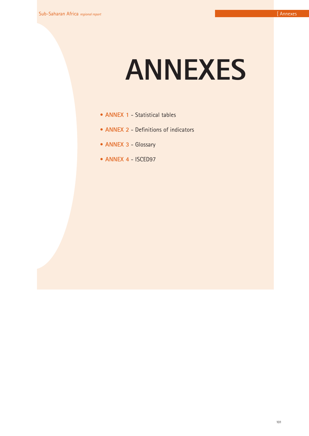# **ANNEXES**

- **ANNEX 1** Statistical tables
- **ANNEX 2** Definitions of indicators
- **ANNEX 3** Glossary
- **ANNEX 4** ISCED97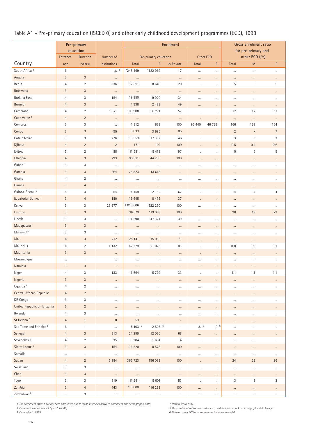# Table A1 - Pre-primary education (ISCED 0) and other early childhood development programmes (ECD), 1998

|                                |                           | Pre-primary     |                |           |                       | <b>Enrolment</b>         |                      |                |                | Gross enrolment ratio |              |
|--------------------------------|---------------------------|-----------------|----------------|-----------|-----------------------|--------------------------|----------------------|----------------|----------------|-----------------------|--------------|
|                                |                           | education       |                |           |                       |                          |                      |                |                | for pre-primary and   |              |
|                                | Entrance                  | <b>Duration</b> | Number of      |           | Pre-primary education |                          | <b>Other ECD</b>     |                |                | other ECD (%)         |              |
| Country                        | age                       | (years)         | institutions   | Total     | F                     | % Private                | Total                | F.             | Total          | M                     | F            |
| South Africa <sup>1</sup>      | $\,6\,$                   | $\mathbf{1}$    | .12            | *248 469  | *122 969              | 17                       | $\cdots$             | $\cdots$       | $\ldots$       | $\cdots$              | $\cdots$     |
| Angola                         | $\sqrt{3}$                | $\mathbf{3}$    | $\cdots$       | $\cdots$  | $\cdots$              | $\cdots$                 | $\cdots$             | $\cdots$       | $\cdots$       | $\cdots$              | $\cdots$     |
| Benin                          | $\overline{4}$            | $\overline{2}$  | 336            | 17891     | 8 6 4 9               | 20                       | $\ddot{\phantom{a}}$ | $\cdot$        | 5              | 5                     | 5            |
| Botswana                       | $\mathbf{3}$              | $\mathbf{3}$    | $\ldots$       | $\ldots$  | $\ldots$              | $\ldots$                 | $\ldots$             | $\ldots$       | $\ldots$       | $\cdots$              |              |
| Burkina Faso                   | $\overline{4}$            | 3               | 154            | 19 850    | 9920                  | 34                       | $\cdots$             | $\ldots$       |                | $\cdots$              |              |
| Burundi                        | $\overline{4}$            | 3               | $\ldots$       | 4938      | 2 4 8 3               | 49                       | $\cdots$             | $\cdots$       | $\cdots$       | $\cdots$              | $\cdots$     |
| Cameroon                       | $\overline{4}$            | $\overline{2}$  | 1 3 7 1        | 103 908   | 50 271                | 57                       |                      |                | 12             | 12                    | 11           |
| Cape Verde <sup>1</sup>        | $\overline{4}$            | $\overline{2}$  | $\cdots$       | $\cdots$  | $\ldots$              | $\ldots$                 | ÷,                   | $\mathcal{L}$  | $\ldots$       | $\ldots$              | $\cdots$     |
| Comoros                        | 3                         | 3               | $\cdots$       | 1 3 1 2   | 669                   | 100                      | 95 440               | 46 729         | 166            | 169                   | 164          |
| Congo                          | $\mathbf{3}$              | $\mathbf{3}$    | 95             | 6 0 3 3   | 3 6 9 5               | 85                       | l,                   | $\blacksquare$ | $\sqrt{2}$     | $\overline{2}$        | $\mathbf{3}$ |
| Côte d'Ivoire                  | $\sqrt{3}$                | 3               | 276            | 35 553    | 17 387                | 46                       |                      |                | 3              | 3                     | 3            |
| Djibouti                       | $\overline{4}$            | $\overline{2}$  | $\overline{2}$ | 171       | 102                   | 100                      |                      | ÷.             | 0.5            | 0.4                   | 0.6          |
| Eritrea                        | 5                         | $\overline{2}$  | 88             | 11 581    | 5 4 1 3               | 97                       |                      | $\cdot$        | 5              | $\,6$                 | $\sqrt{5}$   |
| Ethiopia                       | $\overline{4}$            | $\mathbf{3}$    | 793            | 90 321    | 44 230                | 100                      | $\cdots$             | $\cdots$       |                | $\cdots$              | $\cdots$     |
| Gabon <sup>1</sup>             | 3                         | 3               | $\ldots$       | $\ldots$  | $\cdots$              | $\cdots$                 | $\ldots$             | $\ldots$       | $\ldots$       | $\cdots$              | $\cdots$     |
| Gambia                         | $\mathbf{3}$              | $\mathbf{3}$    | 264            | 28 8 23   | 13 618                | $\ldots$                 | $\ldots$             | $\ldots$       |                | $\ldots$              |              |
| Ghana                          | $\overline{4}$            | $\overline{2}$  | $\ldots$       | $\cdots$  | $\ldots$              | $\ldots$                 | $\cdots$             | $\ldots$       |                | $\cdots$              | $\cdots$     |
| Guinea                         | $\mathbf{3}$              | $\overline{4}$  | $\cdots$       | $\cdots$  | $\cdots$              | $\cdots$                 | $\cdot$              | $\bullet$      | $\cdots$       | $\cdots$              | $\cdots$     |
| Guinea-Bissau <sup>3</sup>     | $\overline{4}$            | 3               | 54             | 4 1 5 9   | 2 1 3 2               | 62                       |                      | ×.             | $\overline{4}$ | $\overline{4}$        | 4            |
| Equatorial Guinea <sup>1</sup> | $\sqrt{3}$                | $\overline{4}$  | 180            | 16 645    | 8 4 7 5               | 37                       | ÷,                   | $\epsilon$     | $\cdots$       | $\cdots$              | $\cdots$     |
| Kenya                          | $\sqrt{3}$                | 3               | 23 977         | 1 016 606 | 522 230               | 100                      | $\cdots$             | $\cdots$       | $\cdots$       | $\cdots$              | $\cdots$     |
| Lesotho                        | $\sqrt{3}$                | $\mathbf{3}$    | $\cdots$       | 36 079    | *19 063               | 100                      | ÷,                   | $\cdot$        | 20             | 19                    | 22           |
| Liberia                        | $\sqrt{3}$                | 3               | $\ldots$       | 111 590   | 47 324                | 39                       | $\cdots$             | $\cdots$       |                | $\cdots$              | $\cdots$     |
| Madagascar                     | $\sqrt{3}$                | $\mathbf{3}$    | $\cdots$       | $\cdots$  | $\cdots$              | $\cdots$                 | $\cdots$             | $\cdots$       | $\cdots$       | $\cdots$              | $\cdots$     |
| Malawi <sup>1,4</sup>          | 3                         | 3               | $\ldots$       | $\ldots$  | $\ldots$              | $\cdots$                 | $\cdots$             | $\ldots$       | $\ldots$       | $\ldots$              | $\cdots$     |
| Mali                           | $\overline{4}$            | $\mathbf{3}$    | 212            | 25 141    | 15 085                | $*_{1}$                  | $\ldots$             | $\cdots$       |                | $\cdots$              | $\cdots$     |
| Mauritius                      | $\overline{4}$            | $\overline{2}$  | 1 1 3 2        | 42 279    | 21 023                | 83                       |                      | $\cdot$        | 100            | 99                    | 101          |
| Mauritania                     | $\mathbf{3}$              | $\mathbf{3}$    | $\cdots$       | $\cdots$  | $\cdots$              | $\cdots$                 |                      | $\cdot$        | $\ldots$       | $\cdots$              |              |
| Mozambique                     | $\cdots$                  | $\cdots$        | $\cdots$       | $\cdots$  | $\cdots$              | $\cdots$                 | $\cdots$             | $\cdots$       |                | $\cdots$              | $\cdots$     |
| Namibia                        | 3                         | 3               | $\cdots$       | $\cdots$  | $\cdots$              | $\cdots$                 | $\cdots$             | $\cdots$       |                | $\cdots$              |              |
| Niger                          | 4                         | 3               | 133            | 11 564    | 5 7 7 9               | 33                       |                      | ÷,             | 1.1            | 1.1                   | 1.1          |
| Nigeria                        | $\sqrt{3}$                | $\mathbf{3}$    | $\cdots$       | $\cdots$  | $\cdots$              | $\cdots$                 | $\cdots$             | $\cdots$       |                | $\cdots$              | $\cdots$     |
| Uganda <sup>1</sup>            | $\overline{4}$            | $\overline{2}$  | $\cdots$       | $\ldots$  | $\cdots$              | $\cdots$                 | $\cdots$             | $\cdots$       | $\cdots$       | $\ldots$              | $\cdots$     |
| Central African Republic       | $\overline{4}$            | $\overline{2}$  | $\cdots$       | $\cdots$  | $\cdots$              | $\cdots$                 | $\cdot$              | $\bullet$      | $\cdots$       | $\cdots$              | $\cdots$     |
| DR Congo                       | $\sqrt{3}$                | 3               | $\ldots$       | $\cdots$  | $\cdots$              | $\cdots$                 | $\ldots$             | $\ldots$       |                | $\cdots$              | $\cdots$     |
| United Republic of Tanzania    | 5                         | $\overline{2}$  | $\cdots$       | $\cdots$  | $\cdots$              | $\cdots$                 | $\cdots$             | $\cdots$       | $\cdots$       | $\cdots$              |              |
| Rwanda                         | $\overline{4}$            | 3               | $\cdots$       | $\cdots$  | $\ldots$              | $\cdots$                 | $\cdots$             | $\cdots$       | $\ldots$       | $\ldots$              | $\cdots$     |
| St Helena <sup>5</sup>         | $\overline{4}$            | 1               | $\, 8$         | 53        | $\cdots$              | $\equiv$                 | $\cdot$              | $\epsilon$     |                | $\cdots$              | $\cdots$     |
| Sao Tome and Principe 5        | $\,6\,$                   | $\mathbf{1}$    | $\cdots$       | 5 103 6   | 2 503 6               | $\overline{\phantom{a}}$ | $J.$ $^6$            | .1.6           | $\ldots$       | $\cdots$              | $\cdots$     |
| Senegal                        | $\overline{4}$            | $\mathfrak{Z}$  | 313            | 24 29 9   | 12 030                | 68                       | $\cdots$             | $\cdots$       |                | $\cdots$              | $\cdots$     |
| Seychelles 5                   | $\overline{4}$            | $\overline{2}$  | 35             | 3 3 0 4   | 1 604                 | $\overline{4}$           |                      | $\blacksquare$ |                | $\cdots$              | $\cdots$     |
| Sierra Leone <sup>3</sup>      | $\sqrt{3}$                | $\mathbf{3}$    | 154            | 16 520    | 8 5 7 8               | 100                      | $\cdots$             | $\cdots$       | $\cdots$       | $\cdots$              | $\cdots$     |
| Somalia                        | $\cdots$                  | $\cdots$        | $\ldots$       | $\cdots$  | $\ldots$              | $\ldots$                 | $\cdots$             | $\ldots$       | $\cdots$       | $\cdots$              | $\cdots$     |
| Sudan                          | $\overline{4}$            | $\overline{2}$  | 5984           | 365 723   | 196 083               | 100                      | $\ddot{\phantom{a}}$ | ¥,             | 24             | 22                    | 26           |
| Swaziland                      | 3                         | 3               | $\cdots$       | $\cdots$  | $\cdots$              | $\cdots$                 | $\cdot$              | $\cdot$        | $\cdots$       | $\cdots$              | $\cdots$     |
| Chad                           | $\ensuremath{\mathsf{3}}$ | $\mathfrak{Z}$  | $\cdots$       | $\cdots$  | $\cdots$              | $\cdots$                 | $\cdots$             | $\cdots$       |                | $\cdots$              | $\cdots$     |
| Togo                           | $\ensuremath{\mathsf{3}}$ | $\mathfrak{Z}$  | 319            | 11 241    | 5 601                 | 53                       |                      | $\blacksquare$ | 3              | 3                     | 3            |
| Zambia                         | $\mathbf{3}$              | $\overline{4}$  | 443            | *30 000   | *16 263               | 100                      | $\cdots$             | $\cdots$       | $\cdots$       | $\cdots$              | $\cdots$     |
| Zimbabwe 3                     | $\sqrt{3}$                | 3               |                | $\ldots$  | $\ldots$              | $\ldots$                 | $\ldots$             | $\cdots$       |                | $\ldots$              | $\cdots$     |

*1. The enrolment ratios have not been calculated due to inconsistencies between enrolment and demographic data. 2. Data are included in level 1 (see Table A2).* 

*3. Data refer to 1999.* 

*4. Data refer to 1997.* 

*5. The enrolment ratios have not been calculated due to lack of demographic data by age. 6. Data on other ECD programmes are included in level 0.*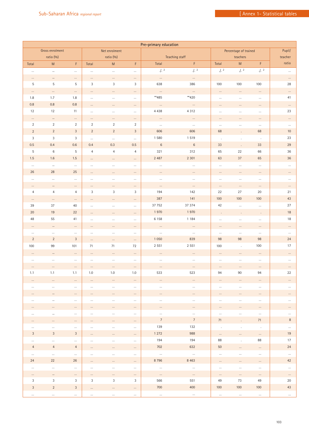|                | Pre-primary education |                |                |                |                |                |                |          |                       |          |          |
|----------------|-----------------------|----------------|----------------|----------------|----------------|----------------|----------------|----------|-----------------------|----------|----------|
|                | Gross enrolment       |                |                | Net enrolment  |                |                |                |          | Percentage of trained |          | Pupil/   |
|                | ratio (%)             |                |                | ratio (%)      |                |                | Teaching staff |          | teachers              |          | teacher  |
| Total          | ${\sf M}$             | F              | Total          | ${\sf M}$      | F.             | Total          | F.             | Total    | ${\sf M}$             | F.       | ratio    |
|                |                       |                |                |                |                | .12            | .1.2           |          |                       |          |          |
| $\cdots$       | $\cdots$              | $\ldots$       | $\ldots$       | $\ldots$       | $\ldots$       |                |                | .12      | .1.2                  | .1.2     | $\cdots$ |
| $\cdots$       | $\cdots$              | $\cdots$       | $\ldots$       | $\cdots$       | $\cdots$       | $\cdots$       | $\cdots$       |          |                       |          | $\cdots$ |
| 5              | 5                     | 5              | 3              | 3              | 3              | 638            | 386            | 100      | 100                   | 100      | 28       |
| $\cdots$       | $\cdots$              | $\cdots$       | $\cdots$       | $\cdots$       | $\cdots$       | $\cdots$       | $\cdots$       | $\cdots$ | $\cdots$              | $\cdots$ | $\cdots$ |
| 1.8            | 1.7                   | 1.8            | $\ldots$       | $\cdots$       | $\cdots$       | $**485$        | $**420$        | $\cdots$ | $\cdots$              | $\cdots$ | 41       |
| $0.8\,$        | $0.8\,$               | $0.8\,$        |                |                |                |                |                |          |                       |          |          |
|                |                       |                | $\cdots$       | $\cdots$       | $\cdots$       | $\cdots$       | $\ldots$       | $\cdots$ | $\cdots$              | $\cdots$ | $\cdots$ |
| 12             | 12                    | 11             | $\ldots$       | $\cdots$       | $\cdots$       | 4 4 3 8        | 4 3 1 2        | $\cdots$ | $\cdots$              | $\cdots$ | 23       |
| $\cdots$       | $\cdots$              | $\cdots$       | $\ldots$       | $\cdots$       | $\cdots$       | $\ldots$       | $\ldots$       | $\cdots$ | $\cdots$              | $\cdots$ | $\cdots$ |
| $\overline{2}$ | $\overline{2}$        | $\overline{2}$ | $\overline{2}$ | $\sqrt{2}$     | $\sqrt{2}$     | $\cdots$       | $\cdots$       | $\cdots$ | $\cdots$              | $\ldots$ | $\cdots$ |
| $\overline{2}$ | $\overline{2}$        | $\mathbf{3}$   | $\overline{2}$ | $\overline{2}$ | 3              | 606            | 606            | 68       |                       | 68       | 10       |
| $\mathbf{3}$   | 3                     | $\sqrt{3}$     | $\cdots$       | $\ldots$       | $\ldots$       | 1 5 8 0        | 1519           | $\cdot$  | $\cdot$               | $\alpha$ | 23       |
| 0.5            | 0.4                   | $0.6\,$        | 0.4            | 0.3            | 0.5            | $\,6\,$        | $\,6\,$        | 33       | $\mathbf{r}$          | 33       | 29       |
| 5              | $\,6\,$               | 5              | $\overline{4}$ | 4              | $\overline{4}$ | 321            | 312            | 65       | $22\,$                | 66       | 36       |
|                |                       |                |                |                |                |                |                |          |                       |          |          |
| 1.5            | 1.6                   | 1.5            | $\ldots$       | $\cdots$       | $\cdots$       | 2 4 8 7        | 2 3 0 1        | 63       | $37\,$                | 65       | 36       |
| $\cdots$       | $\cdots$              | $\cdots$       | $\ldots$       | $\cdots$       | $\cdots$       | $\cdots$       | $\cdots$       | $\cdots$ | $\ldots$              | $\cdots$ | $\ldots$ |
| 26             | 28                    | 25             | $\cdots$       | $\cdots$       | $\cdots$       | $\cdots$       | $\cdots$       | $\cdots$ | $\cdots$              | $\cdots$ | $\cdots$ |
| $\cdots$       | $\ldots$              | $\ldots$       | $\ldots$       | $\ldots$       | $\cdots$       | $\cdots$       | $\ldots$       | $\cdots$ | $\cdots$              | $\ldots$ | $\cdots$ |
| $\cdots$       | $\cdots$              | $\cdots$       | $\cdots$       | $\cdots$       | $\cdots$       | $\cdots$       | $\cdots$       | $\cdots$ | $\ldots$              | $\cdots$ | $\cdots$ |
| $\overline{4}$ | $\overline{4}$        | $\overline{4}$ | 3              | 3              | 3              | 194            | 142            | 22       | 27                    | 20       | 21       |
|                |                       |                |                |                |                | 387            |                |          | 100                   |          |          |
| $\cdots$       | $\ldots$              | $\cdots$       | $\ldots$       | $\cdots$       | $\cdots$       |                | 141            | 100      |                       | 100      | $43\,$   |
| 39             | 37                    | 40             | $\ldots$       | $\ldots$       | $\cdots$       | 37 752         | 37 374         | 42       | $\ldots$              | $\ldots$ | 27       |
| 20             | 19                    | 22             | $\cdots$       | $\cdots$       | $\cdots$       | 1970           | 1970           | $\cdot$  | $\cdot$               | $\cdot$  | 18       |
| 48             | 55                    | 41             | $\ldots$       | $\ldots$       | $\cdots$       | 6 1 5 8        | 1 1 8 4        | $\cdots$ | $\cdots$              | $\ldots$ | 18       |
| $\cdots$       | $\cdots$              | $\cdots$       | $\cdots$       | $\cdots$       | $\cdots$       | $\ldots$       | $\cdots$       | $\cdots$ | $\cdots$              | $\cdots$ | $\cdots$ |
| $\cdots$       | $\cdots$              | $\cdots$       | $\cdots$       | $\cdots$       | $\cdots$       | $\ldots$       | $\ldots$       | $\cdots$ | $\cdots$              | $\cdots$ | $\cdots$ |
| $\overline{2}$ | $\overline{2}$        | $\mathbf{3}$   |                |                |                | 1 0 5 0        | 839            | 98       | 98                    | 98       | 24       |
|                | 99                    | 101            | $\ldots$       | $\cdots$       | $\cdots$       | 2 5 5 1        |                |          |                       |          | 17       |
| 100            |                       |                | 71             | 71             | 72             |                | 2 5 5 1        | 100      | $\mathcal{L}$         | 100      |          |
| $\cdots$       | $\cdots$              | $\cdots$       | $\cdots$       | $\cdots$       | $\cdots$       | $\cdots$       | $\cdots$       | $\cdots$ | $\cdots$              | $\cdots$ | $\cdots$ |
| $\cdots$       | $\cdots$              | $\cdots$       | $\ldots$       | $\cdots$       | $\cdots$       | $\cdots$       | $\cdots$       | $\cdots$ | $\cdots$              | $\cdots$ | $\cdots$ |
| $\cdots$       | $\cdots$              | $\cdots$       | $\cdots$       | $\cdots$       | $\cdots$       | $\cdots$       | $\cdots$       | $\cdots$ | $\cdots$              | $\cdots$ | $\cdots$ |
| 1.1            | 1.1                   | 1.1            | 1.0            | 1.0            | 1.0            | 533            | 523            | 94       | 90                    | 94       | 22       |
| $\cdots$       |                       | $\cdots$       | $\cdots$       | $\cdots$       | $\cdots$       | $\cdots$       |                | $\cdots$ |                       | $\cdots$ |          |
| $\cdots$       | $\cdots$              | $\cdots$       | $\cdots$       | $\cdots$       | $\cdots$       | $\cdots$       | $\cdots$       | $\cdots$ | $\cdots$              | $\cdots$ | $\cdots$ |
|                |                       |                |                |                |                |                |                |          |                       |          |          |
| $\cdots$       | $\cdots$              | $\cdots$       | $\cdots$       | $\cdots$       | $\cdots$       | $\cdots$       | $\cdots$       | $\cdots$ | $\cdots$              | $\cdots$ | $\cdots$ |
| $\cdots$       | $\cdots$              | $\cdots$       | $\cdots$       | $\cdots$       | $\cdots$       | $\cdots$       | $\cdots$       | $\cdots$ | $\cdots$              | $\cdots$ | $\cdots$ |
|                |                       | $\cdots$       | $\cdots$       | $\cdots$       | $\cdots$       | $\cdots$       | $\cdots$       | $\cdots$ | $\cdots$              | $\cdots$ | $\cdots$ |
| $\cdots$       | $\cdots$              | $\cdots$       | $\ldots$       | $\cdots$       | $\cdots$       | $\cdots$       | $\cdots$       | $\ldots$ | $\cdots$              | $\cdots$ | $\ldots$ |
| $\cdots$       | $\cdots$              | $\cdots$       | $\cdots$       | $\cdots$       | $\cdots$       | $\overline{7}$ | $\overline{7}$ | 71       |                       | 71       | 8        |
| $\cdots$       | $\cdots$              | $\cdots$       | $\cdots$       | $\cdots$       | $\cdots$       | 139            | 132            | $\cdot$  | $\cdot$               | $\cdot$  | $\cdots$ |
| 3              | 3                     | 3              |                |                |                | 1 2 7 2        | 988            |          |                       |          | 19       |
|                |                       |                | $\cdots$       | $\cdots$       | $\cdots$       | 194            | 194            | $\cdots$ | $\cdots$              | $\cdots$ | 17       |
| $\cdots$       | $\cdots$              | $\cdots$       | $\cdots$       | $\cdots$       | $\cdots$       |                |                | 88       | $\cdot$               | 88       |          |
| $\overline{4}$ | $\overline{4}$        | $\overline{4}$ | $\cdots$       | $\cdots$       | $\cdots$       | 702            | 632            | 50       | $\cdots$              | $\cdots$ | 24       |
| $\cdots$       | $\cdots$              | $\cdots$       | $\cdots$       | $\cdots$       | $\cdots$       | $\cdots$       | $\cdots$       | $\cdots$ | $\cdots$              | $\cdots$ | $\cdots$ |
| 24             | 22                    | 26             | $\cdots$       | $\cdots$       | $\cdots$       | 8796           | 8 4 6 3        | $\cdots$ | $\cdots$              | $\cdots$ | 42       |
| $\cdots$       | $\cdots$              | $\cdots$       | $\cdots$       | $\cdots$       | $\cdots$       | $\cdots$       | $\cdots$       | $\cdots$ | $\cdots$              | $\cdots$ | $\cdots$ |
| $\cdots$       | $\cdots$              | $\cdots$       | $\cdots$       | $\cdots$       | $\cdots$       | $\cdots$       | $\cdots$       | $\cdots$ | $\cdots$              | $\cdots$ | $\cdots$ |
| 3              | 3                     | 3              | 3              | 3              | 3              | 566            | 551            | 49       | 73                    | 49       | 20       |
|                |                       |                |                |                |                |                |                |          |                       |          |          |
| 3              | $\overline{2}$        | 3              | $\cdots$       | $\cdots$       | $\cdots$       | 700            | 400            | 100      | 100                   | 100      | 43       |
| $\cdots$       | $\cdots$              | $\cdots$       | $\cdots$       | $\cdots$       | $\cdots$       | $\cdots$       | $\cdots$       | $\cdots$ | $\cdots$              | $\cdots$ | $\cdots$ |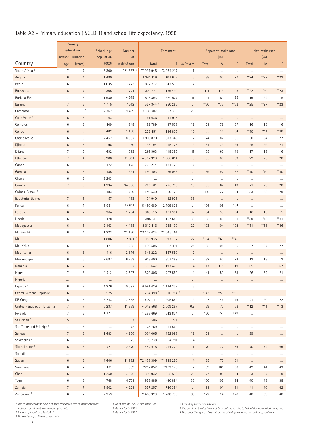# Table A2 - Primary education (ISCED 1) and school life expectancy, 1998

|                                | Primary             |                            |                     |                            |               |                       |                                     |                      |                    |                  |                |                |                |
|--------------------------------|---------------------|----------------------------|---------------------|----------------------------|---------------|-----------------------|-------------------------------------|----------------------|--------------------|------------------|----------------|----------------|----------------|
|                                |                     | education                  | School-age          | <b>Number</b>              |               |                       | Apparent intake rate                |                      | Net intake rate    |                  |                |                |                |
|                                | Entrance Duration   |                            | population          | of                         |               |                       |                                     |                      | (0/0)              |                  |                | (0/0)          |                |
| Country                        | age                 | (years)                    | (000)               | institutions               | Total         |                       | F % Private                         | Total                | M                  | F                | Total          | M              | F.             |
| South Africa <sup>1</sup>      | $\overline{7}$      | $\overline{7}$             | 6 3 0 0             | *21 367 2                  | *7 997 945    | *3 934 217            | $\mathbf{1}$                        | $\ldots$             | $\ldots$           | $\cdots$         | $\ldots$       | $\cdots$       | $\cdots$       |
| Angola                         | $\,6\,$             | $\overline{4}$             | 1 4 8 0             | $\ldots$                   | 1 342 116     | 611 672               | 5                                   | 88                   | 100                | 77               | $*24$          | $*27$          | $*22$          |
| Benin                          | 6                   | $\,6\,$                    | 1 0 3 5             | 3773                       | 872 217       | 342 595               | $\overline{7}$                      | $\cdots$             | $\cdots$           | $\ldots$         | $\ldots$       | $\cdots$       | $\cdots$       |
| Botswana                       | $\,6$               | $\overline{7}$             | 305                 | 721                        | 321 271       | 159 430               | $\overline{4}$                      | 111                  | 113                | 108              | $*22$          | $*20$          | $*23$          |
| Burkina Faso                   | $\overline{7}$      | 6                          | 1930                | 4519                       | 816 393       | 330 077               | 11                                  | 44                   | 51                 | 36               | 19             | 22             | 15             |
| Burundi                        | $\overline{7}$      | $\,6\,$                    | 1 1 1 5             | 1512 <sup>3</sup>          | 557 344 3     | 250 265 3             | $\cdots$                            | $*$ 70               | $**77$             | $**62$           | $*25$          | $*27$          | $*23$          |
| Cameroon                       | 6                   | $6$ <sup>#</sup>           | 2 3 6 2             | 9 4 5 9                    | 2 133 707     | 957 306               | 28                                  | $\cdots$             | $\cdots$           | $\cdots$         | $\ldots$       | $\cdots$       |                |
| Cape Verde <sup>1</sup>        | $\,6\,$             | $\,6\,$                    | 63                  | $\cdots$                   | 91 636        | 44 915                | $\overline{\phantom{a}}$            | $\cdots$             | $\cdots$           | $\cdots$         | $\cdots$       | $\cdots$       | $\cdots$       |
| Comoros                        | 6                   | 6                          | 109                 | 348                        | 82 789        | 37 538                | 12                                  | 71                   | 76                 | 67               | 16             | 16             | 16             |
| Congo                          | $\,6\,$             | $\,6$                      | 482                 | 1 1 6 8                    | 276 451       | 134 805               | 10                                  | 35                   | 36                 | 34               | $**10$         | $**11$         | $*$ 10         |
| Côte d'Ivoire                  | 6                   | $\,6\,$                    | 2 4 5 2             | 8 0 8 2                    | 1910820       | 813 346               | 12                                  | 74                   | 82                 | 66               | 30             | 34             | 27             |
| Djibouti                       | 6                   | $\,6\,$                    | 98                  | 80                         | 38 194        | 15 7 26               | 9                                   | 34                   | 39                 | 29               | 25             | 29             | 21             |
| Eritrea                        | $\overline{7}$      | 5                          | 492                 | 593                        | 261 963       | 118 385               | 11                                  | 55                   | 60                 | 49               | 17             | 18             | 16             |
| Ethiopia                       | $\overline{7}$      | $\overline{4}$             | 6 900               | 11 051 4                   | 4 3 6 7 9 2 9 | 1 660 014             | 5                                   | 85                   | 100                | 69               | 22             | 25             | 20             |
| Gabon <sup>1</sup>             | 6                   | 6                          | 172                 | 1 1 7 5                    | 265 244       | 131 720               | 17                                  | $\cdots$             | $\cdots$           | $\cdots$         | $\cdots$       | $\cdots$       | $\cdots$       |
| Gambia                         | $\,6\,$             | $\,6\,$                    | 185                 | 331                        | 150 403       | 69 043                | $\ldots$                            | 89                   | 92                 | 87               | $*$ 10         | $*$ 10         | $*$ 10         |
| Ghana                          | 6                   | 6                          | 3 2 4 3             | $\cdots$                   | $\ldots$      | $\ldots$              | $\cdots$                            | $\ldots$             | $\ldots$           | $\cdots$         | $\ldots$       | $\cdots$       | $\cdots$       |
| Guinea                         | $\overline{7}$      | $\,6\,$                    | 1 2 3 4             | 34 906                     | 726 561       | 276 708               | 15                                  | 55                   | 62                 | 49               | 21             | 23             | 20             |
| Guinea-Bissau <sup>5</sup>     | $\overline{7}$      | 6                          | 183                 | 759                        | 149 530       | 60 129                | 18                                  | 110                  | 127                | 94               | 33             | 38             | 29             |
| Equatorial Guinea <sup>1</sup> | $7\overline{ }$     | 5                          | 57                  | 483                        | 74 940        | 32 975                | 33                                  | $\ldots$             | $\cdots$           | $\cdots$         | $\cdots$       | $\cdots$       | $\cdots$       |
| Kenya                          | 6                   | $\overline{7}$             | 5951                | 17 611                     | 5 480 689     | 2 709 826             | $\cdots$                            | 106                  | 108                | 104              | $\ldots$       | $\ldots$       | $\cdots$       |
| Lesotho                        | $\,6\,$             | $7\overline{ }$            | 364                 | 1 2 6 4                    | 369 515       | 191 384               | 97                                  | 94                   | 93                 | 94               | 16             | 16             | 15             |
| Liberia                        | 6                   | $\,6\,$                    | 478                 | $\ldots$                   | 395 611       | 167 658               | 38                                  | 65                   | 80                 | 51               | **39           | **48           | $**31$         |
| Madagascar                     | 6                   | $\sqrt{5}$                 | 2 1 6 3             | 14 4 38                    | 2 012 416     | 988 130               | 22                                  | 103                  | 104                | 102              | $**$ 51        | **56           | $**46$         |
| Malawi <sup>1,6</sup>          | 6                   | $\overline{4}$             | 1 2 2 3             | **3 160                    | **2 102 424   | ** 1 045 151          | $\ldots$                            | $\ldots$             | $\cdots$           | $\cdots$         | $\cdots$       | $\cdots$       | $\cdots$       |
| Mali                           | $\overline{7}$      | $6\phantom{1}$             | 1806                | 2871 <sup>7</sup>          | 958 935       | 393 192               | 22                                  | **54                 | $*$ 61             | **46             | $\cdots$       | $\cdots$       | $\cdots$       |
| Mauritius                      | 6                   | 6                          | 121                 | 285                        | 130 505       | 64 471                | 24                                  | 105                  | 105                | 105              | 27             | 27             | 27             |
| Mauritania                     | $\,6\,$             | $6\phantom{a}$             | 416                 | 2676                       | 346 222       | 167 550               | $\overline{2}$                      | $\ldots$             | $\ldots$           | $\ldots$         | $\ldots$       | $\ldots$       | $\cdots$       |
| Mozambique                     | 6                   | 5                          | 2 687               | 6 2 6 3                    | 1918 400      | 807 389               | $\overline{2}$                      | 82                   | 90                 | 73               | 12             | 13             | 12             |
| Namibia                        | 6                   | $\overline{7}$             | 307                 | 1 3 6 2                    | 386 647       | 193 478               | $\overline{4}$                      | 117                  | 115                | 119              | 65             | 63             | 67             |
| Niger                          | 7                   | $\,6\,$                    | 1 7 1 2             | 3 5 9 7                    | 529 806       | 207 559               | $\overline{4}$                      | 41                   | 50                 | 33               | 26             | 32             | 21             |
| Nigeria                        |                     |                            |                     |                            |               |                       |                                     |                      |                    |                  |                |                |                |
| Uganda <sup>1</sup>            | $\cdots$<br>$\,6\,$ | $\cdots$<br>$\overline{7}$ | $\cdots$<br>4 2 7 6 | $\cdots$<br>10 597         | <br>6 591 429 | $\cdots$<br>3 124 337 | $\cdots$<br>6                       | $\cdots$<br>$\ldots$ | $\cdots$           | $\cdots$         | $\cdots$       | $\cdots$       |                |
| Central African Republic       | $6\phantom{a}$      | $6\phantom{a}$             | 575                 |                            | 284 398 3     | 116 284 3             | $\cdots$                            | $*43$                | $\ldots$<br>$*$ 50 | $\cdots$<br>**36 | $\cdots$       | $\cdots$       | $\cdots$       |
| DR Congo                       | $\,6\,$             | $\,6\,$                    | 8743                | $\cdots$<br>17 585         | 4 0 2 2 4 1 1 | 1 905 659             | 19                                  | 47                   | 46                 | 49               | $\ldots$<br>21 | $\ldots$<br>20 | $\ldots$<br>22 |
| United Republic of Tanzania    | $7\overline{ }$     | $7\overline{ }$            | 6 2 3 7             | 11 3 3 9                   | 4 042 568     | 2 009 287             | 0.2                                 | 69                   | 70                 | 68               | $**12$         | $**11$         | $**13$         |
| Rwanda                         | $\overline{7}$      | $\,6\,$                    | 1 1 2 7             |                            | 1 288 669     | 643 834               |                                     | 150                  | 151                | 149              |                |                |                |
| St Helena <sup>8</sup>         | $\overline{5}$      | $\,6\,$                    |                     | $\cdots$<br>$\overline{7}$ | 506           | 221                   | $\ldots$                            |                      |                    |                  | $\ldots$       | $\cdots$       | $\cdots$       |
| Sao Tome and Principe 8        | $\overline{7}$      | $\,6\,$                    | $\cdots$            | 72                         | 23 769        | 11 564                | $\cdot$<br>$\overline{\phantom{a}}$ | $\cdots$             | $\cdots$           | $\cdots$         | $\cdots$       | $\cdots$       | $\cdots$       |
| Senegal                        | $7\overline{ }$     | $6\phantom{a}$             | $\cdots$<br>1 4 8 3 |                            | 1 0 34 0 65   |                       |                                     | $\cdots$<br>71       | $\cdots$           | $\ldots$         | $\cdots$       | $\ldots$       | $\cdots$       |
| Seychelles <sup>8</sup>        |                     |                            |                     | 4 2 5 6                    |               | 462 998               | 12                                  |                      | $\ldots$           | $\cdots$         | 39             | $\cdots$       | $\cdots$       |
|                                | 6                   | 6                          | $\ldots$            | 25                         | 9 7 3 8       | 4 7 9 1               | 4                                   | $\ldots$             | $\ldots$           | $\cdots$         | $\ldots$       | $\cdots$       | $\cdots$       |
| Sierra Leone <sup>5</sup>      | $\,6\,$             | $\,6\,$                    | 771                 | 2 3 7 0                    | 442 915       | 214 279               | $\mathbf{1}$                        | 70                   | 72                 | 69               | 70             | 72             | 69             |
| Somalia                        |                     |                            | $\ldots$            | $\cdots$                   | $\ldots$      | $\ldots$              | $\cdots$                            | $\cdots$             | $\cdots$           | $\cdots$         | $\ldots$       | $\cdots$       | $\ldots$       |
| Sudan                          | $\,6\,$             | $\,6\,$                    | 4 4 4 6             | 11 982 4                   | **2 478 309   | ** 1 1 29 2 50        | $\overline{4}$                      | 65                   | 70                 | 61               | $\cdots$       | $\cdots$       | $\cdots$       |
| Swaziland                      | $\,6\,$             | $\overline{7}$             | 181                 | 539                        | **212 052     | **103 175             | $\overline{2}$                      | 99                   | 101                | 98               | 42             | 41             | 43             |
| Chad                           | $\,6\,$             | $6\phantom{a}$             | 1 2 5 0             | 3 3 2 6                    | 839 932       | 308 613               | 25                                  | 77                   | 91                 | 64               | 23             | 27             | 19             |
| Togo                           | 6                   | 6                          | 768                 | 4 7 0 1                    | 953 886       | 410 894               | 36                                  | 100                  | 105                | 94               | 40             | 43             | 38             |
| Zambia                         | $\overline{7}$      | $7\overline{ }$            | 1 802               | 4 2 2 1                    | 1 557 257     | 746 384               | $\cdots$                            | 91                   | 91                 | 91               | 41             | 40             | 42             |
| Zimbabwe <sup>5</sup>          | $\,6\,$             | $\overline{7}$             | 2 2 5 9             | $\cdots$                   | 2 460 323     | 1 208 790             | 88                                  | 122                  | 124                | 120              | 40             | 39             | 40             |

*1. The enrolment ratios have not been calculated due to inconsistencies*

 *between enrolment and demographic data. 2. Including level 0 (see Table A1).* 

*3. Data refer to public education only.* 

*6. Data refer to 1997.* 

*4. Data include level 2 (see Table A3). 5. Data refer to 1999.* 

*7. Excluding Merdersas schools. 8. The enrolment ratios have not been calculated due to lack of demographic data by age. # The education system has a structure of 6-7 years in the anglophone provinces.*

104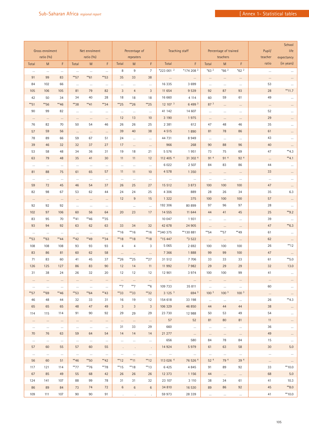|          | Gross enrolment<br>ratio (%) |          |                   | Net enrolment<br>ratio (%) |                   |                | Percentage of<br>repeaters |                  | Teaching staff    |                  | Percentage of trained<br>teachers |                  | Pupil/<br>teacher | School<br>life<br>expectancy |            |
|----------|------------------------------|----------|-------------------|----------------------------|-------------------|----------------|----------------------------|------------------|-------------------|------------------|-----------------------------------|------------------|-------------------|------------------------------|------------|
| Total    | M                            | F        | Total             | ${\sf M}$                  | F                 | Total          | M                          | F                | Total             | F                | Total                             | M                | F                 | ratio                        | (in years) |
| $\ldots$ | $\ldots$                     | $\ldots$ | $\cdots$          | $\cdots$                   | $\ldots$          | 8              | 9                          | $\overline{7}$   | *223 001 2        | *174 208 2       | $*632$                            | $*662$           | $*62$ 2           | $\cdots$                     |            |
| 91       | 99                           | 83       | $**$ 57           | $*$ 61                     | $*$ 53            | 35             | 33                         | 38               | $\cdots$          | $\cdots$         | $\cdots$                          | $\cdots$         | $\cdots$          | $\cdots$                     | $\cdots$   |
| 84       | 102                          | 66       | $\cdots$          | $\cdots$                   | $\cdots$          | $\cdots$       | $\cdots$                   | $\cdots$         | 16 3 35           | 3 6 9 9          | $\cdots$                          | $\cdots$         | $\cdots$          | 53                           | $\cdots$   |
| 105      | 106                          | 105      | 81                | 79                         | 82                | 3              | $\overline{4}$             | $\sqrt{3}$       | 11 654            | 9 5 3 9          | 92                                | 87               | 93                | 28                           | $**11.7$   |
| 42       | 50                           | 34       | 34                | 40                         | 28                | 18             | 18                         | 18               | 16 660            | 4 1 1 4          | 60                                | 59               | 61                | 49                           | $\ldots$   |
| $*$ 51   | **56                         | **46     | **38              | $*41$                      | $*34$             | $*25$          | $*26$                      | $*25$            | 12 107 3          | 6 4 9 3          | 87 <sup>3</sup>                   | $\cdots$         | $\cdots$          | $\cdots$                     | $\cdots$   |
| 90       | 99                           | 82       | $\cdots$          | $\ldots$                   | $\cdots$          | $\ldots$       | $\cdots$                   | $\cdots$         | 41 142            | 14 607           | $\cdots$                          | $\cdots$         | $\cdots$          | 52                           | $\cdots$   |
| $\cdots$ | $\cdots$                     | $\cdots$ | $\cdots$          | $\cdots$                   | $\cdots$          | 12             | 13                         | 10               | 3 1 9 0           | 1975             | $\cdots$                          | $\cdots$         | $\cdots$          | 29                           | $\cdots$   |
| 76       | 82                           | 70       | 50                | 54                         | 46                | 26             | 26                         | 25               | 2 3 8 1           | 612              | 47                                | 48               | 46                | 35                           | $\cdots$   |
| 57       | 59                           | 56       | $\ldots$          | $\ldots$                   | $\cdots$          | 39             | 40                         | 38               | 4 5 1 5           | 1890             | 81                                | 78               | 86                | 61                           | $\cdots$   |
| 78       | 89                           | 66       | 59                | 67                         | 51                | 24             | $\ldots$                   | $\ldots$         | 44 731            | 8949             | $\cdots$                          | $\ldots$         | $\ldots$          | 43                           | $\ldots$   |
| 39       | 46                           | 32       | 32                | 37                         | 27                | 17             | $\cdots$                   | $\cdots$         | 966               | 268              | 90                                | 88               | 96                | 40                           | $\cdots$   |
| 53       | 58                           | 48       | 34                | 36                         | 31                | 19             | 18                         | 21               | 5 5 7 6           | 1951             | 73                                | 75               | 69                | 47                           | $*4.3$     |
| 63       | 79                           | 48       | 35                | 41                         | 30                | 11             | 11                         | 12               | 112 405 4         | 31 302 4         | 914                               | 914              | 92 4              | $\ldots$                     | $*4.1$     |
| $\cdots$ | $\cdots$                     | $\cdots$ | $\ldots$          | $\cdots$                   | $\cdots$          | $\cdots$       | $\cdots$                   | $\cdots$         | 6 0 2 2           | 2 5 0 7          | 84                                | 83               | 86                | $44\,$                       | $\cdots$   |
| 81       | 88                           | 75       | 61                | 65                         | 57                | 11             | 11                         | 10               | 4 5 7 8           | 1 3 5 0          | $\ldots$                          | $\ldots$         | $\cdots$          | 33                           | $\cdots$   |
| $\cdots$ | $\cdots$                     | $\cdots$ | $\cdots$          | $\cdots$                   | $\cdots$          | $\ldots$       | $\cdots$                   | $\ldots$         | $\cdots$          | $\cdots$         | $\cdots$                          | $\cdots$         | $\cdots$          | $\cdots$                     | $\cdots$   |
| 59       | 72                           | 45       | 46                | 54                         | 37                | 26             | 25                         | 27               | 15 512            | 3 8 7 3          | 100                               | 100              | 100               | 47                           | $\cdots$   |
| 82       | 98                           | 67       | 53                | 62                         | 44                | 24             | 24                         | 25               | 4 3 0 6           | 889              | 28                                | 26               | 34                | 35                           | 6.3        |
| $\cdots$ | $\cdots$                     | $\cdots$ | $\cdots$          | $\cdots$                   | $\cdots$          | 12             | $9\,$                      | 15               | 1 3 2 2           | 375              | 100                               | 100              | 100               | 57                           | $\ldots$   |
| 92       | 92                           | 92       | $\cdots$          | $\cdots$                   | $\cdots$          |                | $\cdots$                   | $\cdots$         | 192 306           | 80 899           | 97                                | 96               | 97                | 28                           | $\cdots$   |
| 102      | 97                           | 106      | 60                | 56                         | 64                | 20             | 23                         | 17               | 14 555            | 11 644           | 44                                | 41               | 45                | 25                           | $*$ 9.2    |
| 83       | 95                           | 70       | $*$ 41            | **46                       | **35              |                |                            |                  | 10 047            | 1931             | $\cdots$                          | $\ldots$         | $\cdots$          | 39                           | $\ldots$   |
| 93       | 94                           | 92       | 63                | 62                         | 63                | 33             | 34                         | 32               | 42 678            | 24 905           | $\cdots$                          | $\cdots$         | $\cdots$          | 47                           | $*6.3$     |
| $\cdots$ | $\cdots$                     | $\cdots$ | $\cdots$          | $\cdots$                   | $\cdots$          | $*$ 16         | $*$ 16                     | $*16$            | **340 375         | ** 130 881       | $*$ 54                            | $**$ 57          | **49              | 61                           | $\cdots$   |
| $*$ 53   | $*$ 63                       | $*$ 44   | $*$ <sup>42</sup> | **49                       | $*34$             | **18           | $*$ 18                     | $** 18$          | *15 447           | *3 522           | $\cdots$                          | $\cdots$         | $\cdots$          | 62                           | $\cdots$   |
| 108      | 108                          | 108      | 93                | 93                         | 93                | $\overline{4}$ | $\overline{4}$             | 3                | 5 0 6 5           | 2 6 9 2          | 100                               | 100              | 100               | 26                           | **12       |
| 83       | 86                           | 81       | 60                | 62                         | 58                | $\ldots$       | $\ldots$                   | $\ldots$         | 7 3 6 6           | 1888             | 99                                | 99               | 100               | 47                           | $\ldots$   |
| 71       | 83                           | 60       | 41                | 45                         | 37                | $*26$          | $*25$                      | $*27$            | 31 512            | 7 7 0 6          | 33                                | 33               | 33                | 61                           | $*$ 5.0    |
| 126      | 125                          | 127      | 86                | 83                         | 90                | 12             | 14                         | 11               | 11 992            | 7982             | 29                                | 29               | 29                | 32                           | 13.0       |
| 31       | 38                           | 24       | 26                | 32                         | 20                | 12             | 12                         | 12               | 12 901            | 3 9 7 4          | 100                               | 100              | 99                | 41                           |            |
| $\cdots$ | $\cdots$                     | $\cdots$ | $\cdots$          | $\cdots$                   | $\cdots$          | $\cdots$       | $\cdots$                   | $\cdots$         | $\cdots$          | $\cdots$         | $\cdots$                          | $\cdots$         | $\cdots$          | $\cdots$                     | $\cdots$   |
| $\cdots$ | $\cdots$                     | $\ldots$ | $\ldots$          | $\cdots$                   | $\cdots$          | $**7$          | $**7$                      | $*$ <sup>6</sup> | 109 733           | 35 811           | $\cdots$                          | $\cdots$         | $\cdots$          | 60                           | $\cdots$   |
| $**$ 57  | **69                         | **46     | $*$ 53            | $*64$                      | $*43$             | $*33$          | $*33$                      | $*32$            | 3125 <sup>3</sup> | 694 3            | 100 <sup>3</sup>                  | 100 <sup>3</sup> | 100 <sup>3</sup>  | $\cdots$                     | $\cdots$   |
| 46       | 48                           | 44       | 32                | 33                         | 31                | 16             | 19                         | 12               | 154 618           | 33 198           | $\cdots$                          | $\cdots$         | $\cdots$          | 26                           | $*4.3$     |
| 65       | 65                           | 65       | 48                | 47                         | 49                | 3              | 3                          | 3                | 106 329           | 46 850           | 44                                | 44               | 44                | 38                           | $\cdots$   |
| 114      | 115                          | 114      | 91                | 90                         | 92                | 29             | 29                         | 29               | 23 730            | 12 988           | 50                                | 53               | 49                | 54                           | $\ldots$   |
| $\cdots$ | $\cdots$                     | $\cdots$ | $\cdots$          | $\cdots$                   | $\cdots$          | $\cdots$       | $\cdots$                   | $\cdots$         | 57                | 52               | 81                                | 80               | 81                | 11                           | $\cdots$   |
| $\cdots$ | $\cdots$                     | $\cdots$ | $\cdots$          | $\cdots$                   | $\ldots$          | 31             | 33                         | 29               | 660               | $\cdots$         | $\cdots$                          | $\cdots$         | $\cdots$          | 36                           | $\cdots$   |
| 70       | 76                           | 63       | 59                | 64                         | 54                | 14             | 14                         | 14               | 21 277            | $\cdots$         | $\ldots$                          | $\cdots$         | $\ldots$          | 49                           | $\cdots$   |
| $\cdots$ | $\cdots$                     | $\cdots$ | $\cdots$          | $\cdots$                   | $\cdots$          | $\cdots$       | $\cdots$                   | $\cdots$         | 656               | 580              | 84                                | 78               | 84                | 15                           | $\cdots$   |
| 57       | 60                           | 55       | 57                | 60                         | 55                | $\blacksquare$ | $\sim$                     | $\sim$ $\sim$    | 14 9 24           | 5979             | 61                                | 63               | 58                | 30                           | 5.0        |
| $\cdots$ | $\cdots$                     | $\ldots$ | $\cdots$          | $\ldots$                   | $\ldots$          | $\cdots$       | $\cdots$                   | $\ldots$         | $\cdots$          | $\sim$ 100 $\mu$ | $\ldots$                          | $\cdots$         | $\cdots$          | $\cdots$                     | $\cdots$   |
| 56       | 60                           | 51       | $**46$            | $**$ 50                    | $*$ <sup>42</sup> | $*$ 12         | $**11$                     | $*$ 12           | 113 026 4         | 76 526 4         | $52^{4}$                          | 794              | 39 4              | $\cdots$                     | $\cdots$   |
| 117      | 121                          | 114      | $**77$            | **76                       | **78              | $*$ 15         | **18                       | $*$ 13           | 6425              | 4 8 4 5          | 91                                | 89               | 92                | 33                           | $**10.0$   |
| 67       | 85                           | 49       | 55                | 68                         | 42                | 26             | 26                         | 26               | 12 373            | 1 1 5 6          | 44                                | $\cdots$         | $\cdots$          | 68                           | 5.0        |
| 124      | 141                          | 107      | 88                | 99                         | 78                | 31             | 31                         | 32               | 23 107            | 3 1 1 0          | 38                                | 34               | 61                | 41                           | 10.3       |
| 86       | 89                           | 84       | 73                | 74                         | 72                | 6              | 6                          | $6\phantom{1}6$  | 34 810            | 16 530           | 89                                | 86               | 92                | 45                           | $*8.0$     |
| 109      | 111                          | 107      | 90                | 90                         | 91                | ÷,             | $\cdot$                    | i.               | 59 973            | 28 339           | $\cdots$                          | $\ldots$         | $\cdots$          | 41                           | $**10.0$   |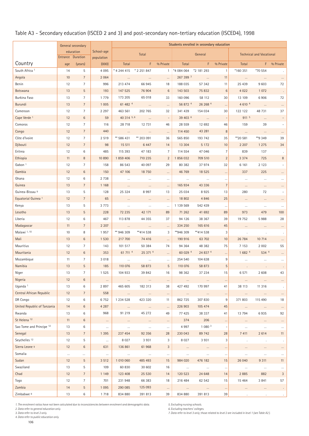# Table A3 - Secondary education (ISCED 2 and 3) and post-secondary non-tertiary education (ISCED4), 1998

|                                | General secondary |                                |                          | Students enrolled in secondary education |                       |                         |            |                       |                          |                       |                                 |           |  |  |
|--------------------------------|-------------------|--------------------------------|--------------------------|------------------------------------------|-----------------------|-------------------------|------------|-----------------------|--------------------------|-----------------------|---------------------------------|-----------|--|--|
|                                |                   | education<br>Entrance Duration | School-age<br>population |                                          | Total                 |                         |            | General               |                          |                       | <b>Technical and Vocational</b> |           |  |  |
| Country                        | age               | (years)                        | (000)                    | Total                                    | F                     | % Private               | Total      | F                     | % Private                | Total                 | F.                              | % Private |  |  |
| South Africa <sup>1</sup>      | 14                | 5                              | 4 0 9 5                  | * 4 244 415                              | * 2 2 5 1 8 4 7       | $\overline{1}$          | *4 084 064 | *2 181 293            | $\mathbf{1}$             | *160 351              | *70 554                         |           |  |  |
| Angola                         | 10                | $\overline{7}$                 | 2 0 6 4                  | $\cdots$                                 | $\ldots$              | $\cdots$                | 267 399 3  | $\ldots$              | 11                       | $\ldots$              | $\cdots$                        |           |  |  |
| Benin                          | 12                | $\overline{7}$                 | 996                      | 213 474                                  | 66 945                | 18                      | 188 035    | 57 342                | 11                       | 25 4 39               | 9 6 0 3                         | 72        |  |  |
| Botswana                       | 13                | 5                              | 193                      | 147 525                                  | 76 904                | $6\phantom{1}6$         | 143 503    | 75 832                | 6                        | 4 0 2 2               | 1 0 7 2                         | $\cdot$   |  |  |
| Burkina Faso                   | 13                | $\overline{7}$                 | 1779                     | 173 205                                  | 65 018                | 33                      | 160 096    | 58 112                | 30                       | 13 109                | 6906                            | 72        |  |  |
| Burundi                        | 13                | $\overline{7}$                 | 1 0 0 5                  | 61 482 4                                 | $\sim$ 100            | $\ldots$                | 56 872 4   | 26 268 4              | $\ldots$                 | 4 6 10 4              | $\sim$ . $\ldots$               | $\ldots$  |  |  |
| Cameroon                       | 12                | $\overline{7}$                 | 2 2 9 7                  | 463 561                                  | 202 765               | 32                      | 341 439    | 154 034               | 30                       | 122 122               | 48 731                          | 37        |  |  |
| Cape Verde <sup>1</sup>        | 12                | $\,6\,$                        | 59                       | 40 314 5, 6                              | $\ldots$              |                         | 39 403 6   | $\ldots$              |                          | 911 5                 | $\ldots$                        |           |  |  |
| Comoros                        | 12                | $7\overline{ }$                | 116                      | 28 718                                   | 12 731                | 46                      | 28 559     | 12 692                | 46                       | 159                   | 39                              |           |  |  |
| Congo                          | 12                | $\overline{7}$                 | 440                      | $\ldots$                                 | $\cdots$              | $\ldots$                | 114 450    | 43 281                | $\,$ 8 $\,$              | $\ldots$              | $\ldots$                        | $\cdots$  |  |  |
| Côte d'Ivoire                  | 12                | $\overline{7}$                 | 2 5 1 9                  | ** 586 431                               | ** 203 091            | 36                      | 565 850    | 193 742               | 35                       | ** 20 581             | **9 349                         | 39        |  |  |
| Djibouti                       | 12                | $7\phantom{.0}$                | 98                       | 15 511                                   | 6 4 4 7               | 14                      | 13 3 04    | 5 1 7 2               | 10                       | 2 2 0 7               | 1 2 7 5                         | 34        |  |  |
| Eritrea                        | 12                | 6                              | 485                      | 115 393                                  | 47 183                | $\overline{7}$          | 114 554    | 47 046                | $\overline{7}$           | 839                   | 137                             |           |  |  |
| Ethiopia                       | 11                | 8                              | 10 890                   | 1859 406                                 | 710 235               | $\overline{2}$          | 1856032    | 709 510               | $\overline{2}$           | 3 3 7 4               | 725                             | 8         |  |  |
| Gabon <sup>1</sup>             | 12                | $\overline{7}$                 | 158                      | 86 543                                   | 40 097                | 29                      | 80 382     | 37974                 | 32                       | 6 1 6 1               | 2 1 2 3                         |           |  |  |
| Gambia                         | 12                | $\,6\,$                        | 150                      | 47 106                                   | 18 7 50               | $\ldots$                | 46 769     | 18 5 25               | $\cdots$                 | 337                   | 225                             |           |  |  |
| Ghana                          | 12                | 6                              | 2 7 3 8                  | $\ldots$                                 | $\cdots$              | $\cdots$                | $\cdots$   | $\cdots$              | $\cdots$                 | $\cdots$              | $\ldots$                        |           |  |  |
| Guinea                         | 13                | $7\phantom{.0}$                | 1 1 6 8                  | $\ldots$                                 | $\cdots$              | $\cdots$                | 165 934    | 43 336                | $\overline{7}$           | $\cdots$              | $\cdots$                        |           |  |  |
| Guinea-Bissau 9                | 13                | $\sqrt{5}$                     | 128                      | 25 3 24                                  | 8997                  | 13                      | 25 034     | 8925                  | 13                       | 280                   | 72                              |           |  |  |
| Equatorial Guinea <sup>1</sup> | 12                | $\overline{7}$                 | 65                       | $\cdots$                                 | $\cdots$              | $\cdots$                | 18 802     | 4 8 4 6               | 25                       | $\cdots$              | $\cdots$                        |           |  |  |
| Kenya                          | 13                | 5                              | 3 7 7 3                  | $\ldots$                                 | $\cdots$              | $\ldots$                | 1 139 569  | 542 439               | $\ldots$                 | $\ldots$              | $\ldots$                        |           |  |  |
| Lesotho                        | 13                | 5                              | 228                      | 72 235                                   | 42 171                | 89                      | 71 262     | 41 692                | 89                       | 973                   | 479                             | 100       |  |  |
| Liberia                        | 12                | 6                              | 467                      | 113 878                                  | 44 3 5 5              | 37                      | 94 126     | 38 367                | 39                       | 19 7 5 2              | 5988                            | 28        |  |  |
| Madagascar                     | 11                | $\overline{7}$                 | 2 2 0 7                  | $\ldots$                                 | $\ldots$              | $\cdots$                | 334 250    | 165 616               | 45                       | $\ldots$              | $\ldots$                        | $\ldots$  |  |  |
| Malawi 1, 10                   | 10                | 8                              | 1957                     | ** 946 309                               | **414 538             | 3                       | **946 309  | **414 538             | 3                        |                       |                                 |           |  |  |
| Mali                           | 13                | $\,6\,$                        | 1 5 3 0                  | 217 700                                  | 74 416                | $\cdots$                | 190 916    | 63 702                | 10                       | 26 784                | 10 714                          | $\cdots$  |  |  |
| Mauritius                      | 12                | $7\overline{ }$                | 143                      | 101 517                                  | 50 384                | 74                      | 94 3 64    | 48 382                | 75                       | 7 1 5 3               | 2 0 0 2                         | 55        |  |  |
| Mauritania                     | 12                | $\,6\,$                        | 353                      | 61 711 4                                 | 25 371 4              | $\ldots$                | 60 029 4   | 24 837 4              | $\cdots$                 | 1 682 4               | 534 4                           |           |  |  |
| Mozambique                     | 11                | $\overline{7}$                 | 3 0 18                   | $\ldots$                                 | $\cdots$              | $\cdots$                | 254 540    | 104 638               | 9                        | $\cdots$              | $\ldots$                        |           |  |  |
| Namibia                        | 13                | 5                              | 185                      | 110 076                                  | 58 873                | 5                       | 110 076    | 58 873                | $\sqrt{5}$               |                       |                                 |           |  |  |
| Niger                          | 13                | $\overline{7}$                 | 1 5 2 5                  | 104 933                                  | 39 842                | $16\,$                  | 98 362     | 37 234                | 15                       | 6 5 7 1               | 2 6 0 8                         |           |  |  |
| Nigeria                        | 12                | 6                              | $\cdots$                 | $\cdots$                                 | $\cdots$              | $\cdots$                | $\cdots$   | $\cdots$              | $\cdots$                 | $\cdots$              | $\cdots$                        | $\cdots$  |  |  |
| Uganda <sup>1</sup>            | 13                | 6                              | 2897                     | 465 605                                  | 182 313               | 38                      | 427 492    | 170 997               | 41                       | 38 113                | 11 316                          |           |  |  |
| Central African Republic       | 12                | $7\overline{ }$                | 558                      | $\sim 100$ and                           | $\sim 100$ km $^{-1}$ | $\cdots$                | $\ldots$   | $\sim 100$ km $^{-1}$ | $\cdots$                 | $\ldots$              | $\sim 100$ km $^{-1}$           | $\cdots$  |  |  |
| DR Congo                       | 12                | 6                              | 6752                     | 1 2 3 4 5 2 8                            | 423 320               | 11                      | 862 725    | 307 830               | 9                        | 371 803               | 115 490                         | 18        |  |  |
| United Republic of Tanzania    | 14                | $\,6\,$                        | 4 2 8 7                  | $\sim 100$ m                             | $\sim 100$ km $^{-1}$ | $\ldots$                | 226 903    | 105 474               | 45                       | $\sim 100$ km $^{-1}$ | $\sim 100$ and                  | $\cdots$  |  |  |
| Rwanda                         | 13                | $\,6\,$                        | 968                      | 91 219                                   | 45 27 2               | 49                      | 77 425     | 38 337                | 41                       | 13 7 94               | 6935                            | 92        |  |  |
| St Helena <sup>12</sup>        | 11                | $\,6\,$                        | $\cdots$                 | $\cdots$                                 | $\sim$ 100 $\mu$      | $\cdots$                | 374        | 206                   | $\cdots$                 | $\cdots$              | $\cdots$                        | $\cdots$  |  |  |
| Sao Tome and Principe 12       | 13                | 6                              | $\cdots$                 | $\ldots$                                 | $\ldots$              | $\ldots$                | 4 9 9 7    | 1 0 8 0 3             | $\overline{\phantom{a}}$ | $\ldots$              | $\ldots$                        | $\ldots$  |  |  |
| Senegal                        | 13                | $7\overline{ }$                | 1 3 9 5                  | 237 454                                  | 92 356                | 28                      | 230 043    | 89 742                | 28                       | 7 4 11                | 2 6 1 4                         | 11        |  |  |
| Seychelles <sup>12</sup>       | 12                | $\overline{5}$                 | $\ldots$                 | 8 0 27                                   | 3 9 3 1               | 3                       | 8 0 2 7    | 3 9 3 1               | 3                        | $\cdot$               | $\cdot$                         |           |  |  |
| Sierra Leone 9                 | 12                | $\,6\,$                        | 631                      | 136 861                                  | 61 968                | 3                       | $\ldots$   | $\sim 100$ km $^{-1}$ | $\cdots$                 | $\cdots$              | $\cdots$                        | $\cdots$  |  |  |
| Somalia                        | $\cdots$          | $\cdots$                       | $\cdots$                 | $\sim$                                   | $\sim$ $-$            | $\ldots$                | $\cdots$   | $\cdots$              | $\cdots$                 | $\cdots$              | $\cdots$                        | $\ldots$  |  |  |
| Sudan                          | 12                | 5                              | 3 5 1 2                  | 1 010 060                                | 485 493               | 15                      | 984 020    | 476 182               | 15                       | 26 040                | 9 3 1 1                         | 11        |  |  |
| Swaziland                      | 13                | $\overline{5}$                 | 109                      | 60 830                                   | 30 602                | 16                      | $\ldots$   | $\ldots$              | $\cdots$                 | $\cdots$              | $\cdots$                        | $\cdots$  |  |  |
| Chad                           | 12                | $\overline{7}$                 | 1 1 4 9                  | 123 408                                  | 25 530                | 14                      | 120 523    | 24 648                | 14                       | 2885                  | 882                             | 3         |  |  |
| Togo                           | 12                | $\overline{7}$                 | 701                      | 231 948                                  | 66 383                | 18                      | 216 484    | 62 542                | 15                       | 15 4 64               | 3 8 4 1                         | 57        |  |  |
| Zambia                         | 14                | $\overline{5}$                 | 1 0 9 5                  | 290 085                                  | 125 093               | $\overline{\mathbb{Z}}$ | $\ldots$   | $\ldots$              | $\cdots$                 | $\cdots$              | $\cdots$                        |           |  |  |
| Zimbabwe 9                     | 13                | 6                              | 1 7 1 8                  | 834 880                                  | 391 813               | 39                      | 834 880    | 391 813               | 39                       |                       |                                 |           |  |  |

*1. The enrolment ratios have not been calculated due to inconsistencies between enrolment and demographic data.* 

*2. Data refer to general education only. 3. Data refer to level 2 only.* 

*4. Data refer to public education only.* 

106

*5. Excluding nursing schools. 6. Excluding teachers' colleges. 7. Data refer to level 3 only; those related to level 2 are included in level 1 (see Table A2 ).*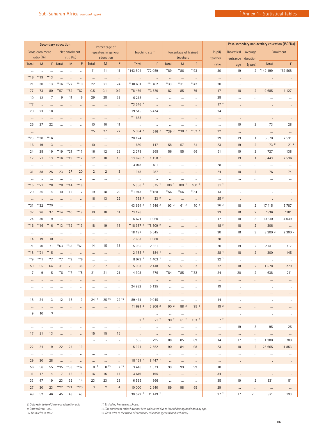|                |                              |                | Secondary education |                            |                |                          | Percentage of                     |                          |                            |                                         |                                   |                  |                  |                   | Post-secondary non-tertiary education (ISCED4) |                     |            |                    |
|----------------|------------------------------|----------------|---------------------|----------------------------|----------------|--------------------------|-----------------------------------|--------------------------|----------------------------|-----------------------------------------|-----------------------------------|------------------|------------------|-------------------|------------------------------------------------|---------------------|------------|--------------------|
|                | Gross enrolment<br>ratio (%) |                |                     | Net enrolment<br>ratio (%) |                |                          | repeaters in general<br>education |                          | Teaching staff             |                                         | Percentage of trained<br>teachers |                  |                  | Pupil/<br>teacher | <b>Theoretical</b><br>entrance                 | Average<br>duration |            | Enrolment          |
| Total          | ${\sf M}$                    |                | $F$ Total           | M                          | F              | Total                    | ${\sf M}$                         | $\mathsf F$              | Total                      | F                                       | Total                             | M                | F                | ratio             | age                                            | (years)             | Total      | F                  |
| $\cdots$       | $\cdots$                     | $\ldots$       | $\cdots$            | $\ldots$                   | $\cdots$       | 11                       | 11                                | 11                       | *143 804                   | *72 059                                 | **89                              | **86             | $*$ 93           | 30                | 19                                             | $\overline{2}$      | *142 199   | *62 568            |
| $*16$          | $*$ 19                       | $*$ 13         | $\cdots$            | $\cdots$                   | $\cdots$       | $\cdots$                 | $\cdots$                          | $\cdots$                 | $\cdots$                   | $\cdots$                                | $\cdots$                          | $\cdots$         | $\cdots$         | $\cdots$          | ÷,                                             | $\cdot$             |            |                    |
| 21             | 30                           | 13             | $*16$               | $*22$                      | $**10$         | 22                       | 21                                | 24                       | ** 10 691                  | **1 402                                 | **33                              | $*31$            | $**42$           | 20                | $\ldots$                                       | $\cdots$            | $\cdots$   | $\cdots$           |
| 77             | 73                           | 80             | $*$ 57              | $**$ 52                    | $*$ 62         | 0.5                      | 0.1                               | 0.9                      | **8 469                    | **3 870                                 | 82                                | 85               | 79               | 17                | 18                                             | $\overline{2}$      | 9685       | 4 1 2 7            |
| 10             | 12                           | $\overline{7}$ | 9                   | 11                         | $\,6$          | 29                       | 28                                | 32                       | 6 2 1 5                    | $\ldots$                                | $\ldots$                          | $\ldots$         | $\ldots$         | 28                |                                                |                     |            |                    |
| $**7$          | $\cdots$                     | $\cdots$       | $\cdots$            | $\cdots$                   | $\cdots$       | $\cdots$                 | $\cdots$                          | $\cdots$                 | ** 3 546 4                 | $\ldots$                                | $\cdots$                          | $\cdots$         | $\cdots$         | 17 <sup>4</sup>   |                                                | $\cdot$             |            |                    |
| 20             | 23                           | 18             | $\cdots$            | $\cdots$                   | $\cdots$       | $\cdots$                 | $\cdots$                          | $\cdots$                 | 19 515                     | 5 4 7 4                                 | $\cdots$                          |                  | $\cdots$         | 24                | $\cdots$                                       |                     | $\cdots$   | $\cdots$           |
| $\cdots$       | $\cdots$                     | $\cdots$       | $\cdots$            |                            |                | $\cdots$                 | $\cdots$                          | $\cdots$                 | **1 665                    | $\cdots$                                | $\cdots$                          |                  |                  | $\cdots$          |                                                |                     |            |                    |
| 25             | 27                           | 22             | $\cdots$            | $\cdots$                   | $\cdots$       | 10                       | 10                                | 11                       | $\cdots$                   | $\cdots$                                | $\cdots$                          |                  | $\cdots$         | $\cdots$          | 19                                             | $\overline{2}$      | 73         | 28                 |
| $\cdots$       | $\cdots$                     | $\ldots$       | $\cdots$            | $\ldots$                   | $\ldots$       | 25                       | 27                                | 22                       | 5 0 9 4 2                  | 516 <sup>2</sup>                        | $*392$                            | **38 2           | $*$ 52 2         | 22                | $\cdots$                                       |                     | $\ldots$   | $\cdots$           |
| $*23$          | $*30$                        | **16           | $\cdots$            | $\cdots$                   | $\cdots$       | $\cdots$                 | $\ldots$                          | $\cdots$                 | 20 124                     | $\ldots$                                | $\cdots$                          | $\ldots$         | $\cdots$         | 29                | 19                                             | $\mathbf{1}$        | 5 5 7 0    | 2 5 3 1            |
| 16             | 19                           | 13             | $\ldots$            | $\ldots$                   |                | 10                       | $\cdots$                          | $\cdots$                 | 680                        | 147                                     | 58                                | 57               | 61               | 23                | 19                                             | $\overline{2}$      | 73 2       | 21 <sup>2</sup>    |
| 24             | 28                           | 19             | $*$ 19              | $*21$                      | $**17$         | 16                       | 12                                | 22                       | 2 2 7 8                    | 265                                     | 56                                | 55               | 66               | 51                | 19                                             | $\overline{2}$      | 727        | 138                |
| 17             | 21                           | 13             | $*16$               | **19                       | $**12$         | 12                       | 10                                | 16                       | 13 626 7                   | 1158 <sup>7</sup>                       | $\ldots$                          | $\ldots$         | $\cdots$         | $\cdots$          | 19                                             | $\mathbf{1}$        | 5 4 4 3    | 2 5 3 6            |
| $\ldots$       | $\cdots$                     | $\cdots$       | $\cdots$            | $\cdots$                   | $\cdots$       | $\ldots$                 | $\cdots$                          | $\cdots$                 | 3 0 7 8                    | 511                                     | $\ldots$                          | $\ldots$         | $\cdots$         | 28                | $\ldots$                                       | $\cdots$            | $\cdots$   | $\cdots$           |
| 31             | 38                           | 25             | 23                  | 27                         | 20             | $\overline{2}$           | $\overline{2}$                    | 3                        | 1948                       | 287                                     | $\ldots$                          | $\cdots$         | $\cdots$         | 24                | 18                                             | $\sqrt{2}$          | 76         | 74                 |
| $\cdots$       | $\cdots$                     | $\cdots$       | $\cdots$            | $\cdots$                   | $\cdots$       | $\cdots$                 | $\cdots$                          | $\cdots$                 | $\ldots$                   | $\ldots$                                | $\ldots$                          |                  | $\ldots$         | $\cdots$          |                                                |                     |            | $\cdots$           |
| **15           | $*21$                        | $8***$         | $8***$              | $*$ <sup>14</sup>          | **18           | $\ldots$                 | $\cdots$                          | $\cdots$                 | 5 3 5 6 2                  | 575 <sup>2</sup>                        | 100 <sup>2</sup>                  | 100 <sup>2</sup> | 100 <sup>2</sup> | 31 <sup>2</sup>   |                                                |                     |            |                    |
| 20             | 26                           | 14             | 10                  | 12                         | $\overline{7}$ | 19                       | 18                                | 20                       | **1913                     | $**158$                                 | $*$ 56                            | **56             | $*$ 54           | 13                |                                                |                     |            |                    |
| $\cdots$       | $\cdots$                     | $\cdots$       | $\cdots$            | $\cdots$                   | $\cdots$       | 16                       | 13                                | 22                       | 763 2                      | 33 <sup>2</sup>                         | $\cdots$                          |                  | $\cdots$         | 25 <sup>2</sup>   |                                                |                     |            |                    |
| **31           | $*32$                        | **29           | $\ddotsc$           | $\cdots$                   | $\cdots$       | $\ldots$                 | $\cdots$                          | $\cdots$                 | 43 694 2                   | 1 546 <sup>2</sup>                      | 93 2                              | $61^{2}$         | 10 <sup>2</sup>  | 26 2              | 18                                             | $\sqrt{2}$          | 17 115     | 5 7 8 7            |
| 32             | 26                           | 37             | $*14$               | $*10$                      | **19           | 10                       | 10 <sup>°</sup>                   | 11                       | *3 126                     | $\ldots$                                | $\cdots$                          | $\cdots$         | $\cdots$         | 23                | 18                                             | $\sqrt{2}$          | *536       | $*181$             |
| 24             | 30                           | 19             | $\ddotsc$           |                            |                | $\cdots$                 | $\cdots$                          | $\cdots$                 | 6621                       | 1 0 6 0                                 |                                   |                  | $\cdots$         | 17                | 18                                             | 3                   | 10 610     | 4 0 3 9            |
| $*16$          | $*16$                        | $*16$          | $**13$              | $*12$                      | $**13$         | 18                       | 19                                | 18                       | ** 18 987 2                | ** 8 509 2                              | $\cdots$                          | $\cdots$         | $\cdots$         | 18 <sup>2</sup>   | 18                                             | $\overline{2}$      | 306        | $\cdots$           |
| $\cdots$       | $\cdots$                     | $\ldots$       | $\cdots$            | $\cdots$                   | $\cdots$       | $\cdots$                 | $\cdots$                          | $\cdots$                 | 18 197                     | 5 5 4 5                                 | $\cdots$                          | $\cdots$         | $\cdots$         | 30                | 18                                             | 3                   | 8 300 2    | 2 300 <sup>2</sup> |
| 14             | 19                           | 10             | $\cdots$            | $\cdots$                   | $\cdots$       | $\cdots$                 | $\cdots$                          | $\cdots$                 | 7 6 6 3                    | 1 0 8 0                                 | $\ldots$                          |                  | $\ldots$         | 28                | ÷,                                             | $\cdot$             |            |                    |
| 71             | 70                           | 71             | **63                | $*$ 63                     | $*$ 63         | 14                       | 15                                | 13                       | 5 0 6 5                    | 2 3 6 1                                 | $\cdots$                          | $\cdots$         | $\cdots$         | 20                | 19                                             | $\overline{2}$      | 2 4 1 1    | 717                |
| **18           | $*21$                        | $*$ 15         | $\ldots$            | $\cdots$                   | $\cdots$       | $\cdots$                 | $\cdots$                          | $\cdots$                 | 2 185 4                    | 184 4                                   | $\ldots$                          | $\cdots$         | $\cdots$         | 28 4              | 18                                             | $\overline{2}$      | 300        | 145                |
| **9            | $**11$                       | $**7$          | $**7$               | $**9$                      | $**6$          | .                        | $\cdots$                          | $\cdots$                 | 8 0 7 3 $2$                | 1403 <sup>2</sup>                       | $\ldots$                          | $\cdots$         | $\ldots$         | 32 <sup>2</sup>   |                                                |                     |            |                    |
| 59             | 55                           | 64             | 31                  | 25                         | 38             | $\overline{7}$           | $\overline{7}$                    | $\, 8$                   | 5 0 9 3                    | 2 4 1 8                                 | 51                                | 51               | 52               | 22                | 18                                             | $\overline{2}$      | 1578       | 279                |
| $\overline{7}$ | 9                            | 5              | $**6$               | $**7$                      | **5            | 21                       | 21                                | 21                       | 4 3 0 3                    | 776                                     | $*84$                             | $*85$            | $*$ 82           | 24                | 20                                             | $\overline{2}$      | 638        | 211                |
| $\cdots$       |                              | $\cdots$       |                     |                            |                |                          |                                   | $\cdots$                 | $\cdots$                   | $\cdots$                                | $\cdots$                          |                  | $\cdots$         | $\cdots$          |                                                | $\cdots$            |            |                    |
| $\cdots$       | $\ldots$                     | $\cdots$       | $\cdots$            | $\cdots$                   | $\cdots$       | $\cdots$                 | $\cdots$                          | $\cdots$                 | 24 982                     | 5 1 3 5                                 | $\cdots$                          | $\cdots$         | $\cdots$         | 19                |                                                | $\cdot$             | $\cdot$    |                    |
| $\cdots$       | $\cdots$                     | $\cdots$       | $\cdots$            | $\cdots$                   | $\cdots$       | $\cdots$                 | $\cdots$                          | $\dots$ .                | $\sim 100$                 | $\sim 100$ km $^{-1}$                   | $\cdots$                          | $\cdots$         | $\cdots$         | $\cdots$          | $\cdots$                                       | $\cdots$            | $\cdots$   |                    |
| 18             | 24                           | 13             | 12                  | 15                         | 9              | 24 13                    | 25 13                             | 22 13                    | 89 461                     | 9 0 4 5                                 | $\cdots$                          | $\cdots$         | $\cdots$         | 14                |                                                | $\cdot$             |            |                    |
| $\cdots$       | $\cdots$                     | $\cdots$       | $\cdots$            | $\cdots$                   | $\cdots$       | $\cdots$                 | $\cdots$                          | $\cdots$                 | 11691 <sup>2</sup>         | 3 206 <sup>2</sup>                      | 90 <sup>2</sup>                   | 88 2             | 95 2             | 19 <sup>2</sup>   | $\cdots$                                       | $\cdots$            | $\cdots$   |                    |
| 9              | 10                           | 9              | $\cdots$            | $\cdots$                   | $\cdots$       | $\cdots$                 | $\cdots$                          | $\cdots$                 | $\sim$ 100 $\pm$ 100 $\pm$ | $\cdots$                                | $\cdots$                          | $\ldots$         | $\cdots$         | $\cdots$          | $\sim$                                         | $\cdot$             | $\cdot$    |                    |
| $\cdots$       | $\cdots$                     | $\cdots$       | $\cdots$            | $\cdots$                   | $\cdots$       |                          | $\sim$                            | $\sim$                   | 52 <sup>2</sup>            | $21^{2}$                                | $90^{2}$                          | $61^{2}$         | 133 <sup>2</sup> | 7 <sup>2</sup>    |                                                |                     |            |                    |
| $\cdots$       | $\cdots$                     | $\ldots$       | $\cdots$            | $\cdots$                   | $\cdots$       | $\cdots$                 | $\cdots$                          | $\cdots$                 | $\cdots$                   | $\cdots$                                | $\cdots$                          | $\ldots$         | $\cdots$         | $\cdots$          | 19                                             | 3                   | 95         | 25                 |
| 17             | 21                           | 13             | $\cdots$            | $\cdots$                   | $\cdots$       | 15                       | 15                                | 16                       | $\sim$ 100 $\mu$           | $\sim$                                  | $\cdots$                          | $\cdots$         | $\cdots$         | $\cdots$          | $\cdots$                                       | $\cdots$            | $\sim 100$ | $\sim$ $\sim$      |
| $\cdots$       | $\cdots$                     | $\cdots$       | $\ldots$            | $\cdots$                   | $\cdots$       | $\overline{\phantom{a}}$ | $\overline{\phantom{a}}$          | $\overline{\phantom{a}}$ | 555                        | 295                                     | 88                                | 85               | 89               | 14                | 17                                             | 3                   | 1 3 8 0    | 709                |
| 22             | 24                           | 19             | 22                  | 24                         | 19             | $\overline{\phantom{a}}$ | $\overline{\phantom{a}}$          | $\sim$                   | 5924                       | 2 5 5 2                                 | 90                                | 84               | 98               | 23                | 18                                             | $\overline{2}$      | 23 665     | 11 853             |
| $\cdots$       | $\cdots$                     | $\ldots$       | $\cdots$            | $\cdots$                   | $\cdots$       | $\cdots$                 | $\cdots$                          | $\cdots$                 | $\sim$ 100 $\mu$           | $\cdots$                                | $\cdots$                          | $\ldots$         | $\cdots$         | $\cdots$          | $\cdots$                                       | $\cdots$            | $\cdots$   | $\cdots$           |
| 29             | 30                           | 28             | $\ldots$            | $\ldots$                   | $\cdots$       | $\cdots$                 | $\cdots$                          | $\cdots$                 | 18 131 7                   | 8 4 4 7 7                               | $\cdots$                          | $\cdots$         | $\cdots$         | $\cdots$          |                                                |                     |            |                    |
| 56             | 56                           | 55             | $*35$               | $*38$                      | $*32$          | 8 13                     | 8 13                              | $7^{13}$                 | 3 4 1 6                    | 1 5 7 3                                 | 99                                | 99               | 99               | 18                | $\cdots$                                       | $\cdots$            | $\cdots$   | $\ldots$           |
| 11             | 17                           | $\overline{4}$ | $7\overline{ }$     | 12                         | 3              | 16                       | 16                                | 17                       | 3 6 1 9                    | 195                                     | $\cdots$                          | $\cdots$         | $\cdots$         | 34                |                                                | $\cdot$             |            |                    |
| 33             | 47                           | 19             | 23                  | 32                         | 14             | 23                       | 23                                | 23                       | 6595                       | 866                                     | $\cdots$                          | $\cdots$         | $\cdots$         | 35                | 19                                             | 2                   | 331        | 51                 |
| 27             | 30                           | 23             | $**22$              | $*21$                      | $*20$          | 3                        | $\overline{2}$                    | 4                        | 10 000                     | 2 640                                   | 89                                | 98               | 65               | 29                | $\cdots$                                       | $\cdots$            | $\cdots$   |                    |
| 49             | 52                           | 46             | 45                  | 48                         | 43             | $\ldots$                 | $\ldots$                          | $\cdots$                 |                            | 30 572 <sup>2</sup> 11 419 <sup>2</sup> | $\cdots$                          | $\cdots$         | $\cdots$         | 27 <sup>2</sup>   | 17                                             | $\overline{2}$      | 871        | 193                |

*8. Data refer to level 2 general education only. 9. Data refer to 1999. 10. Data refer to 1997.* 

*11. Excluding Merdersas schools. 12. The enrolment ratios have not been calculated due to lack of demographic data by age. 13. Data refer to the whole of secondary education (general and technical).*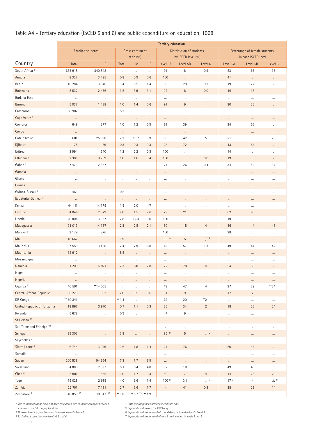# Table A4 - Tertiary education (ISCED 5 and 6) and public expenditure on education, 1998

|                                | <b>Tertiary education</b> |                          |               |                              |            |                  |                                                |                      |                                                      |                          |                          |  |
|--------------------------------|---------------------------|--------------------------|---------------|------------------------------|------------|------------------|------------------------------------------------|----------------------|------------------------------------------------------|--------------------------|--------------------------|--|
|                                |                           | <b>Enrolled students</b> |               | Gross enrolment<br>ratio (%) |            |                  | Distribution of students<br>by ISCED level (%) |                      | Percentage of female students<br>in each ISCED level |                          |                          |  |
| Country                        | Total                     | F                        | Total         | M                            | F          | Level 5A         | Level 5B                                       | Level 6              | Level 5A                                             | Level 5B                 | Level 6                  |  |
| South Africa <sup>1</sup>      | 633 918                   | 340 842                  | $\ldots$      | $\ldots$                     | $\ldots$   | 91               | 8                                              | 0.9                  | 53                                                   | 66                       | 36                       |  |
| Angola                         | 8 3 3 7                   | 3 4 2 5                  | 0.8           | 0.9                          | 0.6        | 100              | ÷.                                             | $\epsilon$           | 41                                                   | $\epsilon$               | $\Box$                   |  |
| Benin                          | 16 284                    | 3 3 4 6                  | 3.4           | 5.5                          | 1.4        | 80               | 20                                             | 0.2                  | 19                                                   | 27                       | $\overline{a}$           |  |
| Botswana                       | 5 5 3 2                   | 2 4 3 6                  | 3.5           | 3.9                          | 3.1        | 92               | $\,8\,$                                        | 0.0                  | 46                                                   | 18                       | $\overline{a}$           |  |
| Burkina Faso                   | $\ldots$                  | $\cdots$                 | $\cdots$      | $\ldots$                     | $\cdots$   | $\ldots$         | $\ldots$                                       | $\ldots$             | $\cdots$                                             | $\ldots$                 | $\cdots$                 |  |
| Burundi                        | 5 0 3 7                   | 1 4 8 8                  | 1.0           | 1.4                          | 0.6        | 91               | $9\,$                                          | $\cdot$              | 30                                                   | 26                       | $\cdot$                  |  |
| Cameroon                       | 66 902                    | $\ldots$                 | 5.2           | $\ldots$                     | $\ldots$   | $\cdots$         | $\cdots$                                       | $\cdots$             | $\cdots$                                             | $\ldots$                 | $\cdots$                 |  |
| Cape Verde <sup>1</sup>        | $\cdots$                  | $\ldots$                 | $\ldots$      | $\cdots$                     | $\cdots$   | $\cdots$         | $\cdots$                                       | $\cdots$             | $\ldots$                                             | $\ldots$                 | $\cdots$                 |  |
| Comoros                        | 649                       | 277                      | 1.0           | 1.2                          | 0.9        | 61               | 39                                             | $\cdot$              | 34                                                   | 56                       | ÷.                       |  |
| Congo                          | $\cdots$                  | $\cdots$                 | $\cdots$      | $\cdots$                     | $\cdots$   | $\cdots$         | $\cdots$                                       | $\cdots$             | $\cdots$                                             | $\cdots$                 | $\cdots$                 |  |
| Côte d'Ivoire                  | 96 681                    | 25 3 98                  | 7.3           | 10.7                         | 3.9        | 53               | 42                                             | 5                    | 21                                                   | 33                       | 23                       |  |
| Djibouti                       | 175                       | 89                       | 0.3           | 0.3                          | 0.3        | 28               | 72                                             | $\blacksquare$       | 43                                                   | 54                       | $\epsilon$               |  |
| Eritrea                        | 3 9 9 4                   | 540                      | 1.2           | 2.2                          | 0.3        | 100              |                                                | ÷,                   | 14                                                   | $\mathcal{L}$            | ä,                       |  |
| Ethiopia <sup>5</sup>          | 52 30 5                   | 9 7 6 9                  | 1.0           | 1.6                          | 0.4        | 100              | $\ddot{\phantom{0}}$                           | 0.0                  | 19                                                   | $\cdot$                  | $\overline{\phantom{a}}$ |  |
| Gabon <sup>1</sup>             | 7 4 7 3                   | 2 6 6 7                  | $\cdots$      | $\cdots$                     | $\cdots$   | 74               | 26                                             | 0.4                  | 34                                                   | 42                       | 37                       |  |
| Gambia                         | $\cdots$                  | $\cdots$                 | $\cdots$      | $\cdots$                     | $\cdots$   | $\cdots$         | $\cdots$                                       | $\cdots$             | $\cdots$                                             | $\cdots$                 | $\cdots$                 |  |
| Ghana                          | $\ldots$                  | $\ldots$                 | $\ldots$      | $\cdots$                     | $\cdots$   | $\cdots$         | $\ldots$                                       | $\ldots$             | $\ldots$                                             | $\ldots$                 | $\cdots$                 |  |
| Guinea                         | $\cdots$                  | $\cdots$                 | $\cdots$      | $\cdots$                     | $\cdots$   | $\cdots$         | $\cdots$                                       | $\cdots$             | $\cdots$                                             | $\cdots$                 | $\cdots$                 |  |
| Guinea-Bissau <sup>8</sup>     | 463                       | $\ldots$                 | 0.5           | $\ldots$                     | $\cdots$   | $\cdots$         | $\cdots$                                       | $\cdots$             | $\cdots$                                             | $\cdots$                 | $\cdots$                 |  |
| Equatorial Guinea <sup>1</sup> | $\cdots$                  | $\cdots$                 | $\cdots$      | $\cdots$                     | $\cdots$   | $\cdots$         | $\cdots$                                       | $\cdots$             | $\cdots$                                             | $\cdots$                 | $\cdots$                 |  |
| Kenya                          | 44 411                    | 14 175                   | 1.5           | 2.0                          | 0.9        | $\cdots$         | $\ldots$                                       | $\cdots$             | $\cdots$                                             | $\cdots$                 |                          |  |
| Lesotho                        | 4 0 4 6                   | 2 5 7 9                  | 2.0           | 1.5                          | 2.6        | 79               | 21                                             |                      | 62                                                   | 70                       |                          |  |
| Liberia                        | 20 804                    | 3 9 8 7                  | 7.8           | 12.4                         | 3.0        | 100              | $\cdot$                                        | $\ddot{\phantom{0}}$ | 19                                                   | $\cdot$                  | $\cdot$                  |  |
| Madagascar                     | 31 013                    | 14 187                   | 2.3           | 2.5                          | 2.1        | 80               | 15                                             | $\overline{4}$       | 46                                                   | 44                       | 43                       |  |
| Malawi <sup>1</sup>            | 3 1 7 9                   | 876                      | $\ldots$      | $\cdots$                     | $\ldots$   | 100              | i.                                             | ä,                   | 28                                                   | $\cdot$                  | $\epsilon$               |  |
| Mali                           | 18 662                    | $\ldots$                 | 1.9           | $\cdots$                     | $\cdots$   | 95 9             | $\sqrt{5}$                                     | $.$ / $.$ 9          | $\ldots$                                             | $\cdots$                 | $\cdots$                 |  |
| Mauritius                      | 7 5 5 9                   | 3 4 8 8                  | 7.4           | 7.9                          | 6.8        | 42               | 57                                             | 1.3                  | 49                                                   | 44                       | 42                       |  |
| Mauritania                     | 12 912                    | $\cdots$                 | 5.5           | $\cdots$                     | $\ldots$   | $\cdots$         | $\cdots$                                       | $\cdots$             | $\cdots$                                             | $\cdots$                 | $\cdots$                 |  |
| Mozambique                     | $\ldots$                  | $\ldots$                 | $\cdots$      | $\cdots$                     | $\ldots$   | $\ldots$         | $\cdots$                                       | $\cdots$             | $\ldots$                                             | $\cdots$                 | $\cdots$                 |  |
| Namibia                        | 11 209                    | 5971                     | 7.3           | 6.8                          | 7.8        | 22               | 78                                             | 0.0                  | 54                                                   | 53                       | $\overline{\phantom{a}}$ |  |
| Niger                          |                           |                          |               |                              |            |                  |                                                |                      |                                                      |                          |                          |  |
| Nigeria                        | $\cdots$                  | $\ldots$                 | $\cdots$      | $\cdots$                     | $\cdots$   | $\cdots$         | $\cdots$                                       | $\cdots$             | $\cdots$                                             | $\cdots$                 | $\cdots$                 |  |
| Uganda <sup>1</sup>            | 40 591                    | ** 14 005                | $\cdots$      | $\cdots$                     | $\ldots$   | 49               | $47\,$                                         | $\overline{4}$       | 37                                                   | 32                       | **34                     |  |
| Central African Republic       | 6 2 2 9                   | 1 0 0 2                  | 2.0           | $3.5\,$                      | 0.6        | 91               | $9\phantom{.0}$                                |                      | 17                                                   | $\overline{7}$           |                          |  |
| DR Congo                       | ** 60 341                 | $\ldots$                 | ** $1.4$      | $\cdots$                     | $\ldots$   | 79               | 20                                             | $*$ <sup>2</sup>     | $\ldots$                                             |                          | $\cdots$                 |  |
| United Republic of Tanzania    | 18 867                    | 3 9 7 0                  | 0.7           | 1.1                          | 0.3        | 65               | 34                                             | $\overline{2}$       | 18                                                   | 26                       | 24                       |  |
| Rwanda                         | 5 6 7 8                   | $\ldots$                 | 0.9           | $\ldots$                     | $\ldots$   | 91               | 9                                              | $\epsilon$           | $\cdots$                                             | $\cdots$                 | $\cdot$                  |  |
| St Helena <sup>10</sup>        |                           |                          | $\cdot$       |                              |            | $\cdot$          |                                                |                      |                                                      |                          |                          |  |
| Sao Tome and Principe 10       |                           | $\cdot$                  | $\cdot$       |                              |            | $\blacksquare$   | $\cdot$                                        | $\cdot$              |                                                      | $\ddot{\phantom{0}}$     |                          |  |
| Senegal                        | 29 30 3                   | $\cdots$                 | 3.8           | $\cdots$                     | $\cdots$   | 95 9             | $\sqrt{5}$                                     | .1.9                 | $\cdots$                                             | $\cdots$                 | $\cdots$                 |  |
| Seychelles <sup>10</sup>       | $\ddot{\phantom{1}}$      | $\cdot$                  | $\mathcal{L}$ | $\cdots$                     | $\epsilon$ | $\cdot$          | $\mathcal{L}_{\mathcal{A}}$                    | $\epsilon$           | $\ddot{\phantom{0}}$                                 | $\cdot$                  | $\epsilon$               |  |
| Sierra Leone <sup>8</sup>      | 6744                      | 3 0 4 9                  | 1.6           | 1.8                          | 1.4        | 24               | 76                                             | $\ddot{\phantom{0}}$ | 50                                                   | 44                       | ÷.                       |  |
| Somalia                        | $\cdots$                  | $\ldots$                 | $\cdots$      | $\ldots$                     | $\ldots$   | $\cdots$         | $\cdots$                                       | $\cdots$             | $\cdots$                                             | $\cdots$                 | $\cdots$                 |  |
| Sudan                          | 200 538                   | 94 654                   | 7.3           | 7.7                          | 6.9        | $\ldots$         | $\cdots$                                       | $\cdots$             | $\cdots$                                             | $\cdots$                 | $\cdots$                 |  |
| Swaziland                      | 4 8 8 0                   | 2 3 3 7                  | 5.1           | $5.4\,$                      | 4.8        | 82               | $18\,$                                         | $\blacksquare$       | 49                                                   | 43                       | $\epsilon$               |  |
| Chad <sup>8</sup>              | 5 9 0 1                   | 885                      | 1.0           | 1.7                          | 0.3        | 89               | $7\overline{ }$                                | $\overline{4}$       | 14                                                   | 28                       | $20\,$                   |  |
| Togo                           | 15 0 28                   | 2 6 1 5                  | 4.0           | 6.6                          | 1.4        | 100 <sup>9</sup> | 0.1                                            | .1.9                 | 17 <sup>9</sup>                                      | $\overline{\phantom{a}}$ | .1.9                     |  |
| Zambia                         | 22 701                    | 7 181                    | 2.7           | $3.6\,$                      | 1.7        | 58               | 41                                             | 0.8                  | 38                                                   | 23                       | 14                       |  |
| Zimbabwe <sup>8</sup>          | 40 850 13                 | 10 347 13                | $**3.8$       | ** 5.7 13 ** 1.9             |            | $\cdots$         | $\cdots$                                       | $\cdots$             | $\cdots$                                             | $\cdots$                 | $\cdots$                 |  |

*1. The enrolment ratios have not been calculated due to inconsistencies between*

 *enrolment and demographic data.*

*2. Data on level 4 expenditure are included in levels 5 and 6. 3. Excluding expenditure on levels 4, 5 and 6.*

108

*4. Data are for public current expenditure only.*

*5. Expenditure data are for 1999 only.*

*6. Expenditure data for levels 0, 1 and 4 are included in levels 2 and 3.*

*7. Expenditure data for levels 0 and 1 are included in levels 2 and 3.*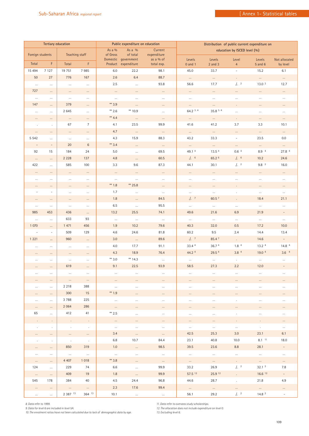|                           | <b>Tertiary education</b> |                                 |                             |          | Public expenditure on education |                          |                              | Distribution of public current expenditure on |                             |                                    |                          |  |  |  |
|---------------------------|---------------------------|---------------------------------|-----------------------------|----------|---------------------------------|--------------------------|------------------------------|-----------------------------------------------|-----------------------------|------------------------------------|--------------------------|--|--|--|
|                           |                           |                                 |                             | As a $%$ | As a $%$                        | Current                  | education by ISCED level (%) |                                               |                             |                                    |                          |  |  |  |
| Foreign students<br>Total | F.                        | Teaching staff<br>Total         | F.                          | of Gross | of total<br>Domestic government | expenditure<br>as a % of | Levels                       | Levels                                        | Level                       | Levels                             | Not allocated            |  |  |  |
|                           |                           |                                 |                             |          | Product expenditure             | total exp.               | $0$ and $1$                  | $2$ and $3$                                   | $\overline{4}$              | $5$ and $6$                        | by level                 |  |  |  |
| 15 4 94                   | 7 1 2 7                   | 19 751                          | 7985                        | $6.0\,$  | 22.2                            | 98.1                     | 45.0                         | 33.7                                          | $\overline{\phantom{a}}$    | 15.2                               | 6.1                      |  |  |  |
| 50                        | 27                        | 776                             | 167                         | 2.6      | 6.4                             | 88.7                     | $\cdots$                     | $\ldots$                                      | $\Box$                      | $\cdots$                           | $\cdots$                 |  |  |  |
| $\cdots$                  | $\cdots$                  | $\cdots$                        | $\cdots$                    | $2.5\,$  | $\ldots$                        | 93.8                     | 56.6                         | 17.7                                          | $.1 - 2$                    | 13.0 <sup>2</sup>                  | 12.7                     |  |  |  |
| 727                       | $\ldots$                  | $\ldots$                        | $\cdots$                    | $\cdots$ | $\cdots$                        | $\cdots$                 | $\cdots$                     | $\cdots$                                      | $\cdots$                    | $\cdots$                           | $\cdots$                 |  |  |  |
| $\cdots$                  | $\cdots$                  | $\ldots$                        | $\cdots$                    | $\ldots$ | $\ldots$                        | $\cdots$                 | $\cdots$                     | $\cdots$                                      | $\cdots$                    | $\ldots$                           | $\ldots$                 |  |  |  |
| 147                       | $\cdots$                  | 379                             | $\cdots$                    | ** 3.9   | $\ldots$                        | $\cdots$                 | $\ldots$                     | $\ldots$                                      | $\epsilon$                  | $\cdots$                           | $\cdots$                 |  |  |  |
| $\ldots$                  | $\ldots$                  | 2 6 4 5                         | $\ldots$                    | ** 2.6   | ** 10.9                         | $\cdots$                 | 64.2 3.4                     | 35.8 3.4                                      | $\ldots$                    | $\ldots$                           | $\cdots$                 |  |  |  |
| $\cdots$                  | $\cdots$                  | $\ldots$                        | $\cdots$                    | ** $4.4$ | $\ldots$                        | $\cdots$                 | $\ldots$                     | $\ldots$                                      | $\Box$                      | $\cdots$                           | $\ldots$                 |  |  |  |
| $\cdot$                   | $\cdot$                   | 67                              | $\overline{7}$              | 4.1      | 23.5                            | 99.9                     | 41.6                         | 41.2                                          | 3.7                         | 3.3                                | 10.1                     |  |  |  |
| $\cdots$                  | $\cdots$                  | $\ldots$                        | $\cdots$                    | 4.7      | $\ldots$                        | $\cdots$                 | $\cdots$                     | $\cdots$                                      | $\cdots$                    | $\cdots$                           | $\cdots$                 |  |  |  |
| 5 5 4 2                   | $\cdots$                  | $\ldots$                        | $\cdots$                    | 4.3      | 15.9                            | 88.3                     | 43.2                         | 33.3                                          | $\equiv$                    | 23.5                               | 0.0                      |  |  |  |
| $\overline{\phantom{a}}$  | $\blacksquare$            | 20                              | $6\phantom{1}6$             | ** 3.4   | $\ldots$                        | $\cdots$                 | $\ldots$                     | $\ldots$                                      | $\cdots$                    | $\cdots$                           | $\cdots$                 |  |  |  |
| 92                        | 15                        | 184                             | 24                          | 5.0      | $\ldots$                        | 69.5                     | 49.14                        | 13.5 4                                        | 0.6 <sup>4</sup>            | 8.9 4                              | 27.8 4                   |  |  |  |
| $\ldots$                  | $\cdots$                  | 2 2 2 8                         | 137                         | 4.8      | $\ldots$                        | 60.5                     | .1.6                         | 65.2 6                                        | $.$ / $.$ 6                 | 10.2                               | 24.6                     |  |  |  |
| 422                       | $\ldots$                  | 585                             | 100                         | $3.3\,$  | $9.6\,$                         | 87.3                     | 44.1                         | 30.1                                          | $\frac{1}{2}$ .             | 9.8 <sup>2</sup>                   | 16.0                     |  |  |  |
| $\cdots$                  | $\ldots$                  | $\ldots$                        | $\ldots$                    | $\ldots$ | $\cdots$                        | $\cdots$                 | $\cdots$                     | $\cdots$                                      | $\cdots$                    | $\cdots$                           | $\cdots$                 |  |  |  |
| $\cdots$                  | $\cdots$                  | $\ldots$                        | $\cdots$                    | $\ldots$ | $\ldots$                        | $\cdots$                 | $\ldots$                     | $\cdots$                                      | $\cdots$                    | $\cdots$                           | $\cdots$                 |  |  |  |
| $\cdots$                  | $\cdots$                  | $\cdots$                        | $\cdots$                    | $** 1.8$ | ** 25.8                         | $\cdots$                 | $\cdots$                     | $\cdots$                                      | $\epsilon$                  | $\cdots$                           | $\cdots$                 |  |  |  |
| $\overline{\phantom{a}}$  | $\overline{\phantom{a}}$  | $\ldots$                        | $\ldots$                    | 1.7      | $\ldots$                        | $\ldots$                 | $\ldots$                     | $\ldots$                                      | $\cdot$                     | $\ldots$                           | $\ldots$                 |  |  |  |
| $\cdots$                  | $\cdots$                  | $\ldots$                        | $\cdots$                    | 1.8      | $\ldots$                        | 84.5                     | $.$   $^{7}$                 | 60.5 <sup>7</sup>                             | $\ddot{\phantom{a}}$        | 18.4                               | 21.1                     |  |  |  |
| $\cdots$                  | $\cdots$                  | $\ldots$                        | $\cdots$                    | $6.5\,$  | $\ldots$                        | 95.5                     | $\cdots$                     | $\cdots$                                      | $\cdots$                    | $\cdots$                           | $\cdots$                 |  |  |  |
| 985                       | 453                       | 436                             | $\ldots$                    | 13.2     | 25.5                            | 74.1                     | 49.6                         | 21.6                                          | 6.9                         | 21.9                               | $\overline{\phantom{a}}$ |  |  |  |
| $\ldots$                  | $\ldots$                  | 633                             | 93                          | $\ldots$ | $\cdots$                        | $\cdots$                 | $\cdots$                     | $\ldots$                                      | $\cdots$                    | $\ldots$                           | $\ldots$                 |  |  |  |
| 1 0 7 0                   | $\cdots$                  | 1 471                           | 456                         | 1.9      | 10.2                            | 79.6                     | 40.3                         | 32.0                                          | 0.5                         | 17.2                               | 10.0                     |  |  |  |
| $\overline{a}$            | $\overline{\phantom{a}}$  | 509                             | 129                         | 4.6      | 24.6                            | 81.8                     | 60.2                         | 9.5                                           | 2.4                         | 14.4                               | 13.4                     |  |  |  |
| 1 2 2 1                   | $\cdots$                  | 960                             | $\ldots$                    | 3.0      | $\ldots$                        | 89.6                     | .1.7                         | 85.47                                         | ÷.                          | 14.6                               | $\equiv$                 |  |  |  |
| $\cdots$                  | $\ldots$                  | $\cdots$                        | $\cdots$                    | $4.0\,$  | 17.7                            | 91.1                     | 33.4 4                       | 36.74                                         | 1.8 <sup>4</sup>            | 13.2 <sup>4</sup>                  | 14.8 <sup>4</sup>        |  |  |  |
| $\cdots$                  | $\ldots$                  | $\ldots$                        | $\cdots$                    | 4.3      | 18.9                            | 76.4                     | 44.2 4                       | 29.5 4                                        | 3.8 <sup>4</sup>            | 19.0 4                             | 3.6 <sup>4</sup>         |  |  |  |
| $\cdots$                  | $\cdots$                  | $\ldots$                        | $\cdots$                    | $**$ 3.0 | ** $14.3$                       | $\cdots$                 | $\cdots$                     | $\cdots$                                      | $\cdot$                     | $\cdots$                           | $\cdots$                 |  |  |  |
| $\cdots$                  | $\cdots$                  | 619                             | $\cdots$                    | 9.1      | 22.5                            | 93.9                     | 58.5                         | 27.3                                          | 2.2                         | 12.0                               | $\equiv$                 |  |  |  |
|                           |                           |                                 |                             |          |                                 |                          |                              |                                               |                             |                                    |                          |  |  |  |
| $\cdots$                  | $\cdots$                  | $\cdots$                        | $\cdots$                    | $\cdots$ | $\cdots$                        | $\cdots$                 | $\cdots$                     | $\cdots$                                      | $\cdots$                    |                                    | $\cdots$                 |  |  |  |
| $\cdots$                  | $\cdots$                  | 2 2 1 8                         | 388                         | $\cdots$ | $\cdots$                        | $\cdots$                 | $\cdots$                     | $\cdots$                                      | $\cdots$                    | $\cdots$                           | $\cdots$                 |  |  |  |
| $\cdots$                  | $\cdots$                  | 300                             | 15                          | ** 1.9   | $\cdots$                        | $\cdots$                 | $\cdots$                     | $\cdots$                                      | $\cdots$                    | $\cdots$                           | $\cdots$                 |  |  |  |
| $\cdots$                  | $\cdots$                  | 3788                            | 225                         | $\cdots$ | $\cdots$                        | $\cdots$                 | $\cdots$                     | $\cdots$                                      | $\ddot{\phantom{a}}$        | $\cdots$                           | $\cdots$                 |  |  |  |
| $\cdots$                  | $\cdots$                  | 2 0 6 4                         | 286                         | $\cdots$ | $\cdots$                        | $\cdots$                 | $\cdots$                     | $\cdots$                                      | $\cdots$                    | $\cdots$                           | $\cdots$                 |  |  |  |
| 65                        | $\cdots$                  | 412                             | 41                          | $*$ 2.5  | $\ldots$                        | $\cdots$                 | $\ldots$                     | $\ldots$                                      | $\cdot$                     | $\ldots$                           | $\cdots$                 |  |  |  |
|                           |                           |                                 |                             | $\cdots$ | $\cdots$                        | $\cdots$                 | $\cdots$                     | $\cdots$                                      |                             |                                    | $\cdots$                 |  |  |  |
| $\sim$                    |                           | $\sim$                          | $\sim$                      | $\cdots$ | $\cdots$                        | $\cdots$                 | $\cdots$                     | $\cdots$                                      | $\cdots$                    | $\sim$                             | $\cdots$                 |  |  |  |
|                           | $\cdots$                  | $\ldots$                        | $\cdots$                    | 3.4      | $\ldots$                        | $\cdots$                 | 42.5                         | 25.3                                          | 3.0                         | 23.1                               | 6.1                      |  |  |  |
| $\bullet$                 | $\bullet$                 | $\sim$                          | $\sim$ $\sim$               | 6.8      | 10.7                            | 84.4                     | 23.1                         | 40.8                                          | 10.0                        | $8.1$ $11$                         | 18.0                     |  |  |  |
| $\cdots$                  | $\cdots$                  | 850                             | 319                         | 1.0      | $\ldots$                        | 98.5                     | 39.5                         | 23.6                                          | 8.8                         | 28.1                               | $\overline{\phantom{a}}$ |  |  |  |
| $\ldots$                  | $\cdots$                  | $\cdots$                        | $\ldots$                    | $\ldots$ | $\ldots$                        | $\sim$                   | $\ldots$                     | $\cdots$                                      | $\cdots$                    | $\sim$                             | $\ldots$                 |  |  |  |
|                           |                           | 4 4 0 7                         | 1018                        | ** 3.8   |                                 |                          |                              |                                               |                             |                                    |                          |  |  |  |
| $\cdots$<br>124           | $\cdots$                  | 229                             | 74                          | 6.6      | $\cdots$                        | $\sim$ $\sim$<br>99.9    | $\cdots$<br>33.2             | $\cdots$<br>26.9                              | $\int_{\tau}^{2}$           | $\cdots$<br>32.1 <sup>2</sup>      | $\cdots$<br>7.8          |  |  |  |
|                           | $\cdots$                  | 409                             | 19                          | 1.8      | $\ldots$                        | 99.9                     | 57.5 12                      | 25.9 12                                       |                             | $16.6$ <sup>12</sup>               |                          |  |  |  |
| $\cdots$<br>545           | $\cdots$<br>178           | 384                             | 40                          | 4.5      | $\sim$<br>24.4                  | 96.8                     |                              | 28.7                                          |                             | 21.8                               | 4.9                      |  |  |  |
|                           |                           |                                 |                             | 2.3      | 17.6                            | 99.4                     | 44.6                         |                                               | $\epsilon$                  |                                    |                          |  |  |  |
| $\cdots$                  | $\cdots$                  | $\sim$ 100 $\mu$<br>2 3 8 7 1 3 | $\sim$ 100 $\sim$<br>364 13 |          |                                 |                          | $\cdots$                     | $\cdots$<br>29.2                              | $\cdots$<br>$\frac{1}{2}$ . | $\sim$ $\sim$<br>14.8 <sup>2</sup> | $\cdots$                 |  |  |  |
|                           |                           |                                 |                             | 10.1     |                                 |                          | 56.1                         |                                               |                             |                                    |                          |  |  |  |

*8. Data refer to 1999. 9. Data for level 6 are included in level 5A.*

*10. The enrolment ratios have not been calculated due to lack of demographic data by age.* 

*11. Data refer to overseas study scholarships. 12. The allocation does not include expenditure on level 0. 13. Excluding level 6.*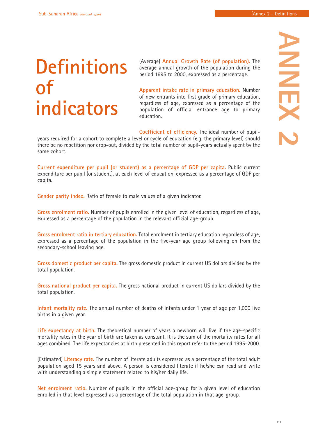## **Definitions of indicators**

(Average) **Annual Growth Rate (of population).** The average annual growth of the population during the period 1995 to 2000, expressed as a percentage.

**Apparent intake rate in primary education.** Number of new entrants into first grade of primary education, regardless of age, expressed as a percentage of the population of official entrance age to primary education.

**Coefficient of efficiency.** The ideal number of pupil-

years required for a cohort to complete a level or cycle of education (e.g. the primary level) should there be no repetition nor drop-out, divided by the total number of pupil-years actually spent by the same cohort.

**Current expenditure per pupil (or student) as a percentage of GDP per capita.** Public current expenditure per pupil (or student), at each level of education, expressed as a percentage of GDP per capita.

**Gender parity index.** Ratio of female to male values of a given indicator.

**Gross enrolment ratio.** Number of pupils enrolled in the given level of education, regardless of age, expressed as a percentage of the population in the relevant official age-group.

**Gross enrolment ratio in tertiary education.** Total enrolment in tertiary education regardless of age, expressed as a percentage of the population in the five-year age group following on from the secondary-school leaving age.

**Gross domestic product per capita.** The gross domestic product in current US dollars divided by the total population.

**Gross national product per capita.** The gross national product in current US dollars divided by the total population.

**Infant mortality rate.** The annual number of deaths of infants under 1 year of age per 1,000 live births in a given year.

**Life expectancy at birth.** The theoretical number of years a newborn will live if the age-specific mortality rates in the year of birth are taken as constant. It is the sum of the mortality rates for all ages combined. The life expectancies at birth presented in this report refer to the period 1995-2000.

(Estimated) **Literacy rate.** The number of literate adults expressed as a percentage of the total adult population aged 15 years and above. A person is considered literate if he/she can read and write with understanding a simple statement related to his/her daily life.

**Net enrolment ratio.** Number of pupils in the official age-group for a given level of education enrolled in that level expressed as a percentage of the total population in that age-group.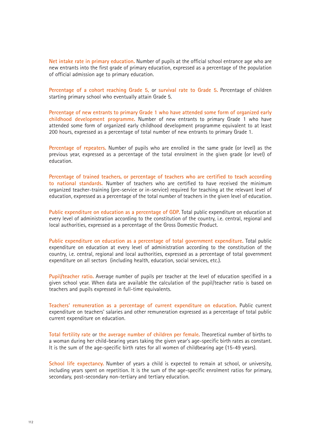**Net intake rate in primary education.** Number of pupils at the official school entrance age who are new entrants into the first grade of primary education, expressed as a percentage of the population of official admission age to primary education.

**Percentage of a cohort reaching Grade 5,** or **survival rate to Grade 5.** Percentage of children starting primary school who eventually attain Grade 5.

**Percentage of new entrants to primary Grade 1 who have attended some form of organized early childhood development programme.** Number of new entrants to primary Grade 1 who have attended some form of organized early childhood development programme equivalent to at least 200 hours, expressed as a percentage of total number of new entrants to primary Grade 1.

**Percentage of repeaters.** Number of pupils who are enrolled in the same grade (or level) as the previous year, expressed as a percentage of the total enrolment in the given grade (or level) of education.

**Percentage of trained teachers, or percentage of teachers who are certified to teach according to national standards.** Number of teachers who are certified to have received the minimum organized teacher-training (pre-service or in-service) required for teaching at the relevant level of education, expressed as a percentage of the total number of teachers in the given level of education.

**Public expenditure on education as a percentage of GDP.** Total public expenditure on education at every level of administration according to the constitution of the country, i.e. central, regional and local authorities, expressed as a percentage of the Gross Domestic Product.

**Public expenditure on education as a percentage of total government expenditure.** Total public expenditure on education at every level of administration according to the constitution of the country, i.e. central, regional and local authorities, expressed as a percentage of total government expenditure on all sectors (including health, education, social services, etc.).

**Pupil/teacher ratio.** Average number of pupils per teacher at the level of education specified in a given school year. When data are available the calculation of the pupil/teacher ratio is based on teachers and pupils expressed in full-time equivalents.

**Teachers' remuneration as a percentage of current expenditure on education.** Public current expenditure on teachers' salaries and other remuneration expressed as a percentage of total public current expenditure on education.

**Total fertility rate** or **the average number of children per female.** Theoretical number of births to a woman during her child-bearing years taking the given year's age-specific birth rates as constant. It is the sum of the age-specific birth rates for all women of childbearing age (15-49 years).

**School life expectancy.** Number of years a child is expected to remain at school, or university, including years spent on repetition. It is the sum of the age-specific enrolment ratios for primary, secondary, post-secondary non-tertiary and tertiary education.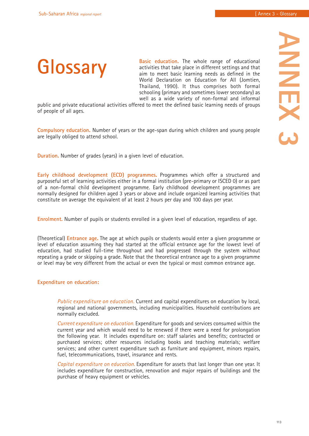

**Basic education.** The whole range of educational activities that take place in different settings and that aim to meet basic learning needs as defined in the World Declaration on Education for All (Jomtien, Thailand, 1990). It thus comprises both formal schooling (primary and sometimes lower secondary) as well as a wide variety of non-formal and informal

public and private educational activities offered to meet the defined basic learning needs of groups of people of all ages.

**Compulsory education.** Number of years or the age-span during which children and young people are legally obliged to attend school.

**Duration.** Number of grades (years) in a given level of education.

**Early childhood development (ECD) programmes.** Programmes which offer a structured and purposeful set of learning activities either in a formal institution (pre-primary or ISCED 0) or as part of a non-formal child development programme. Early childhood development programmes are normally designed for children aged 3 years or above and include organized learning activities that constitute on average the equivalent of at least 2 hours per day and 100 days per year.

**Enrolment.** Number of pupils or students enrolled in a given level of education, regardless of age.

(Theoretical) **Entrance age.** The age at which pupils or students would enter a given programme or level of education assuming they had started at the official entrance age for the lowest level of education, had studied full-time throughout and had progressed through the system without repeating a grade or skipping a grade. Note that the theoretical entrance age to a given programme or level may be very different from the actual or even the typical or most common entrance age.

#### **Expenditure on education:**

*Public expenditure on education.* Current and capital expenditures on education by local, regional and national governments, including municipalities. Household contributions are normally excluded.

*Current expenditure on education.* Expenditure for goods and services consumed within the current year and which would need to be renewed if there were a need for prolongation the following year. It includes expenditure on: staff salaries and benefits; contracted or purchased services; other resources including books and teaching materials; welfare services; and other current expenditure such as furniture and equipment, minors repairs, fuel, telecommunications, travel, insurance and rents.

*Capital expenditure on education.* Expenditure for assets that last longer than one year. It includes expenditure for construction, renovation and major repairs of buildings and the purchase of heavy equipment or vehicles.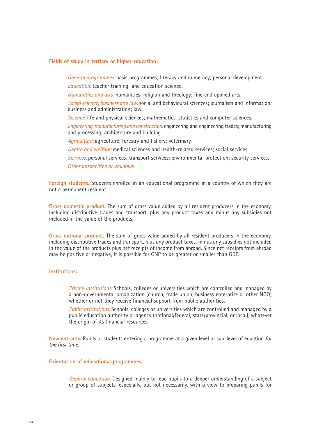#### **Fields of study in tertiary or higher education:**

*General programmes:* basic programmes; literacy and numeracy; personal development.

*Education:* teacher training and education science.

*Humanities and arts:* humanities; religion and theology; fine and applied arts.

*Social science, business and law:* social and behavioural sciences; journalism and information; business and administration; law.

*Science:* life and physical sciences; mathematics, statistics and computer sciences.

*Engineering, manufacturing and construction:* engineering and engineering trades; manufacturing and processing; architecture and building.

*Agriculture:* agriculture, forestry and fishery; veterinary.

*Health and welfare:* medical sciences and health-related services; social services.

*Services:* personal services; transport services; environmental protection; security services. *Other unspecified or unknown.* 

**Foreign students.** Students enrolled in an educational programme in a country of which they are not a permanent resident.

**Gross domestic product.** The sum of gross value added by all resident producers in the economy, including distributive trades and transport, plus any product taxes and minus any subsidies not included in the value of the products.

**Gross national product.** The sum of gross value added by all resident producers in the economy, including distributive trades and transport, plus any product taxes, minus any subsidies not included in the value of the products plus net receipts of income from abroad. Since net receipts from abroad may be positive or negative, it is possible for GNP to be greater or smaller than GDP.

#### **Institutions:**

*Private institutions.* Schools, colleges or universities which are controlled and managed by a non-governmental organization (church, trade union, business enterprise or other NGO) whether or not they receive financial support from public authorities.

*Public institutions.* Schools, colleges or universities which are controlled and managed by a public education authority or agency (national/federal, state/provincial, or local), whatever the origin of its financial resources.

**New entrants.** Pupils or students entering a programme at a given level or sub-level of eduction *for the first time*.

#### **Orientation of educational programmes:**

*General education.* Designed mainly to lead pupils to a deeper understanding of a subject or group of subjects, especially, but not necessarily, with a view to preparing pupils for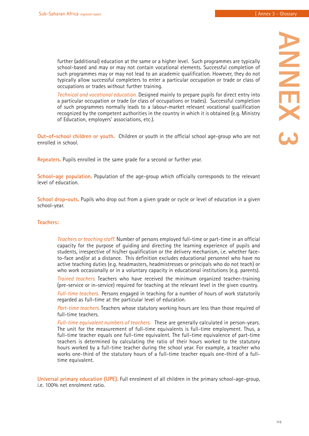**ANNEX 3** 

**ANNIVEX** 

further (additional) education at the same or a higher level. Such programmes are typically school-based and may or may not contain vocational elements. Successful completion of such programmes may or may not lead to an academic qualification. However, they do not typically allow successful completers to enter a particular occupation or trade or class of occupations or trades without further training.

*Technical and vocational education.* Designed mainly to prepare pupils for direct entry into a particular occupation or trade (or class of occupations or trades). Successful completion of such programmes normally leads to a labour-market relevant vocational qualification recognized by the competent authorities in the country in which it is obtained (e.g. Ministry of Education, employers' associations, etc.).

**Out-of-school children or youth.** Children or youth in the official school age-group who are not enrolled in school.

**Repeaters.** Pupils enrolled in the same grade for a second or further year.

**School-age population.** Population of the age-group which officially corresponds to the relevant level of education.

**School drop-outs.** Pupils who drop out from a given grade or cycle or level of education in a given school-year.

#### **Teachers:**

*Teachers or teaching staff.* Number of persons employed full-time or part-time in an official capacity for the purpose of guiding and directing the learning experience of pupils and students, irrespective of his/her qualification or the delivery mechanism, i.e. whether faceto-face and/or at a distance. This definition excludes educational personnel who have no active teaching duties (e.g. headmasters, headmistresses or principals who do not teach) or who work occasionally or in a voluntary capacity in educational institutions (e.g. parents).

*Trained teachers.* Teachers who have received the minimum organized teacher-training (pre-service or in-service) required for teaching at the relevant level in the given country.

*Full-time teachers.* Persons engaged in teaching for a number of hours of work statutorily regarded as full-time at the particular level of education.

*Part-time teachers.* Teachers whose statutory working hours are less than those required of full-time teachers.

*Full-time equivalent numbers of teachers.* These are generally calculated in person-years. The unit for the measurement of full-time equivalents is full-time employment. Thus, a full-time teacher equals one full-time equivalent. The full-time equivalence of part-time teachers is determined by calculating the ratio of their hours worked to the statutory hours worked by a full-time teacher during the school year. For example, a teacher who works one-third of the statutory hours of a full-time teacher equals one-third of a fulltime equivalent.

**Universal primary education (UPE).** Full enrolment of all children in the primary school-age-group, i.e. 100% net enrolment ratio.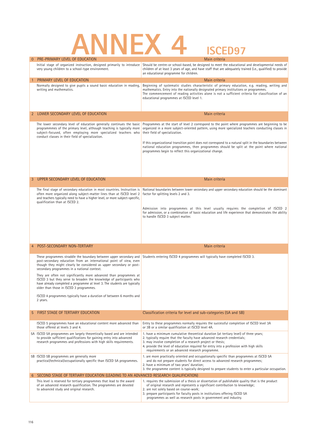# **ANNEX 4 ISCED97**

|   | <b>FRE-FRINANT LEVEL OF EDUCATION</b>                                                                                                                                                                                                                                | ivialii criteria                                                                                                                                                                                                                                                                                                                                                               |  |  |  |  |
|---|----------------------------------------------------------------------------------------------------------------------------------------------------------------------------------------------------------------------------------------------------------------------|--------------------------------------------------------------------------------------------------------------------------------------------------------------------------------------------------------------------------------------------------------------------------------------------------------------------------------------------------------------------------------|--|--|--|--|
|   | Initial stage of organized instruction, designed primarily to introduce<br>very young children to a school-type environment.                                                                                                                                         | Should be centre-or school-based, be designed to meet the educational and developmental needs of<br>children of at least 3 years of age, and have staff that are adequately trained (i.e., qualified) to provide<br>an educational programme for children.                                                                                                                     |  |  |  |  |
|   | PRIMARY LEVEL OF EDUCATION                                                                                                                                                                                                                                           | Main criteria                                                                                                                                                                                                                                                                                                                                                                  |  |  |  |  |
|   | Normally designed to give pupils a sound basic education in reading,<br>writing and mathematics.                                                                                                                                                                     | Beginning of systematic studies characteristic of primary education, e.g. reading, writing and<br>mathematics. Entry into the nationally designated primary institutions or programmes.<br>The commencement of reading activities alone is not a sufficient criteria for classification of an<br>educational programmes at ISCED level 1.                                      |  |  |  |  |
|   | 2 LOWER SECONDARY LEVEL OF EDUCATION                                                                                                                                                                                                                                 | Main criteria                                                                                                                                                                                                                                                                                                                                                                  |  |  |  |  |
|   | The lower secondary level of education generally continues the basic<br>programmmes of the primary level, although teaching is typically more<br>subject-focused, often employing more specialized teachers who<br>conduct classes in their field of specialization. | Programmes at the start of level 2 correspond to the point where programmes are beginning to be<br>organized in a more subject-oriented pattern, using more specialized teachers conducting classes in<br>their field of specialization.                                                                                                                                       |  |  |  |  |
|   |                                                                                                                                                                                                                                                                      | If this organizational transition point does not correspond to a natural split in the boundaries between<br>national education programmes, then programmes should be split at the point where national<br>programmes begin to reflect this organizational change.                                                                                                              |  |  |  |  |
| 3 | UPPER SECONDARY LEVEL OF EDUCATION                                                                                                                                                                                                                                   | Main criteria                                                                                                                                                                                                                                                                                                                                                                  |  |  |  |  |
|   |                                                                                                                                                                                                                                                                      |                                                                                                                                                                                                                                                                                                                                                                                |  |  |  |  |
|   | The final stage of secondary education in most countries. Instruction is<br>often more organized along subject-matter lines than at ISCED level 2<br>and teachers typically need to have a higher level, or more subject-specific,<br>qualification than at ISCED 2. | National boundaries between lower secondary and upper secondary education should be the dominant<br>factor for splitting levels 2 and 3.                                                                                                                                                                                                                                       |  |  |  |  |
|   |                                                                                                                                                                                                                                                                      | Admission into programmes at this level usually requires the completion of ISCED 2<br>for admission, or a combination of basic education and life experience that demonstrates the ability<br>to handle ISCED 3 subject matter.                                                                                                                                                |  |  |  |  |
|   | POST-SECONDARY NON-TERTIARY                                                                                                                                                                                                                                          | Main criteria                                                                                                                                                                                                                                                                                                                                                                  |  |  |  |  |
|   | These programmes straddle the boundary between upper secondary and<br>post-secondary education from an international point of view, even<br>though they might clearly be considered as upper secondary or post-<br>secondary programmes in a national context.       | Students entering ISCED 4 programmes will typically have completed ISCED 3.                                                                                                                                                                                                                                                                                                    |  |  |  |  |
|   | They are often not significantly more advanced than programmes at<br>ISCED 3 but they serve to broaden the knowledge of participants who<br>have already completed a programme at level 3. The students are typically<br>older than those in ISCED 3 programmes.     |                                                                                                                                                                                                                                                                                                                                                                                |  |  |  |  |
|   | ISCED 4 programmes typically have a duration of between 6 months and<br>2 years.                                                                                                                                                                                     |                                                                                                                                                                                                                                                                                                                                                                                |  |  |  |  |
|   | FIRST STAGE OF TERTIARY EDUCATION                                                                                                                                                                                                                                    | Classification criteria for level and sub-categories (5A and 5B)                                                                                                                                                                                                                                                                                                               |  |  |  |  |
|   | ISCED 5 programmes have an educational content more advanced than<br>those offered at levels 3 and 4.                                                                                                                                                                | Entry to these programmes normally requires the successful completion of ISCED level 3A<br>or 3B or a similar qualification at ISCED level 4A.                                                                                                                                                                                                                                 |  |  |  |  |
|   | 5A ISCED 5A programmes are largely theoretically based and are intended<br>to provide sufficient qualifications for gaining entry into advanced<br>research programmes and professions with high skills requirements.                                                | 1. have a minimum cumulative theoretical duration (at tertiary level) of three years;<br>2. typically require that the faculty have advanced research credentials;<br>3. may involve completion of a research project or thesis;<br>4. provide the level of education required for entry into a profession with high skills<br>requirements or an advanced research programme. |  |  |  |  |
|   | 5B ISCED 5B programmes are generally more<br>practical/technical/occupationally specific than ISCED 5A programmes.                                                                                                                                                   | 1. are more practically oriented and occupationally specific than programmes at ISCED 5A<br>and do not prepare students for direct access to advanced research programmes;<br>2. have a minimum of two years' duration;<br>3. the programme content is typically designed to prepare students to enter a particular occupation.                                                |  |  |  |  |
| 6 | SECOND STAGE OF TERTIARY EDUCATION (LEADING TO AN ADVANCED RESEARCH QUALIFICATION)                                                                                                                                                                                   |                                                                                                                                                                                                                                                                                                                                                                                |  |  |  |  |
|   | This level is reserved for tertiary programmes that lead to the award<br>of an advanced research qualification. The programmes are devoted<br>to advanced study and original research.                                                                               | 1. requires the submission of a thesis or dissertation of publishable quality that is the product<br>of original research and represents a significant contribution to knowledge;<br>2. are not solely based on course-work;<br>3. prepare participants for faculty posts in institutions offering ISCED 5A                                                                    |  |  |  |  |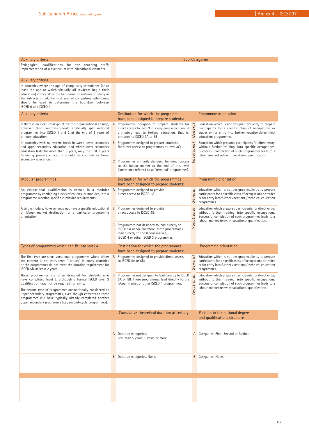| Auxiliary criteria                                                                                                                                                                                                                                                                                                                |   | Sub-Categories                                                                                                                                                                                     |                   |                                                                                                                                                                                                                            |  |  |
|-----------------------------------------------------------------------------------------------------------------------------------------------------------------------------------------------------------------------------------------------------------------------------------------------------------------------------------|---|----------------------------------------------------------------------------------------------------------------------------------------------------------------------------------------------------|-------------------|----------------------------------------------------------------------------------------------------------------------------------------------------------------------------------------------------------------------------|--|--|
| Pedagogical qualifications for the teaching staff;<br>implementation of a curriculum with educational elements.                                                                                                                                                                                                                   |   |                                                                                                                                                                                                    |                   |                                                                                                                                                                                                                            |  |  |
| Auxiliary criteria                                                                                                                                                                                                                                                                                                                |   |                                                                                                                                                                                                    |                   |                                                                                                                                                                                                                            |  |  |
| In countries where the age of compulsory attendance (or at<br>least the age at which virtually all students begin their<br>education) comes after the beginning of systematic study in<br>the subjects noted, the first year of compulsory attendance<br>should be used to determine the boundary between<br>ISCED 0 and ISCED 1. |   |                                                                                                                                                                                                    |                   |                                                                                                                                                                                                                            |  |  |
| Auxiliary criteria                                                                                                                                                                                                                                                                                                                |   | Destination for which the programme<br>have been designed to prepare students:                                                                                                                     |                   | Programme orientation                                                                                                                                                                                                      |  |  |
| If there is no clear break-point for this organizational change,<br>however, then countries should artificially split national<br>programmes into ISCED 1 and 2 at the end of 6 years of<br>primary education.                                                                                                                    |   | A Programmes designed to prepare students for <b>a</b><br>A Programmes designed to prepare students for <b>a</b><br>ultimately lead to tertiary education, that is,<br>entrance to ISCED 3A or 3B; | $\epsilon$ n<br>Ğ | Education which is not designed explicitly to prepare<br>participants for a specific class of occupations or<br>trades or for entry into further vocational/technical<br>education programmes.                             |  |  |
| In countries with no system break between lower secondary<br>and upper secondary education, and where lower secondary<br>education lasts for more than 3 years, only the first 3 years<br>following primary education should be counted as lower                                                                                  |   | <b>B</b> Programmes designed to prepare students<br>for direct access to programmes at level 3C;                                                                                                   | cational          | Education which prepares participants for direct entry,<br>without further training, into specific occupations.<br>Successful completion of such programmes leads to a<br>labour-market relevant vocational qualification. |  |  |
| secondary education.                                                                                                                                                                                                                                                                                                              |   | C Programmes primarily designed for direct access<br>to the labour market at the end of this level<br>(sometimes referred to as 'terminal' programmes).                                            | S                 |                                                                                                                                                                                                                            |  |  |
| Modular programmes                                                                                                                                                                                                                                                                                                                |   | Destination for which the programmes<br>have been designed to prepare students:                                                                                                                    |                   | Programme orientation                                                                                                                                                                                                      |  |  |
| An educational qualification is earned in a modular<br>programme by combining blocks of courses, or modules, into a<br>programme meeting specific curricular requirements.                                                                                                                                                        | A | Programmes designed to provide<br>direct access to ISCED 5A;                                                                                                                                       | General           | Education which is not designed explicitly to prepare<br>participants for a specific class of occupations or trades<br>or for entry into further vocational/technical education<br>programmes.                             |  |  |
| A single module, however, may not have a specific educational<br>or labour market destination or a particular programme<br>orientation.                                                                                                                                                                                           |   | <b>B</b> Programmes designed to provide<br>direct access to ISCED 5B;                                                                                                                              | Vocational        | Education which prepares participants for direct entry,<br>without further training, into specific occupations.<br>Successful completion of such programmes leads to a<br>labour-market relevant vocational qualification. |  |  |
|                                                                                                                                                                                                                                                                                                                                   |   | C Programmes not designed to lead directly to<br>ISCED 5A or 5B. Therefore, these programmes<br>lead directly to the labour market,<br>ISCED 4 or other ISCED 3 programmes.                        |                   |                                                                                                                                                                                                                            |  |  |
| Types of programmes which can fit into level 4                                                                                                                                                                                                                                                                                    |   | Destination for which the programmes<br>have been designed to prepare students:                                                                                                                    |                   | Programme orientation                                                                                                                                                                                                      |  |  |
| The first type are short vocational programmes where either<br>the content is not considered "tertiary" in many countries<br>or the programmes do not meet the duration requirement for<br>ISCED 5B-at least 2 years.                                                                                                             |   | Programmes designed to provide direct access<br>to ISCED 5A or 5B;                                                                                                                                 | General           | Education which is not designed explicitly to prepare<br>participants for a specific class of occupations or trades<br>or for entry into further vocational/technical education<br>programmes.                             |  |  |
| These programmes are often designed for students who<br>have completed level 3, although a formal ISCED level 3<br>qualification may not be required for entry.<br>The second type of programmes are nationally considered as                                                                                                     |   | <b>B</b> Programmes not designed to lead directly to ISCED<br>5A or 5B. These programmes lead directly to the<br>labour market or other ISCED 4 programmes.                                        | tional            | Education which prepares participants for direct entry,<br>without further training, into specific occupations.<br>Successful completion of such programmes leads to a<br>labour-market relevant vocational qualification. |  |  |
| upper secondary programmes, even though entrants to these<br>programmes will have typically already completed another<br>upper secondary programme (i.e., second-cycle programmes).                                                                                                                                               |   |                                                                                                                                                                                                    | Voca              |                                                                                                                                                                                                                            |  |  |
|                                                                                                                                                                                                                                                                                                                                   |   | Cumulative theoretical duration at tertiary                                                                                                                                                        |                   | Position in the national degree<br>and qualifications structure                                                                                                                                                            |  |  |
|                                                                                                                                                                                                                                                                                                                                   |   |                                                                                                                                                                                                    |                   |                                                                                                                                                                                                                            |  |  |
|                                                                                                                                                                                                                                                                                                                                   |   | A Duration categories:<br>Less than 5 years; 5 years or more.                                                                                                                                      |                   | A Categories: First; Second or further.                                                                                                                                                                                    |  |  |
|                                                                                                                                                                                                                                                                                                                                   |   | <b>B</b> Duration categories: None.                                                                                                                                                                |                   | <b>B</b> Categories: None.                                                                                                                                                                                                 |  |  |
|                                                                                                                                                                                                                                                                                                                                   |   |                                                                                                                                                                                                    |                   |                                                                                                                                                                                                                            |  |  |
|                                                                                                                                                                                                                                                                                                                                   |   |                                                                                                                                                                                                    |                   |                                                                                                                                                                                                                            |  |  |
|                                                                                                                                                                                                                                                                                                                                   |   |                                                                                                                                                                                                    |                   |                                                                                                                                                                                                                            |  |  |